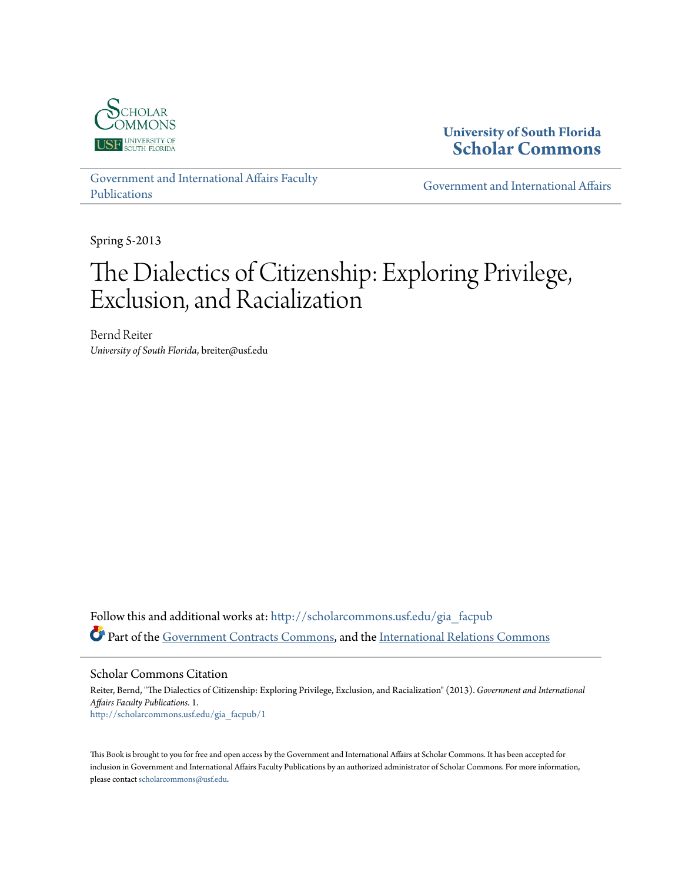

### **University of South Florida [Scholar Commons](http://scholarcommons.usf.edu?utm_source=scholarcommons.usf.edu%2Fgia_facpub%2F1&utm_medium=PDF&utm_campaign=PDFCoverPages)**

[Government and International Affairs Faculty](http://scholarcommons.usf.edu/gia_facpub?utm_source=scholarcommons.usf.edu%2Fgia_facpub%2F1&utm_medium=PDF&utm_campaign=PDFCoverPages) [Publications](http://scholarcommons.usf.edu/gia_facpub?utm_source=scholarcommons.usf.edu%2Fgia_facpub%2F1&utm_medium=PDF&utm_campaign=PDFCoverPages)

[Government and International Affairs](http://scholarcommons.usf.edu/gia?utm_source=scholarcommons.usf.edu%2Fgia_facpub%2F1&utm_medium=PDF&utm_campaign=PDFCoverPages)

Spring 5-2013

## The Dialectics of Citizenship: Exploring Privilege, Exclusion, and Racialization

Bernd Reiter *University of South Florida*, breiter@usf.edu

Follow this and additional works at: [http://scholarcommons.usf.edu/gia\\_facpub](http://scholarcommons.usf.edu/gia_facpub?utm_source=scholarcommons.usf.edu%2Fgia_facpub%2F1&utm_medium=PDF&utm_campaign=PDFCoverPages) Part of the [Government Contracts Commons](http://network.bepress.com/hgg/discipline/845?utm_source=scholarcommons.usf.edu%2Fgia_facpub%2F1&utm_medium=PDF&utm_campaign=PDFCoverPages), and the [International Relations Commons](http://network.bepress.com/hgg/discipline/389?utm_source=scholarcommons.usf.edu%2Fgia_facpub%2F1&utm_medium=PDF&utm_campaign=PDFCoverPages)

Scholar Commons Citation

Reiter, Bernd, "The Dialectics of Citizenship: Exploring Privilege, Exclusion, and Racialization" (2013). *Government and International Affairs Faculty Publications*. 1. [http://scholarcommons.usf.edu/gia\\_facpub/1](http://scholarcommons.usf.edu/gia_facpub/1?utm_source=scholarcommons.usf.edu%2Fgia_facpub%2F1&utm_medium=PDF&utm_campaign=PDFCoverPages)

This Book is brought to you for free and open access by the Government and International Affairs at Scholar Commons. It has been accepted for inclusion in Government and International Affairs Faculty Publications by an authorized administrator of Scholar Commons. For more information, please contact [scholarcommons@usf.edu.](mailto:scholarcommons@usf.edu)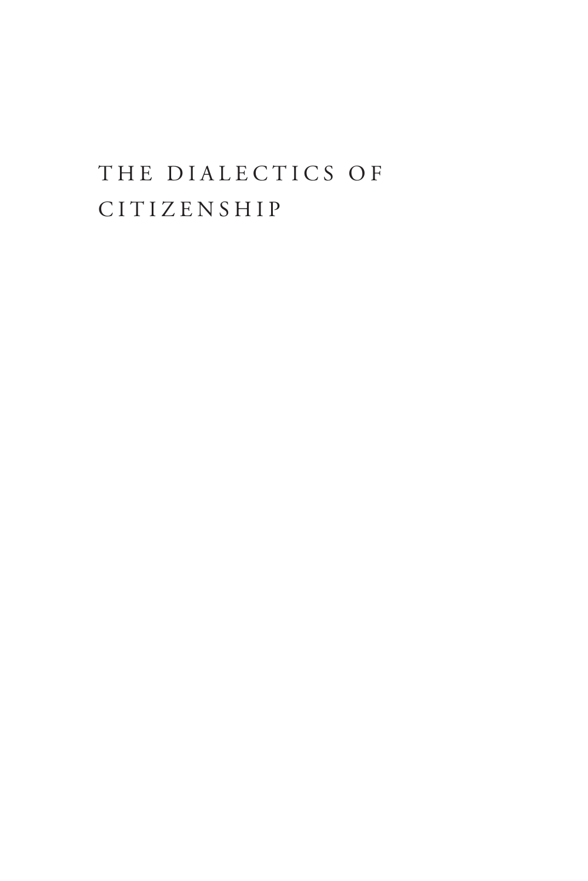## THE DIALECTICS OF CITIZENSHIP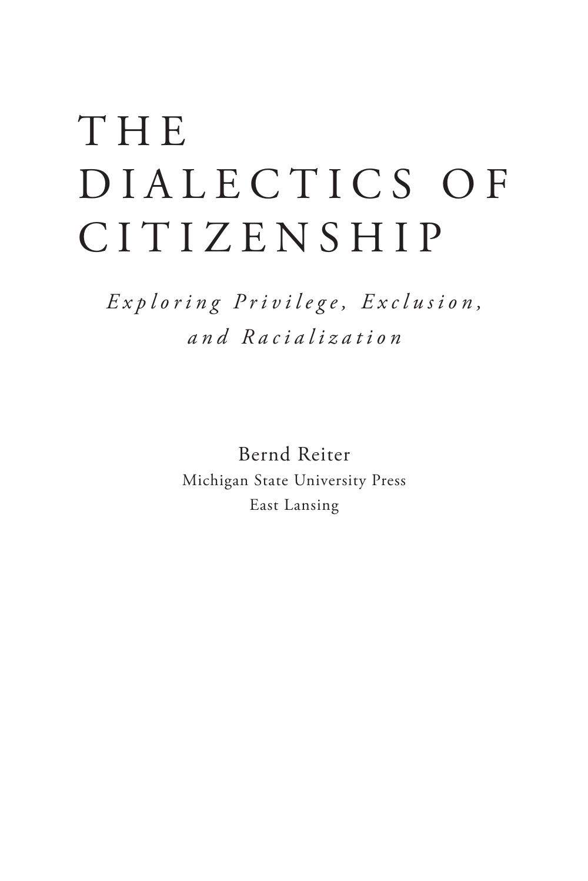# THE DIALECTICS OF CITIZENSHIP

*E x p l o r i n g P r i v i l e g e , E x c l u s i o n , and Racialization*

> Bernd Reiter Michigan State University Press East Lansing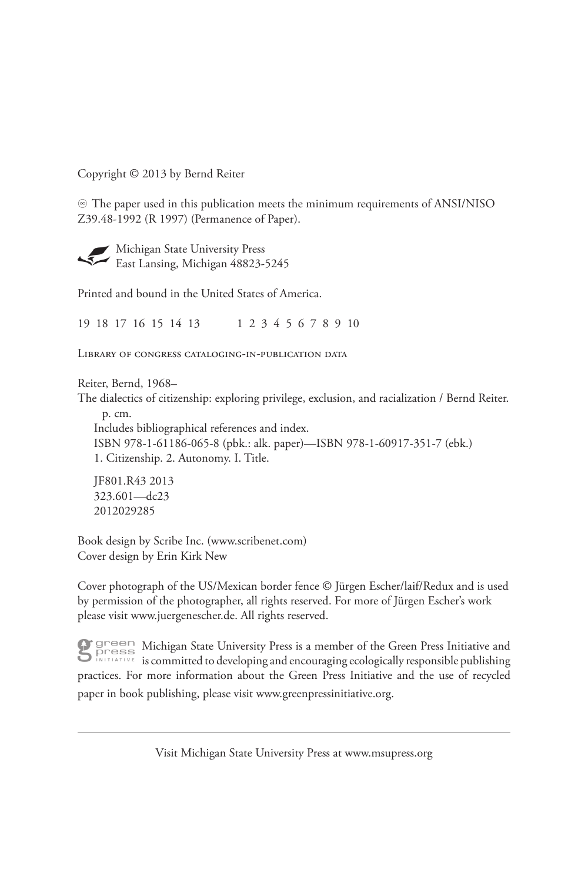Copyright © 2013 by Bernd Reiter

♾ The paper used in this publication meets the minimum requirements of ANSI/NISO Z39.48-1992 (R 1997) (Permanence of Paper).

Michigan State University Press East Lansing, Michigan 48823-5245

Printed and bound in the United States of America.

19 18 17 16 15 14 13 1 2 3 4 5 6 7 8 9 10

Library of congress cataloging-in-publication data

Reiter, Bernd, 1968–

The dialectics of citizenship: exploring privilege, exclusion, and racialization / Bernd Reiter.

p. cm. Includes bibliographical references and index. ISBN 978-1-61186-065-8 (pbk.: alk. paper)—ISBN 978-1-60917-351-7 (ebk.) 1. Citizenship. 2. Autonomy. I. Title.

JF801.R43 2013 323.601—dc23 2012029285

Book design by Scribe Inc. (www.scribenet.com) Cover design by Erin Kirk New

Cover photograph of the US/Mexican border fence © Jürgen Escher/laif/Redux and is used by permission of the photographer, all rights reserved. For more of Jürgen Escher's work please visit www.juergenescher.de. All rights reserved.

GM GREEN Michigan State University Press is a member of the Green Press Initiative and DIPLES is committed to developing and encouraging ecologically responsible publishing practices. For more information about the Green Press Initiative and the use of recycled paper in book publishing, please visit www.greenpressinitiative.org.

Visit Michigan State University Press at www.msupress.org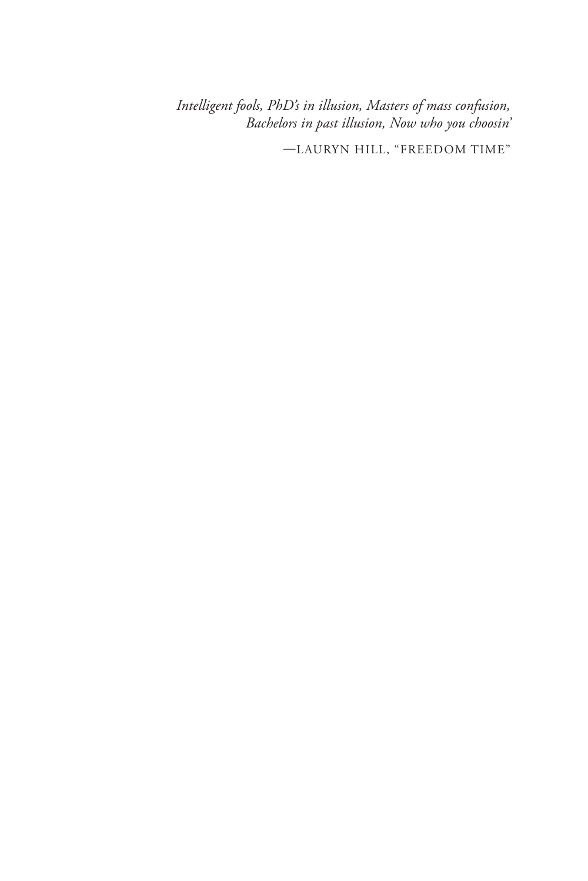*Intelligent fools, PhD's in illusion, Masters of mass confusion, Bachelors in past illusion, Now who you choosin'*

—Lauryn Hill, "Freedom Time"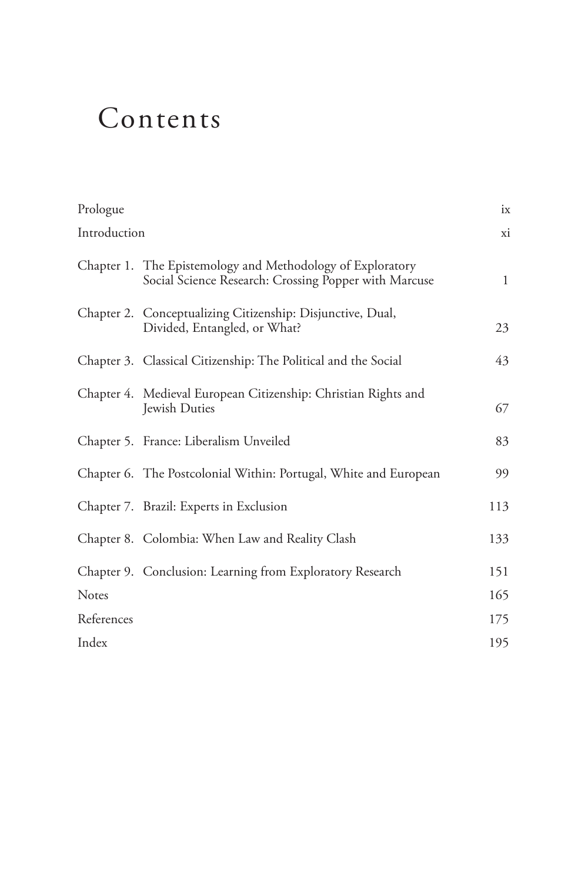## Contents

| Prologue     |                                                                                                                     | ix           |
|--------------|---------------------------------------------------------------------------------------------------------------------|--------------|
| Introduction |                                                                                                                     | xi           |
|              | Chapter 1. The Epistemology and Methodology of Exploratory<br>Social Science Research: Crossing Popper with Marcuse | $\mathbf{1}$ |
|              | Chapter 2. Conceptualizing Citizenship: Disjunctive, Dual,<br>Divided, Entangled, or What?                          | 23           |
|              | Chapter 3. Classical Citizenship: The Political and the Social                                                      | 43           |
|              | Chapter 4. Medieval European Citizenship: Christian Rights and<br>Jewish Duties                                     | 67           |
|              | Chapter 5. France: Liberalism Unveiled                                                                              | 83           |
|              | Chapter 6. The Postcolonial Within: Portugal, White and European                                                    | 99           |
|              | Chapter 7. Brazil: Experts in Exclusion                                                                             | 113          |
|              | Chapter 8. Colombia: When Law and Reality Clash                                                                     | 133          |
|              | Chapter 9. Conclusion: Learning from Exploratory Research                                                           | 151          |
| <b>Notes</b> |                                                                                                                     | 165          |
| References   |                                                                                                                     | 175          |
| Index        |                                                                                                                     | 195          |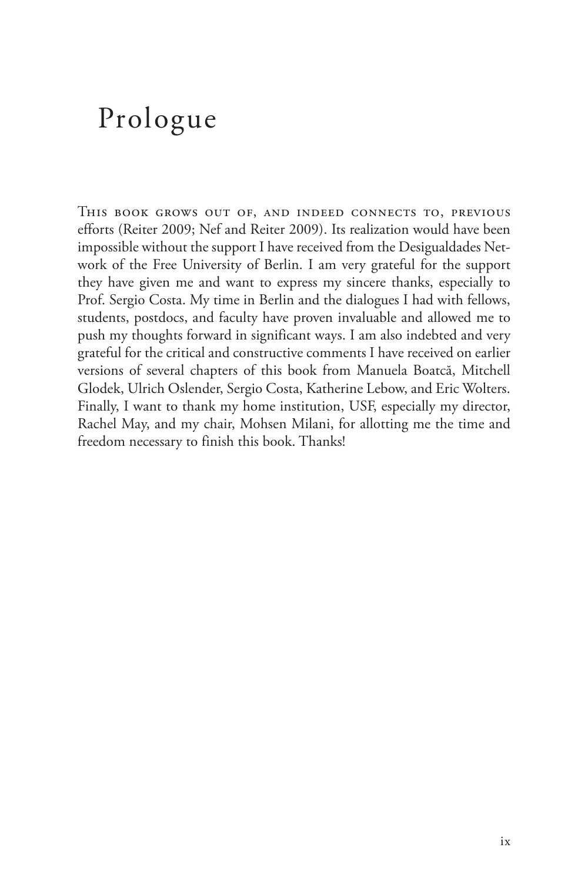## Prologue

This book grows out of, and indeed connects to, previous efforts (Reiter 2009; Nef and Reiter 2009). Its realization would have been impossible without the support I have received from the Desigualdades Network of the Free University of Berlin. I am very grateful for the support they have given me and want to express my sincere thanks, especially to Prof. Sergio Costa. My time in Berlin and the dialogues I had with fellows, students, postdocs, and faculty have proven invaluable and allowed me to push my thoughts forward in significant ways. I am also indebted and very grateful for the critical and constructive comments I have received on earlier versions of several chapters of this book from Manuela Boatcă, Mitchell Glodek, Ulrich Oslender, Sergio Costa, Katherine Lebow, and Eric Wolters. Finally, I want to thank my home institution, USF, especially my director, Rachel May, and my chair, Mohsen Milani, for allotting me the time and freedom necessary to finish this book. Thanks!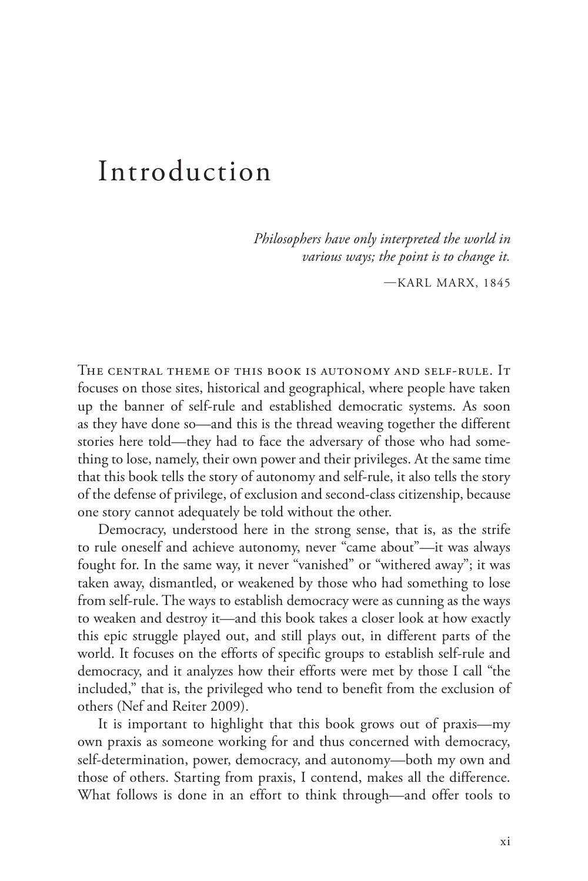## Introduction

*Philosophers have only interpreted the world in various ways; the point is to change it.*

—Karl Marx, 1845

The central theme of this book is autonomy and self-rule. It focuses on those sites, historical and geographical, where people have taken up the banner of self-rule and established democratic systems. As soon as they have done so—and this is the thread weaving together the different stories here told—they had to face the adversary of those who had something to lose, namely, their own power and their privileges. At the same time that this book tells the story of autonomy and self-rule, it also tells the story of the defense of privilege, of exclusion and second-class citizenship, because one story cannot adequately be told without the other.

Democracy, understood here in the strong sense, that is, as the strife to rule oneself and achieve autonomy, never "came about"—it was always fought for. In the same way, it never "vanished" or "withered away"; it was taken away, dismantled, or weakened by those who had something to lose from self-rule. The ways to establish democracy were as cunning as the ways to weaken and destroy it—and this book takes a closer look at how exactly this epic struggle played out, and still plays out, in different parts of the world. It focuses on the efforts of specific groups to establish self-rule and democracy, and it analyzes how their efforts were met by those I call "the included," that is, the privileged who tend to benefit from the exclusion of others (Nef and Reiter 2009).

It is important to highlight that this book grows out of praxis—my own praxis as someone working for and thus concerned with democracy, self-determination, power, democracy, and autonomy—both my own and those of others. Starting from praxis, I contend, makes all the difference. What follows is done in an effort to think through—and offer tools to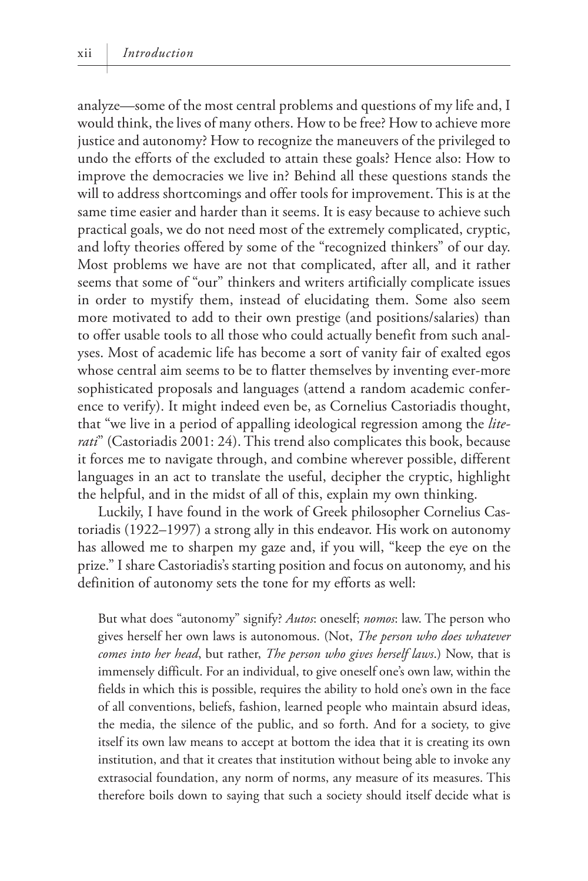analyze—some of the most central problems and questions of my life and, I would think, the lives of many others. How to be free? How to achieve more justice and autonomy? How to recognize the maneuvers of the privileged to undo the efforts of the excluded to attain these goals? Hence also: How to improve the democracies we live in? Behind all these questions stands the will to address shortcomings and offer tools for improvement. This is at the same time easier and harder than it seems. It is easy because to achieve such practical goals, we do not need most of the extremely complicated, cryptic, and lofty theories offered by some of the "recognized thinkers" of our day. Most problems we have are not that complicated, after all, and it rather seems that some of "our" thinkers and writers artificially complicate issues in order to mystify them, instead of elucidating them. Some also seem more motivated to add to their own prestige (and positions/salaries) than to offer usable tools to all those who could actually benefit from such analyses. Most of academic life has become a sort of vanity fair of exalted egos whose central aim seems to be to flatter themselves by inventing ever-more sophisticated proposals and languages (attend a random academic conference to verify). It might indeed even be, as Cornelius Castoriadis thought, that "we live in a period of appalling ideological regression among the *literati*" (Castoriadis 2001: 24). This trend also complicates this book, because it forces me to navigate through, and combine wherever possible, different languages in an act to translate the useful, decipher the cryptic, highlight the helpful, and in the midst of all of this, explain my own thinking.

Luckily, I have found in the work of Greek philosopher Cornelius Castoriadis (1922–1997) a strong ally in this endeavor. His work on autonomy has allowed me to sharpen my gaze and, if you will, "keep the eye on the prize." I share Castoriadis's starting position and focus on autonomy, and his definition of autonomy sets the tone for my efforts as well:

But what does "autonomy" signify? *Autos*: oneself; *nomos*: law. The person who gives herself her own laws is autonomous. (Not, *The person who does whatever comes into her head*, but rather, *The person who gives herself laws*.) Now, that is immensely difficult. For an individual, to give oneself one's own law, within the fields in which this is possible, requires the ability to hold one's own in the face of all conventions, beliefs, fashion, learned people who maintain absurd ideas, the media, the silence of the public, and so forth. And for a society, to give itself its own law means to accept at bottom the idea that it is creating its own institution, and that it creates that institution without being able to invoke any extrasocial foundation, any norm of norms, any measure of its measures. This therefore boils down to saying that such a society should itself decide what is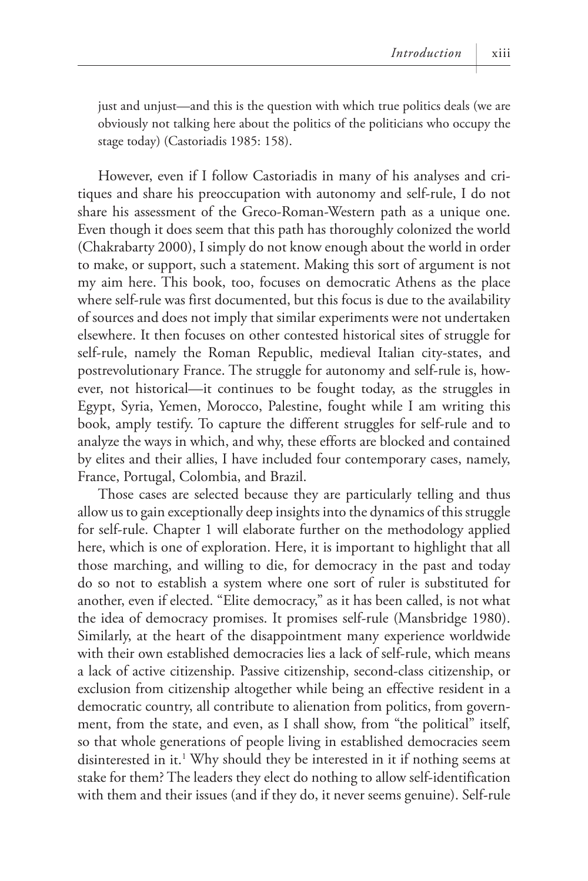just and unjust—and this is the question with which true politics deals (we are obviously not talking here about the politics of the politicians who occupy the stage today) (Castoriadis 1985: 158).

However, even if I follow Castoriadis in many of his analyses and critiques and share his preoccupation with autonomy and self-rule, I do not share his assessment of the Greco-Roman-Western path as a unique one. Even though it does seem that this path has thoroughly colonized the world (Chakrabarty 2000), I simply do not know enough about the world in order to make, or support, such a statement. Making this sort of argument is not my aim here. This book, too, focuses on democratic Athens as the place where self-rule was first documented, but this focus is due to the availability of sources and does not imply that similar experiments were not undertaken elsewhere. It then focuses on other contested historical sites of struggle for self-rule, namely the Roman Republic, medieval Italian city-states, and postrevolutionary France. The struggle for autonomy and self-rule is, however, not historical—it continues to be fought today, as the struggles in Egypt, Syria, Yemen, Morocco, Palestine, fought while I am writing this book, amply testify. To capture the different struggles for self-rule and to analyze the ways in which, and why, these efforts are blocked and contained by elites and their allies, I have included four contemporary cases, namely, France, Portugal, Colombia, and Brazil.

Those cases are selected because they are particularly telling and thus allow us to gain exceptionally deep insights into the dynamics of this struggle for self-rule. Chapter 1 will elaborate further on the methodology applied here, which is one of exploration. Here, it is important to highlight that all those marching, and willing to die, for democracy in the past and today do so not to establish a system where one sort of ruler is substituted for another, even if elected. "Elite democracy," as it has been called, is not what the idea of democracy promises. It promises self-rule (Mansbridge 1980). Similarly, at the heart of the disappointment many experience worldwide with their own established democracies lies a lack of self-rule, which means a lack of active citizenship. Passive citizenship, second-class citizenship, or exclusion from citizenship altogether while being an effective resident in a democratic country, all contribute to alienation from politics, from government, from the state, and even, as I shall show, from "the political" itself, so that whole generations of people living in established democracies seem disinterested in it.<sup>1</sup> Why should they be interested in it if nothing seems at stake for them? The leaders they elect do nothing to allow self-identification with them and their issues (and if they do, it never seems genuine). Self-rule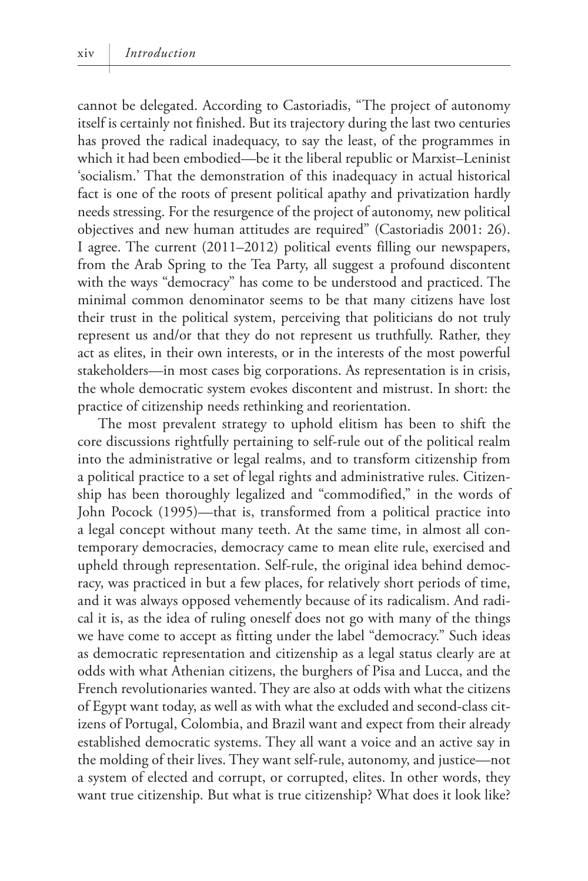cannot be delegated. According to Castoriadis, "The project of autonomy itself is certainly not finished. But its trajectory during the last two centuries has proved the radical inadequacy, to say the least, of the programmes in which it had been embodied—be it the liberal republic or Marxist–Leninist 'socialism.' That the demonstration of this inadequacy in actual historical fact is one of the roots of present political apathy and privatization hardly needs stressing. For the resurgence of the project of autonomy, new political objectives and new human attitudes are required" (Castoriadis 2001: 26). I agree. The current (2011–2012) political events filling our newspapers, from the Arab Spring to the Tea Party, all suggest a profound discontent with the ways "democracy" has come to be understood and practiced. The minimal common denominator seems to be that many citizens have lost their trust in the political system, perceiving that politicians do not truly represent us and/or that they do not represent us truthfully. Rather, they act as elites, in their own interests, or in the interests of the most powerful stakeholders—in most cases big corporations. As representation is in crisis, the whole democratic system evokes discontent and mistrust. In short: the practice of citizenship needs rethinking and reorientation.

The most prevalent strategy to uphold elitism has been to shift the core discussions rightfully pertaining to self-rule out of the political realm into the administrative or legal realms, and to transform citizenship from a political practice to a set of legal rights and administrative rules. Citizenship has been thoroughly legalized and "commodified," in the words of John Pocock (1995)—that is, transformed from a political practice into a legal concept without many teeth. At the same time, in almost all contemporary democracies, democracy came to mean elite rule, exercised and upheld through representation. Self-rule, the original idea behind democracy, was practiced in but a few places, for relatively short periods of time, and it was always opposed vehemently because of its radicalism. And radical it is, as the idea of ruling oneself does not go with many of the things we have come to accept as fitting under the label "democracy." Such ideas as democratic representation and citizenship as a legal status clearly are at odds with what Athenian citizens, the burghers of Pisa and Lucca, and the French revolutionaries wanted. They are also at odds with what the citizens of Egypt want today, as well as with what the excluded and second-class citizens of Portugal, Colombia, and Brazil want and expect from their already established democratic systems. They all want a voice and an active say in the molding of their lives. They want self-rule, autonomy, and justice—not a system of elected and corrupt, or corrupted, elites. In other words, they want true citizenship. But what is true citizenship? What does it look like?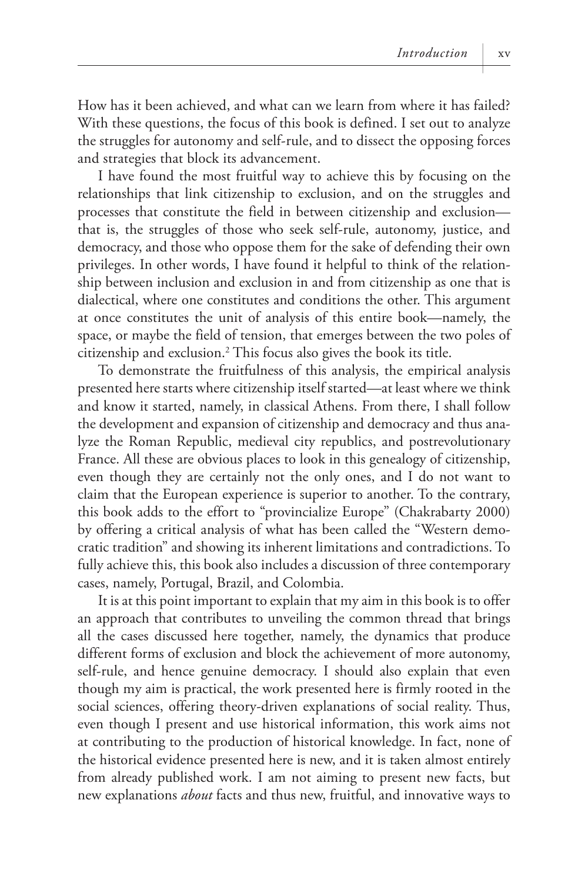How has it been achieved, and what can we learn from where it has failed? With these questions, the focus of this book is defined. I set out to analyze the struggles for autonomy and self-rule, and to dissect the opposing forces and strategies that block its advancement.

I have found the most fruitful way to achieve this by focusing on the relationships that link citizenship to exclusion, and on the struggles and processes that constitute the field in between citizenship and exclusion that is, the struggles of those who seek self-rule, autonomy, justice, and democracy, and those who oppose them for the sake of defending their own privileges. In other words, I have found it helpful to think of the relationship between inclusion and exclusion in and from citizenship as one that is dialectical, where one constitutes and conditions the other. This argument at once constitutes the unit of analysis of this entire book—namely, the space, or maybe the field of tension, that emerges between the two poles of citizenship and exclusion.2 This focus also gives the book its title.

To demonstrate the fruitfulness of this analysis, the empirical analysis presented here starts where citizenship itself started—at least where we think and know it started, namely, in classical Athens. From there, I shall follow the development and expansion of citizenship and democracy and thus analyze the Roman Republic, medieval city republics, and postrevolutionary France. All these are obvious places to look in this genealogy of citizenship, even though they are certainly not the only ones, and I do not want to claim that the European experience is superior to another. To the contrary, this book adds to the effort to "provincialize Europe" (Chakrabarty 2000) by offering a critical analysis of what has been called the "Western democratic tradition" and showing its inherent limitations and contradictions. To fully achieve this, this book also includes a discussion of three contemporary cases, namely, Portugal, Brazil, and Colombia.

It is at this point important to explain that my aim in this book is to offer an approach that contributes to unveiling the common thread that brings all the cases discussed here together, namely, the dynamics that produce different forms of exclusion and block the achievement of more autonomy, self-rule, and hence genuine democracy. I should also explain that even though my aim is practical, the work presented here is firmly rooted in the social sciences, offering theory-driven explanations of social reality. Thus, even though I present and use historical information, this work aims not at contributing to the production of historical knowledge. In fact, none of the historical evidence presented here is new, and it is taken almost entirely from already published work. I am not aiming to present new facts, but new explanations *about* facts and thus new, fruitful, and innovative ways to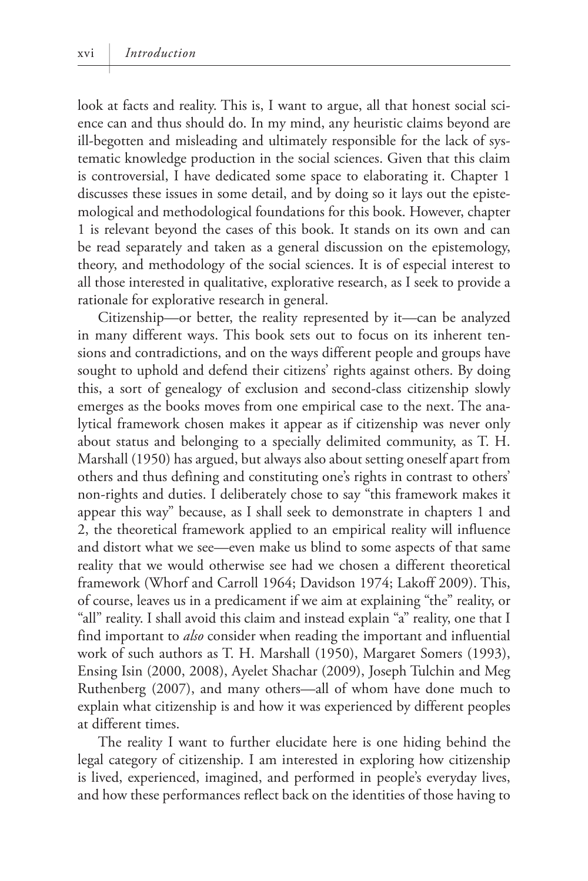look at facts and reality. This is, I want to argue, all that honest social science can and thus should do. In my mind, any heuristic claims beyond are ill-begotten and misleading and ultimately responsible for the lack of systematic knowledge production in the social sciences. Given that this claim is controversial, I have dedicated some space to elaborating it. Chapter 1 discusses these issues in some detail, and by doing so it lays out the epistemological and methodological foundations for this book. However, chapter 1 is relevant beyond the cases of this book. It stands on its own and can be read separately and taken as a general discussion on the epistemology, theory, and methodology of the social sciences. It is of especial interest to all those interested in qualitative, explorative research, as I seek to provide a rationale for explorative research in general.

Citizenship—or better, the reality represented by it—can be analyzed in many different ways. This book sets out to focus on its inherent tensions and contradictions, and on the ways different people and groups have sought to uphold and defend their citizens' rights against others. By doing this, a sort of genealogy of exclusion and second-class citizenship slowly emerges as the books moves from one empirical case to the next. The analytical framework chosen makes it appear as if citizenship was never only about status and belonging to a specially delimited community, as T. H. Marshall (1950) has argued, but always also about setting oneself apart from others and thus defining and constituting one's rights in contrast to others' non-rights and duties. I deliberately chose to say "this framework makes it appear this way" because, as I shall seek to demonstrate in chapters 1 and 2, the theoretical framework applied to an empirical reality will influence and distort what we see—even make us blind to some aspects of that same reality that we would otherwise see had we chosen a different theoretical framework (Whorf and Carroll 1964; Davidson 1974; Lakoff 2009). This, of course, leaves us in a predicament if we aim at explaining "the" reality, or "all" reality. I shall avoid this claim and instead explain "a" reality, one that I find important to *also* consider when reading the important and influential work of such authors as T. H. Marshall (1950), Margaret Somers (1993), Ensing Isin (2000, 2008), Ayelet Shachar (2009), Joseph Tulchin and Meg Ruthenberg (2007), and many others—all of whom have done much to explain what citizenship is and how it was experienced by different peoples at different times.

The reality I want to further elucidate here is one hiding behind the legal category of citizenship. I am interested in exploring how citizenship is lived, experienced, imagined, and performed in people's everyday lives, and how these performances reflect back on the identities of those having to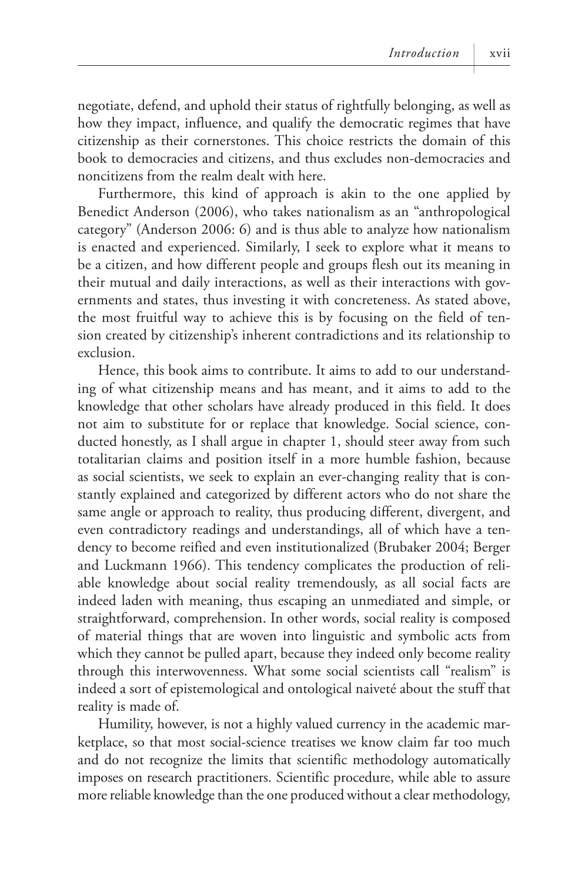negotiate, defend, and uphold their status of rightfully belonging, as well as how they impact, influence, and qualify the democratic regimes that have citizenship as their cornerstones. This choice restricts the domain of this book to democracies and citizens, and thus excludes non-democracies and noncitizens from the realm dealt with here.

Furthermore, this kind of approach is akin to the one applied by Benedict Anderson (2006), who takes nationalism as an "anthropological category" (Anderson 2006: 6) and is thus able to analyze how nationalism is enacted and experienced. Similarly, I seek to explore what it means to be a citizen, and how different people and groups flesh out its meaning in their mutual and daily interactions, as well as their interactions with governments and states, thus investing it with concreteness. As stated above, the most fruitful way to achieve this is by focusing on the field of tension created by citizenship's inherent contradictions and its relationship to exclusion.

Hence, this book aims to contribute. It aims to add to our understanding of what citizenship means and has meant, and it aims to add to the knowledge that other scholars have already produced in this field. It does not aim to substitute for or replace that knowledge. Social science, conducted honestly, as I shall argue in chapter 1, should steer away from such totalitarian claims and position itself in a more humble fashion, because as social scientists, we seek to explain an ever-changing reality that is constantly explained and categorized by different actors who do not share the same angle or approach to reality, thus producing different, divergent, and even contradictory readings and understandings, all of which have a tendency to become reified and even institutionalized (Brubaker 2004; Berger and Luckmann 1966). This tendency complicates the production of reliable knowledge about social reality tremendously, as all social facts are indeed laden with meaning, thus escaping an unmediated and simple, or straightforward, comprehension. In other words, social reality is composed of material things that are woven into linguistic and symbolic acts from which they cannot be pulled apart, because they indeed only become reality through this interwovenness. What some social scientists call "realism" is indeed a sort of epistemological and ontological naiveté about the stuff that reality is made of.

Humility, however, is not a highly valued currency in the academic marketplace, so that most social-science treatises we know claim far too much and do not recognize the limits that scientific methodology automatically imposes on research practitioners. Scientific procedure, while able to assure more reliable knowledge than the one produced without a clear methodology,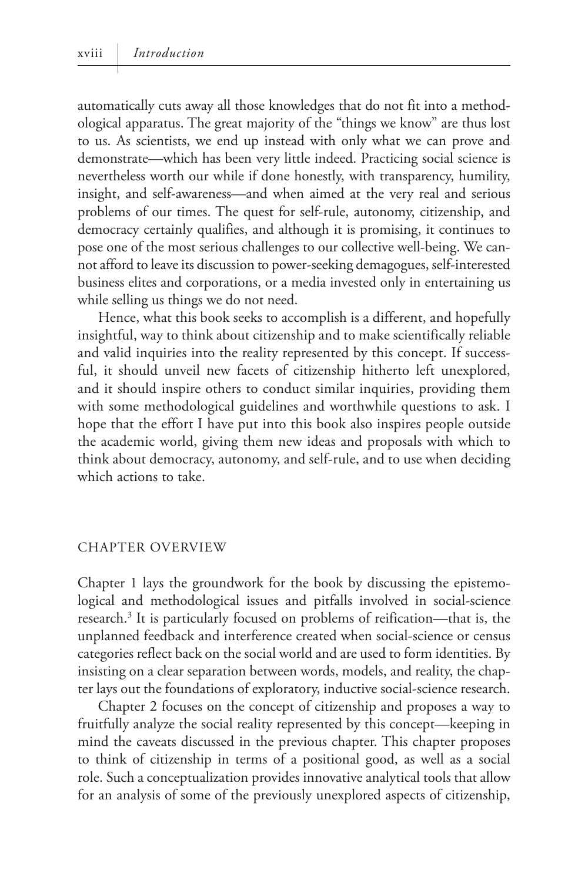automatically cuts away all those knowledges that do not fit into a methodological apparatus. The great majority of the "things we know" are thus lost to us. As scientists, we end up instead with only what we can prove and demonstrate—which has been very little indeed. Practicing social science is nevertheless worth our while if done honestly, with transparency, humility, insight, and self-awareness—and when aimed at the very real and serious problems of our times. The quest for self-rule, autonomy, citizenship, and democracy certainly qualifies, and although it is promising, it continues to pose one of the most serious challenges to our collective well-being. We cannot afford to leave its discussion to power-seeking demagogues, self-interested business elites and corporations, or a media invested only in entertaining us while selling us things we do not need.

Hence, what this book seeks to accomplish is a different, and hopefully insightful, way to think about citizenship and to make scientifically reliable and valid inquiries into the reality represented by this concept. If successful, it should unveil new facets of citizenship hitherto left unexplored, and it should inspire others to conduct similar inquiries, providing them with some methodological guidelines and worthwhile questions to ask. I hope that the effort I have put into this book also inspires people outside the academic world, giving them new ideas and proposals with which to think about democracy, autonomy, and self-rule, and to use when deciding which actions to take.

### Chapter Overview

Chapter 1 lays the groundwork for the book by discussing the epistemological and methodological issues and pitfalls involved in social-science research.3 It is particularly focused on problems of reification—that is, the unplanned feedback and interference created when social-science or census categories reflect back on the social world and are used to form identities. By insisting on a clear separation between words, models, and reality, the chapter lays out the foundations of exploratory, inductive social-science research.

Chapter 2 focuses on the concept of citizenship and proposes a way to fruitfully analyze the social reality represented by this concept—keeping in mind the caveats discussed in the previous chapter. This chapter proposes to think of citizenship in terms of a positional good, as well as a social role. Such a conceptualization provides innovative analytical tools that allow for an analysis of some of the previously unexplored aspects of citizenship,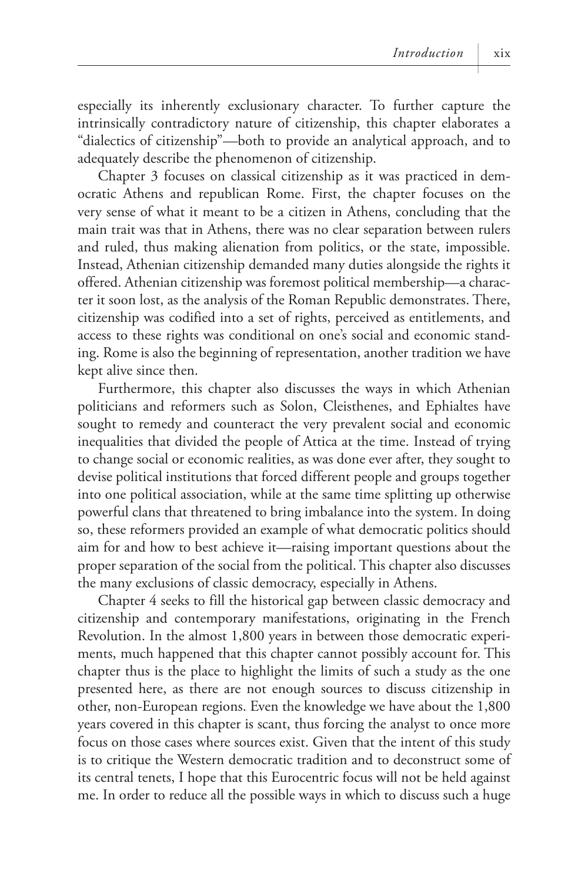especially its inherently exclusionary character. To further capture the intrinsically contradictory nature of citizenship, this chapter elaborates a "dialectics of citizenship"—both to provide an analytical approach, and to adequately describe the phenomenon of citizenship.

Chapter 3 focuses on classical citizenship as it was practiced in democratic Athens and republican Rome. First, the chapter focuses on the very sense of what it meant to be a citizen in Athens, concluding that the main trait was that in Athens, there was no clear separation between rulers and ruled, thus making alienation from politics, or the state, impossible. Instead, Athenian citizenship demanded many duties alongside the rights it offered. Athenian citizenship was foremost political membership—a character it soon lost, as the analysis of the Roman Republic demonstrates. There, citizenship was codified into a set of rights, perceived as entitlements, and access to these rights was conditional on one's social and economic standing. Rome is also the beginning of representation, another tradition we have kept alive since then.

Furthermore, this chapter also discusses the ways in which Athenian politicians and reformers such as Solon, Cleisthenes, and Ephialtes have sought to remedy and counteract the very prevalent social and economic inequalities that divided the people of Attica at the time. Instead of trying to change social or economic realities, as was done ever after, they sought to devise political institutions that forced different people and groups together into one political association, while at the same time splitting up otherwise powerful clans that threatened to bring imbalance into the system. In doing so, these reformers provided an example of what democratic politics should aim for and how to best achieve it—raising important questions about the proper separation of the social from the political. This chapter also discusses the many exclusions of classic democracy, especially in Athens.

Chapter 4 seeks to fill the historical gap between classic democracy and citizenship and contemporary manifestations, originating in the French Revolution. In the almost 1,800 years in between those democratic experiments, much happened that this chapter cannot possibly account for. This chapter thus is the place to highlight the limits of such a study as the one presented here, as there are not enough sources to discuss citizenship in other, non-European regions. Even the knowledge we have about the 1,800 years covered in this chapter is scant, thus forcing the analyst to once more focus on those cases where sources exist. Given that the intent of this study is to critique the Western democratic tradition and to deconstruct some of its central tenets, I hope that this Eurocentric focus will not be held against me. In order to reduce all the possible ways in which to discuss such a huge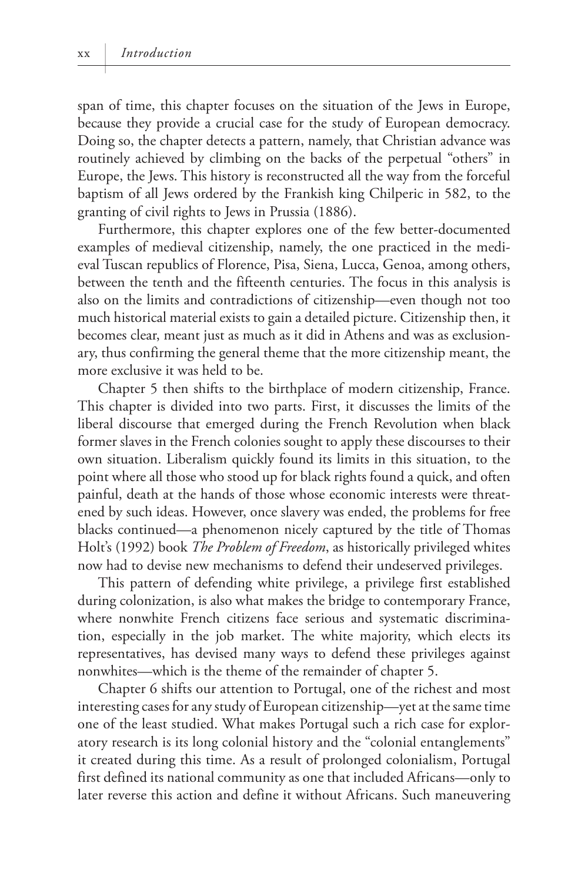span of time, this chapter focuses on the situation of the Jews in Europe, because they provide a crucial case for the study of European democracy. Doing so, the chapter detects a pattern, namely, that Christian advance was routinely achieved by climbing on the backs of the perpetual "others" in Europe, the Jews. This history is reconstructed all the way from the forceful baptism of all Jews ordered by the Frankish king Chilperic in 582, to the granting of civil rights to Jews in Prussia (1886).

Furthermore, this chapter explores one of the few better-documented examples of medieval citizenship, namely, the one practiced in the medieval Tuscan republics of Florence, Pisa, Siena, Lucca, Genoa, among others, between the tenth and the fifteenth centuries. The focus in this analysis is also on the limits and contradictions of citizenship—even though not too much historical material exists to gain a detailed picture. Citizenship then, it becomes clear, meant just as much as it did in Athens and was as exclusionary, thus confirming the general theme that the more citizenship meant, the more exclusive it was held to be.

Chapter 5 then shifts to the birthplace of modern citizenship, France. This chapter is divided into two parts. First, it discusses the limits of the liberal discourse that emerged during the French Revolution when black former slaves in the French colonies sought to apply these discourses to their own situation. Liberalism quickly found its limits in this situation, to the point where all those who stood up for black rights found a quick, and often painful, death at the hands of those whose economic interests were threatened by such ideas. However, once slavery was ended, the problems for free blacks continued—a phenomenon nicely captured by the title of Thomas Holt's (1992) book *The Problem of Freedom*, as historically privileged whites now had to devise new mechanisms to defend their undeserved privileges.

This pattern of defending white privilege, a privilege first established during colonization, is also what makes the bridge to contemporary France, where nonwhite French citizens face serious and systematic discrimination, especially in the job market. The white majority, which elects its representatives, has devised many ways to defend these privileges against nonwhites—which is the theme of the remainder of chapter 5.

Chapter 6 shifts our attention to Portugal, one of the richest and most interesting cases for any study of European citizenship—yet at the same time one of the least studied. What makes Portugal such a rich case for exploratory research is its long colonial history and the "colonial entanglements" it created during this time. As a result of prolonged colonialism, Portugal first defined its national community as one that included Africans—only to later reverse this action and define it without Africans. Such maneuvering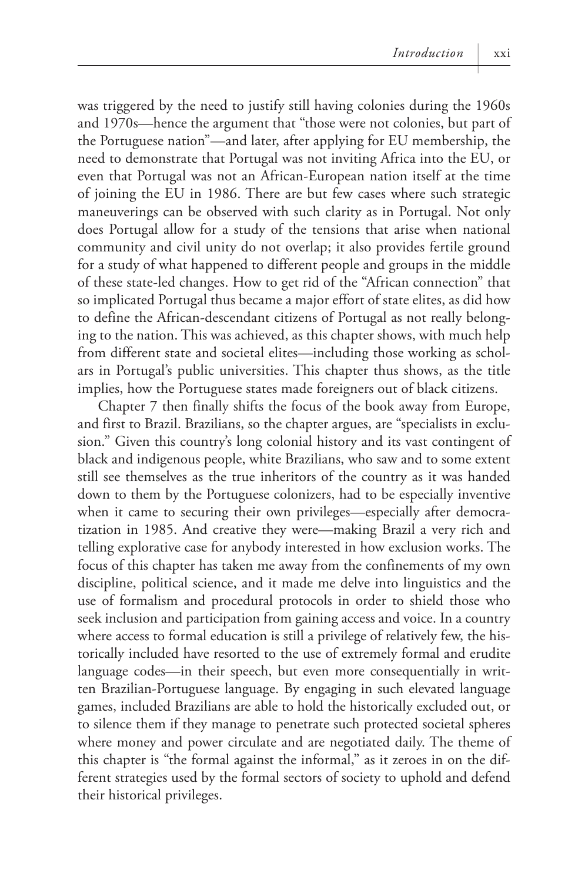was triggered by the need to justify still having colonies during the 1960s and 1970s—hence the argument that "those were not colonies, but part of the Portuguese nation"—and later, after applying for EU membership, the need to demonstrate that Portugal was not inviting Africa into the EU, or even that Portugal was not an African-European nation itself at the time of joining the EU in 1986. There are but few cases where such strategic maneuverings can be observed with such clarity as in Portugal. Not only does Portugal allow for a study of the tensions that arise when national community and civil unity do not overlap; it also provides fertile ground for a study of what happened to different people and groups in the middle of these state-led changes. How to get rid of the "African connection" that so implicated Portugal thus became a major effort of state elites, as did how to define the African-descendant citizens of Portugal as not really belonging to the nation. This was achieved, as this chapter shows, with much help from different state and societal elites—including those working as scholars in Portugal's public universities. This chapter thus shows, as the title implies, how the Portuguese states made foreigners out of black citizens.

Chapter 7 then finally shifts the focus of the book away from Europe, and first to Brazil. Brazilians, so the chapter argues, are "specialists in exclusion." Given this country's long colonial history and its vast contingent of black and indigenous people, white Brazilians, who saw and to some extent still see themselves as the true inheritors of the country as it was handed down to them by the Portuguese colonizers, had to be especially inventive when it came to securing their own privileges—especially after democratization in 1985. And creative they were—making Brazil a very rich and telling explorative case for anybody interested in how exclusion works. The focus of this chapter has taken me away from the confinements of my own discipline, political science, and it made me delve into linguistics and the use of formalism and procedural protocols in order to shield those who seek inclusion and participation from gaining access and voice. In a country where access to formal education is still a privilege of relatively few, the historically included have resorted to the use of extremely formal and erudite language codes—in their speech, but even more consequentially in written Brazilian-Portuguese language. By engaging in such elevated language games, included Brazilians are able to hold the historically excluded out, or to silence them if they manage to penetrate such protected societal spheres where money and power circulate and are negotiated daily. The theme of this chapter is "the formal against the informal," as it zeroes in on the different strategies used by the formal sectors of society to uphold and defend their historical privileges.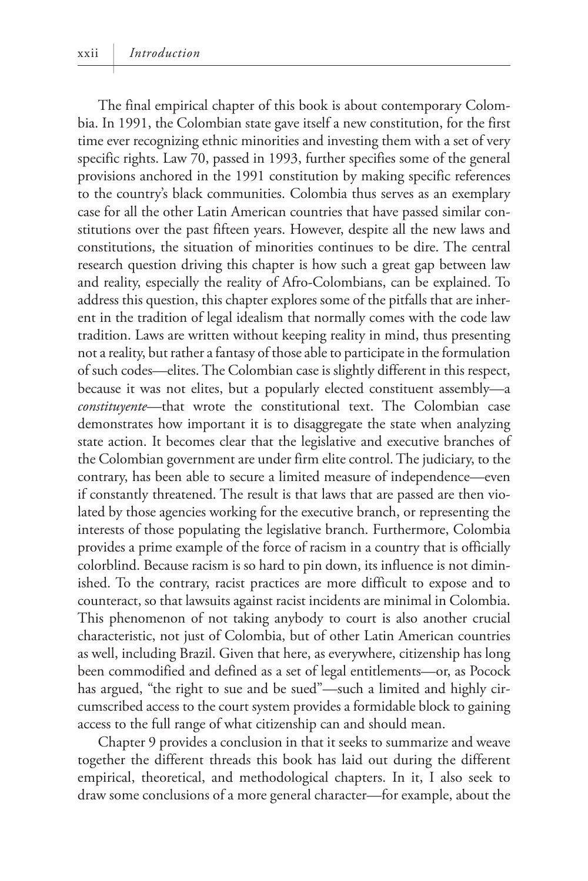The final empirical chapter of this book is about contemporary Colombia. In 1991, the Colombian state gave itself a new constitution, for the first time ever recognizing ethnic minorities and investing them with a set of very specific rights. Law 70, passed in 1993, further specifies some of the general provisions anchored in the 1991 constitution by making specific references to the country's black communities. Colombia thus serves as an exemplary case for all the other Latin American countries that have passed similar constitutions over the past fifteen years. However, despite all the new laws and constitutions, the situation of minorities continues to be dire. The central research question driving this chapter is how such a great gap between law and reality, especially the reality of Afro-Colombians, can be explained. To address this question, this chapter explores some of the pitfalls that are inherent in the tradition of legal idealism that normally comes with the code law tradition. Laws are written without keeping reality in mind, thus presenting not a reality, but rather a fantasy of those able to participate in the formulation of such codes—elites. The Colombian case is slightly different in this respect, because it was not elites, but a popularly elected constituent assembly—a *constituyente*—that wrote the constitutional text. The Colombian case demonstrates how important it is to disaggregate the state when analyzing state action. It becomes clear that the legislative and executive branches of the Colombian government are under firm elite control. The judiciary, to the contrary, has been able to secure a limited measure of independence—even if constantly threatened. The result is that laws that are passed are then violated by those agencies working for the executive branch, or representing the interests of those populating the legislative branch. Furthermore, Colombia provides a prime example of the force of racism in a country that is officially colorblind. Because racism is so hard to pin down, its influence is not diminished. To the contrary, racist practices are more difficult to expose and to counteract, so that lawsuits against racist incidents are minimal in Colombia. This phenomenon of not taking anybody to court is also another crucial characteristic, not just of Colombia, but of other Latin American countries as well, including Brazil. Given that here, as everywhere, citizenship has long been commodified and defined as a set of legal entitlements—or, as Pocock has argued, "the right to sue and be sued"—such a limited and highly circumscribed access to the court system provides a formidable block to gaining access to the full range of what citizenship can and should mean.

Chapter 9 provides a conclusion in that it seeks to summarize and weave together the different threads this book has laid out during the different empirical, theoretical, and methodological chapters. In it, I also seek to draw some conclusions of a more general character—for example, about the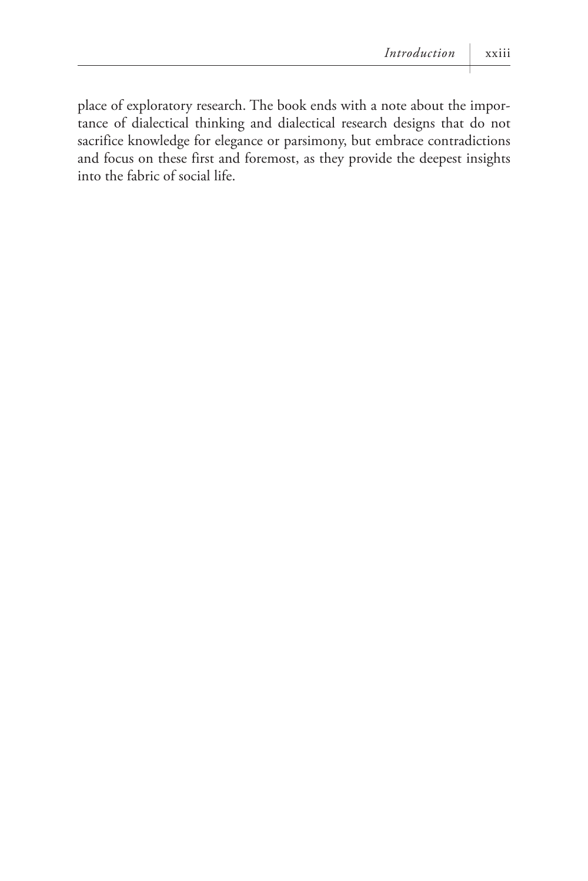place of exploratory research. The book ends with a note about the importance of dialectical thinking and dialectical research designs that do not sacrifice knowledge for elegance or parsimony, but embrace contradictions and focus on these first and foremost, as they provide the deepest insights into the fabric of social life.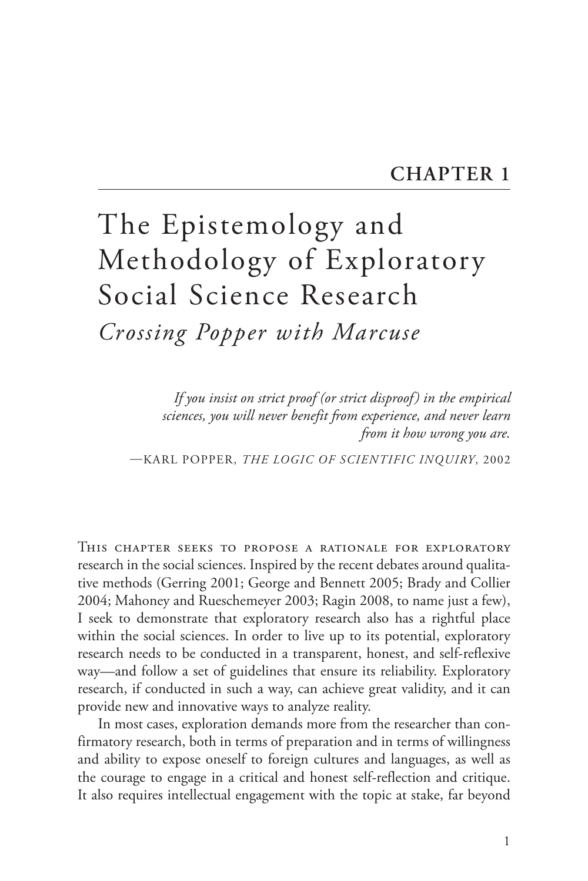## **Chapter 1**

## The Epistemology and Methodology of Exploratory Social Science Research

*Crossing Popper with Marcuse*

*If you insist on strict proof (or strict disproof) in the empirical sciences, you will never benefit from experience, and never learn from it how wrong you are.*

—Karl Popper, *The Logic of Scientific Inquiry*, 2002

This chapter seeks to propose a rationale for exploratory research in the social sciences. Inspired by the recent debates around qualitative methods (Gerring 2001; George and Bennett 2005; Brady and Collier 2004; Mahoney and Rueschemeyer 2003; Ragin 2008, to name just a few), I seek to demonstrate that exploratory research also has a rightful place within the social sciences. In order to live up to its potential, exploratory research needs to be conducted in a transparent, honest, and self-reflexive way—and follow a set of guidelines that ensure its reliability. Exploratory research, if conducted in such a way, can achieve great validity, and it can provide new and innovative ways to analyze reality.

In most cases, exploration demands more from the researcher than confirmatory research, both in terms of preparation and in terms of willingness and ability to expose oneself to foreign cultures and languages, as well as the courage to engage in a critical and honest self-reflection and critique. It also requires intellectual engagement with the topic at stake, far beyond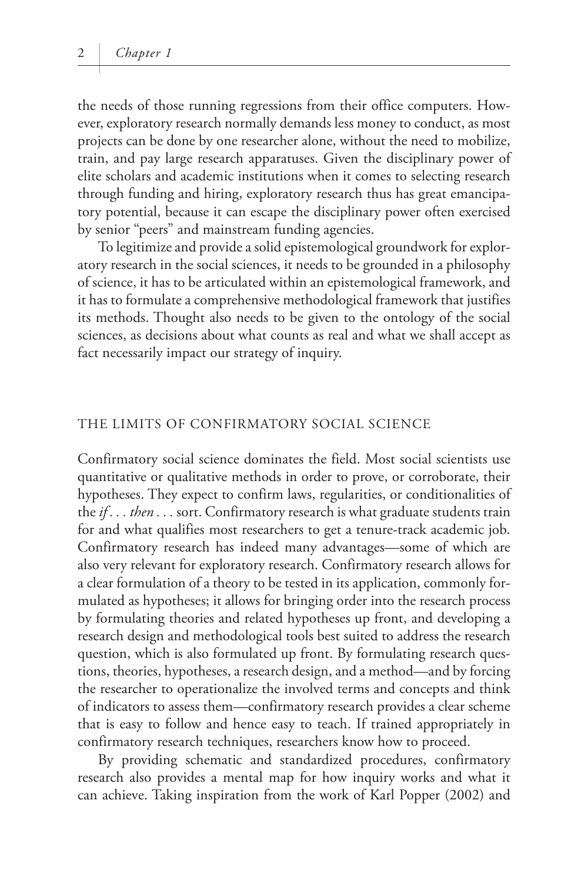the needs of those running regressions from their office computers. However, exploratory research normally demands less money to conduct, as most projects can be done by one researcher alone, without the need to mobilize, train, and pay large research apparatuses. Given the disciplinary power of elite scholars and academic institutions when it comes to selecting research through funding and hiring, exploratory research thus has great emancipatory potential, because it can escape the disciplinary power often exercised by senior "peers" and mainstream funding agencies.

To legitimize and provide a solid epistemological groundwork for exploratory research in the social sciences, it needs to be grounded in a philosophy of science, it has to be articulated within an epistemological framework, and it has to formulate a comprehensive methodological framework that justifies its methods. Thought also needs to be given to the ontology of the social sciences, as decisions about what counts as real and what we shall accept as fact necessarily impact our strategy of inquiry.

### The Limits of Confirmatory Social Science

Confirmatory social science dominates the field. Most social scientists use quantitative or qualitative methods in order to prove, or corroborate, their hypotheses. They expect to confirm laws, regularities, or conditionalities of the *if . . . then . . .* sort. Confirmatory research is what graduate students train for and what qualifies most researchers to get a tenure-track academic job. Confirmatory research has indeed many advantages—some of which are also very relevant for exploratory research. Confirmatory research allows for a clear formulation of a theory to be tested in its application, commonly formulated as hypotheses; it allows for bringing order into the research process by formulating theories and related hypotheses up front, and developing a research design and methodological tools best suited to address the research question, which is also formulated up front. By formulating research questions, theories, hypotheses, a research design, and a method—and by forcing the researcher to operationalize the involved terms and concepts and think of indicators to assess them—confirmatory research provides a clear scheme that is easy to follow and hence easy to teach. If trained appropriately in confirmatory research techniques, researchers know how to proceed.

By providing schematic and standardized procedures, confirmatory research also provides a mental map for how inquiry works and what it can achieve. Taking inspiration from the work of Karl Popper (2002) and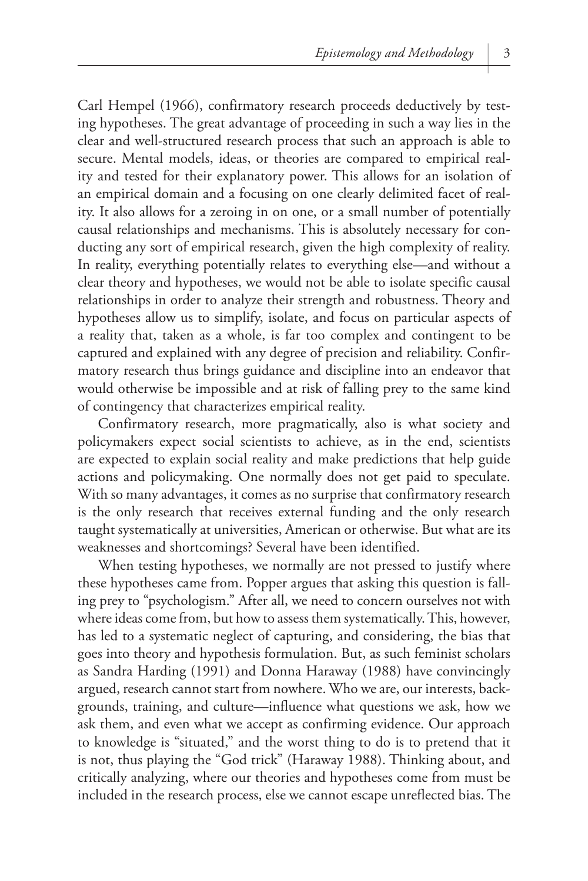<sup>|</sup> <sup>3</sup>

Carl Hempel (1966), confirmatory research proceeds deductively by testing hypotheses. The great advantage of proceeding in such a way lies in the clear and well-structured research process that such an approach is able to secure. Mental models, ideas, or theories are compared to empirical reality and tested for their explanatory power. This allows for an isolation of an empirical domain and a focusing on one clearly delimited facet of reality. It also allows for a zeroing in on one, or a small number of potentially causal relationships and mechanisms. This is absolutely necessary for conducting any sort of empirical research, given the high complexity of reality. In reality, everything potentially relates to everything else—and without a clear theory and hypotheses, we would not be able to isolate specific causal relationships in order to analyze their strength and robustness. Theory and hypotheses allow us to simplify, isolate, and focus on particular aspects of a reality that, taken as a whole, is far too complex and contingent to be captured and explained with any degree of precision and reliability. Confirmatory research thus brings guidance and discipline into an endeavor that would otherwise be impossible and at risk of falling prey to the same kind of contingency that characterizes empirical reality.

Confirmatory research, more pragmatically, also is what society and policymakers expect social scientists to achieve, as in the end, scientists are expected to explain social reality and make predictions that help guide actions and policymaking. One normally does not get paid to speculate. With so many advantages, it comes as no surprise that confirmatory research is the only research that receives external funding and the only research taught systematically at universities, American or otherwise. But what are its weaknesses and shortcomings? Several have been identified.

When testing hypotheses, we normally are not pressed to justify where these hypotheses came from. Popper argues that asking this question is falling prey to "psychologism." After all, we need to concern ourselves not with where ideas come from, but how to assess them systematically. This, however, has led to a systematic neglect of capturing, and considering, the bias that goes into theory and hypothesis formulation. But, as such feminist scholars as Sandra Harding (1991) and Donna Haraway (1988) have convincingly argued, research cannot start from nowhere. Who we are, our interests, backgrounds, training, and culture—influence what questions we ask, how we ask them, and even what we accept as confirming evidence. Our approach to knowledge is "situated," and the worst thing to do is to pretend that it is not, thus playing the "God trick" (Haraway 1988). Thinking about, and critically analyzing, where our theories and hypotheses come from must be included in the research process, else we cannot escape unreflected bias. The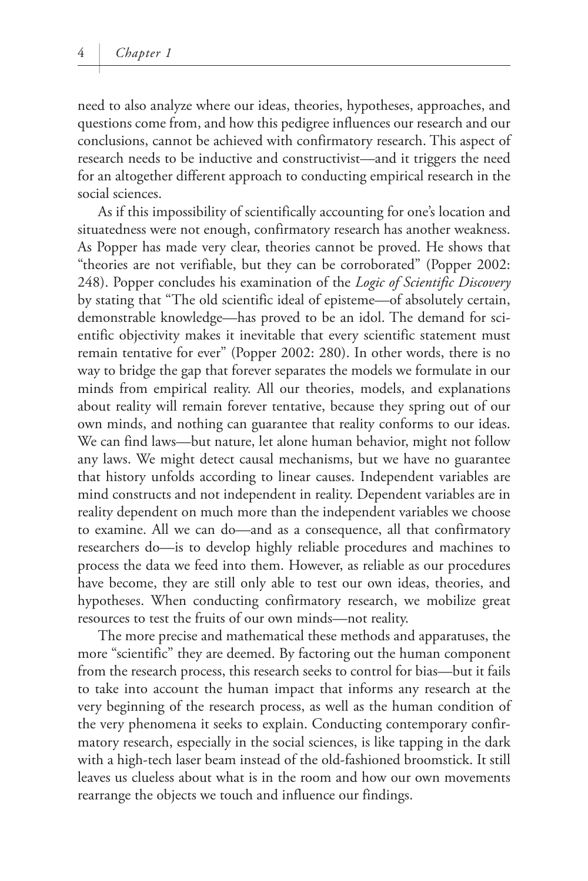need to also analyze where our ideas, theories, hypotheses, approaches, and questions come from, and how this pedigree influences our research and our conclusions, cannot be achieved with confirmatory research. This aspect of research needs to be inductive and constructivist—and it triggers the need for an altogether different approach to conducting empirical research in the social sciences.

As if this impossibility of scientifically accounting for one's location and situatedness were not enough, confirmatory research has another weakness. As Popper has made very clear, theories cannot be proved. He shows that "theories are not verifiable, but they can be corroborated" (Popper 2002: 248). Popper concludes his examination of the *Logic of Scientific Discovery* by stating that "The old scientific ideal of episteme—of absolutely certain, demonstrable knowledge—has proved to be an idol. The demand for scientific objectivity makes it inevitable that every scientific statement must remain tentative for ever" (Popper 2002: 280). In other words, there is no way to bridge the gap that forever separates the models we formulate in our minds from empirical reality. All our theories, models, and explanations about reality will remain forever tentative, because they spring out of our own minds, and nothing can guarantee that reality conforms to our ideas. We can find laws—but nature, let alone human behavior, might not follow any laws. We might detect causal mechanisms, but we have no guarantee that history unfolds according to linear causes. Independent variables are mind constructs and not independent in reality. Dependent variables are in reality dependent on much more than the independent variables we choose to examine. All we can do—and as a consequence, all that confirmatory researchers do—is to develop highly reliable procedures and machines to process the data we feed into them. However, as reliable as our procedures have become, they are still only able to test our own ideas, theories, and hypotheses. When conducting confirmatory research, we mobilize great resources to test the fruits of our own minds—not reality.

The more precise and mathematical these methods and apparatuses, the more "scientific" they are deemed. By factoring out the human component from the research process, this research seeks to control for bias—but it fails to take into account the human impact that informs any research at the very beginning of the research process, as well as the human condition of the very phenomena it seeks to explain. Conducting contemporary confirmatory research, especially in the social sciences, is like tapping in the dark with a high-tech laser beam instead of the old-fashioned broomstick. It still leaves us clueless about what is in the room and how our own movements rearrange the objects we touch and influence our findings.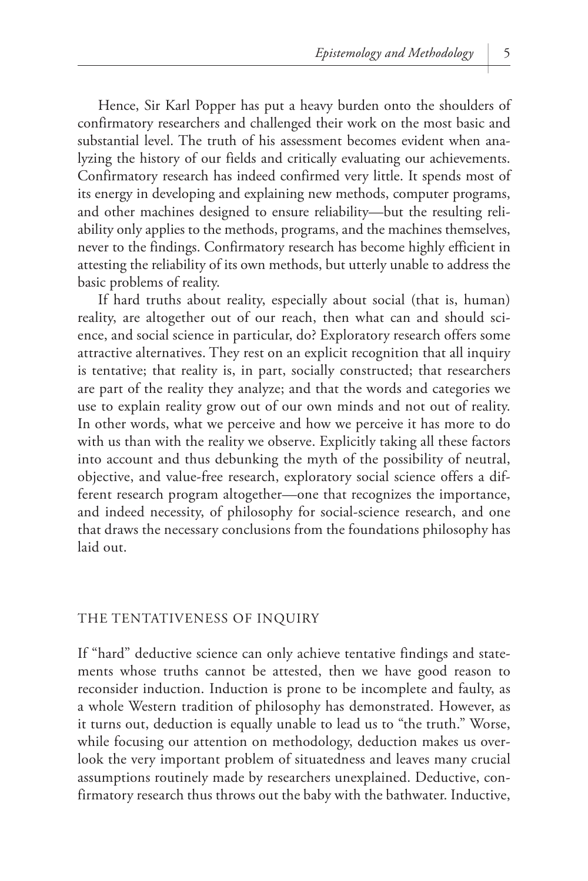<sup>|</sup> <sup>5</sup>

Hence, Sir Karl Popper has put a heavy burden onto the shoulders of confirmatory researchers and challenged their work on the most basic and substantial level. The truth of his assessment becomes evident when analyzing the history of our fields and critically evaluating our achievements. Confirmatory research has indeed confirmed very little. It spends most of its energy in developing and explaining new methods, computer programs, and other machines designed to ensure reliability—but the resulting reliability only applies to the methods, programs, and the machines themselves, never to the findings. Confirmatory research has become highly efficient in attesting the reliability of its own methods, but utterly unable to address the basic problems of reality.

If hard truths about reality, especially about social (that is, human) reality, are altogether out of our reach, then what can and should science, and social science in particular, do? Exploratory research offers some attractive alternatives. They rest on an explicit recognition that all inquiry is tentative; that reality is, in part, socially constructed; that researchers are part of the reality they analyze; and that the words and categories we use to explain reality grow out of our own minds and not out of reality. In other words, what we perceive and how we perceive it has more to do with us than with the reality we observe. Explicitly taking all these factors into account and thus debunking the myth of the possibility of neutral, objective, and value-free research, exploratory social science offers a different research program altogether—one that recognizes the importance, and indeed necessity, of philosophy for social-science research, and one that draws the necessary conclusions from the foundations philosophy has laid out.

### The Tentativeness of Inquiry

If "hard" deductive science can only achieve tentative findings and statements whose truths cannot be attested, then we have good reason to reconsider induction. Induction is prone to be incomplete and faulty, as a whole Western tradition of philosophy has demonstrated. However, as it turns out, deduction is equally unable to lead us to "the truth." Worse, while focusing our attention on methodology, deduction makes us overlook the very important problem of situatedness and leaves many crucial assumptions routinely made by researchers unexplained. Deductive, confirmatory research thus throws out the baby with the bathwater. Inductive,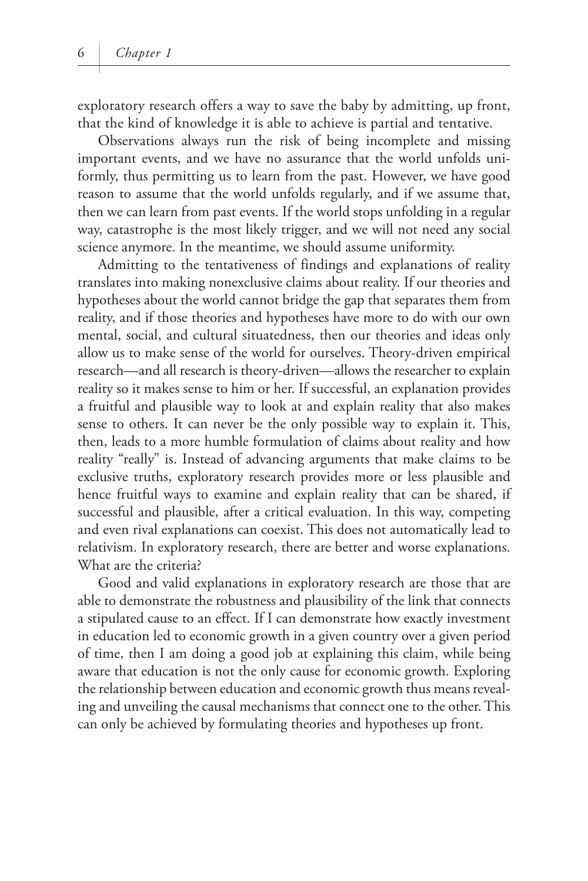exploratory research offers a way to save the baby by admitting, up front, that the kind of knowledge it is able to achieve is partial and tentative.

Observations always run the risk of being incomplete and missing important events, and we have no assurance that the world unfolds uniformly, thus permitting us to learn from the past. However, we have good reason to assume that the world unfolds regularly, and if we assume that, then we can learn from past events. If the world stops unfolding in a regular way, catastrophe is the most likely trigger, and we will not need any social science anymore. In the meantime, we should assume uniformity.

Admitting to the tentativeness of findings and explanations of reality translates into making nonexclusive claims about reality. If our theories and hypotheses about the world cannot bridge the gap that separates them from reality, and if those theories and hypotheses have more to do with our own mental, social, and cultural situatedness, then our theories and ideas only allow us to make sense of the world for ourselves. Theory-driven empirical research—and all research is theory-driven—allows the researcher to explain reality so it makes sense to him or her. If successful, an explanation provides a fruitful and plausible way to look at and explain reality that also makes sense to others. It can never be the only possible way to explain it. This, then, leads to a more humble formulation of claims about reality and how reality "really" is. Instead of advancing arguments that make claims to be exclusive truths, exploratory research provides more or less plausible and hence fruitful ways to examine and explain reality that can be shared, if successful and plausible, after a critical evaluation. In this way, competing and even rival explanations can coexist. This does not automatically lead to relativism. In exploratory research, there are better and worse explanations. What are the criteria?

Good and valid explanations in exploratory research are those that are able to demonstrate the robustness and plausibility of the link that connects a stipulated cause to an effect. If I can demonstrate how exactly investment in education led to economic growth in a given country over a given period of time, then I am doing a good job at explaining this claim, while being aware that education is not the only cause for economic growth. Exploring the relationship between education and economic growth thus means revealing and unveiling the causal mechanisms that connect one to the other. This can only be achieved by formulating theories and hypotheses up front.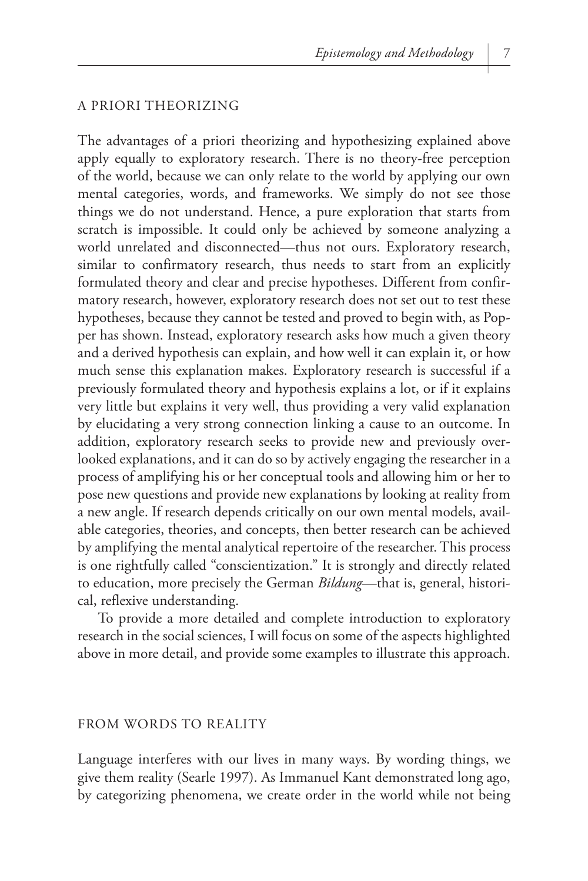### A Priori Theorizing

The advantages of a priori theorizing and hypothesizing explained above apply equally to exploratory research. There is no theory-free perception of the world, because we can only relate to the world by applying our own mental categories, words, and frameworks. We simply do not see those things we do not understand. Hence, a pure exploration that starts from scratch is impossible. It could only be achieved by someone analyzing a world unrelated and disconnected—thus not ours. Exploratory research, similar to confirmatory research, thus needs to start from an explicitly formulated theory and clear and precise hypotheses. Different from confirmatory research, however, exploratory research does not set out to test these hypotheses, because they cannot be tested and proved to begin with, as Popper has shown. Instead, exploratory research asks how much a given theory and a derived hypothesis can explain, and how well it can explain it, or how much sense this explanation makes. Exploratory research is successful if a previously formulated theory and hypothesis explains a lot, or if it explains very little but explains it very well, thus providing a very valid explanation by elucidating a very strong connection linking a cause to an outcome. In addition, exploratory research seeks to provide new and previously overlooked explanations, and it can do so by actively engaging the researcher in a process of amplifying his or her conceptual tools and allowing him or her to pose new questions and provide new explanations by looking at reality from a new angle. If research depends critically on our own mental models, available categories, theories, and concepts, then better research can be achieved by amplifying the mental analytical repertoire of the researcher. This process is one rightfully called "conscientization." It is strongly and directly related to education, more precisely the German *Bildung*—that is, general, historical, reflexive understanding.

To provide a more detailed and complete introduction to exploratory research in the social sciences, I will focus on some of the aspects highlighted above in more detail, and provide some examples to illustrate this approach.

### From Words to Reality

Language interferes with our lives in many ways. By wording things, we give them reality (Searle 1997). As Immanuel Kant demonstrated long ago, by categorizing phenomena, we create order in the world while not being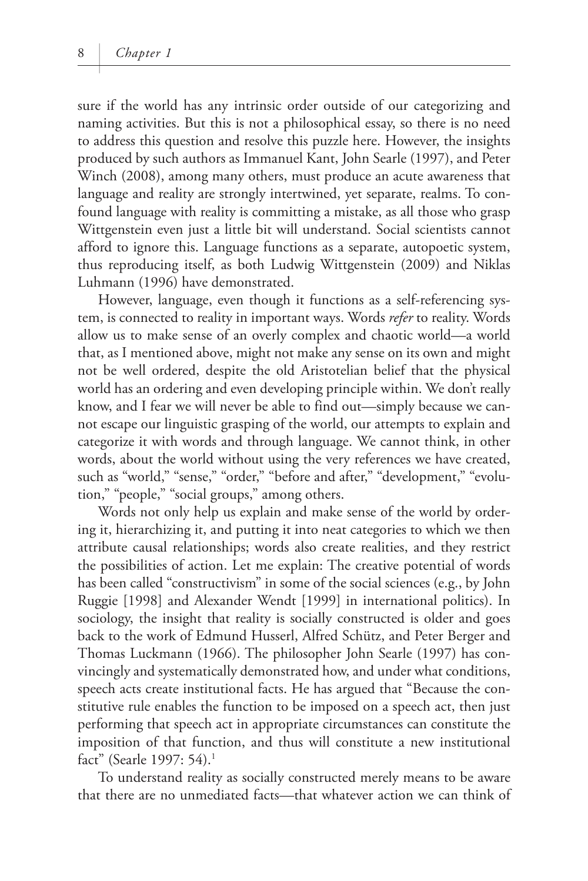sure if the world has any intrinsic order outside of our categorizing and naming activities. But this is not a philosophical essay, so there is no need to address this question and resolve this puzzle here. However, the insights produced by such authors as Immanuel Kant, John Searle (1997), and Peter Winch (2008), among many others, must produce an acute awareness that language and reality are strongly intertwined, yet separate, realms. To confound language with reality is committing a mistake, as all those who grasp Wittgenstein even just a little bit will understand. Social scientists cannot afford to ignore this. Language functions as a separate, autopoetic system, thus reproducing itself, as both Ludwig Wittgenstein (2009) and Niklas Luhmann (1996) have demonstrated.

However, language, even though it functions as a self-referencing system, is connected to reality in important ways. Words *refer* to reality. Words allow us to make sense of an overly complex and chaotic world—a world that, as I mentioned above, might not make any sense on its own and might not be well ordered, despite the old Aristotelian belief that the physical world has an ordering and even developing principle within. We don't really know, and I fear we will never be able to find out—simply because we cannot escape our linguistic grasping of the world, our attempts to explain and categorize it with words and through language. We cannot think, in other words, about the world without using the very references we have created, such as "world," "sense," "order," "before and after," "development," "evolution," "people," "social groups," among others.

Words not only help us explain and make sense of the world by ordering it, hierarchizing it, and putting it into neat categories to which we then attribute causal relationships; words also create realities, and they restrict the possibilities of action. Let me explain: The creative potential of words has been called "constructivism" in some of the social sciences (e.g., by John Ruggie [1998] and Alexander Wendt [1999] in international politics). In sociology, the insight that reality is socially constructed is older and goes back to the work of Edmund Husserl, Alfred Schütz, and Peter Berger and Thomas Luckmann (1966). The philosopher John Searle (1997) has convincingly and systematically demonstrated how, and under what conditions, speech acts create institutional facts. He has argued that "Because the constitutive rule enables the function to be imposed on a speech act, then just performing that speech act in appropriate circumstances can constitute the imposition of that function, and thus will constitute a new institutional fact" (Searle 1997: 54).<sup>1</sup>

To understand reality as socially constructed merely means to be aware that there are no unmediated facts—that whatever action we can think of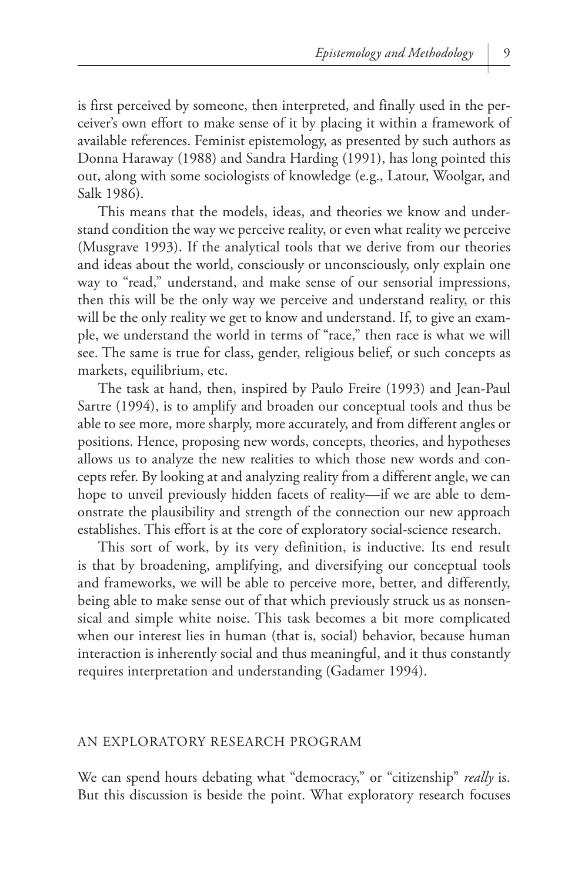is first perceived by someone, then interpreted, and finally used in the perceiver's own effort to make sense of it by placing it within a framework of available references. Feminist epistemology, as presented by such authors as Donna Haraway (1988) and Sandra Harding (1991), has long pointed this out, along with some sociologists of knowledge (e.g., Latour, Woolgar, and Salk 1986).

This means that the models, ideas, and theories we know and understand condition the way we perceive reality, or even what reality we perceive (Musgrave 1993). If the analytical tools that we derive from our theories and ideas about the world, consciously or unconsciously, only explain one way to "read," understand, and make sense of our sensorial impressions, then this will be the only way we perceive and understand reality, or this will be the only reality we get to know and understand. If, to give an example, we understand the world in terms of "race," then race is what we will see. The same is true for class, gender, religious belief, or such concepts as markets, equilibrium, etc.

The task at hand, then, inspired by Paulo Freire (1993) and Jean-Paul Sartre (1994), is to amplify and broaden our conceptual tools and thus be able to see more, more sharply, more accurately, and from different angles or positions. Hence, proposing new words, concepts, theories, and hypotheses allows us to analyze the new realities to which those new words and concepts refer. By looking at and analyzing reality from a different angle, we can hope to unveil previously hidden facets of reality—if we are able to demonstrate the plausibility and strength of the connection our new approach establishes. This effort is at the core of exploratory social-science research.

This sort of work, by its very definition, is inductive. Its end result is that by broadening, amplifying, and diversifying our conceptual tools and frameworks, we will be able to perceive more, better, and differently, being able to make sense out of that which previously struck us as nonsensical and simple white noise. This task becomes a bit more complicated when our interest lies in human (that is, social) behavior, because human interaction is inherently social and thus meaningful, and it thus constantly requires interpretation and understanding (Gadamer 1994).

### An Exploratory Research Program

We can spend hours debating what "democracy," or "citizenship" *really* is. But this discussion is beside the point. What exploratory research focuses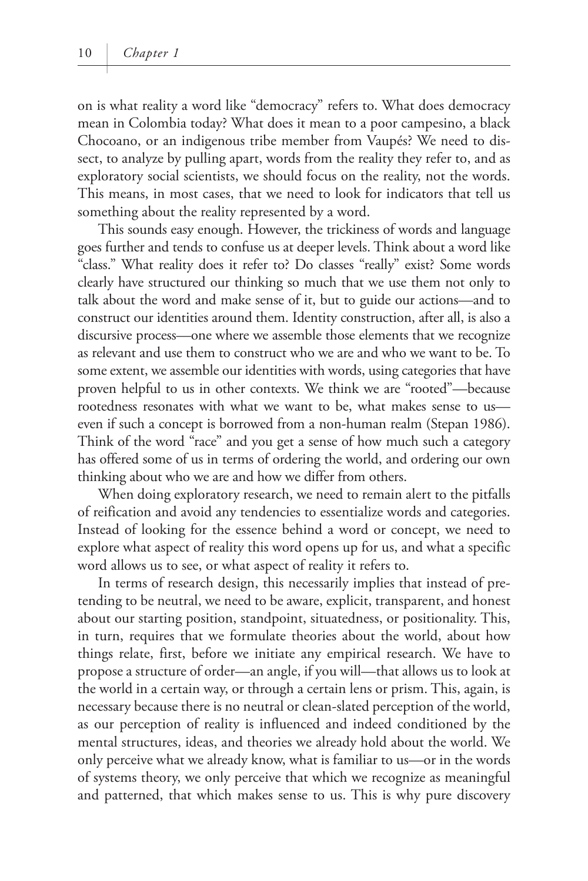on is what reality a word like "democracy" refers to. What does democracy mean in Colombia today? What does it mean to a poor campesino, a black Chocoano, or an indigenous tribe member from Vaupés? We need to dissect, to analyze by pulling apart, words from the reality they refer to, and as exploratory social scientists, we should focus on the reality, not the words. This means, in most cases, that we need to look for indicators that tell us something about the reality represented by a word.

This sounds easy enough. However, the trickiness of words and language goes further and tends to confuse us at deeper levels. Think about a word like "class." What reality does it refer to? Do classes "really" exist? Some words clearly have structured our thinking so much that we use them not only to talk about the word and make sense of it, but to guide our actions—and to construct our identities around them. Identity construction, after all, is also a discursive process—one where we assemble those elements that we recognize as relevant and use them to construct who we are and who we want to be. To some extent, we assemble our identities with words, using categories that have proven helpful to us in other contexts. We think we are "rooted"—because rootedness resonates with what we want to be, what makes sense to us even if such a concept is borrowed from a non-human realm (Stepan 1986). Think of the word "race" and you get a sense of how much such a category has offered some of us in terms of ordering the world, and ordering our own thinking about who we are and how we differ from others.

When doing exploratory research, we need to remain alert to the pitfalls of reification and avoid any tendencies to essentialize words and categories. Instead of looking for the essence behind a word or concept, we need to explore what aspect of reality this word opens up for us, and what a specific word allows us to see, or what aspect of reality it refers to.

In terms of research design, this necessarily implies that instead of pretending to be neutral, we need to be aware, explicit, transparent, and honest about our starting position, standpoint, situatedness, or positionality. This, in turn, requires that we formulate theories about the world, about how things relate, first, before we initiate any empirical research. We have to propose a structure of order—an angle, if you will—that allows us to look at the world in a certain way, or through a certain lens or prism. This, again, is necessary because there is no neutral or clean-slated perception of the world, as our perception of reality is influenced and indeed conditioned by the mental structures, ideas, and theories we already hold about the world. We only perceive what we already know, what is familiar to us—or in the words of systems theory, we only perceive that which we recognize as meaningful and patterned, that which makes sense to us. This is why pure discovery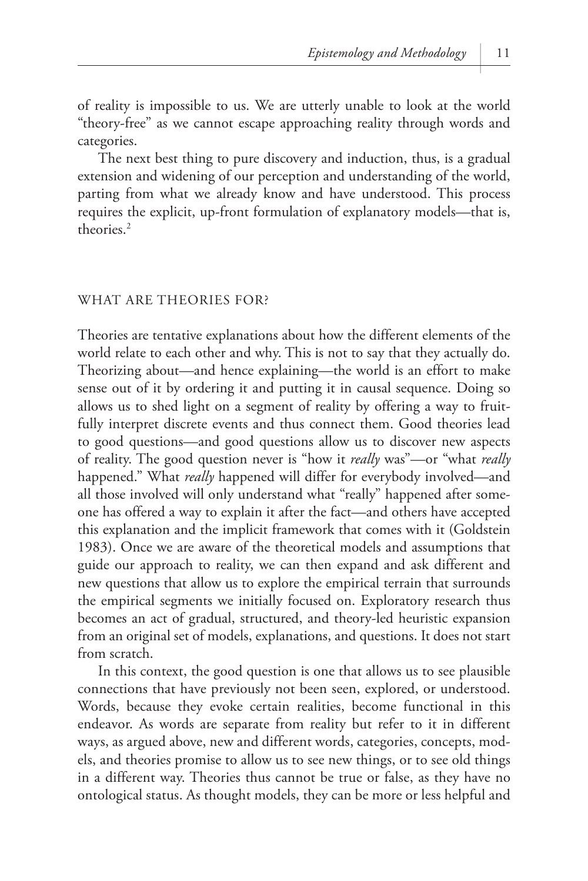of reality is impossible to us. We are utterly unable to look at the world "theory-free" as we cannot escape approaching reality through words and categories.

The next best thing to pure discovery and induction, thus, is a gradual extension and widening of our perception and understanding of the world, parting from what we already know and have understood. This process requires the explicit, up-front formulation of explanatory models—that is, theories. $2$ 

### WHAT ARE THEORIES FOR?

Theories are tentative explanations about how the different elements of the world relate to each other and why. This is not to say that they actually do. Theorizing about—and hence explaining—the world is an effort to make sense out of it by ordering it and putting it in causal sequence. Doing so allows us to shed light on a segment of reality by offering a way to fruitfully interpret discrete events and thus connect them. Good theories lead to good questions—and good questions allow us to discover new aspects of reality. The good question never is "how it *really* was"—or "what *really* happened." What *really* happened will differ for everybody involved—and all those involved will only understand what "really" happened after someone has offered a way to explain it after the fact—and others have accepted this explanation and the implicit framework that comes with it (Goldstein 1983). Once we are aware of the theoretical models and assumptions that guide our approach to reality, we can then expand and ask different and new questions that allow us to explore the empirical terrain that surrounds the empirical segments we initially focused on. Exploratory research thus becomes an act of gradual, structured, and theory-led heuristic expansion from an original set of models, explanations, and questions. It does not start from scratch.

In this context, the good question is one that allows us to see plausible connections that have previously not been seen, explored, or understood. Words, because they evoke certain realities, become functional in this endeavor. As words are separate from reality but refer to it in different ways, as argued above, new and different words, categories, concepts, models, and theories promise to allow us to see new things, or to see old things in a different way. Theories thus cannot be true or false, as they have no ontological status. As thought models, they can be more or less helpful and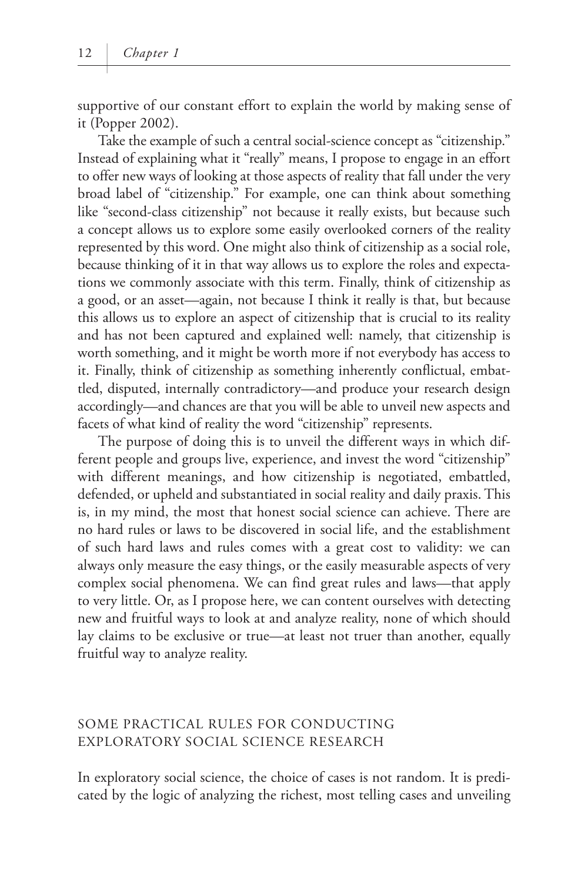supportive of our constant effort to explain the world by making sense of it (Popper 2002).

Take the example of such a central social-science concept as "citizenship." Instead of explaining what it "really" means, I propose to engage in an effort to offer new ways of looking at those aspects of reality that fall under the very broad label of "citizenship." For example, one can think about something like "second-class citizenship" not because it really exists, but because such a concept allows us to explore some easily overlooked corners of the reality represented by this word. One might also think of citizenship as a social role, because thinking of it in that way allows us to explore the roles and expectations we commonly associate with this term. Finally, think of citizenship as a good, or an asset—again, not because I think it really is that, but because this allows us to explore an aspect of citizenship that is crucial to its reality and has not been captured and explained well: namely, that citizenship is worth something, and it might be worth more if not everybody has access to it. Finally, think of citizenship as something inherently conflictual, embattled, disputed, internally contradictory—and produce your research design accordingly—and chances are that you will be able to unveil new aspects and facets of what kind of reality the word "citizenship" represents.

The purpose of doing this is to unveil the different ways in which different people and groups live, experience, and invest the word "citizenship" with different meanings, and how citizenship is negotiated, embattled, defended, or upheld and substantiated in social reality and daily praxis. This is, in my mind, the most that honest social science can achieve. There are no hard rules or laws to be discovered in social life, and the establishment of such hard laws and rules comes with a great cost to validity: we can always only measure the easy things, or the easily measurable aspects of very complex social phenomena. We can find great rules and laws—that apply to very little. Or, as I propose here, we can content ourselves with detecting new and fruitful ways to look at and analyze reality, none of which should lay claims to be exclusive or true—at least not truer than another, equally fruitful way to analyze reality.

## Some Practical Rules for Conducting Exploratory Social Science Research

In exploratory social science, the choice of cases is not random. It is predicated by the logic of analyzing the richest, most telling cases and unveiling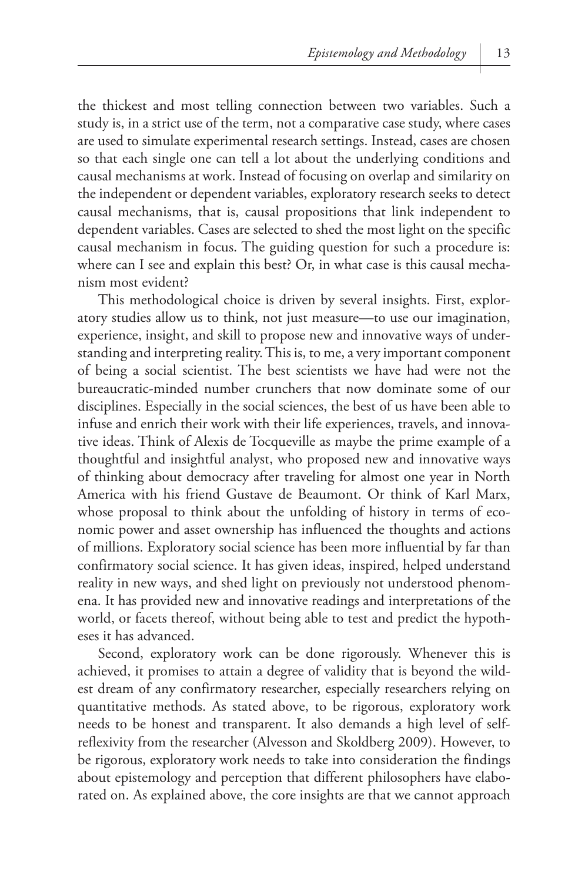the thickest and most telling connection between two variables. Such a study is, in a strict use of the term, not a comparative case study, where cases are used to simulate experimental research settings. Instead, cases are chosen so that each single one can tell a lot about the underlying conditions and causal mechanisms at work. Instead of focusing on overlap and similarity on the independent or dependent variables, exploratory research seeks to detect causal mechanisms, that is, causal propositions that link independent to dependent variables. Cases are selected to shed the most light on the specific causal mechanism in focus. The guiding question for such a procedure is: where can I see and explain this best? Or, in what case is this causal mechanism most evident?

This methodological choice is driven by several insights. First, exploratory studies allow us to think, not just measure—to use our imagination, experience, insight, and skill to propose new and innovative ways of understanding and interpreting reality. This is, to me, a very important component of being a social scientist. The best scientists we have had were not the bureaucratic-minded number crunchers that now dominate some of our disciplines. Especially in the social sciences, the best of us have been able to infuse and enrich their work with their life experiences, travels, and innovative ideas. Think of Alexis de Tocqueville as maybe the prime example of a thoughtful and insightful analyst, who proposed new and innovative ways of thinking about democracy after traveling for almost one year in North America with his friend Gustave de Beaumont. Or think of Karl Marx, whose proposal to think about the unfolding of history in terms of economic power and asset ownership has influenced the thoughts and actions of millions. Exploratory social science has been more influential by far than confirmatory social science. It has given ideas, inspired, helped understand reality in new ways, and shed light on previously not understood phenomena. It has provided new and innovative readings and interpretations of the world, or facets thereof, without being able to test and predict the hypotheses it has advanced.

Second, exploratory work can be done rigorously. Whenever this is achieved, it promises to attain a degree of validity that is beyond the wildest dream of any confirmatory researcher, especially researchers relying on quantitative methods. As stated above, to be rigorous, exploratory work needs to be honest and transparent. It also demands a high level of selfreflexivity from the researcher (Alvesson and Skoldberg 2009). However, to be rigorous, exploratory work needs to take into consideration the findings about epistemology and perception that different philosophers have elaborated on. As explained above, the core insights are that we cannot approach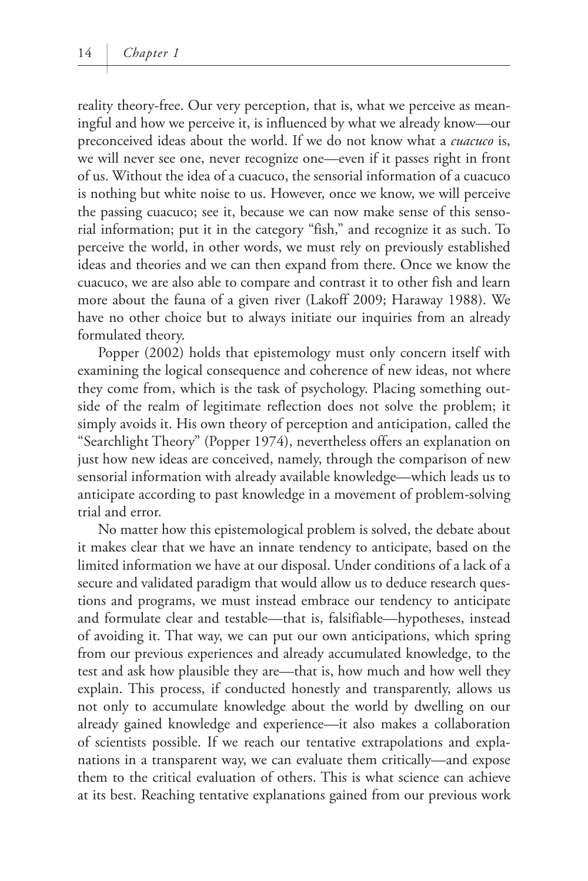reality theory-free. Our very perception, that is, what we perceive as meaningful and how we perceive it, is influenced by what we already know—our preconceived ideas about the world. If we do not know what a *cuacuco* is, we will never see one, never recognize one—even if it passes right in front of us. Without the idea of a cuacuco, the sensorial information of a cuacuco is nothing but white noise to us. However, once we know, we will perceive the passing cuacuco; see it, because we can now make sense of this sensorial information; put it in the category "fish," and recognize it as such. To perceive the world, in other words, we must rely on previously established ideas and theories and we can then expand from there. Once we know the cuacuco, we are also able to compare and contrast it to other fish and learn more about the fauna of a given river (Lakoff 2009; Haraway 1988). We have no other choice but to always initiate our inquiries from an already formulated theory.

Popper (2002) holds that epistemology must only concern itself with examining the logical consequence and coherence of new ideas, not where they come from, which is the task of psychology. Placing something outside of the realm of legitimate reflection does not solve the problem; it simply avoids it. His own theory of perception and anticipation, called the "Searchlight Theory" (Popper 1974), nevertheless offers an explanation on just how new ideas are conceived, namely, through the comparison of new sensorial information with already available knowledge—which leads us to anticipate according to past knowledge in a movement of problem-solving trial and error.

No matter how this epistemological problem is solved, the debate about it makes clear that we have an innate tendency to anticipate, based on the limited information we have at our disposal. Under conditions of a lack of a secure and validated paradigm that would allow us to deduce research questions and programs, we must instead embrace our tendency to anticipate and formulate clear and testable—that is, falsifiable—hypotheses, instead of avoiding it. That way, we can put our own anticipations, which spring from our previous experiences and already accumulated knowledge, to the test and ask how plausible they are—that is, how much and how well they explain. This process, if conducted honestly and transparently, allows us not only to accumulate knowledge about the world by dwelling on our already gained knowledge and experience—it also makes a collaboration of scientists possible. If we reach our tentative extrapolations and explanations in a transparent way, we can evaluate them critically—and expose them to the critical evaluation of others. This is what science can achieve at its best. Reaching tentative explanations gained from our previous work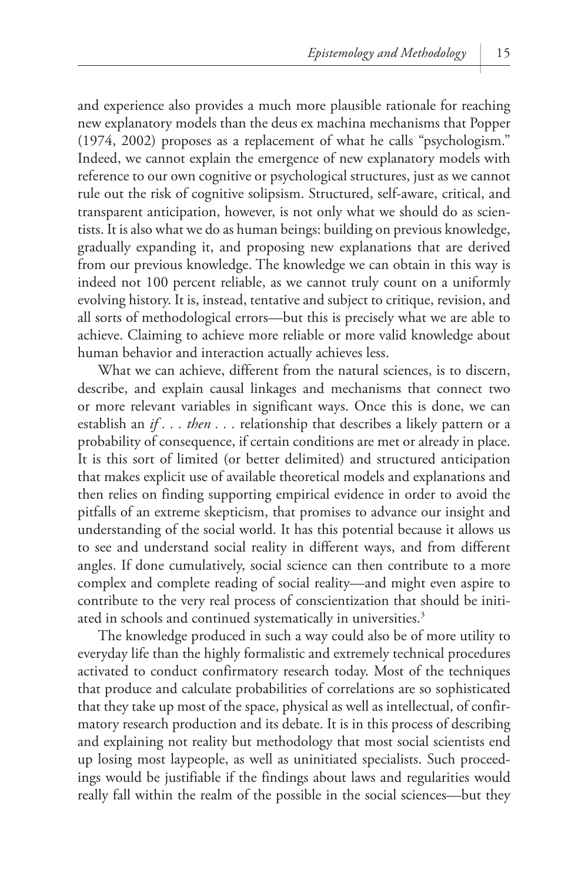and experience also provides a much more plausible rationale for reaching new explanatory models than the deus ex machina mechanisms that Popper (1974, 2002) proposes as a replacement of what he calls "psychologism." Indeed, we cannot explain the emergence of new explanatory models with reference to our own cognitive or psychological structures, just as we cannot rule out the risk of cognitive solipsism. Structured, self-aware, critical, and transparent anticipation, however, is not only what we should do as scientists. It is also what we do as human beings: building on previous knowledge, gradually expanding it, and proposing new explanations that are derived from our previous knowledge. The knowledge we can obtain in this way is indeed not 100 percent reliable, as we cannot truly count on a uniformly evolving history. It is, instead, tentative and subject to critique, revision, and all sorts of methodological errors—but this is precisely what we are able to achieve. Claiming to achieve more reliable or more valid knowledge about human behavior and interaction actually achieves less.

What we can achieve, different from the natural sciences, is to discern, describe, and explain causal linkages and mechanisms that connect two or more relevant variables in significant ways. Once this is done, we can establish an *if . . . then . . .* relationship that describes a likely pattern or a probability of consequence, if certain conditions are met or already in place. It is this sort of limited (or better delimited) and structured anticipation that makes explicit use of available theoretical models and explanations and then relies on finding supporting empirical evidence in order to avoid the pitfalls of an extreme skepticism, that promises to advance our insight and understanding of the social world. It has this potential because it allows us to see and understand social reality in different ways, and from different angles. If done cumulatively, social science can then contribute to a more complex and complete reading of social reality—and might even aspire to contribute to the very real process of conscientization that should be initiated in schools and continued systematically in universities.<sup>3</sup>

The knowledge produced in such a way could also be of more utility to everyday life than the highly formalistic and extremely technical procedures activated to conduct confirmatory research today. Most of the techniques that produce and calculate probabilities of correlations are so sophisticated that they take up most of the space, physical as well as intellectual, of confirmatory research production and its debate. It is in this process of describing and explaining not reality but methodology that most social scientists end up losing most laypeople, as well as uninitiated specialists. Such proceedings would be justifiable if the findings about laws and regularities would really fall within the realm of the possible in the social sciences—but they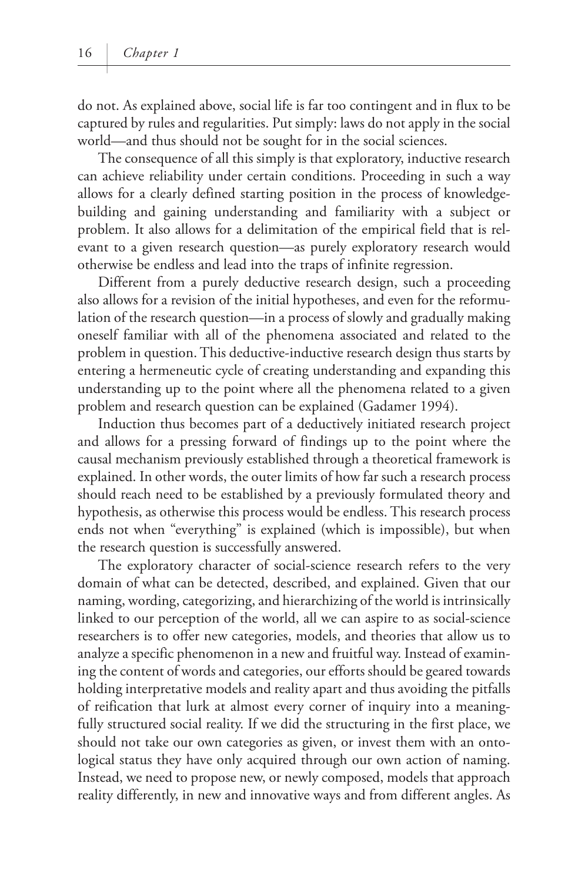do not. As explained above, social life is far too contingent and in flux to be captured by rules and regularities. Put simply: laws do not apply in the social world—and thus should not be sought for in the social sciences.

The consequence of all this simply is that exploratory, inductive research can achieve reliability under certain conditions. Proceeding in such a way allows for a clearly defined starting position in the process of knowledgebuilding and gaining understanding and familiarity with a subject or problem. It also allows for a delimitation of the empirical field that is relevant to a given research question—as purely exploratory research would otherwise be endless and lead into the traps of infinite regression.

Different from a purely deductive research design, such a proceeding also allows for a revision of the initial hypotheses, and even for the reformulation of the research question—in a process of slowly and gradually making oneself familiar with all of the phenomena associated and related to the problem in question. This deductive-inductive research design thus starts by entering a hermeneutic cycle of creating understanding and expanding this understanding up to the point where all the phenomena related to a given problem and research question can be explained (Gadamer 1994).

Induction thus becomes part of a deductively initiated research project and allows for a pressing forward of findings up to the point where the causal mechanism previously established through a theoretical framework is explained. In other words, the outer limits of how far such a research process should reach need to be established by a previously formulated theory and hypothesis, as otherwise this process would be endless. This research process ends not when "everything" is explained (which is impossible), but when the research question is successfully answered.

The exploratory character of social-science research refers to the very domain of what can be detected, described, and explained. Given that our naming, wording, categorizing, and hierarchizing of the world is intrinsically linked to our perception of the world, all we can aspire to as social-science researchers is to offer new categories, models, and theories that allow us to analyze a specific phenomenon in a new and fruitful way. Instead of examining the content of words and categories, our efforts should be geared towards holding interpretative models and reality apart and thus avoiding the pitfalls of reification that lurk at almost every corner of inquiry into a meaningfully structured social reality. If we did the structuring in the first place, we should not take our own categories as given, or invest them with an ontological status they have only acquired through our own action of naming. Instead, we need to propose new, or newly composed, models that approach reality differently, in new and innovative ways and from different angles. As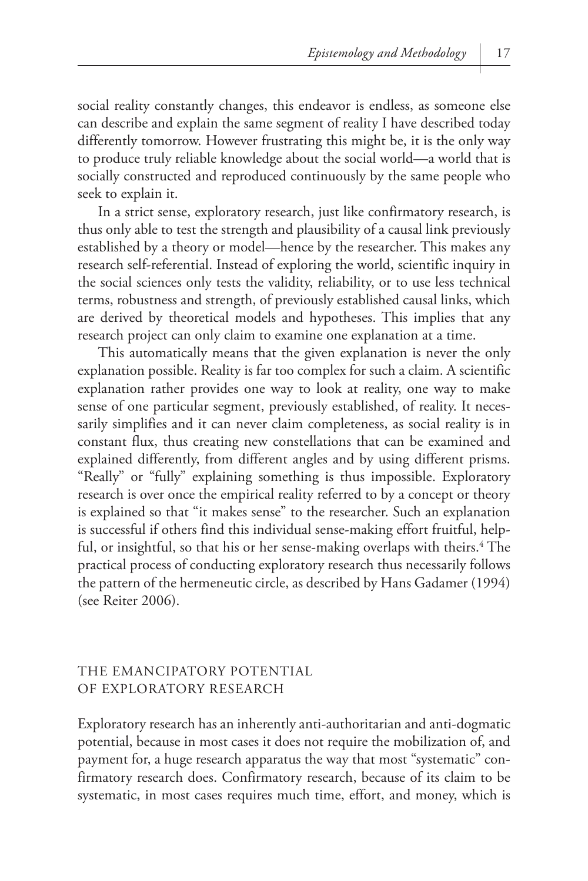social reality constantly changes, this endeavor is endless, as someone else can describe and explain the same segment of reality I have described today differently tomorrow. However frustrating this might be, it is the only way to produce truly reliable knowledge about the social world—a world that is socially constructed and reproduced continuously by the same people who seek to explain it.

In a strict sense, exploratory research, just like confirmatory research, is thus only able to test the strength and plausibility of a causal link previously established by a theory or model—hence by the researcher. This makes any research self-referential. Instead of exploring the world, scientific inquiry in the social sciences only tests the validity, reliability, or to use less technical terms, robustness and strength, of previously established causal links, which are derived by theoretical models and hypotheses. This implies that any research project can only claim to examine one explanation at a time.

This automatically means that the given explanation is never the only explanation possible. Reality is far too complex for such a claim. A scientific explanation rather provides one way to look at reality, one way to make sense of one particular segment, previously established, of reality. It necessarily simplifies and it can never claim completeness, as social reality is in constant flux, thus creating new constellations that can be examined and explained differently, from different angles and by using different prisms. "Really" or "fully" explaining something is thus impossible. Exploratory research is over once the empirical reality referred to by a concept or theory is explained so that "it makes sense" to the researcher. Such an explanation is successful if others find this individual sense-making effort fruitful, helpful, or insightful, so that his or her sense-making overlaps with theirs.<sup>4</sup> The practical process of conducting exploratory research thus necessarily follows the pattern of the hermeneutic circle, as described by Hans Gadamer (1994) (see Reiter 2006).

# The Emancipatory Potential of Exploratory Research

Exploratory research has an inherently anti-authoritarian and anti-dogmatic potential, because in most cases it does not require the mobilization of, and payment for, a huge research apparatus the way that most "systematic" confirmatory research does. Confirmatory research, because of its claim to be systematic, in most cases requires much time, effort, and money, which is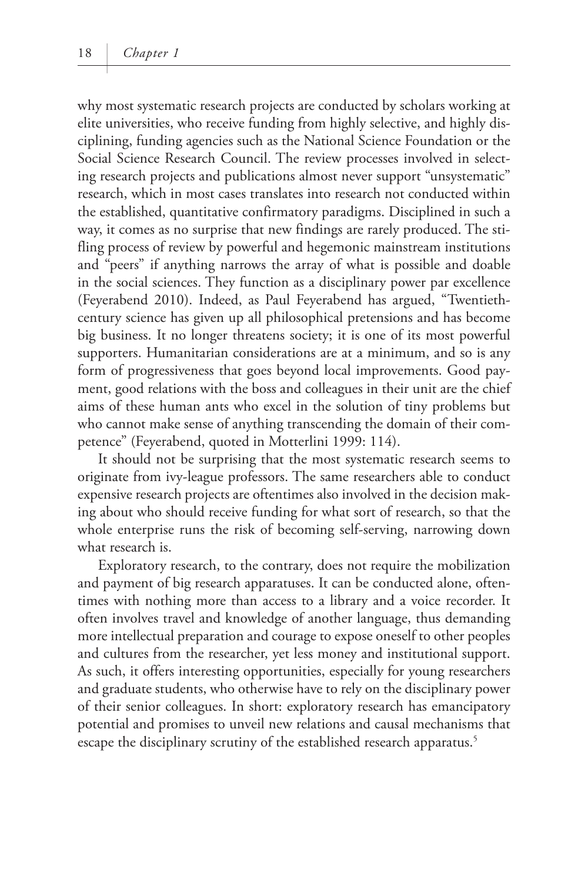why most systematic research projects are conducted by scholars working at elite universities, who receive funding from highly selective, and highly disciplining, funding agencies such as the National Science Foundation or the Social Science Research Council. The review processes involved in selecting research projects and publications almost never support "unsystematic" research, which in most cases translates into research not conducted within the established, quantitative confirmatory paradigms. Disciplined in such a way, it comes as no surprise that new findings are rarely produced. The stifling process of review by powerful and hegemonic mainstream institutions and "peers" if anything narrows the array of what is possible and doable in the social sciences. They function as a disciplinary power par excellence (Feyerabend 2010). Indeed, as Paul Feyerabend has argued, "Twentiethcentury science has given up all philosophical pretensions and has become big business. It no longer threatens society; it is one of its most powerful supporters. Humanitarian considerations are at a minimum, and so is any form of progressiveness that goes beyond local improvements. Good payment, good relations with the boss and colleagues in their unit are the chief aims of these human ants who excel in the solution of tiny problems but who cannot make sense of anything transcending the domain of their competence" (Feyerabend, quoted in Motterlini 1999: 114).

It should not be surprising that the most systematic research seems to originate from ivy-league professors. The same researchers able to conduct expensive research projects are oftentimes also involved in the decision making about who should receive funding for what sort of research, so that the whole enterprise runs the risk of becoming self-serving, narrowing down what research is.

Exploratory research, to the contrary, does not require the mobilization and payment of big research apparatuses. It can be conducted alone, oftentimes with nothing more than access to a library and a voice recorder. It often involves travel and knowledge of another language, thus demanding more intellectual preparation and courage to expose oneself to other peoples and cultures from the researcher, yet less money and institutional support. As such, it offers interesting opportunities, especially for young researchers and graduate students, who otherwise have to rely on the disciplinary power of their senior colleagues. In short: exploratory research has emancipatory potential and promises to unveil new relations and causal mechanisms that escape the disciplinary scrutiny of the established research apparatus.<sup>5</sup>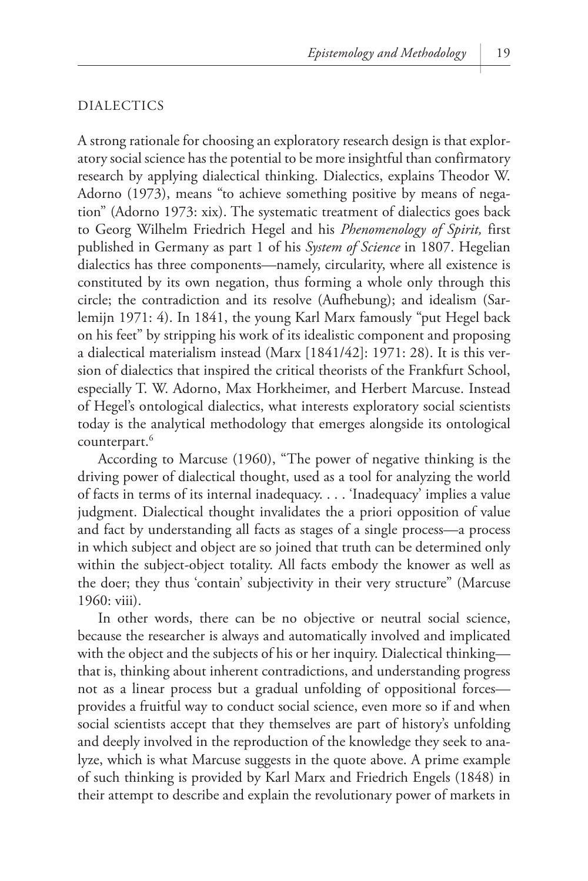#### **DIALECTICS**

A strong rationale for choosing an exploratory research design is that exploratory social science has the potential to be more insightful than confirmatory research by applying dialectical thinking. Dialectics, explains Theodor W. Adorno (1973), means "to achieve something positive by means of negation" (Adorno 1973: xix). The systematic treatment of dialectics goes back to Georg Wilhelm Friedrich Hegel and his *Phenomenology of Spirit,* first published in Germany as part 1 of his *System of Science* in 1807. Hegelian dialectics has three components—namely, circularity, where all existence is constituted by its own negation, thus forming a whole only through this circle; the contradiction and its resolve (Aufhebung); and idealism (Sarlemijn 1971: 4). In 1841, the young Karl Marx famously "put Hegel back on his feet" by stripping his work of its idealistic component and proposing a dialectical materialism instead (Marx [1841/42]: 1971: 28). It is this version of dialectics that inspired the critical theorists of the Frankfurt School, especially T. W. Adorno, Max Horkheimer, and Herbert Marcuse. Instead of Hegel's ontological dialectics, what interests exploratory social scientists today is the analytical methodology that emerges alongside its ontological counterpart.<sup>6</sup>

According to Marcuse (1960), "The power of negative thinking is the driving power of dialectical thought, used as a tool for analyzing the world of facts in terms of its internal inadequacy. . . . 'Inadequacy' implies a value judgment. Dialectical thought invalidates the a priori opposition of value and fact by understanding all facts as stages of a single process—a process in which subject and object are so joined that truth can be determined only within the subject-object totality. All facts embody the knower as well as the doer; they thus 'contain' subjectivity in their very structure" (Marcuse 1960: viii).

In other words, there can be no objective or neutral social science, because the researcher is always and automatically involved and implicated with the object and the subjects of his or her inquiry. Dialectical thinking that is, thinking about inherent contradictions, and understanding progress not as a linear process but a gradual unfolding of oppositional forces provides a fruitful way to conduct social science, even more so if and when social scientists accept that they themselves are part of history's unfolding and deeply involved in the reproduction of the knowledge they seek to analyze, which is what Marcuse suggests in the quote above. A prime example of such thinking is provided by Karl Marx and Friedrich Engels (1848) in their attempt to describe and explain the revolutionary power of markets in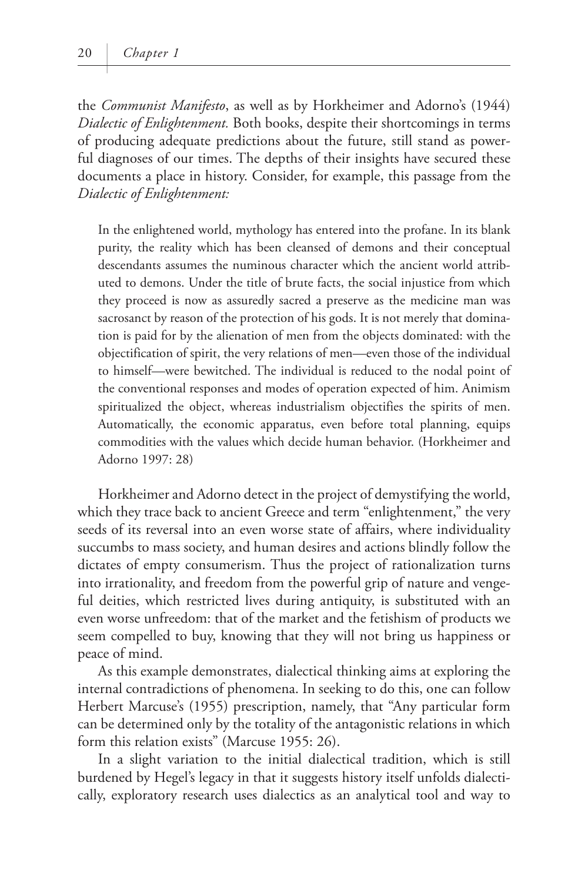the *Communist Manifesto*, as well as by Horkheimer and Adorno's (1944) *Dialectic of Enlightenment.* Both books, despite their shortcomings in terms of producing adequate predictions about the future, still stand as powerful diagnoses of our times. The depths of their insights have secured these documents a place in history. Consider, for example, this passage from the *Dialectic of Enlightenment:*

In the enlightened world, mythology has entered into the profane. In its blank purity, the reality which has been cleansed of demons and their conceptual descendants assumes the numinous character which the ancient world attributed to demons. Under the title of brute facts, the social injustice from which they proceed is now as assuredly sacred a preserve as the medicine man was sacrosanct by reason of the protection of his gods. It is not merely that domination is paid for by the alienation of men from the objects dominated: with the objectification of spirit, the very relations of men—even those of the individual to himself—were bewitched. The individual is reduced to the nodal point of the conventional responses and modes of operation expected of him. Animism spiritualized the object, whereas industrialism objectifies the spirits of men. Automatically, the economic apparatus, even before total planning, equips commodities with the values which decide human behavior. (Horkheimer and Adorno 1997: 28)

Horkheimer and Adorno detect in the project of demystifying the world, which they trace back to ancient Greece and term "enlightenment," the very seeds of its reversal into an even worse state of affairs, where individuality succumbs to mass society, and human desires and actions blindly follow the dictates of empty consumerism. Thus the project of rationalization turns into irrationality, and freedom from the powerful grip of nature and vengeful deities, which restricted lives during antiquity, is substituted with an even worse unfreedom: that of the market and the fetishism of products we seem compelled to buy, knowing that they will not bring us happiness or peace of mind.

As this example demonstrates, dialectical thinking aims at exploring the internal contradictions of phenomena. In seeking to do this, one can follow Herbert Marcuse's (1955) prescription, namely, that "Any particular form can be determined only by the totality of the antagonistic relations in which form this relation exists" (Marcuse 1955: 26).

In a slight variation to the initial dialectical tradition, which is still burdened by Hegel's legacy in that it suggests history itself unfolds dialectically, exploratory research uses dialectics as an analytical tool and way to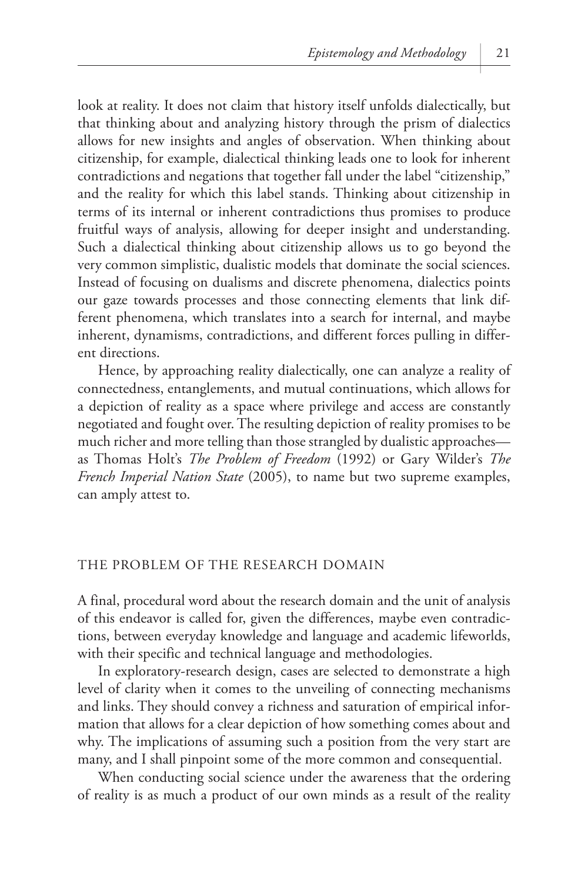look at reality. It does not claim that history itself unfolds dialectically, but that thinking about and analyzing history through the prism of dialectics allows for new insights and angles of observation. When thinking about citizenship, for example, dialectical thinking leads one to look for inherent contradictions and negations that together fall under the label "citizenship," and the reality for which this label stands. Thinking about citizenship in terms of its internal or inherent contradictions thus promises to produce fruitful ways of analysis, allowing for deeper insight and understanding. Such a dialectical thinking about citizenship allows us to go beyond the very common simplistic, dualistic models that dominate the social sciences. Instead of focusing on dualisms and discrete phenomena, dialectics points our gaze towards processes and those connecting elements that link different phenomena, which translates into a search for internal, and maybe inherent, dynamisms, contradictions, and different forces pulling in different directions.

Hence, by approaching reality dialectically, one can analyze a reality of connectedness, entanglements, and mutual continuations, which allows for a depiction of reality as a space where privilege and access are constantly negotiated and fought over. The resulting depiction of reality promises to be much richer and more telling than those strangled by dualistic approaches as Thomas Holt's *The Problem of Freedom* (1992) or Gary Wilder's *The French Imperial Nation State* (2005), to name but two supreme examples, can amply attest to.

#### The Problem of the Research Domain

A final, procedural word about the research domain and the unit of analysis of this endeavor is called for, given the differences, maybe even contradictions, between everyday knowledge and language and academic lifeworlds, with their specific and technical language and methodologies.

In exploratory-research design, cases are selected to demonstrate a high level of clarity when it comes to the unveiling of connecting mechanisms and links. They should convey a richness and saturation of empirical information that allows for a clear depiction of how something comes about and why. The implications of assuming such a position from the very start are many, and I shall pinpoint some of the more common and consequential.

When conducting social science under the awareness that the ordering of reality is as much a product of our own minds as a result of the reality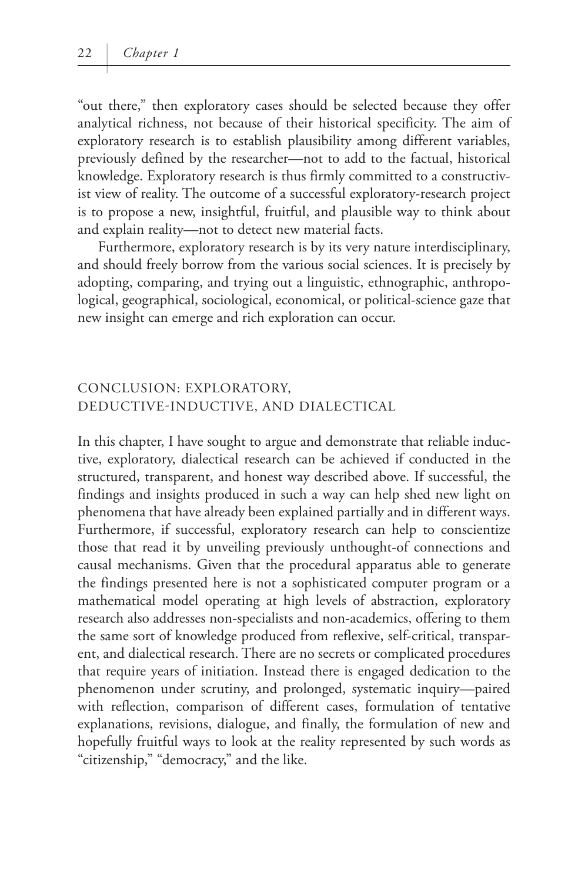"out there," then exploratory cases should be selected because they offer analytical richness, not because of their historical specificity. The aim of exploratory research is to establish plausibility among different variables, previously defined by the researcher—not to add to the factual, historical knowledge. Exploratory research is thus firmly committed to a constructivist view of reality. The outcome of a successful exploratory-research project is to propose a new, insightful, fruitful, and plausible way to think about and explain reality—not to detect new material facts.

Furthermore, exploratory research is by its very nature interdisciplinary, and should freely borrow from the various social sciences. It is precisely by adopting, comparing, and trying out a linguistic, ethnographic, anthropological, geographical, sociological, economical, or political-science gaze that new insight can emerge and rich exploration can occur.

# Conclusion: Exploratory, Deductive-Inductive, and Dialectical

In this chapter, I have sought to argue and demonstrate that reliable inductive, exploratory, dialectical research can be achieved if conducted in the structured, transparent, and honest way described above. If successful, the findings and insights produced in such a way can help shed new light on phenomena that have already been explained partially and in different ways. Furthermore, if successful, exploratory research can help to conscientize those that read it by unveiling previously unthought-of connections and causal mechanisms. Given that the procedural apparatus able to generate the findings presented here is not a sophisticated computer program or a mathematical model operating at high levels of abstraction, exploratory research also addresses non-specialists and non-academics, offering to them the same sort of knowledge produced from reflexive, self-critical, transparent, and dialectical research. There are no secrets or complicated procedures that require years of initiation. Instead there is engaged dedication to the phenomenon under scrutiny, and prolonged, systematic inquiry—paired with reflection, comparison of different cases, formulation of tentative explanations, revisions, dialogue, and finally, the formulation of new and hopefully fruitful ways to look at the reality represented by such words as "citizenship," "democracy," and the like.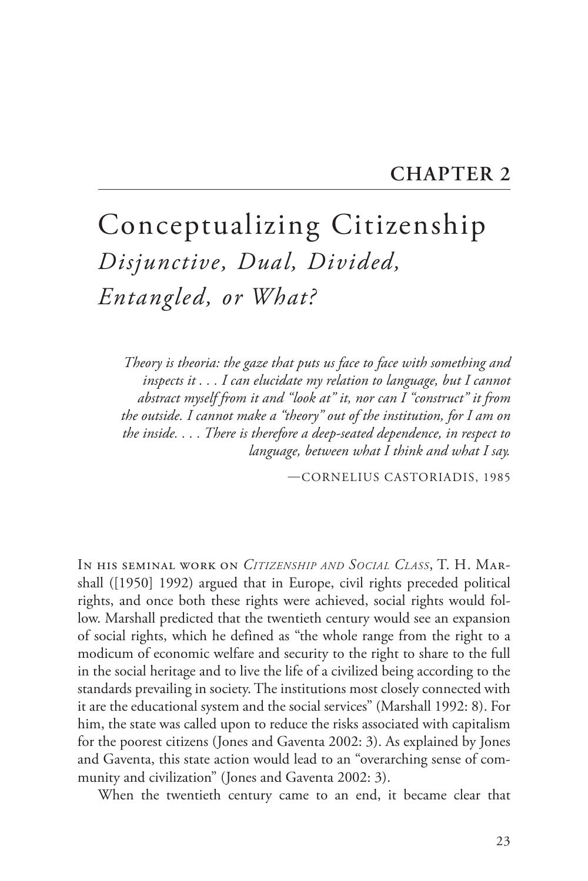# **Chapter 2**

# Conceptualizing Citizenship *Disjunctive, Dual, Divided, Entangled, or What?*

*Theory is theoria: the gaze that puts us face to face with something and inspects it . . . I can elucidate my relation to language, but I cannot abstract myself from it and "look at" it, nor can I "construct" it from the outside. I cannot make a "theory" out of the institution, for I am on the inside. . . . There is therefore a deep-seated dependence, in respect to language, between what I think and what I say.*

—Cornelius Castoriadis, 1985

In his seminal work on *Citizenship and Social Class*, T. H. Marshall ([1950] 1992) argued that in Europe, civil rights preceded political rights, and once both these rights were achieved, social rights would follow. Marshall predicted that the twentieth century would see an expansion of social rights, which he defined as "the whole range from the right to a modicum of economic welfare and security to the right to share to the full in the social heritage and to live the life of a civilized being according to the standards prevailing in society. The institutions most closely connected with it are the educational system and the social services" (Marshall 1992: 8). For him, the state was called upon to reduce the risks associated with capitalism for the poorest citizens (Jones and Gaventa 2002: 3). As explained by Jones and Gaventa, this state action would lead to an "overarching sense of community and civilization" (Jones and Gaventa 2002: 3).

When the twentieth century came to an end, it became clear that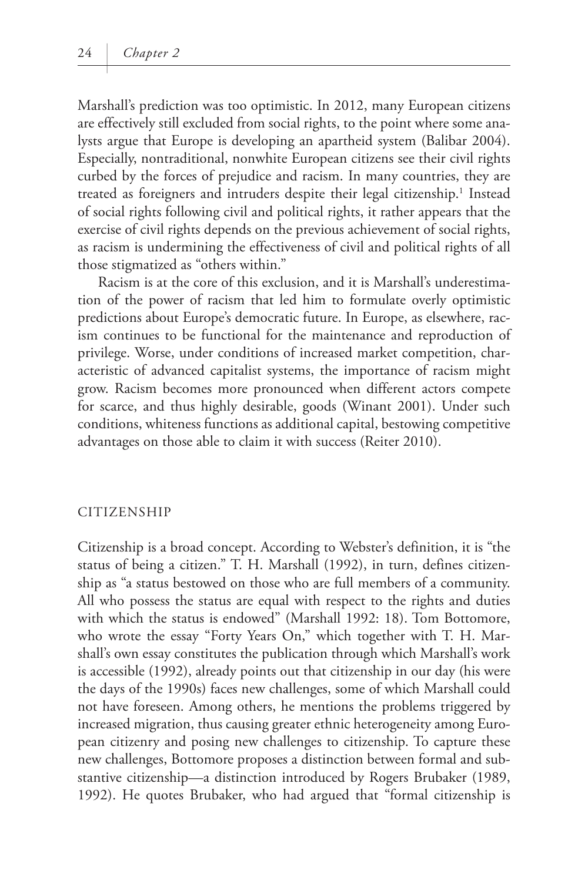Marshall's prediction was too optimistic. In 2012, many European citizens are effectively still excluded from social rights, to the point where some analysts argue that Europe is developing an apartheid system (Balibar 2004). Especially, nontraditional, nonwhite European citizens see their civil rights curbed by the forces of prejudice and racism. In many countries, they are treated as foreigners and intruders despite their legal citizenship.<sup>1</sup> Instead of social rights following civil and political rights, it rather appears that the exercise of civil rights depends on the previous achievement of social rights, as racism is undermining the effectiveness of civil and political rights of all those stigmatized as "others within."

Racism is at the core of this exclusion, and it is Marshall's underestimation of the power of racism that led him to formulate overly optimistic predictions about Europe's democratic future. In Europe, as elsewhere, racism continues to be functional for the maintenance and reproduction of privilege. Worse, under conditions of increased market competition, characteristic of advanced capitalist systems, the importance of racism might grow. Racism becomes more pronounced when different actors compete for scarce, and thus highly desirable, goods (Winant 2001). Under such conditions, whiteness functions as additional capital, bestowing competitive advantages on those able to claim it with success (Reiter 2010).

#### **CITIZENSHIP**

Citizenship is a broad concept. According to Webster's definition, it is "the status of being a citizen." T. H. Marshall (1992), in turn, defines citizenship as "a status bestowed on those who are full members of a community. All who possess the status are equal with respect to the rights and duties with which the status is endowed" (Marshall 1992: 18). Tom Bottomore, who wrote the essay "Forty Years On," which together with T. H. Marshall's own essay constitutes the publication through which Marshall's work is accessible (1992), already points out that citizenship in our day (his were the days of the 1990s) faces new challenges, some of which Marshall could not have foreseen. Among others, he mentions the problems triggered by increased migration, thus causing greater ethnic heterogeneity among European citizenry and posing new challenges to citizenship. To capture these new challenges, Bottomore proposes a distinction between formal and substantive citizenship—a distinction introduced by Rogers Brubaker (1989, 1992). He quotes Brubaker, who had argued that "formal citizenship is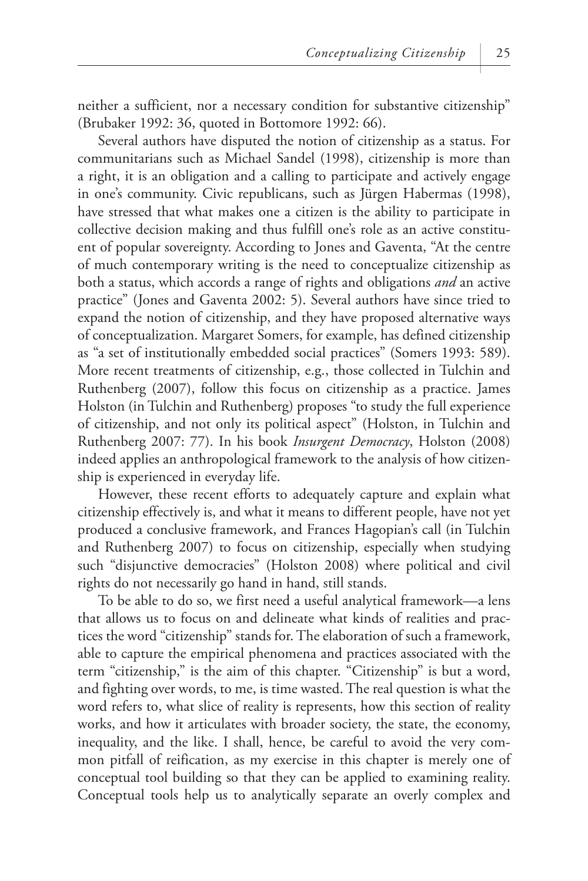neither a sufficient, nor a necessary condition for substantive citizenship" (Brubaker 1992: 36, quoted in Bottomore 1992: 66).

Several authors have disputed the notion of citizenship as a status. For communitarians such as Michael Sandel (1998), citizenship is more than a right, it is an obligation and a calling to participate and actively engage in one's community. Civic republicans, such as Jürgen Habermas (1998), have stressed that what makes one a citizen is the ability to participate in collective decision making and thus fulfill one's role as an active constituent of popular sovereignty. According to Jones and Gaventa, "At the centre of much contemporary writing is the need to conceptualize citizenship as both a status, which accords a range of rights and obligations *and* an active practice" (Jones and Gaventa 2002: 5). Several authors have since tried to expand the notion of citizenship, and they have proposed alternative ways of conceptualization. Margaret Somers, for example, has defined citizenship as "a set of institutionally embedded social practices" (Somers 1993: 589). More recent treatments of citizenship, e.g., those collected in Tulchin and Ruthenberg (2007), follow this focus on citizenship as a practice. James Holston (in Tulchin and Ruthenberg) proposes "to study the full experience of citizenship, and not only its political aspect" (Holston, in Tulchin and Ruthenberg 2007: 77). In his book *Insurgent Democracy*, Holston (2008) indeed applies an anthropological framework to the analysis of how citizenship is experienced in everyday life.

However, these recent efforts to adequately capture and explain what citizenship effectively is, and what it means to different people, have not yet produced a conclusive framework, and Frances Hagopian's call (in Tulchin and Ruthenberg 2007) to focus on citizenship, especially when studying such "disjunctive democracies" (Holston 2008) where political and civil rights do not necessarily go hand in hand, still stands.

To be able to do so, we first need a useful analytical framework—a lens that allows us to focus on and delineate what kinds of realities and practices the word "citizenship" stands for. The elaboration of such a framework, able to capture the empirical phenomena and practices associated with the term "citizenship," is the aim of this chapter. "Citizenship" is but a word, and fighting over words, to me, is time wasted. The real question is what the word refers to, what slice of reality is represents, how this section of reality works, and how it articulates with broader society, the state, the economy, inequality, and the like. I shall, hence, be careful to avoid the very common pitfall of reification, as my exercise in this chapter is merely one of conceptual tool building so that they can be applied to examining reality. Conceptual tools help us to analytically separate an overly complex and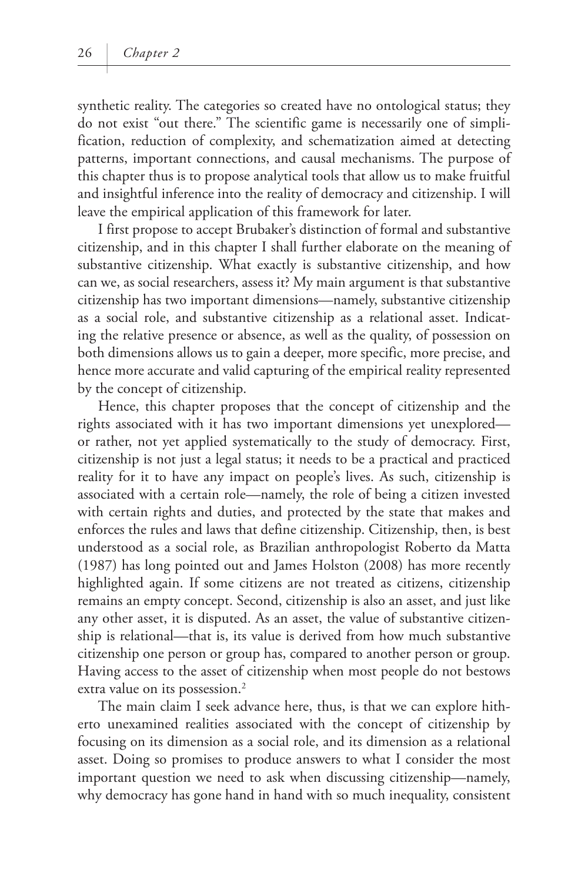synthetic reality. The categories so created have no ontological status; they do not exist "out there." The scientific game is necessarily one of simplification, reduction of complexity, and schematization aimed at detecting patterns, important connections, and causal mechanisms. The purpose of this chapter thus is to propose analytical tools that allow us to make fruitful and insightful inference into the reality of democracy and citizenship. I will leave the empirical application of this framework for later.

I first propose to accept Brubaker's distinction of formal and substantive citizenship, and in this chapter I shall further elaborate on the meaning of substantive citizenship. What exactly is substantive citizenship, and how can we, as social researchers, assess it? My main argument is that substantive citizenship has two important dimensions—namely, substantive citizenship as a social role, and substantive citizenship as a relational asset. Indicating the relative presence or absence, as well as the quality, of possession on both dimensions allows us to gain a deeper, more specific, more precise, and hence more accurate and valid capturing of the empirical reality represented by the concept of citizenship.

Hence, this chapter proposes that the concept of citizenship and the rights associated with it has two important dimensions yet unexplored or rather, not yet applied systematically to the study of democracy. First, citizenship is not just a legal status; it needs to be a practical and practiced reality for it to have any impact on people's lives. As such, citizenship is associated with a certain role—namely, the role of being a citizen invested with certain rights and duties, and protected by the state that makes and enforces the rules and laws that define citizenship. Citizenship, then, is best understood as a social role, as Brazilian anthropologist Roberto da Matta (1987) has long pointed out and James Holston (2008) has more recently highlighted again. If some citizens are not treated as citizens, citizenship remains an empty concept. Second, citizenship is also an asset, and just like any other asset, it is disputed. As an asset, the value of substantive citizenship is relational—that is, its value is derived from how much substantive citizenship one person or group has, compared to another person or group. Having access to the asset of citizenship when most people do not bestows extra value on its possession.<sup>2</sup>

The main claim I seek advance here, thus, is that we can explore hitherto unexamined realities associated with the concept of citizenship by focusing on its dimension as a social role, and its dimension as a relational asset. Doing so promises to produce answers to what I consider the most important question we need to ask when discussing citizenship—namely, why democracy has gone hand in hand with so much inequality, consistent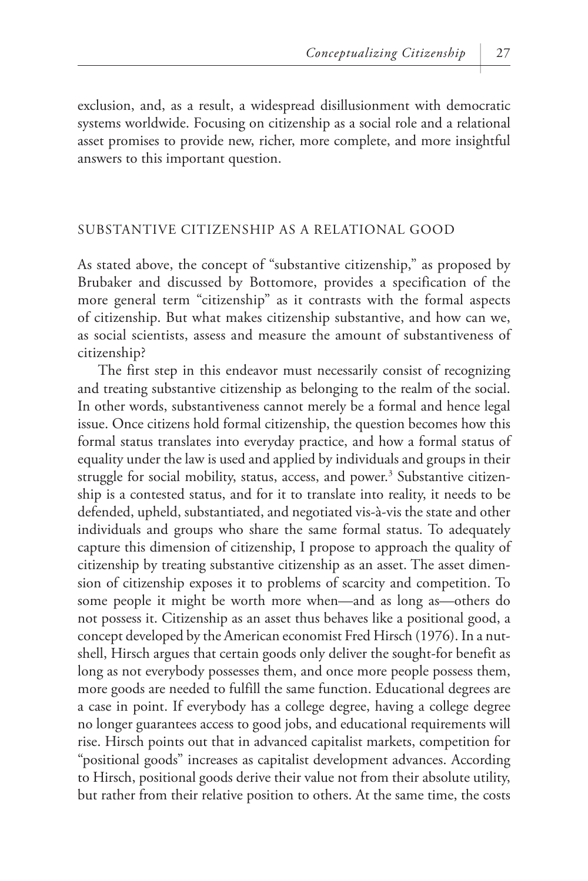exclusion, and, as a result, a widespread disillusionment with democratic systems worldwide. Focusing on citizenship as a social role and a relational asset promises to provide new, richer, more complete, and more insightful answers to this important question.

#### Substantive Citizenship as a Relational Good

As stated above, the concept of "substantive citizenship," as proposed by Brubaker and discussed by Bottomore, provides a specification of the more general term "citizenship" as it contrasts with the formal aspects of citizenship. But what makes citizenship substantive, and how can we, as social scientists, assess and measure the amount of substantiveness of citizenship?

The first step in this endeavor must necessarily consist of recognizing and treating substantive citizenship as belonging to the realm of the social. In other words, substantiveness cannot merely be a formal and hence legal issue. Once citizens hold formal citizenship, the question becomes how this formal status translates into everyday practice, and how a formal status of equality under the law is used and applied by individuals and groups in their struggle for social mobility, status, access, and power.<sup>3</sup> Substantive citizenship is a contested status, and for it to translate into reality, it needs to be defended, upheld, substantiated, and negotiated vis-à-vis the state and other individuals and groups who share the same formal status. To adequately capture this dimension of citizenship, I propose to approach the quality of citizenship by treating substantive citizenship as an asset. The asset dimension of citizenship exposes it to problems of scarcity and competition. To some people it might be worth more when—and as long as—others do not possess it. Citizenship as an asset thus behaves like a positional good, a concept developed by the American economist Fred Hirsch (1976). In a nutshell, Hirsch argues that certain goods only deliver the sought-for benefit as long as not everybody possesses them, and once more people possess them, more goods are needed to fulfill the same function. Educational degrees are a case in point. If everybody has a college degree, having a college degree no longer guarantees access to good jobs, and educational requirements will rise. Hirsch points out that in advanced capitalist markets, competition for "positional goods" increases as capitalist development advances. According to Hirsch, positional goods derive their value not from their absolute utility, but rather from their relative position to others. At the same time, the costs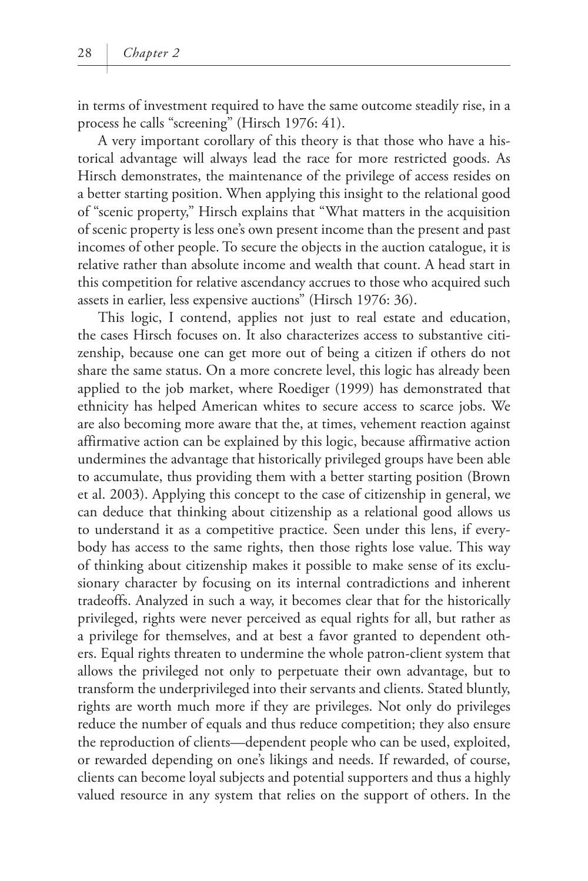in terms of investment required to have the same outcome steadily rise, in a process he calls "screening" (Hirsch 1976: 41).

A very important corollary of this theory is that those who have a historical advantage will always lead the race for more restricted goods. As Hirsch demonstrates, the maintenance of the privilege of access resides on a better starting position. When applying this insight to the relational good of "scenic property," Hirsch explains that "What matters in the acquisition of scenic property is less one's own present income than the present and past incomes of other people. To secure the objects in the auction catalogue, it is relative rather than absolute income and wealth that count. A head start in this competition for relative ascendancy accrues to those who acquired such assets in earlier, less expensive auctions" (Hirsch 1976: 36).

This logic, I contend, applies not just to real estate and education, the cases Hirsch focuses on. It also characterizes access to substantive citizenship, because one can get more out of being a citizen if others do not share the same status. On a more concrete level, this logic has already been applied to the job market, where Roediger (1999) has demonstrated that ethnicity has helped American whites to secure access to scarce jobs. We are also becoming more aware that the, at times, vehement reaction against affirmative action can be explained by this logic, because affirmative action undermines the advantage that historically privileged groups have been able to accumulate, thus providing them with a better starting position (Brown et al. 2003). Applying this concept to the case of citizenship in general, we can deduce that thinking about citizenship as a relational good allows us to understand it as a competitive practice. Seen under this lens, if everybody has access to the same rights, then those rights lose value. This way of thinking about citizenship makes it possible to make sense of its exclusionary character by focusing on its internal contradictions and inherent tradeoffs. Analyzed in such a way, it becomes clear that for the historically privileged, rights were never perceived as equal rights for all, but rather as a privilege for themselves, and at best a favor granted to dependent others. Equal rights threaten to undermine the whole patron-client system that allows the privileged not only to perpetuate their own advantage, but to transform the underprivileged into their servants and clients. Stated bluntly, rights are worth much more if they are privileges. Not only do privileges reduce the number of equals and thus reduce competition; they also ensure the reproduction of clients—dependent people who can be used, exploited, or rewarded depending on one's likings and needs. If rewarded, of course, clients can become loyal subjects and potential supporters and thus a highly valued resource in any system that relies on the support of others. In the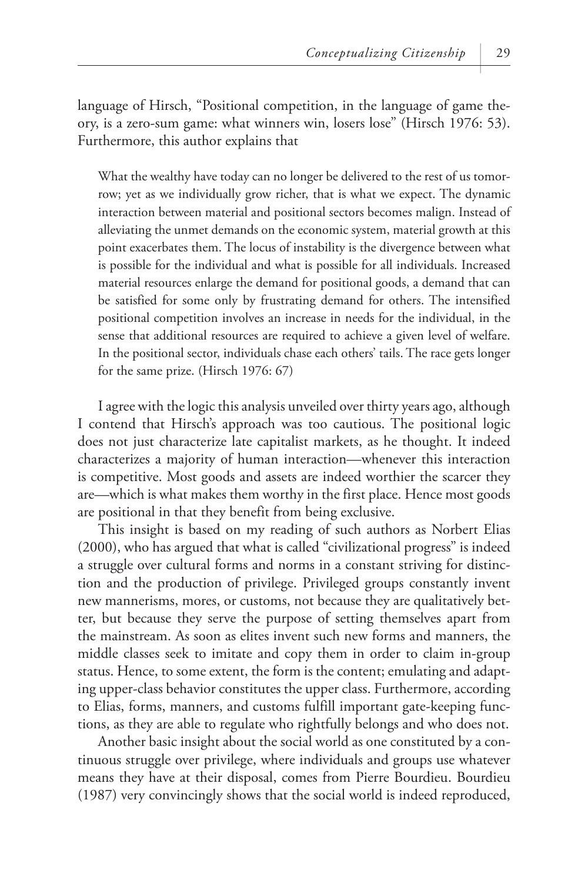language of Hirsch, "Positional competition, in the language of game theory, is a zero-sum game: what winners win, losers lose" (Hirsch 1976: 53). Furthermore, this author explains that

What the wealthy have today can no longer be delivered to the rest of us tomorrow; yet as we individually grow richer, that is what we expect. The dynamic interaction between material and positional sectors becomes malign. Instead of alleviating the unmet demands on the economic system, material growth at this point exacerbates them. The locus of instability is the divergence between what is possible for the individual and what is possible for all individuals. Increased material resources enlarge the demand for positional goods, a demand that can be satisfied for some only by frustrating demand for others. The intensified positional competition involves an increase in needs for the individual, in the sense that additional resources are required to achieve a given level of welfare. In the positional sector, individuals chase each others' tails. The race gets longer for the same prize. (Hirsch 1976: 67)

I agree with the logic this analysis unveiled over thirty years ago, although I contend that Hirsch's approach was too cautious. The positional logic does not just characterize late capitalist markets, as he thought. It indeed characterizes a majority of human interaction—whenever this interaction is competitive. Most goods and assets are indeed worthier the scarcer they are—which is what makes them worthy in the first place. Hence most goods are positional in that they benefit from being exclusive.

This insight is based on my reading of such authors as Norbert Elias (2000), who has argued that what is called "civilizational progress" is indeed a struggle over cultural forms and norms in a constant striving for distinction and the production of privilege. Privileged groups constantly invent new mannerisms, mores, or customs, not because they are qualitatively better, but because they serve the purpose of setting themselves apart from the mainstream. As soon as elites invent such new forms and manners, the middle classes seek to imitate and copy them in order to claim in-group status. Hence, to some extent, the form is the content; emulating and adapting upper-class behavior constitutes the upper class. Furthermore, according to Elias, forms, manners, and customs fulfill important gate-keeping functions, as they are able to regulate who rightfully belongs and who does not.

Another basic insight about the social world as one constituted by a continuous struggle over privilege, where individuals and groups use whatever means they have at their disposal, comes from Pierre Bourdieu. Bourdieu (1987) very convincingly shows that the social world is indeed reproduced,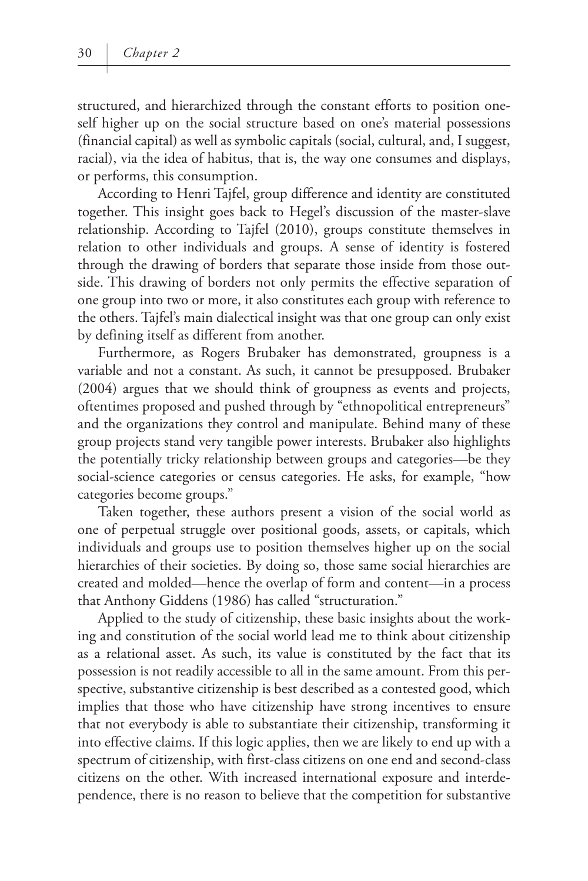structured, and hierarchized through the constant efforts to position oneself higher up on the social structure based on one's material possessions (financial capital) as well as symbolic capitals (social, cultural, and, I suggest, racial), via the idea of habitus, that is, the way one consumes and displays, or performs, this consumption.

According to Henri Tajfel, group difference and identity are constituted together. This insight goes back to Hegel's discussion of the master-slave relationship. According to Tajfel (2010), groups constitute themselves in relation to other individuals and groups. A sense of identity is fostered through the drawing of borders that separate those inside from those outside. This drawing of borders not only permits the effective separation of one group into two or more, it also constitutes each group with reference to the others. Tajfel's main dialectical insight was that one group can only exist by defining itself as different from another.

Furthermore, as Rogers Brubaker has demonstrated, groupness is a variable and not a constant. As such, it cannot be presupposed. Brubaker (2004) argues that we should think of groupness as events and projects, oftentimes proposed and pushed through by "ethnopolitical entrepreneurs" and the organizations they control and manipulate. Behind many of these group projects stand very tangible power interests. Brubaker also highlights the potentially tricky relationship between groups and categories—be they social-science categories or census categories. He asks, for example, "how categories become groups."

Taken together, these authors present a vision of the social world as one of perpetual struggle over positional goods, assets, or capitals, which individuals and groups use to position themselves higher up on the social hierarchies of their societies. By doing so, those same social hierarchies are created and molded—hence the overlap of form and content—in a process that Anthony Giddens (1986) has called "structuration."

Applied to the study of citizenship, these basic insights about the working and constitution of the social world lead me to think about citizenship as a relational asset. As such, its value is constituted by the fact that its possession is not readily accessible to all in the same amount. From this perspective, substantive citizenship is best described as a contested good, which implies that those who have citizenship have strong incentives to ensure that not everybody is able to substantiate their citizenship, transforming it into effective claims. If this logic applies, then we are likely to end up with a spectrum of citizenship, with first-class citizens on one end and second-class citizens on the other. With increased international exposure and interdependence, there is no reason to believe that the competition for substantive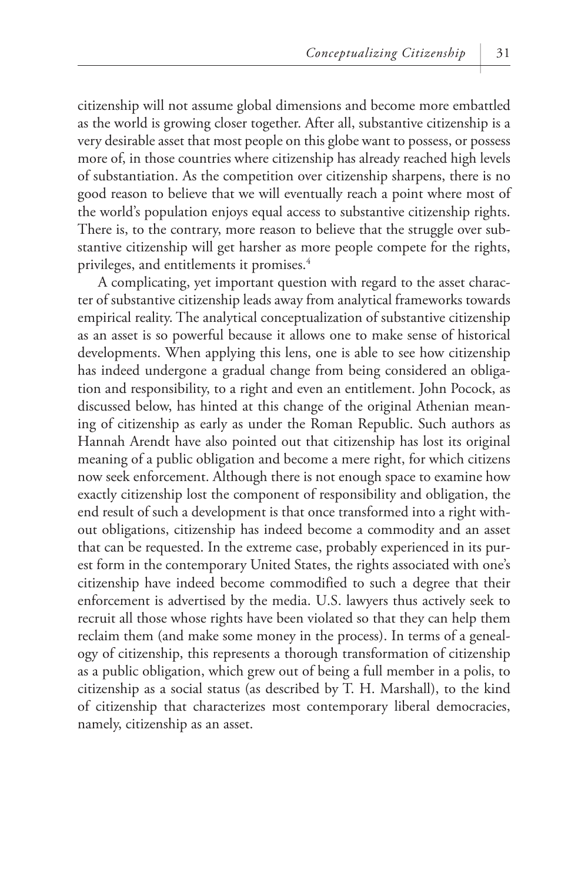citizenship will not assume global dimensions and become more embattled as the world is growing closer together. After all, substantive citizenship is a very desirable asset that most people on this globe want to possess, or possess more of, in those countries where citizenship has already reached high levels of substantiation. As the competition over citizenship sharpens, there is no good reason to believe that we will eventually reach a point where most of the world's population enjoys equal access to substantive citizenship rights. There is, to the contrary, more reason to believe that the struggle over substantive citizenship will get harsher as more people compete for the rights, privileges, and entitlements it promises.<sup>4</sup>

A complicating, yet important question with regard to the asset character of substantive citizenship leads away from analytical frameworks towards empirical reality. The analytical conceptualization of substantive citizenship as an asset is so powerful because it allows one to make sense of historical developments. When applying this lens, one is able to see how citizenship has indeed undergone a gradual change from being considered an obligation and responsibility, to a right and even an entitlement. John Pocock, as discussed below, has hinted at this change of the original Athenian meaning of citizenship as early as under the Roman Republic. Such authors as Hannah Arendt have also pointed out that citizenship has lost its original meaning of a public obligation and become a mere right, for which citizens now seek enforcement. Although there is not enough space to examine how exactly citizenship lost the component of responsibility and obligation, the end result of such a development is that once transformed into a right without obligations, citizenship has indeed become a commodity and an asset that can be requested. In the extreme case, probably experienced in its purest form in the contemporary United States, the rights associated with one's citizenship have indeed become commodified to such a degree that their enforcement is advertised by the media. U.S. lawyers thus actively seek to recruit all those whose rights have been violated so that they can help them reclaim them (and make some money in the process). In terms of a genealogy of citizenship, this represents a thorough transformation of citizenship as a public obligation, which grew out of being a full member in a polis, to citizenship as a social status (as described by T. H. Marshall), to the kind of citizenship that characterizes most contemporary liberal democracies, namely, citizenship as an asset.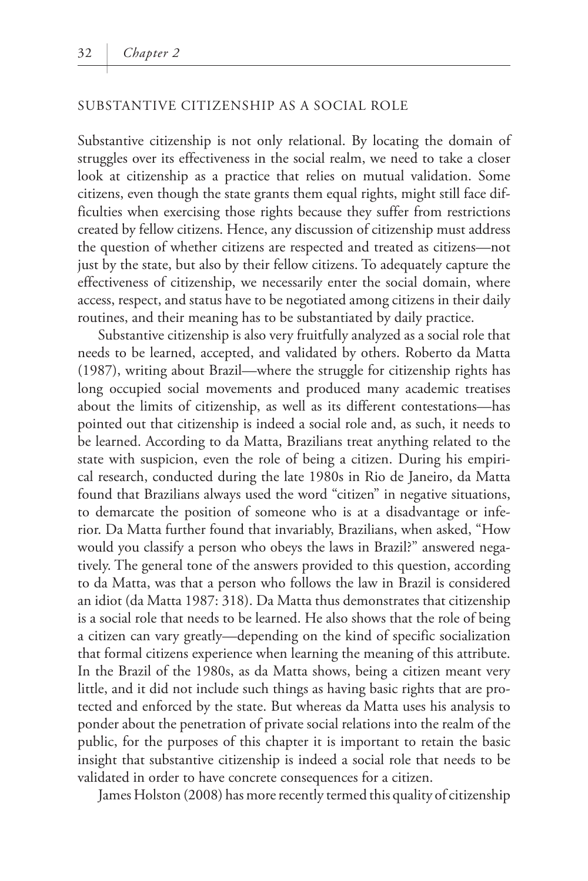#### Substantive Citizenship as a Social Role

Substantive citizenship is not only relational. By locating the domain of struggles over its effectiveness in the social realm, we need to take a closer look at citizenship as a practice that relies on mutual validation. Some citizens, even though the state grants them equal rights, might still face difficulties when exercising those rights because they suffer from restrictions created by fellow citizens. Hence, any discussion of citizenship must address the question of whether citizens are respected and treated as citizens—not just by the state, but also by their fellow citizens. To adequately capture the effectiveness of citizenship, we necessarily enter the social domain, where access, respect, and status have to be negotiated among citizens in their daily routines, and their meaning has to be substantiated by daily practice.

Substantive citizenship is also very fruitfully analyzed as a social role that needs to be learned, accepted, and validated by others. Roberto da Matta (1987), writing about Brazil—where the struggle for citizenship rights has long occupied social movements and produced many academic treatises about the limits of citizenship, as well as its different contestations—has pointed out that citizenship is indeed a social role and, as such, it needs to be learned. According to da Matta, Brazilians treat anything related to the state with suspicion, even the role of being a citizen. During his empirical research, conducted during the late 1980s in Rio de Janeiro, da Matta found that Brazilians always used the word "citizen" in negative situations, to demarcate the position of someone who is at a disadvantage or inferior. Da Matta further found that invariably, Brazilians, when asked, "How would you classify a person who obeys the laws in Brazil?" answered negatively. The general tone of the answers provided to this question, according to da Matta, was that a person who follows the law in Brazil is considered an idiot (da Matta 1987: 318). Da Matta thus demonstrates that citizenship is a social role that needs to be learned. He also shows that the role of being a citizen can vary greatly—depending on the kind of specific socialization that formal citizens experience when learning the meaning of this attribute. In the Brazil of the 1980s, as da Matta shows, being a citizen meant very little, and it did not include such things as having basic rights that are protected and enforced by the state. But whereas da Matta uses his analysis to ponder about the penetration of private social relations into the realm of the public, for the purposes of this chapter it is important to retain the basic insight that substantive citizenship is indeed a social role that needs to be validated in order to have concrete consequences for a citizen.

James Holston (2008) has more recently termed this quality of citizenship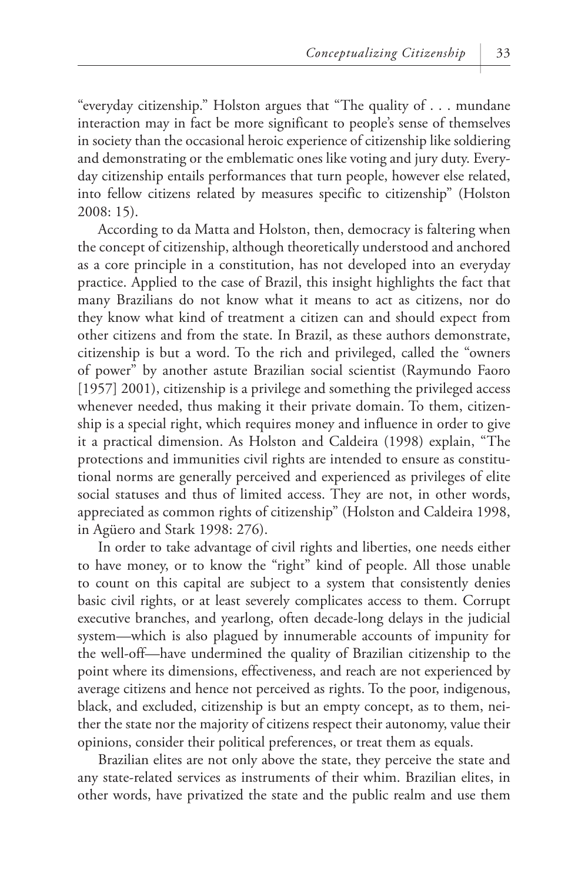"everyday citizenship." Holston argues that "The quality of . . . mundane interaction may in fact be more significant to people's sense of themselves in society than the occasional heroic experience of citizenship like soldiering and demonstrating or the emblematic ones like voting and jury duty. Everyday citizenship entails performances that turn people, however else related, into fellow citizens related by measures specific to citizenship" (Holston 2008: 15).

According to da Matta and Holston, then, democracy is faltering when the concept of citizenship, although theoretically understood and anchored as a core principle in a constitution, has not developed into an everyday practice. Applied to the case of Brazil, this insight highlights the fact that many Brazilians do not know what it means to act as citizens, nor do they know what kind of treatment a citizen can and should expect from other citizens and from the state. In Brazil, as these authors demonstrate, citizenship is but a word. To the rich and privileged, called the "owners of power" by another astute Brazilian social scientist (Raymundo Faoro [1957] 2001), citizenship is a privilege and something the privileged access whenever needed, thus making it their private domain. To them, citizenship is a special right, which requires money and influence in order to give it a practical dimension. As Holston and Caldeira (1998) explain, "The protections and immunities civil rights are intended to ensure as constitutional norms are generally perceived and experienced as privileges of elite social statuses and thus of limited access. They are not, in other words, appreciated as common rights of citizenship" (Holston and Caldeira 1998, in Agüero and Stark 1998: 276).

In order to take advantage of civil rights and liberties, one needs either to have money, or to know the "right" kind of people. All those unable to count on this capital are subject to a system that consistently denies basic civil rights, or at least severely complicates access to them. Corrupt executive branches, and yearlong, often decade-long delays in the judicial system—which is also plagued by innumerable accounts of impunity for the well-off—have undermined the quality of Brazilian citizenship to the point where its dimensions, effectiveness, and reach are not experienced by average citizens and hence not perceived as rights. To the poor, indigenous, black, and excluded, citizenship is but an empty concept, as to them, neither the state nor the majority of citizens respect their autonomy, value their opinions, consider their political preferences, or treat them as equals.

Brazilian elites are not only above the state, they perceive the state and any state-related services as instruments of their whim. Brazilian elites, in other words, have privatized the state and the public realm and use them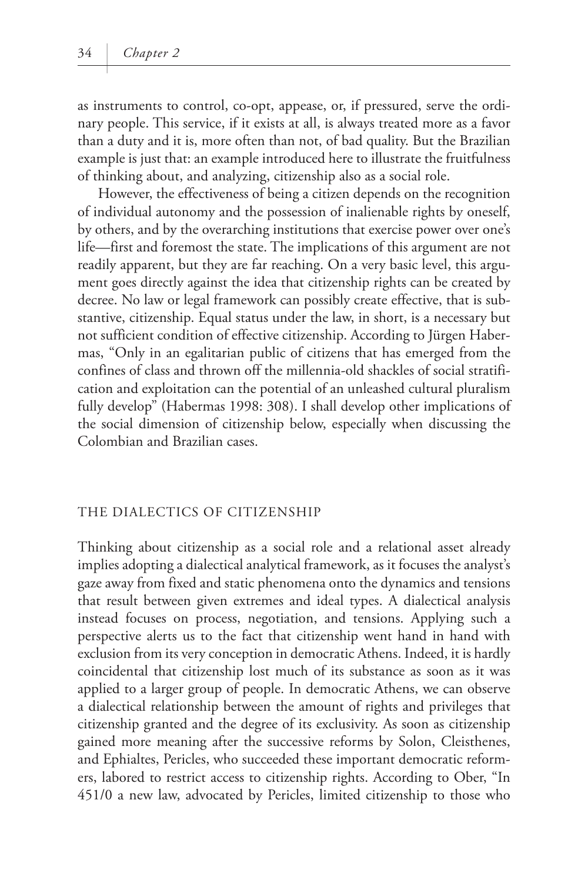as instruments to control, co-opt, appease, or, if pressured, serve the ordinary people. This service, if it exists at all, is always treated more as a favor than a duty and it is, more often than not, of bad quality. But the Brazilian example is just that: an example introduced here to illustrate the fruitfulness of thinking about, and analyzing, citizenship also as a social role.

However, the effectiveness of being a citizen depends on the recognition of individual autonomy and the possession of inalienable rights by oneself, by others, and by the overarching institutions that exercise power over one's life—first and foremost the state. The implications of this argument are not readily apparent, but they are far reaching. On a very basic level, this argument goes directly against the idea that citizenship rights can be created by decree. No law or legal framework can possibly create effective, that is substantive, citizenship. Equal status under the law, in short, is a necessary but not sufficient condition of effective citizenship. According to Jürgen Habermas, "Only in an egalitarian public of citizens that has emerged from the confines of class and thrown off the millennia-old shackles of social stratification and exploitation can the potential of an unleashed cultural pluralism fully develop" (Habermas 1998: 308). I shall develop other implications of the social dimension of citizenship below, especially when discussing the Colombian and Brazilian cases.

### The Dialectics of Citizenship

Thinking about citizenship as a social role and a relational asset already implies adopting a dialectical analytical framework, as it focuses the analyst's gaze away from fixed and static phenomena onto the dynamics and tensions that result between given extremes and ideal types. A dialectical analysis instead focuses on process, negotiation, and tensions. Applying such a perspective alerts us to the fact that citizenship went hand in hand with exclusion from its very conception in democratic Athens. Indeed, it is hardly coincidental that citizenship lost much of its substance as soon as it was applied to a larger group of people. In democratic Athens, we can observe a dialectical relationship between the amount of rights and privileges that citizenship granted and the degree of its exclusivity. As soon as citizenship gained more meaning after the successive reforms by Solon, Cleisthenes, and Ephialtes, Pericles, who succeeded these important democratic reformers, labored to restrict access to citizenship rights. According to Ober, "In 451/0 a new law, advocated by Pericles, limited citizenship to those who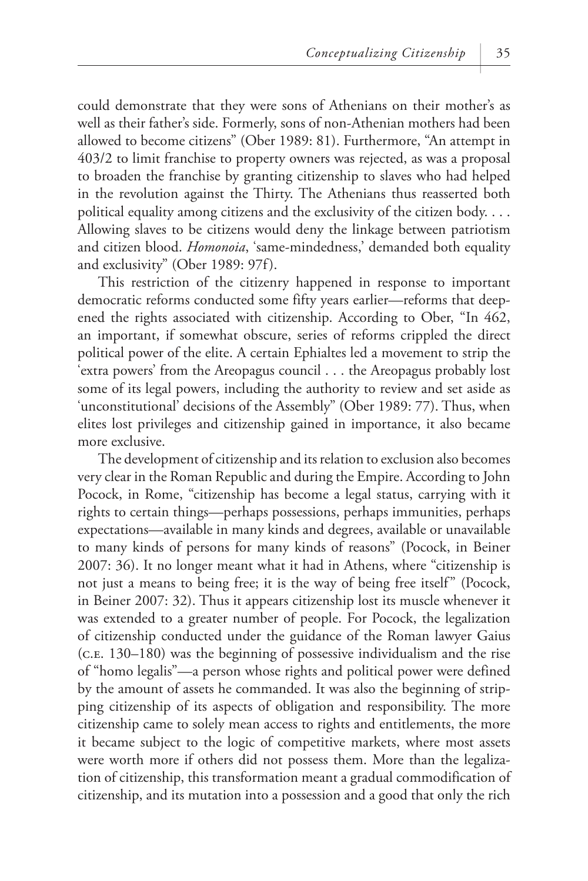could demonstrate that they were sons of Athenians on their mother's as well as their father's side. Formerly, sons of non-Athenian mothers had been allowed to become citizens" (Ober 1989: 81). Furthermore, "An attempt in 403/2 to limit franchise to property owners was rejected, as was a proposal to broaden the franchise by granting citizenship to slaves who had helped in the revolution against the Thirty. The Athenians thus reasserted both political equality among citizens and the exclusivity of the citizen body. . . . Allowing slaves to be citizens would deny the linkage between patriotism and citizen blood. *Homonoia*, 'same-mindedness,' demanded both equality and exclusivity" (Ober 1989: 97f).

This restriction of the citizenry happened in response to important democratic reforms conducted some fifty years earlier—reforms that deepened the rights associated with citizenship. According to Ober, "In 462, an important, if somewhat obscure, series of reforms crippled the direct political power of the elite. A certain Ephialtes led a movement to strip the 'extra powers' from the Areopagus council . . . the Areopagus probably lost some of its legal powers, including the authority to review and set aside as 'unconstitutional' decisions of the Assembly" (Ober 1989: 77). Thus, when elites lost privileges and citizenship gained in importance, it also became more exclusive.

The development of citizenship and its relation to exclusion also becomes very clear in the Roman Republic and during the Empire. According to John Pocock, in Rome, "citizenship has become a legal status, carrying with it rights to certain things—perhaps possessions, perhaps immunities, perhaps expectations—available in many kinds and degrees, available or unavailable to many kinds of persons for many kinds of reasons" (Pocock, in Beiner 2007: 36). It no longer meant what it had in Athens, where "citizenship is not just a means to being free; it is the way of being free itself" (Pocock, in Beiner 2007: 32). Thus it appears citizenship lost its muscle whenever it was extended to a greater number of people. For Pocock, the legalization of citizenship conducted under the guidance of the Roman lawyer Gaius (c.e. 130–180) was the beginning of possessive individualism and the rise of "homo legalis"—a person whose rights and political power were defined by the amount of assets he commanded. It was also the beginning of stripping citizenship of its aspects of obligation and responsibility. The more citizenship came to solely mean access to rights and entitlements, the more it became subject to the logic of competitive markets, where most assets were worth more if others did not possess them. More than the legalization of citizenship, this transformation meant a gradual commodification of citizenship, and its mutation into a possession and a good that only the rich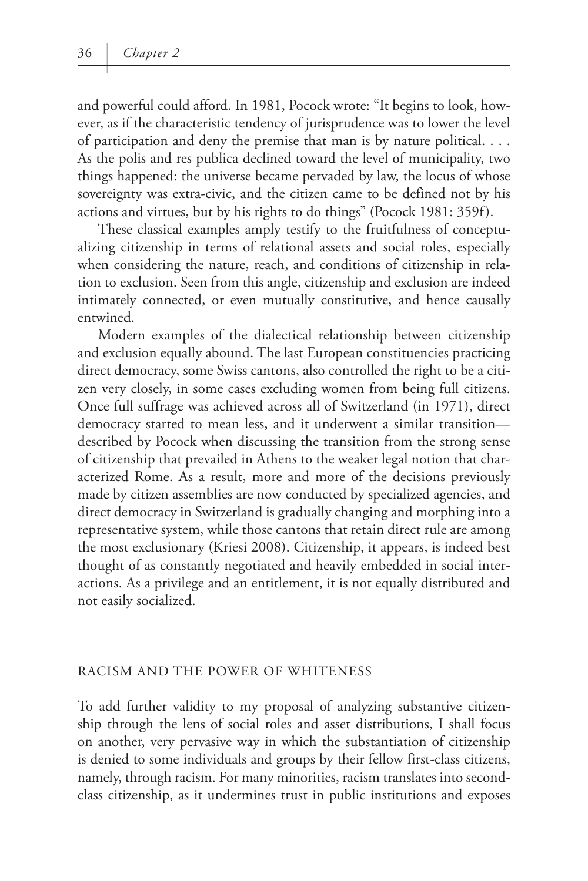and powerful could afford. In 1981, Pocock wrote: "It begins to look, however, as if the characteristic tendency of jurisprudence was to lower the level of participation and deny the premise that man is by nature political. . . . As the polis and res publica declined toward the level of municipality, two things happened: the universe became pervaded by law, the locus of whose sovereignty was extra-civic, and the citizen came to be defined not by his actions and virtues, but by his rights to do things" (Pocock 1981: 359f).

These classical examples amply testify to the fruitfulness of conceptualizing citizenship in terms of relational assets and social roles, especially when considering the nature, reach, and conditions of citizenship in relation to exclusion. Seen from this angle, citizenship and exclusion are indeed intimately connected, or even mutually constitutive, and hence causally entwined.

Modern examples of the dialectical relationship between citizenship and exclusion equally abound. The last European constituencies practicing direct democracy, some Swiss cantons, also controlled the right to be a citizen very closely, in some cases excluding women from being full citizens. Once full suffrage was achieved across all of Switzerland (in 1971), direct democracy started to mean less, and it underwent a similar transition described by Pocock when discussing the transition from the strong sense of citizenship that prevailed in Athens to the weaker legal notion that characterized Rome. As a result, more and more of the decisions previously made by citizen assemblies are now conducted by specialized agencies, and direct democracy in Switzerland is gradually changing and morphing into a representative system, while those cantons that retain direct rule are among the most exclusionary (Kriesi 2008). Citizenship, it appears, is indeed best thought of as constantly negotiated and heavily embedded in social interactions. As a privilege and an entitlement, it is not equally distributed and not easily socialized.

#### Racism and the Power of Whiteness

To add further validity to my proposal of analyzing substantive citizenship through the lens of social roles and asset distributions, I shall focus on another, very pervasive way in which the substantiation of citizenship is denied to some individuals and groups by their fellow first-class citizens, namely, through racism. For many minorities, racism translates into secondclass citizenship, as it undermines trust in public institutions and exposes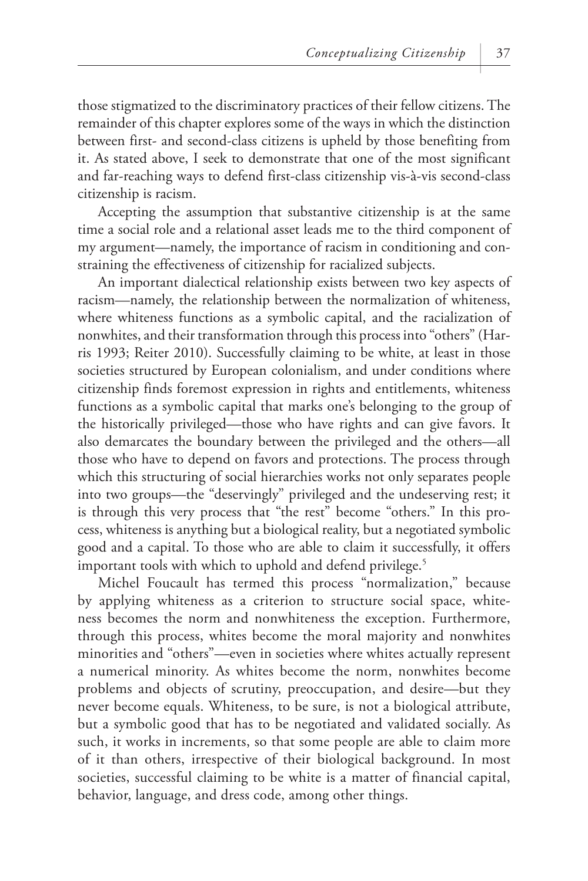those stigmatized to the discriminatory practices of their fellow citizens. The remainder of this chapter explores some of the ways in which the distinction between first- and second-class citizens is upheld by those benefiting from it. As stated above, I seek to demonstrate that one of the most significant and far-reaching ways to defend first-class citizenship vis-à-vis second-class citizenship is racism.

Accepting the assumption that substantive citizenship is at the same time a social role and a relational asset leads me to the third component of my argument—namely, the importance of racism in conditioning and constraining the effectiveness of citizenship for racialized subjects.

An important dialectical relationship exists between two key aspects of racism—namely, the relationship between the normalization of whiteness, where whiteness functions as a symbolic capital, and the racialization of nonwhites, and their transformation through this process into "others" (Harris 1993; Reiter 2010). Successfully claiming to be white, at least in those societies structured by European colonialism, and under conditions where citizenship finds foremost expression in rights and entitlements, whiteness functions as a symbolic capital that marks one's belonging to the group of the historically privileged—those who have rights and can give favors. It also demarcates the boundary between the privileged and the others—all those who have to depend on favors and protections. The process through which this structuring of social hierarchies works not only separates people into two groups—the "deservingly" privileged and the undeserving rest; it is through this very process that "the rest" become "others." In this process, whiteness is anything but a biological reality, but a negotiated symbolic good and a capital. To those who are able to claim it successfully, it offers important tools with which to uphold and defend privilege.<sup>5</sup>

Michel Foucault has termed this process "normalization," because by applying whiteness as a criterion to structure social space, whiteness becomes the norm and nonwhiteness the exception. Furthermore, through this process, whites become the moral majority and nonwhites minorities and "others"—even in societies where whites actually represent a numerical minority. As whites become the norm, nonwhites become problems and objects of scrutiny, preoccupation, and desire—but they never become equals. Whiteness, to be sure, is not a biological attribute, but a symbolic good that has to be negotiated and validated socially. As such, it works in increments, so that some people are able to claim more of it than others, irrespective of their biological background. In most societies, successful claiming to be white is a matter of financial capital, behavior, language, and dress code, among other things.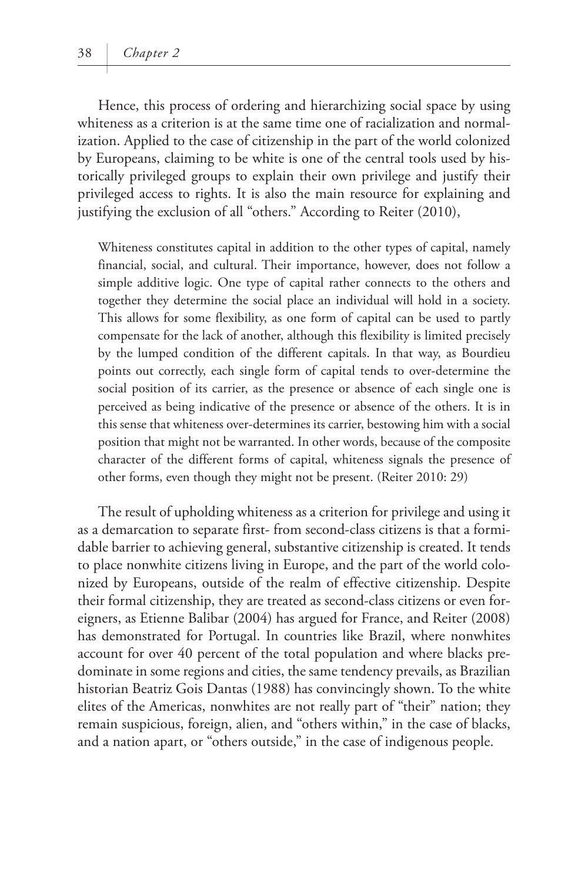Hence, this process of ordering and hierarchizing social space by using whiteness as a criterion is at the same time one of racialization and normalization. Applied to the case of citizenship in the part of the world colonized by Europeans, claiming to be white is one of the central tools used by historically privileged groups to explain their own privilege and justify their privileged access to rights. It is also the main resource for explaining and justifying the exclusion of all "others." According to Reiter (2010),

Whiteness constitutes capital in addition to the other types of capital, namely financial, social, and cultural. Their importance, however, does not follow a simple additive logic. One type of capital rather connects to the others and together they determine the social place an individual will hold in a society. This allows for some flexibility, as one form of capital can be used to partly compensate for the lack of another, although this flexibility is limited precisely by the lumped condition of the different capitals. In that way, as Bourdieu points out correctly, each single form of capital tends to over-determine the social position of its carrier, as the presence or absence of each single one is perceived as being indicative of the presence or absence of the others. It is in this sense that whiteness over-determines its carrier, bestowing him with a social position that might not be warranted. In other words, because of the composite character of the different forms of capital, whiteness signals the presence of other forms, even though they might not be present. (Reiter 2010: 29)

The result of upholding whiteness as a criterion for privilege and using it as a demarcation to separate first- from second-class citizens is that a formidable barrier to achieving general, substantive citizenship is created. It tends to place nonwhite citizens living in Europe, and the part of the world colonized by Europeans, outside of the realm of effective citizenship. Despite their formal citizenship, they are treated as second-class citizens or even foreigners, as Etienne Balibar (2004) has argued for France, and Reiter (2008) has demonstrated for Portugal. In countries like Brazil, where nonwhites account for over 40 percent of the total population and where blacks predominate in some regions and cities, the same tendency prevails, as Brazilian historian Beatriz Gois Dantas (1988) has convincingly shown. To the white elites of the Americas, nonwhites are not really part of "their" nation; they remain suspicious, foreign, alien, and "others within," in the case of blacks, and a nation apart, or "others outside," in the case of indigenous people.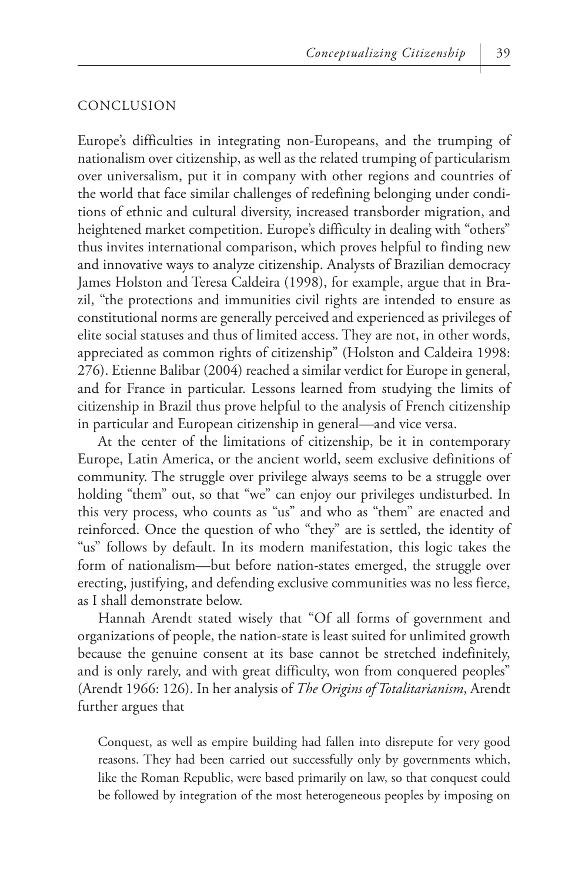#### Conclusion

Europe's difficulties in integrating non-Europeans, and the trumping of nationalism over citizenship, as well as the related trumping of particularism over universalism, put it in company with other regions and countries of the world that face similar challenges of redefining belonging under conditions of ethnic and cultural diversity, increased transborder migration, and heightened market competition. Europe's difficulty in dealing with "others" thus invites international comparison, which proves helpful to finding new and innovative ways to analyze citizenship. Analysts of Brazilian democracy James Holston and Teresa Caldeira (1998), for example, argue that in Brazil, "the protections and immunities civil rights are intended to ensure as constitutional norms are generally perceived and experienced as privileges of elite social statuses and thus of limited access. They are not, in other words, appreciated as common rights of citizenship" (Holston and Caldeira 1998: 276). Etienne Balibar (2004) reached a similar verdict for Europe in general, and for France in particular. Lessons learned from studying the limits of citizenship in Brazil thus prove helpful to the analysis of French citizenship in particular and European citizenship in general—and vice versa.

At the center of the limitations of citizenship, be it in contemporary Europe, Latin America, or the ancient world, seem exclusive definitions of community. The struggle over privilege always seems to be a struggle over holding "them" out, so that "we" can enjoy our privileges undisturbed. In this very process, who counts as "us" and who as "them" are enacted and reinforced. Once the question of who "they" are is settled, the identity of "us" follows by default. In its modern manifestation, this logic takes the form of nationalism—but before nation-states emerged, the struggle over erecting, justifying, and defending exclusive communities was no less fierce, as I shall demonstrate below.

Hannah Arendt stated wisely that "Of all forms of government and organizations of people, the nation-state is least suited for unlimited growth because the genuine consent at its base cannot be stretched indefinitely, and is only rarely, and with great difficulty, won from conquered peoples" (Arendt 1966: 126). In her analysis of *The Origins of Totalitarianism*, Arendt further argues that

Conquest, as well as empire building had fallen into disrepute for very good reasons. They had been carried out successfully only by governments which, like the Roman Republic, were based primarily on law, so that conquest could be followed by integration of the most heterogeneous peoples by imposing on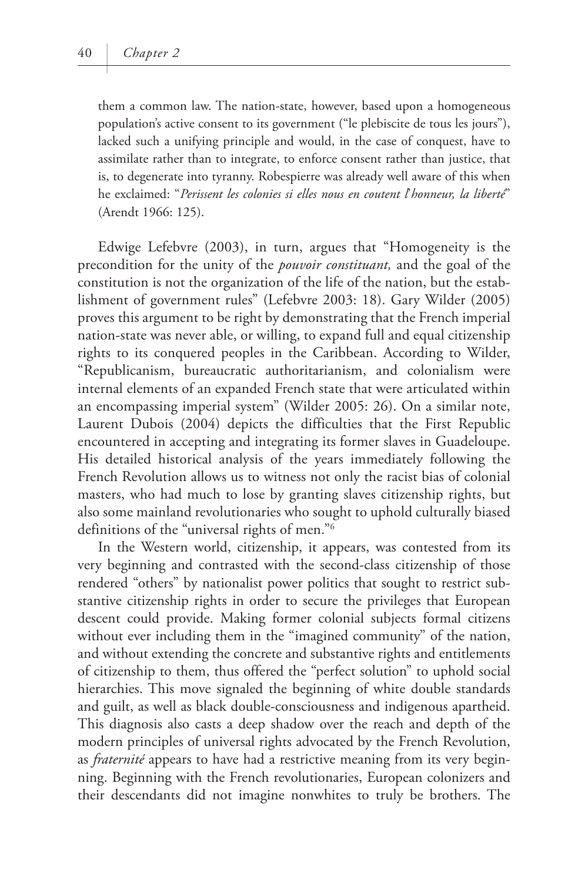them a common law. The nation-state, however, based upon a homogeneous population's active consent to its government ("le plebiscite de tous les jours"), lacked such a unifying principle and would, in the case of conquest, have to assimilate rather than to integrate, to enforce consent rather than justice, that is, to degenerate into tyranny. Robespierre was already well aware of this when he exclaimed: "*Perissent les colonies si elles nous en coutent l*'*honneur, la liberté*" (Arendt 1966: 125).

Edwige Lefebvre (2003), in turn, argues that "Homogeneity is the precondition for the unity of the *pouvoir constituant,* and the goal of the constitution is not the organization of the life of the nation, but the establishment of government rules" (Lefebvre 2003: 18). Gary Wilder (2005) proves this argument to be right by demonstrating that the French imperial nation-state was never able, or willing, to expand full and equal citizenship rights to its conquered peoples in the Caribbean. According to Wilder, "Republicanism, bureaucratic authoritarianism, and colonialism were internal elements of an expanded French state that were articulated within an encompassing imperial system" (Wilder 2005: 26). On a similar note, Laurent Dubois (2004) depicts the difficulties that the First Republic encountered in accepting and integrating its former slaves in Guadeloupe. His detailed historical analysis of the years immediately following the French Revolution allows us to witness not only the racist bias of colonial masters, who had much to lose by granting slaves citizenship rights, but also some mainland revolutionaries who sought to uphold culturally biased definitions of the "universal rights of men."6

In the Western world, citizenship, it appears, was contested from its very beginning and contrasted with the second-class citizenship of those rendered "others" by nationalist power politics that sought to restrict substantive citizenship rights in order to secure the privileges that European descent could provide. Making former colonial subjects formal citizens without ever including them in the "imagined community" of the nation, and without extending the concrete and substantive rights and entitlements of citizenship to them, thus offered the "perfect solution" to uphold social hierarchies. This move signaled the beginning of white double standards and guilt, as well as black double-consciousness and indigenous apartheid. This diagnosis also casts a deep shadow over the reach and depth of the modern principles of universal rights advocated by the French Revolution, as *fraternité* appears to have had a restrictive meaning from its very beginning. Beginning with the French revolutionaries, European colonizers and their descendants did not imagine nonwhites to truly be brothers. The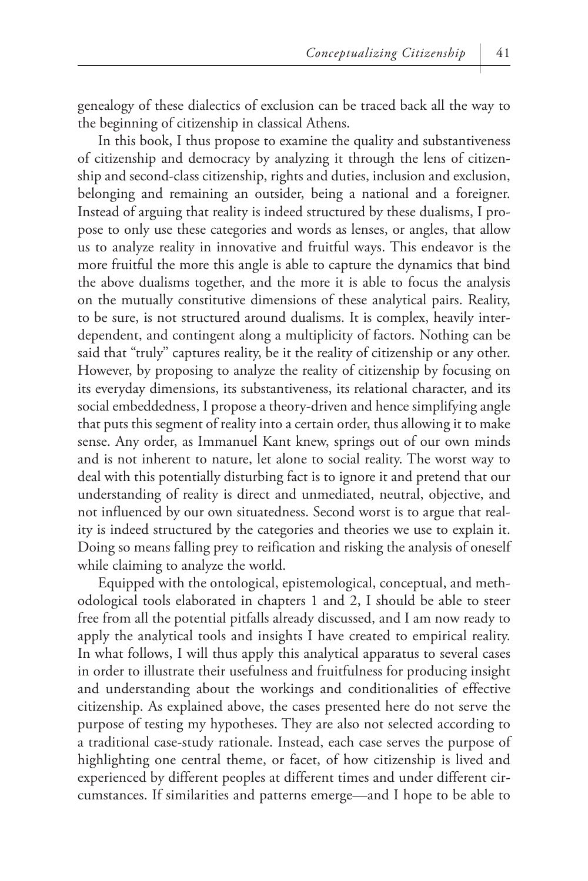genealogy of these dialectics of exclusion can be traced back all the way to the beginning of citizenship in classical Athens.

In this book, I thus propose to examine the quality and substantiveness of citizenship and democracy by analyzing it through the lens of citizenship and second-class citizenship, rights and duties, inclusion and exclusion, belonging and remaining an outsider, being a national and a foreigner. Instead of arguing that reality is indeed structured by these dualisms, I propose to only use these categories and words as lenses, or angles, that allow us to analyze reality in innovative and fruitful ways. This endeavor is the more fruitful the more this angle is able to capture the dynamics that bind the above dualisms together, and the more it is able to focus the analysis on the mutually constitutive dimensions of these analytical pairs. Reality, to be sure, is not structured around dualisms. It is complex, heavily interdependent, and contingent along a multiplicity of factors. Nothing can be said that "truly" captures reality, be it the reality of citizenship or any other. However, by proposing to analyze the reality of citizenship by focusing on its everyday dimensions, its substantiveness, its relational character, and its social embeddedness, I propose a theory-driven and hence simplifying angle that puts this segment of reality into a certain order, thus allowing it to make sense. Any order, as Immanuel Kant knew, springs out of our own minds and is not inherent to nature, let alone to social reality. The worst way to deal with this potentially disturbing fact is to ignore it and pretend that our understanding of reality is direct and unmediated, neutral, objective, and not influenced by our own situatedness. Second worst is to argue that reality is indeed structured by the categories and theories we use to explain it. Doing so means falling prey to reification and risking the analysis of oneself while claiming to analyze the world.

Equipped with the ontological, epistemological, conceptual, and methodological tools elaborated in chapters 1 and 2, I should be able to steer free from all the potential pitfalls already discussed, and I am now ready to apply the analytical tools and insights I have created to empirical reality. In what follows, I will thus apply this analytical apparatus to several cases in order to illustrate their usefulness and fruitfulness for producing insight and understanding about the workings and conditionalities of effective citizenship. As explained above, the cases presented here do not serve the purpose of testing my hypotheses. They are also not selected according to a traditional case-study rationale. Instead, each case serves the purpose of highlighting one central theme, or facet, of how citizenship is lived and experienced by different peoples at different times and under different circumstances. If similarities and patterns emerge—and I hope to be able to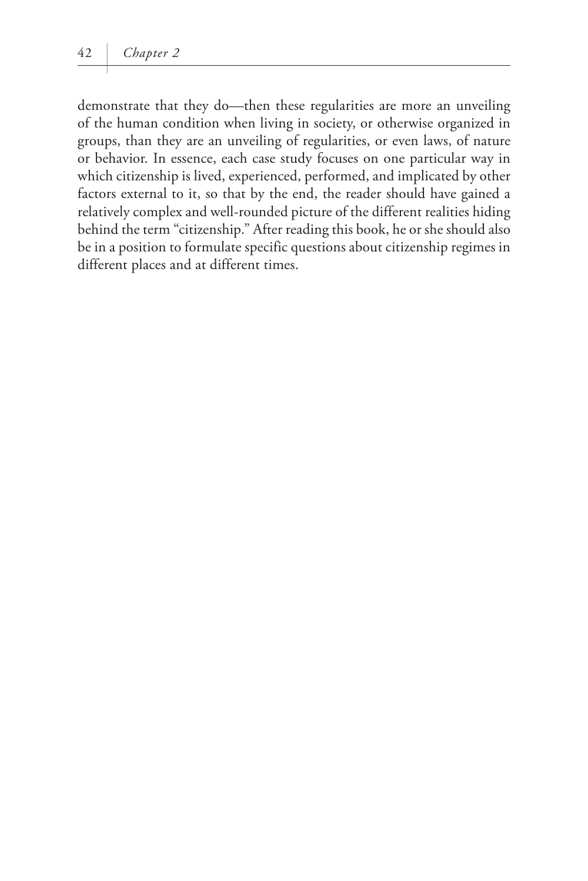demonstrate that they do—then these regularities are more an unveiling of the human condition when living in society, or otherwise organized in groups, than they are an unveiling of regularities, or even laws, of nature or behavior. In essence, each case study focuses on one particular way in which citizenship is lived, experienced, performed, and implicated by other factors external to it, so that by the end, the reader should have gained a relatively complex and well-rounded picture of the different realities hiding behind the term "citizenship." After reading this book, he or she should also be in a position to formulate specific questions about citizenship regimes in different places and at different times.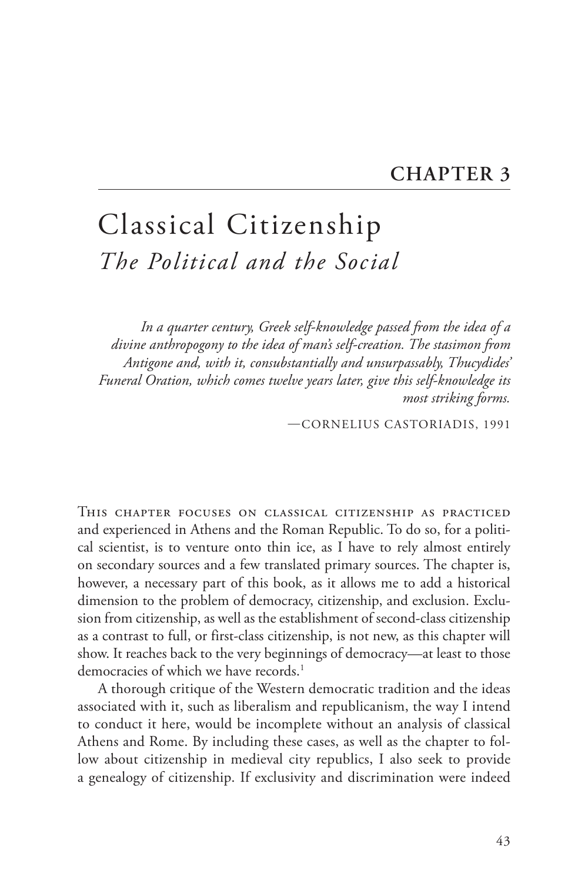# **Chapter 3**

# Classical Citizenship *The Political and the Social*

*In a quarter century, Greek self-knowledge passed from the idea of a divine anthropogony to the idea of man's self-creation. The stasimon from Antigone and, with it, consubstantially and unsurpassably, Thucydides' Funeral Oration, which comes twelve years later, give this self-knowledge its most striking forms.*

—Cornelius Castoriadis, 1991

This chapter focuses on classical citizenship as practiced and experienced in Athens and the Roman Republic. To do so, for a political scientist, is to venture onto thin ice, as I have to rely almost entirely on secondary sources and a few translated primary sources. The chapter is, however, a necessary part of this book, as it allows me to add a historical dimension to the problem of democracy, citizenship, and exclusion. Exclusion from citizenship, as well as the establishment of second-class citizenship as a contrast to full, or first-class citizenship, is not new, as this chapter will show. It reaches back to the very beginnings of democracy—at least to those democracies of which we have records.<sup>1</sup>

A thorough critique of the Western democratic tradition and the ideas associated with it, such as liberalism and republicanism, the way I intend to conduct it here, would be incomplete without an analysis of classical Athens and Rome. By including these cases, as well as the chapter to follow about citizenship in medieval city republics, I also seek to provide a genealogy of citizenship. If exclusivity and discrimination were indeed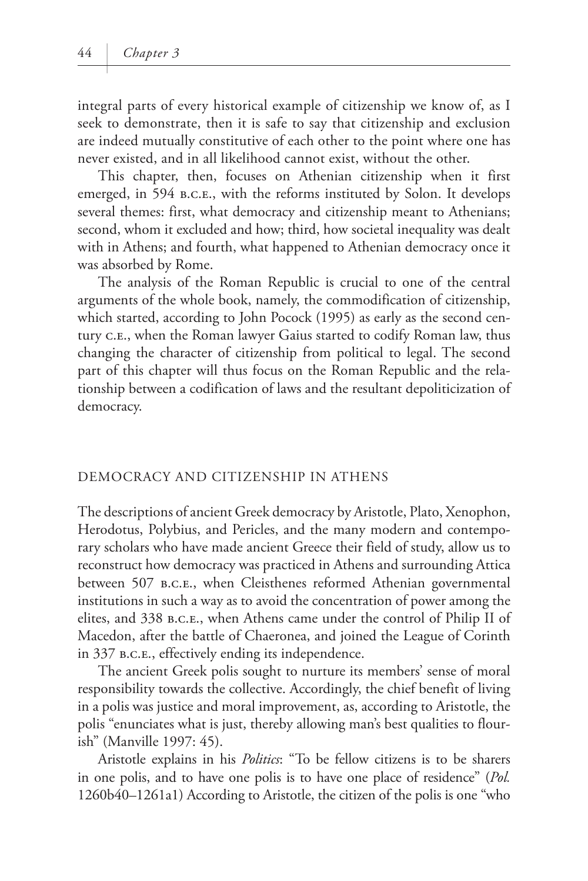integral parts of every historical example of citizenship we know of, as I seek to demonstrate, then it is safe to say that citizenship and exclusion are indeed mutually constitutive of each other to the point where one has never existed, and in all likelihood cannot exist, without the other.

This chapter, then, focuses on Athenian citizenship when it first emerged, in 594 b.c.e., with the reforms instituted by Solon. It develops several themes: first, what democracy and citizenship meant to Athenians; second, whom it excluded and how; third, how societal inequality was dealt with in Athens; and fourth, what happened to Athenian democracy once it was absorbed by Rome.

The analysis of the Roman Republic is crucial to one of the central arguments of the whole book, namely, the commodification of citizenship, which started, according to John Pocock (1995) as early as the second century c.e., when the Roman lawyer Gaius started to codify Roman law, thus changing the character of citizenship from political to legal. The second part of this chapter will thus focus on the Roman Republic and the relationship between a codification of laws and the resultant depoliticization of democracy.

#### Democracy and Citizenship in Athens

The descriptions of ancient Greek democracy by Aristotle, Plato, Xenophon, Herodotus, Polybius, and Pericles, and the many modern and contemporary scholars who have made ancient Greece their field of study, allow us to reconstruct how democracy was practiced in Athens and surrounding Attica between 507 B.C.E., when Cleisthenes reformed Athenian governmental institutions in such a way as to avoid the concentration of power among the elites, and 338 b.c.e., when Athens came under the control of Philip II of Macedon, after the battle of Chaeronea, and joined the League of Corinth in 337 b.c.e., effectively ending its independence.

The ancient Greek polis sought to nurture its members' sense of moral responsibility towards the collective. Accordingly, the chief benefit of living in a polis was justice and moral improvement, as, according to Aristotle, the polis "enunciates what is just, thereby allowing man's best qualities to flourish" (Manville 1997: 45).

Aristotle explains in his *Politics*: "To be fellow citizens is to be sharers in one polis, and to have one polis is to have one place of residence" (*Pol.* 1260b40–1261a1) According to Aristotle, the citizen of the polis is one "who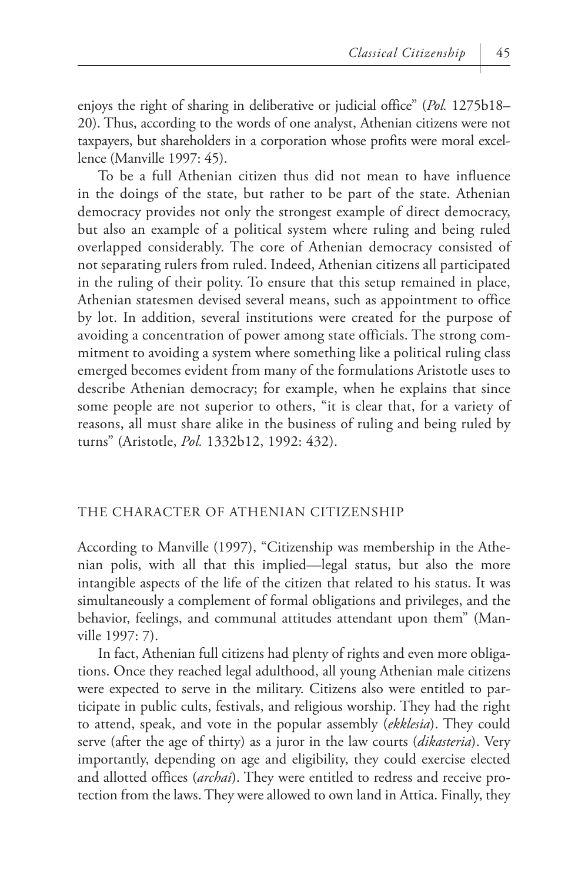enjoys the right of sharing in deliberative or judicial office" (*Pol.* 1275b18– 20). Thus, according to the words of one analyst, Athenian citizens were not taxpayers, but shareholders in a corporation whose profits were moral excellence (Manville 1997: 45).

To be a full Athenian citizen thus did not mean to have influence in the doings of the state, but rather to be part of the state. Athenian democracy provides not only the strongest example of direct democracy, but also an example of a political system where ruling and being ruled overlapped considerably. The core of Athenian democracy consisted of not separating rulers from ruled. Indeed, Athenian citizens all participated in the ruling of their polity. To ensure that this setup remained in place, Athenian statesmen devised several means, such as appointment to office by lot. In addition, several institutions were created for the purpose of avoiding a concentration of power among state officials. The strong commitment to avoiding a system where something like a political ruling class emerged becomes evident from many of the formulations Aristotle uses to describe Athenian democracy; for example, when he explains that since some people are not superior to others, "it is clear that, for a variety of reasons, all must share alike in the business of ruling and being ruled by turns" (Aristotle, *Pol.* 1332b12, 1992: 432).

### The Character of Athenian Citizenship

According to Manville (1997), "Citizenship was membership in the Athenian polis, with all that this implied—legal status, but also the more intangible aspects of the life of the citizen that related to his status. It was simultaneously a complement of formal obligations and privileges, and the behavior, feelings, and communal attitudes attendant upon them" (Manville 1997: 7).

In fact, Athenian full citizens had plenty of rights and even more obligations. Once they reached legal adulthood, all young Athenian male citizens were expected to serve in the military. Citizens also were entitled to participate in public cults, festivals, and religious worship. They had the right to attend, speak, and vote in the popular assembly (*ekklesia*). They could serve (after the age of thirty) as a juror in the law courts (*dikasteria*). Very importantly, depending on age and eligibility, they could exercise elected and allotted offices (*archai*). They were entitled to redress and receive protection from the laws. They were allowed to own land in Attica. Finally, they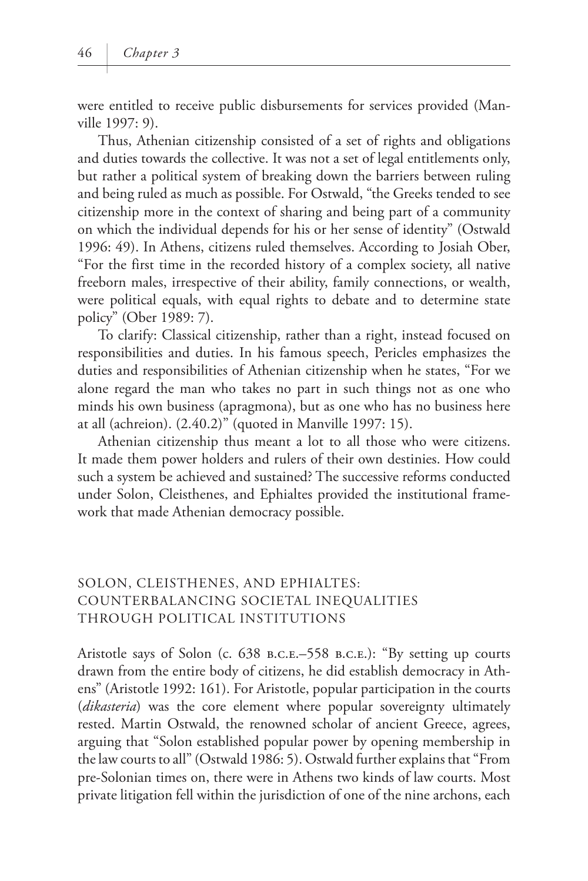were entitled to receive public disbursements for services provided (Manville 1997: 9).

Thus, Athenian citizenship consisted of a set of rights and obligations and duties towards the collective. It was not a set of legal entitlements only, but rather a political system of breaking down the barriers between ruling and being ruled as much as possible. For Ostwald, "the Greeks tended to see citizenship more in the context of sharing and being part of a community on which the individual depends for his or her sense of identity" (Ostwald 1996: 49). In Athens, citizens ruled themselves. According to Josiah Ober, "For the first time in the recorded history of a complex society, all native freeborn males, irrespective of their ability, family connections, or wealth, were political equals, with equal rights to debate and to determine state policy" (Ober 1989: 7).

To clarify: Classical citizenship, rather than a right, instead focused on responsibilities and duties. In his famous speech, Pericles emphasizes the duties and responsibilities of Athenian citizenship when he states, "For we alone regard the man who takes no part in such things not as one who minds his own business (apragmona), but as one who has no business here at all (achreion). (2.40.2)" (quoted in Manville 1997: 15).

Athenian citizenship thus meant a lot to all those who were citizens. It made them power holders and rulers of their own destinies. How could such a system be achieved and sustained? The successive reforms conducted under Solon, Cleisthenes, and Ephialtes provided the institutional framework that made Athenian democracy possible.

# Solon, Cleisthenes, and Ephialtes: Counterbalancing Societal Inequalities through Political Institutions

Aristotle says of Solon (c. 638 B.C.E.–558 B.C.E.): "By setting up courts drawn from the entire body of citizens, he did establish democracy in Athens" (Aristotle 1992: 161). For Aristotle, popular participation in the courts (*dikasteria*) was the core element where popular sovereignty ultimately rested. Martin Ostwald, the renowned scholar of ancient Greece, agrees, arguing that "Solon established popular power by opening membership in the law courts to all" (Ostwald 1986: 5). Ostwald further explains that "From pre-Solonian times on, there were in Athens two kinds of law courts. Most private litigation fell within the jurisdiction of one of the nine archons, each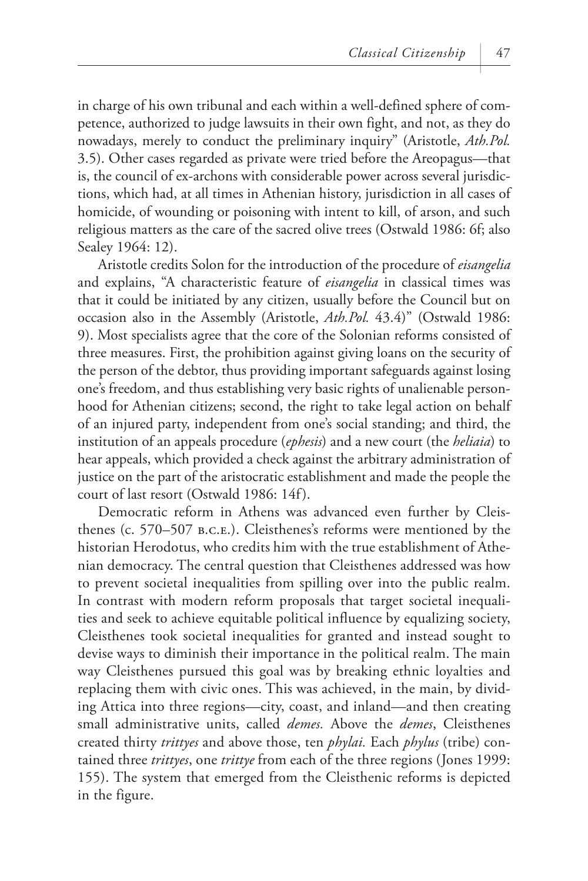in charge of his own tribunal and each within a well-defined sphere of competence, authorized to judge lawsuits in their own fight, and not, as they do nowadays, merely to conduct the preliminary inquiry" (Aristotle, *Ath.Pol.* 3.5). Other cases regarded as private were tried before the Areopagus—that is, the council of ex-archons with considerable power across several jurisdictions, which had, at all times in Athenian history, jurisdiction in all cases of homicide, of wounding or poisoning with intent to kill, of arson, and such religious matters as the care of the sacred olive trees (Ostwald 1986: 6f; also Sealey 1964: 12).

Aristotle credits Solon for the introduction of the procedure of *eisangelia* and explains, "A characteristic feature of *eisangelia* in classical times was that it could be initiated by any citizen, usually before the Council but on occasion also in the Assembly (Aristotle, *Ath.Pol.* 43.4)" (Ostwald 1986: 9). Most specialists agree that the core of the Solonian reforms consisted of three measures. First, the prohibition against giving loans on the security of the person of the debtor, thus providing important safeguards against losing one's freedom, and thus establishing very basic rights of unalienable personhood for Athenian citizens; second, the right to take legal action on behalf of an injured party, independent from one's social standing; and third, the institution of an appeals procedure (*ephesis*) and a new court (the *heliaia*) to hear appeals, which provided a check against the arbitrary administration of justice on the part of the aristocratic establishment and made the people the court of last resort (Ostwald 1986: 14f).

Democratic reform in Athens was advanced even further by Cleisthenes (c. 570–507 b.c.e.). Cleisthenes's reforms were mentioned by the historian Herodotus, who credits him with the true establishment of Athenian democracy. The central question that Cleisthenes addressed was how to prevent societal inequalities from spilling over into the public realm. In contrast with modern reform proposals that target societal inequalities and seek to achieve equitable political influence by equalizing society, Cleisthenes took societal inequalities for granted and instead sought to devise ways to diminish their importance in the political realm. The main way Cleisthenes pursued this goal was by breaking ethnic loyalties and replacing them with civic ones. This was achieved, in the main, by dividing Attica into three regions—city, coast, and inland—and then creating small administrative units, called *demes.* Above the *demes*, Cleisthenes created thirty *trittyes* and above those, ten *phylai.* Each *phylus* (tribe) contained three *trittyes*, one *trittye* from each of the three regions (Jones 1999: 155). The system that emerged from the Cleisthenic reforms is depicted in the figure.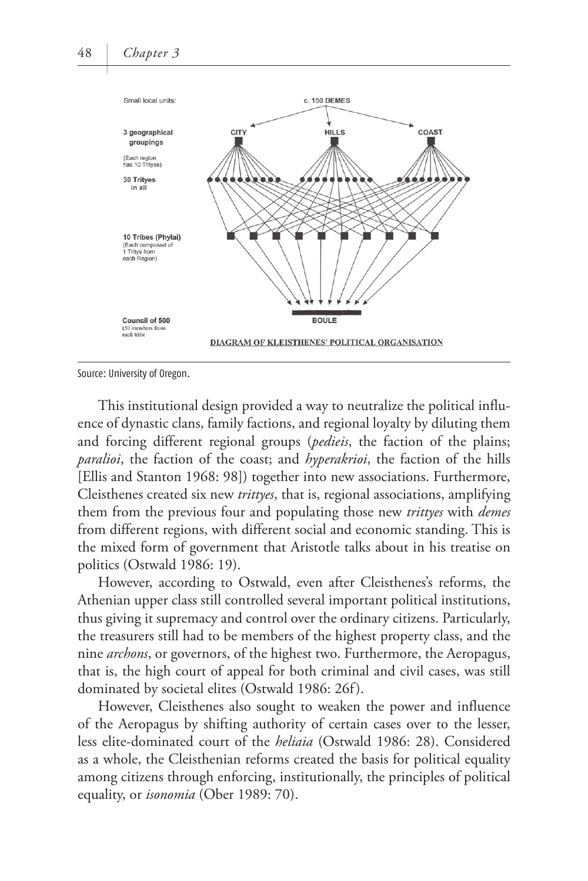

Source: University of Oregon.

This institutional design provided a way to neutralize the political influence of dynastic clans, family factions, and regional loyalty by diluting them and forcing different regional groups (*pedieis*, the faction of the plains; *paralioi*, the faction of the coast; and *hyperakrioi*, the faction of the hills [Ellis and Stanton 1968: 98]) together into new associations. Furthermore, Cleisthenes created six new *trittyes*, that is, regional associations, amplifying them from the previous four and populating those new *trittyes* with *demes* from different regions, with different social and economic standing. This is the mixed form of government that Aristotle talks about in his treatise on politics (Ostwald 1986: 19).

However, according to Ostwald, even after Cleisthenes's reforms, the Athenian upper class still controlled several important political institutions, thus giving it supremacy and control over the ordinary citizens. Particularly, the treasurers still had to be members of the highest property class, and the nine *archons*, or governors, of the highest two. Furthermore, the Aeropagus, that is, the high court of appeal for both criminal and civil cases, was still dominated by societal elites (Ostwald 1986: 26f).

However, Cleisthenes also sought to weaken the power and influence of the Aeropagus by shifting authority of certain cases over to the lesser, less elite-dominated court of the *heliaia* (Ostwald 1986: 28). Considered as a whole, the Cleisthenian reforms created the basis for political equality among citizens through enforcing, institutionally, the principles of political equality, or *isonomia* (Ober 1989: 70).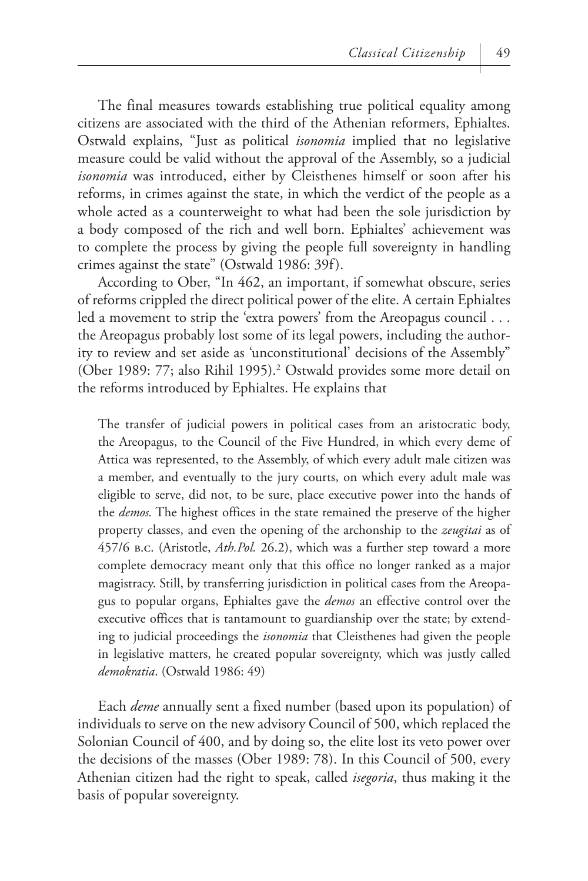The final measures towards establishing true political equality among citizens are associated with the third of the Athenian reformers, Ephialtes. Ostwald explains, "Just as political *isonomia* implied that no legislative measure could be valid without the approval of the Assembly, so a judicial *isonomia* was introduced, either by Cleisthenes himself or soon after his reforms, in crimes against the state, in which the verdict of the people as a whole acted as a counterweight to what had been the sole jurisdiction by a body composed of the rich and well born. Ephialtes' achievement was to complete the process by giving the people full sovereignty in handling crimes against the state" (Ostwald 1986: 39f).

According to Ober, "In 462, an important, if somewhat obscure, series of reforms crippled the direct political power of the elite. A certain Ephialtes led a movement to strip the 'extra powers' from the Areopagus council . . . the Areopagus probably lost some of its legal powers, including the authority to review and set aside as 'unconstitutional' decisions of the Assembly" (Ober 1989: 77; also Rihil 1995).<sup>2</sup> Ostwald provides some more detail on the reforms introduced by Ephialtes. He explains that

The transfer of judicial powers in political cases from an aristocratic body, the Areopagus, to the Council of the Five Hundred, in which every deme of Attica was represented, to the Assembly, of which every adult male citizen was a member, and eventually to the jury courts, on which every adult male was eligible to serve, did not, to be sure, place executive power into the hands of the *demos.* The highest offices in the state remained the preserve of the higher property classes, and even the opening of the archonship to the *zeugitai* as of 457/6 b.c. (Aristotle, *Ath.Pol.* 26.2), which was a further step toward a more complete democracy meant only that this office no longer ranked as a major magistracy. Still, by transferring jurisdiction in political cases from the Areopagus to popular organs, Ephialtes gave the *demos* an effective control over the executive offices that is tantamount to guardianship over the state; by extending to judicial proceedings the *isonomia* that Cleisthenes had given the people in legislative matters, he created popular sovereignty, which was justly called *demokratia*. (Ostwald 1986: 49)

Each *deme* annually sent a fixed number (based upon its population) of individuals to serve on the new advisory Council of 500, which replaced the Solonian Council of 400, and by doing so, the elite lost its veto power over the decisions of the masses (Ober 1989: 78). In this Council of 500, every Athenian citizen had the right to speak, called *isegoria*, thus making it the basis of popular sovereignty.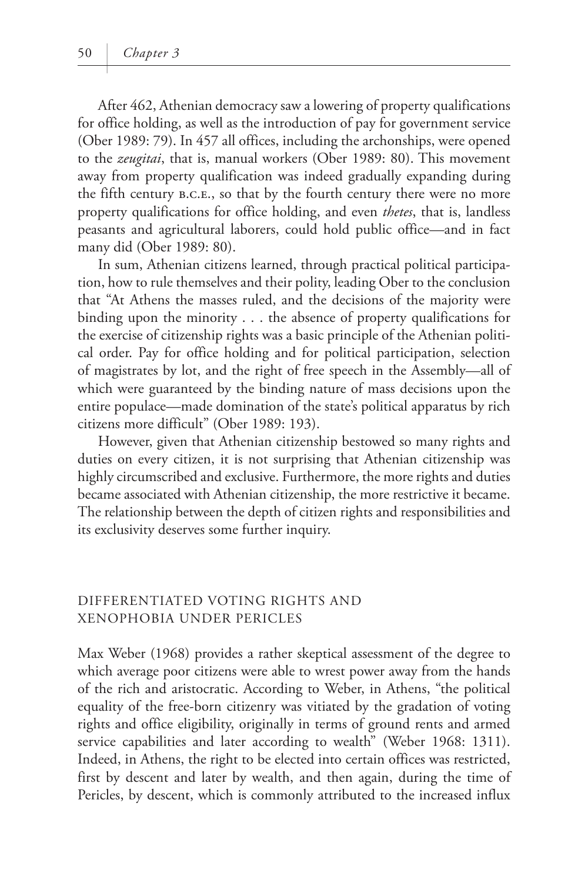After 462, Athenian democracy saw a lowering of property qualifications for office holding, as well as the introduction of pay for government service (Ober 1989: 79). In 457 all offices, including the archonships, were opened to the *zeugitai*, that is, manual workers (Ober 1989: 80). This movement away from property qualification was indeed gradually expanding during the fifth century b.c.e., so that by the fourth century there were no more property qualifications for office holding, and even *thetes*, that is, landless peasants and agricultural laborers, could hold public office—and in fact many did (Ober 1989: 80).

In sum, Athenian citizens learned, through practical political participation, how to rule themselves and their polity, leading Ober to the conclusion that "At Athens the masses ruled, and the decisions of the majority were binding upon the minority . . . the absence of property qualifications for the exercise of citizenship rights was a basic principle of the Athenian political order. Pay for office holding and for political participation, selection of magistrates by lot, and the right of free speech in the Assembly—all of which were guaranteed by the binding nature of mass decisions upon the entire populace—made domination of the state's political apparatus by rich citizens more difficult" (Ober 1989: 193).

However, given that Athenian citizenship bestowed so many rights and duties on every citizen, it is not surprising that Athenian citizenship was highly circumscribed and exclusive. Furthermore, the more rights and duties became associated with Athenian citizenship, the more restrictive it became. The relationship between the depth of citizen rights and responsibilities and its exclusivity deserves some further inquiry.

### Differentiated Voting Rights and Xenophobia under Pericles

Max Weber (1968) provides a rather skeptical assessment of the degree to which average poor citizens were able to wrest power away from the hands of the rich and aristocratic. According to Weber, in Athens, "the political equality of the free-born citizenry was vitiated by the gradation of voting rights and office eligibility, originally in terms of ground rents and armed service capabilities and later according to wealth" (Weber 1968: 1311). Indeed, in Athens, the right to be elected into certain offices was restricted, first by descent and later by wealth, and then again, during the time of Pericles, by descent, which is commonly attributed to the increased influx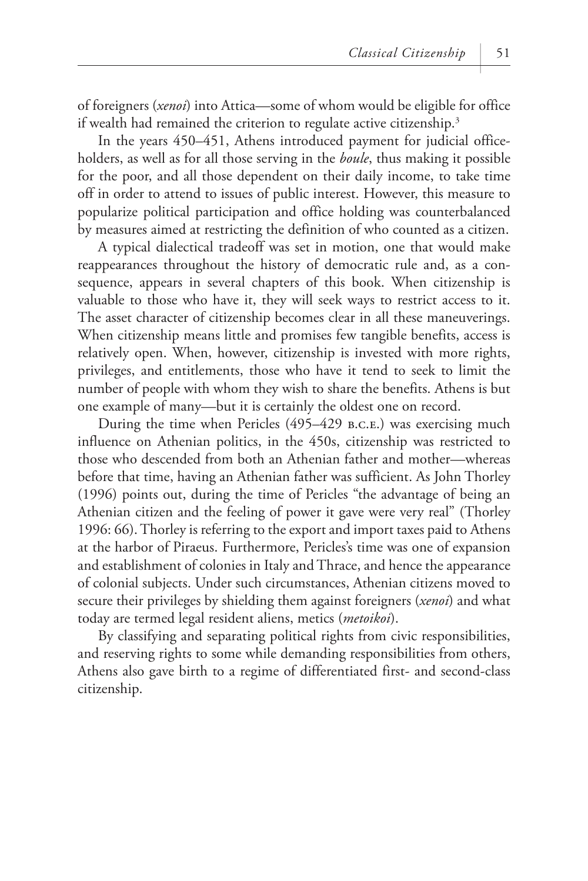of foreigners (*xenoi*) into Attica—some of whom would be eligible for office if wealth had remained the criterion to regulate active citizenship.<sup>3</sup>

In the years 450–451, Athens introduced payment for judicial officeholders, as well as for all those serving in the *boule*, thus making it possible for the poor, and all those dependent on their daily income, to take time off in order to attend to issues of public interest. However, this measure to popularize political participation and office holding was counterbalanced by measures aimed at restricting the definition of who counted as a citizen.

A typical dialectical tradeoff was set in motion, one that would make reappearances throughout the history of democratic rule and, as a consequence, appears in several chapters of this book. When citizenship is valuable to those who have it, they will seek ways to restrict access to it. The asset character of citizenship becomes clear in all these maneuverings. When citizenship means little and promises few tangible benefits, access is relatively open. When, however, citizenship is invested with more rights, privileges, and entitlements, those who have it tend to seek to limit the number of people with whom they wish to share the benefits. Athens is but one example of many—but it is certainly the oldest one on record.

During the time when Pericles (495–429 b.c.e.) was exercising much influence on Athenian politics, in the 450s, citizenship was restricted to those who descended from both an Athenian father and mother—whereas before that time, having an Athenian father was sufficient. As John Thorley (1996) points out, during the time of Pericles "the advantage of being an Athenian citizen and the feeling of power it gave were very real" (Thorley 1996: 66). Thorley is referring to the export and import taxes paid to Athens at the harbor of Piraeus. Furthermore, Pericles's time was one of expansion and establishment of colonies in Italy and Thrace, and hence the appearance of colonial subjects. Under such circumstances, Athenian citizens moved to secure their privileges by shielding them against foreigners (*xenoi*) and what today are termed legal resident aliens, metics (*metoikoi*).

By classifying and separating political rights from civic responsibilities, and reserving rights to some while demanding responsibilities from others, Athens also gave birth to a regime of differentiated first- and second-class citizenship.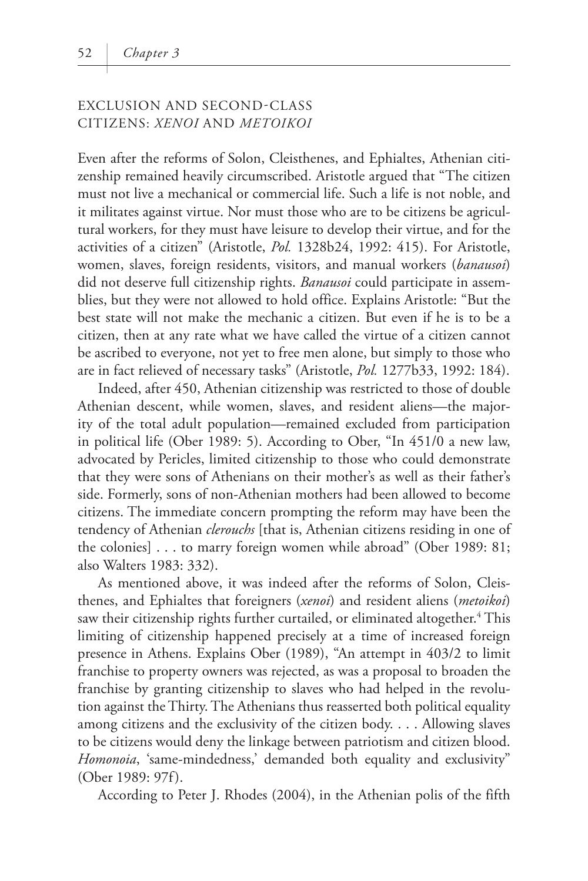### Exclusion and Second-Class Citizens: *Xenoi* and *Metoikoi*

Even after the reforms of Solon, Cleisthenes, and Ephialtes, Athenian citizenship remained heavily circumscribed. Aristotle argued that "The citizen must not live a mechanical or commercial life. Such a life is not noble, and it militates against virtue. Nor must those who are to be citizens be agricultural workers, for they must have leisure to develop their virtue, and for the activities of a citizen" (Aristotle, *Pol.* 1328b24, 1992: 415). For Aristotle, women, slaves, foreign residents, visitors, and manual workers (*banausoi*) did not deserve full citizenship rights. *Banausoi* could participate in assemblies, but they were not allowed to hold office. Explains Aristotle: "But the best state will not make the mechanic a citizen. But even if he is to be a citizen, then at any rate what we have called the virtue of a citizen cannot be ascribed to everyone, not yet to free men alone, but simply to those who are in fact relieved of necessary tasks" (Aristotle, *Pol.* 1277b33, 1992: 184).

Indeed, after 450, Athenian citizenship was restricted to those of double Athenian descent, while women, slaves, and resident aliens—the majority of the total adult population—remained excluded from participation in political life (Ober 1989: 5). According to Ober, "In 451/0 a new law, advocated by Pericles, limited citizenship to those who could demonstrate that they were sons of Athenians on their mother's as well as their father's side. Formerly, sons of non-Athenian mothers had been allowed to become citizens. The immediate concern prompting the reform may have been the tendency of Athenian *clerouchs* [that is, Athenian citizens residing in one of the colonies] . . . to marry foreign women while abroad" (Ober 1989: 81; also Walters 1983: 332).

As mentioned above, it was indeed after the reforms of Solon, Cleisthenes, and Ephialtes that foreigners (*xenoi*) and resident aliens (*metoikoi*) saw their citizenship rights further curtailed, or eliminated altogether.<sup>4</sup> This limiting of citizenship happened precisely at a time of increased foreign presence in Athens. Explains Ober (1989), "An attempt in 403/2 to limit franchise to property owners was rejected, as was a proposal to broaden the franchise by granting citizenship to slaves who had helped in the revolution against the Thirty. The Athenians thus reasserted both political equality among citizens and the exclusivity of the citizen body. . . . Allowing slaves to be citizens would deny the linkage between patriotism and citizen blood. *Homonoia*, 'same-mindedness,' demanded both equality and exclusivity" (Ober 1989: 97f).

According to Peter J. Rhodes (2004), in the Athenian polis of the fifth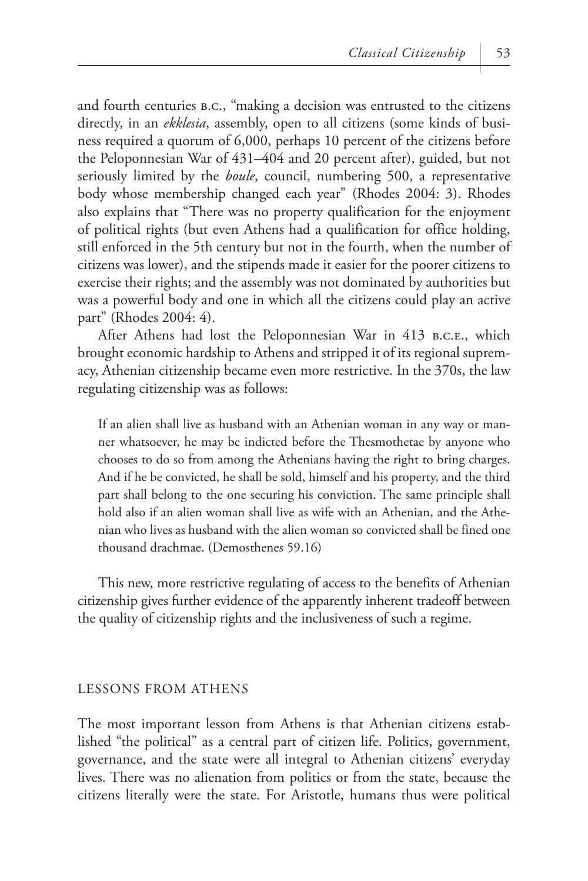and fourth centuries b.c., "making a decision was entrusted to the citizens directly, in an *ekklesia*, assembly, open to all citizens (some kinds of business required a quorum of 6,000, perhaps 10 percent of the citizens before the Peloponnesian War of 431–404 and 20 percent after), guided, but not seriously limited by the *boule*, council, numbering 500, a representative body whose membership changed each year" (Rhodes 2004: 3). Rhodes also explains that "There was no property qualification for the enjoyment of political rights (but even Athens had a qualification for office holding, still enforced in the 5th century but not in the fourth, when the number of citizens was lower), and the stipends made it easier for the poorer citizens to exercise their rights; and the assembly was not dominated by authorities but was a powerful body and one in which all the citizens could play an active part" (Rhodes 2004: 4).

After Athens had lost the Peloponnesian War in 413 b.c.e., which brought economic hardship to Athens and stripped it of its regional supremacy, Athenian citizenship became even more restrictive. In the 370s, the law regulating citizenship was as follows:

If an alien shall live as husband with an Athenian woman in any way or manner whatsoever, he may be indicted before the Thesmothetae by anyone who chooses to do so from among the Athenians having the right to bring charges. And if he be convicted, he shall be sold, himself and his property, and the third part shall belong to the one securing his conviction. The same principle shall hold also if an alien woman shall live as wife with an Athenian, and the Athenian who lives as husband with the alien woman so convicted shall be fined one thousand drachmae. (Demosthenes 59.16)

This new, more restrictive regulating of access to the benefits of Athenian citizenship gives further evidence of the apparently inherent tradeoff between the quality of citizenship rights and the inclusiveness of such a regime.

### Lessons from Athens

The most important lesson from Athens is that Athenian citizens established "the political" as a central part of citizen life. Politics, government, governance, and the state were all integral to Athenian citizens' everyday lives. There was no alienation from politics or from the state, because the citizens literally were the state. For Aristotle, humans thus were political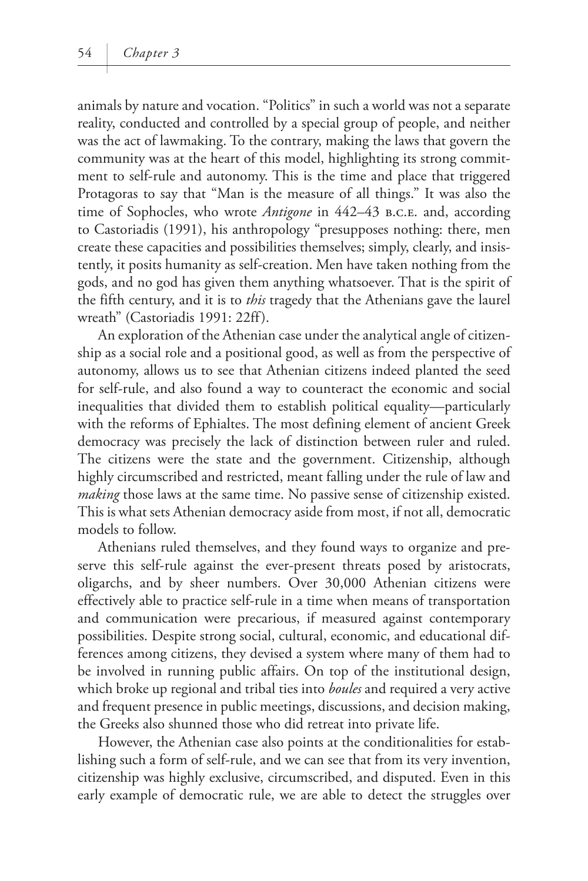animals by nature and vocation. "Politics" in such a world was not a separate reality, conducted and controlled by a special group of people, and neither was the act of lawmaking. To the contrary, making the laws that govern the community was at the heart of this model, highlighting its strong commitment to self-rule and autonomy. This is the time and place that triggered Protagoras to say that "Man is the measure of all things." It was also the time of Sophocles, who wrote *Antigone* in 442–43 b.c.e. and, according to Castoriadis (1991), his anthropology "presupposes nothing: there, men create these capacities and possibilities themselves; simply, clearly, and insistently, it posits humanity as self-creation. Men have taken nothing from the gods, and no god has given them anything whatsoever. That is the spirit of the fifth century, and it is to *this* tragedy that the Athenians gave the laurel wreath" (Castoriadis 1991: 22ff).

An exploration of the Athenian case under the analytical angle of citizenship as a social role and a positional good, as well as from the perspective of autonomy, allows us to see that Athenian citizens indeed planted the seed for self-rule, and also found a way to counteract the economic and social inequalities that divided them to establish political equality—particularly with the reforms of Ephialtes. The most defining element of ancient Greek democracy was precisely the lack of distinction between ruler and ruled. The citizens were the state and the government. Citizenship, although highly circumscribed and restricted, meant falling under the rule of law and *making* those laws at the same time. No passive sense of citizenship existed. This is what sets Athenian democracy aside from most, if not all, democratic models to follow.

Athenians ruled themselves, and they found ways to organize and preserve this self-rule against the ever-present threats posed by aristocrats, oligarchs, and by sheer numbers. Over 30,000 Athenian citizens were effectively able to practice self-rule in a time when means of transportation and communication were precarious, if measured against contemporary possibilities. Despite strong social, cultural, economic, and educational differences among citizens, they devised a system where many of them had to be involved in running public affairs. On top of the institutional design, which broke up regional and tribal ties into *boules* and required a very active and frequent presence in public meetings, discussions, and decision making, the Greeks also shunned those who did retreat into private life.

However, the Athenian case also points at the conditionalities for establishing such a form of self-rule, and we can see that from its very invention, citizenship was highly exclusive, circumscribed, and disputed. Even in this early example of democratic rule, we are able to detect the struggles over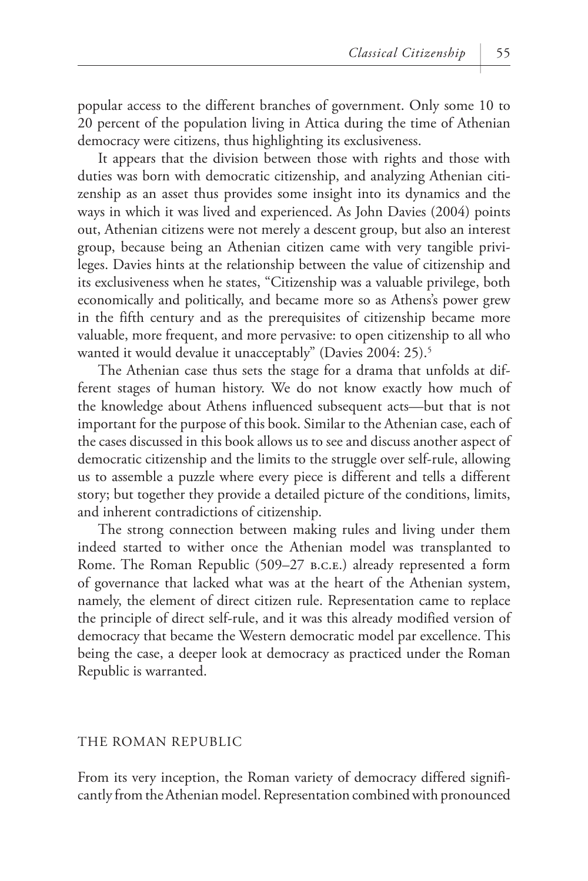popular access to the different branches of government. Only some 10 to 20 percent of the population living in Attica during the time of Athenian democracy were citizens, thus highlighting its exclusiveness.

It appears that the division between those with rights and those with duties was born with democratic citizenship, and analyzing Athenian citizenship as an asset thus provides some insight into its dynamics and the ways in which it was lived and experienced. As John Davies (2004) points out, Athenian citizens were not merely a descent group, but also an interest group, because being an Athenian citizen came with very tangible privileges. Davies hints at the relationship between the value of citizenship and its exclusiveness when he states, "Citizenship was a valuable privilege, both economically and politically, and became more so as Athens's power grew in the fifth century and as the prerequisites of citizenship became more valuable, more frequent, and more pervasive: to open citizenship to all who wanted it would devalue it unacceptably" (Davies 2004: 25).<sup>5</sup>

The Athenian case thus sets the stage for a drama that unfolds at different stages of human history. We do not know exactly how much of the knowledge about Athens influenced subsequent acts—but that is not important for the purpose of this book. Similar to the Athenian case, each of the cases discussed in this book allows us to see and discuss another aspect of democratic citizenship and the limits to the struggle over self-rule, allowing us to assemble a puzzle where every piece is different and tells a different story; but together they provide a detailed picture of the conditions, limits, and inherent contradictions of citizenship.

The strong connection between making rules and living under them indeed started to wither once the Athenian model was transplanted to Rome. The Roman Republic (509–27 b.c.e.) already represented a form of governance that lacked what was at the heart of the Athenian system, namely, the element of direct citizen rule. Representation came to replace the principle of direct self-rule, and it was this already modified version of democracy that became the Western democratic model par excellence. This being the case, a deeper look at democracy as practiced under the Roman Republic is warranted.

### The Roman Republic

From its very inception, the Roman variety of democracy differed significantly from the Athenian model. Representation combined with pronounced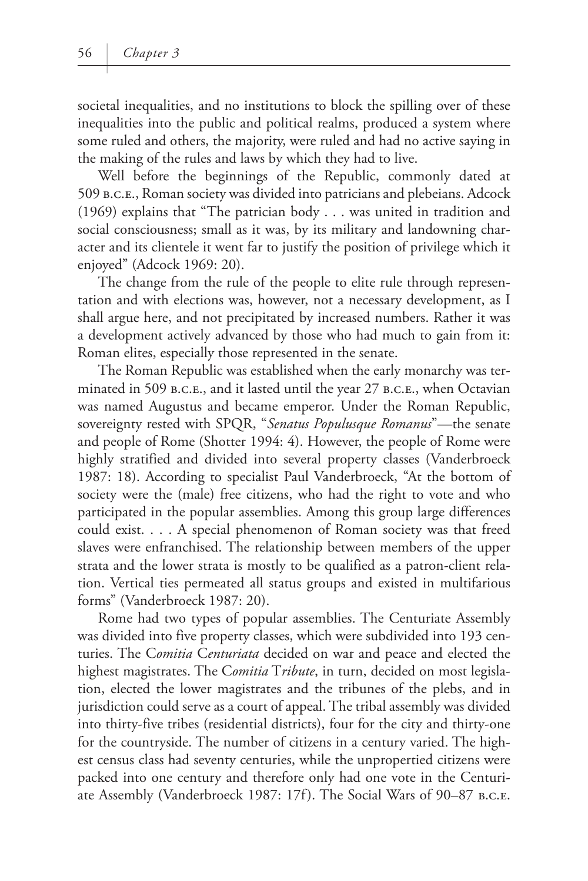societal inequalities, and no institutions to block the spilling over of these inequalities into the public and political realms, produced a system where some ruled and others, the majority, were ruled and had no active saying in the making of the rules and laws by which they had to live.

Well before the beginnings of the Republic, commonly dated at 509 b.c.e., Roman society was divided into patricians and plebeians. Adcock (1969) explains that "The patrician body . . . was united in tradition and social consciousness; small as it was, by its military and landowning character and its clientele it went far to justify the position of privilege which it enjoyed" (Adcock 1969: 20).

The change from the rule of the people to elite rule through representation and with elections was, however, not a necessary development, as I shall argue here, and not precipitated by increased numbers. Rather it was a development actively advanced by those who had much to gain from it: Roman elites, especially those represented in the senate.

The Roman Republic was established when the early monarchy was terminated in 509 b.c.e., and it lasted until the year 27 b.c.e., when Octavian was named Augustus and became emperor. Under the Roman Republic, sovereignty rested with SPQR, "*Senatus Populusque Romanus*"—the senate and people of Rome (Shotter 1994: 4). However, the people of Rome were highly stratified and divided into several property classes (Vanderbroeck 1987: 18). According to specialist Paul Vanderbroeck, "At the bottom of society were the (male) free citizens, who had the right to vote and who participated in the popular assemblies. Among this group large differences could exist. . . . A special phenomenon of Roman society was that freed slaves were enfranchised. The relationship between members of the upper strata and the lower strata is mostly to be qualified as a patron-client relation. Vertical ties permeated all status groups and existed in multifarious forms" (Vanderbroeck 1987: 20).

Rome had two types of popular assemblies. The Centuriate Assembly was divided into five property classes, which were subdivided into 193 centuries. The C*omitia* C*enturiata* decided on war and peace and elected the highest magistrates. The C*omitia* T*ribute*, in turn, decided on most legislation, elected the lower magistrates and the tribunes of the plebs, and in jurisdiction could serve as a court of appeal. The tribal assembly was divided into thirty-five tribes (residential districts), four for the city and thirty-one for the countryside. The number of citizens in a century varied. The highest census class had seventy centuries, while the unpropertied citizens were packed into one century and therefore only had one vote in the Centuriate Assembly (Vanderbroeck 1987: 17f). The Social Wars of 90–87 b.c.e.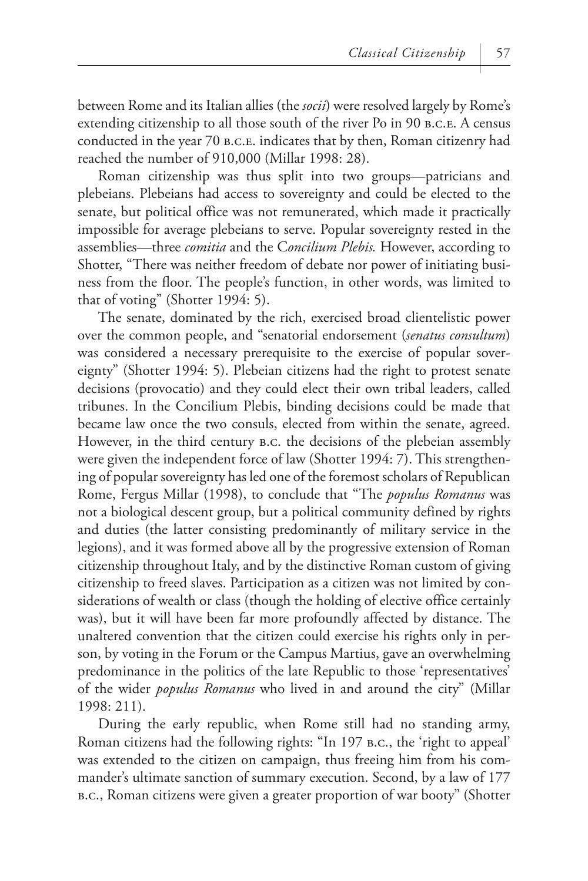between Rome and its Italian allies (the *socii*) were resolved largely by Rome's extending citizenship to all those south of the river Po in 90 b.c.e. A census conducted in the year 70 b.c.e. indicates that by then, Roman citizenry had reached the number of 910,000 (Millar 1998: 28).

Roman citizenship was thus split into two groups—patricians and plebeians. Plebeians had access to sovereignty and could be elected to the senate, but political office was not remunerated, which made it practically impossible for average plebeians to serve. Popular sovereignty rested in the assemblies—three *comitia* and the C*oncilium Plebis.* However, according to Shotter, "There was neither freedom of debate nor power of initiating business from the floor. The people's function, in other words, was limited to that of voting" (Shotter 1994: 5).

The senate, dominated by the rich, exercised broad clientelistic power over the common people, and "senatorial endorsement (*senatus consultum*) was considered a necessary prerequisite to the exercise of popular sovereignty" (Shotter 1994: 5). Plebeian citizens had the right to protest senate decisions (provocatio) and they could elect their own tribal leaders, called tribunes. In the Concilium Plebis, binding decisions could be made that became law once the two consuls, elected from within the senate, agreed. However, in the third century b.c. the decisions of the plebeian assembly were given the independent force of law (Shotter 1994: 7). This strengthening of popular sovereignty has led one of the foremost scholars of Republican Rome, Fergus Millar (1998), to conclude that "The *populus Romanus* was not a biological descent group, but a political community defined by rights and duties (the latter consisting predominantly of military service in the legions), and it was formed above all by the progressive extension of Roman citizenship throughout Italy, and by the distinctive Roman custom of giving citizenship to freed slaves. Participation as a citizen was not limited by considerations of wealth or class (though the holding of elective office certainly was), but it will have been far more profoundly affected by distance. The unaltered convention that the citizen could exercise his rights only in person, by voting in the Forum or the Campus Martius, gave an overwhelming predominance in the politics of the late Republic to those 'representatives' of the wider *populus Romanus* who lived in and around the city" (Millar 1998: 211).

During the early republic, when Rome still had no standing army, Roman citizens had the following rights: "In 197 b.c., the 'right to appeal' was extended to the citizen on campaign, thus freeing him from his commander's ultimate sanction of summary execution. Second, by a law of 177 b.c., Roman citizens were given a greater proportion of war booty" (Shotter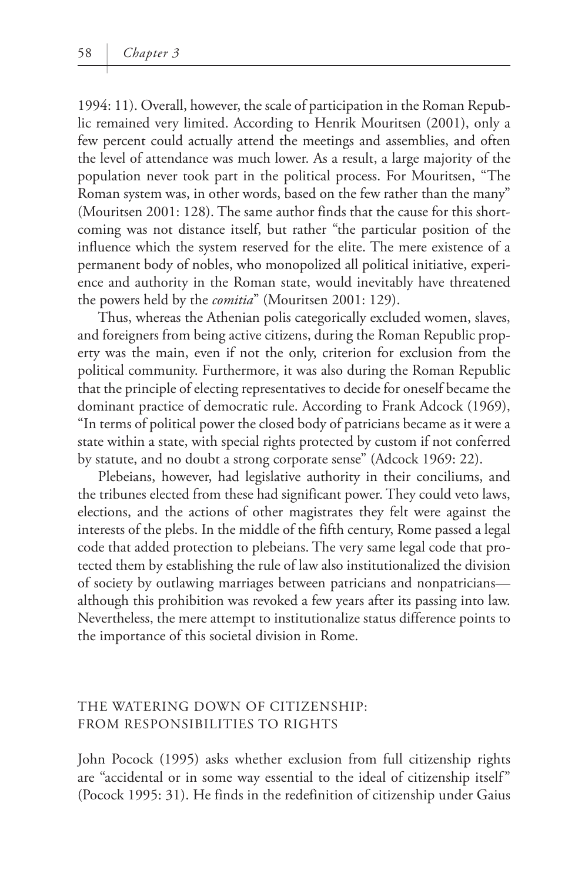1994: 11). Overall, however, the scale of participation in the Roman Republic remained very limited. According to Henrik Mouritsen (2001), only a few percent could actually attend the meetings and assemblies, and often the level of attendance was much lower. As a result, a large majority of the population never took part in the political process. For Mouritsen, "The Roman system was, in other words, based on the few rather than the many" (Mouritsen 2001: 128). The same author finds that the cause for this shortcoming was not distance itself, but rather "the particular position of the influence which the system reserved for the elite. The mere existence of a permanent body of nobles, who monopolized all political initiative, experience and authority in the Roman state, would inevitably have threatened the powers held by the *comitia*" (Mouritsen 2001: 129).

Thus, whereas the Athenian polis categorically excluded women, slaves, and foreigners from being active citizens, during the Roman Republic property was the main, even if not the only, criterion for exclusion from the political community. Furthermore, it was also during the Roman Republic that the principle of electing representatives to decide for oneself became the dominant practice of democratic rule. According to Frank Adcock (1969), "In terms of political power the closed body of patricians became as it were a state within a state, with special rights protected by custom if not conferred by statute, and no doubt a strong corporate sense" (Adcock 1969: 22).

Plebeians, however, had legislative authority in their conciliums, and the tribunes elected from these had significant power. They could veto laws, elections, and the actions of other magistrates they felt were against the interests of the plebs. In the middle of the fifth century, Rome passed a legal code that added protection to plebeians. The very same legal code that protected them by establishing the rule of law also institutionalized the division of society by outlawing marriages between patricians and nonpatricians although this prohibition was revoked a few years after its passing into law. Nevertheless, the mere attempt to institutionalize status difference points to the importance of this societal division in Rome.

### The Watering Down of Citizenship: From Responsibilities to Rights

John Pocock (1995) asks whether exclusion from full citizenship rights are "accidental or in some way essential to the ideal of citizenship itself" (Pocock 1995: 31). He finds in the redefinition of citizenship under Gaius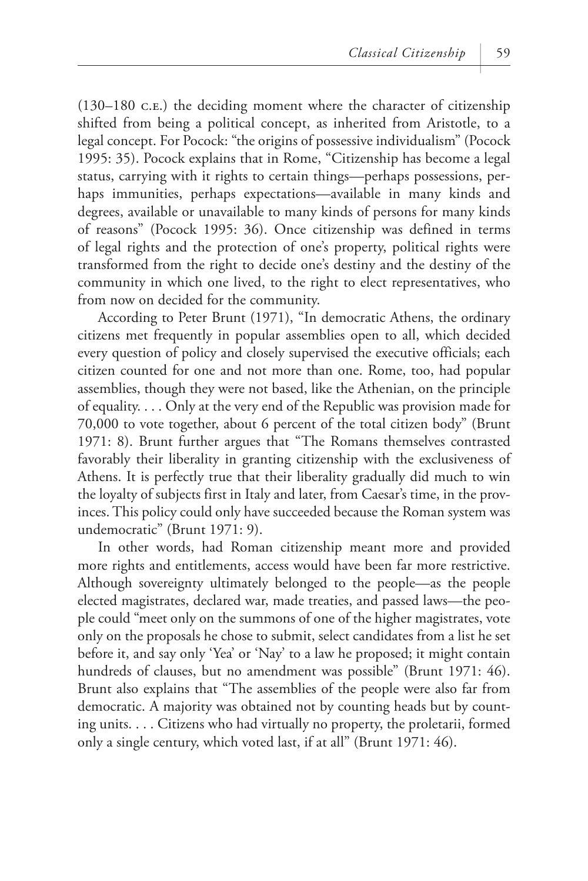<sup>|</sup> <sup>59</sup>

(130–180 c.e.) the deciding moment where the character of citizenship shifted from being a political concept, as inherited from Aristotle, to a legal concept. For Pocock: "the origins of possessive individualism" (Pocock 1995: 35). Pocock explains that in Rome, "Citizenship has become a legal status, carrying with it rights to certain things—perhaps possessions, perhaps immunities, perhaps expectations—available in many kinds and degrees, available or unavailable to many kinds of persons for many kinds of reasons" (Pocock 1995: 36). Once citizenship was defined in terms of legal rights and the protection of one's property, political rights were transformed from the right to decide one's destiny and the destiny of the community in which one lived, to the right to elect representatives, who from now on decided for the community.

According to Peter Brunt (1971), "In democratic Athens, the ordinary citizens met frequently in popular assemblies open to all, which decided every question of policy and closely supervised the executive officials; each citizen counted for one and not more than one. Rome, too, had popular assemblies, though they were not based, like the Athenian, on the principle of equality. . . . Only at the very end of the Republic was provision made for 70,000 to vote together, about 6 percent of the total citizen body" (Brunt 1971: 8). Brunt further argues that "The Romans themselves contrasted favorably their liberality in granting citizenship with the exclusiveness of Athens. It is perfectly true that their liberality gradually did much to win the loyalty of subjects first in Italy and later, from Caesar's time, in the provinces. This policy could only have succeeded because the Roman system was undemocratic" (Brunt 1971: 9).

In other words, had Roman citizenship meant more and provided more rights and entitlements, access would have been far more restrictive. Although sovereignty ultimately belonged to the people—as the people elected magistrates, declared war, made treaties, and passed laws—the people could "meet only on the summons of one of the higher magistrates, vote only on the proposals he chose to submit, select candidates from a list he set before it, and say only 'Yea' or 'Nay' to a law he proposed; it might contain hundreds of clauses, but no amendment was possible" (Brunt 1971: 46). Brunt also explains that "The assemblies of the people were also far from democratic. A majority was obtained not by counting heads but by counting units. . . . Citizens who had virtually no property, the proletarii, formed only a single century, which voted last, if at all" (Brunt 1971: 46).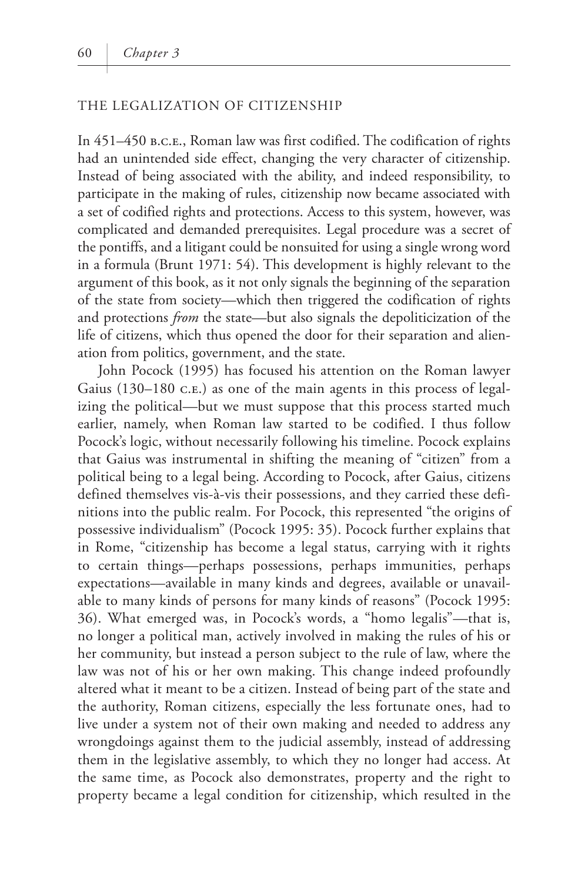### The Legalization of Citizenship

In 451–450 b.c.e., Roman law was first codified. The codification of rights had an unintended side effect, changing the very character of citizenship. Instead of being associated with the ability, and indeed responsibility, to participate in the making of rules, citizenship now became associated with a set of codified rights and protections. Access to this system, however, was complicated and demanded prerequisites. Legal procedure was a secret of the pontiffs, and a litigant could be nonsuited for using a single wrong word in a formula (Brunt 1971: 54). This development is highly relevant to the argument of this book, as it not only signals the beginning of the separation of the state from society—which then triggered the codification of rights and protections *from* the state—but also signals the depoliticization of the life of citizens, which thus opened the door for their separation and alienation from politics, government, and the state.

John Pocock (1995) has focused his attention on the Roman lawyer Gaius (130–180 c.e.) as one of the main agents in this process of legalizing the political—but we must suppose that this process started much earlier, namely, when Roman law started to be codified. I thus follow Pocock's logic, without necessarily following his timeline. Pocock explains that Gaius was instrumental in shifting the meaning of "citizen" from a political being to a legal being. According to Pocock, after Gaius, citizens defined themselves vis-à-vis their possessions, and they carried these definitions into the public realm. For Pocock, this represented "the origins of possessive individualism" (Pocock 1995: 35). Pocock further explains that in Rome, "citizenship has become a legal status, carrying with it rights to certain things—perhaps possessions, perhaps immunities, perhaps expectations—available in many kinds and degrees, available or unavailable to many kinds of persons for many kinds of reasons" (Pocock 1995: 36). What emerged was, in Pocock's words, a "homo legalis"—that is, no longer a political man, actively involved in making the rules of his or her community, but instead a person subject to the rule of law, where the law was not of his or her own making. This change indeed profoundly altered what it meant to be a citizen. Instead of being part of the state and the authority, Roman citizens, especially the less fortunate ones, had to live under a system not of their own making and needed to address any wrongdoings against them to the judicial assembly, instead of addressing them in the legislative assembly, to which they no longer had access. At the same time, as Pocock also demonstrates, property and the right to property became a legal condition for citizenship, which resulted in the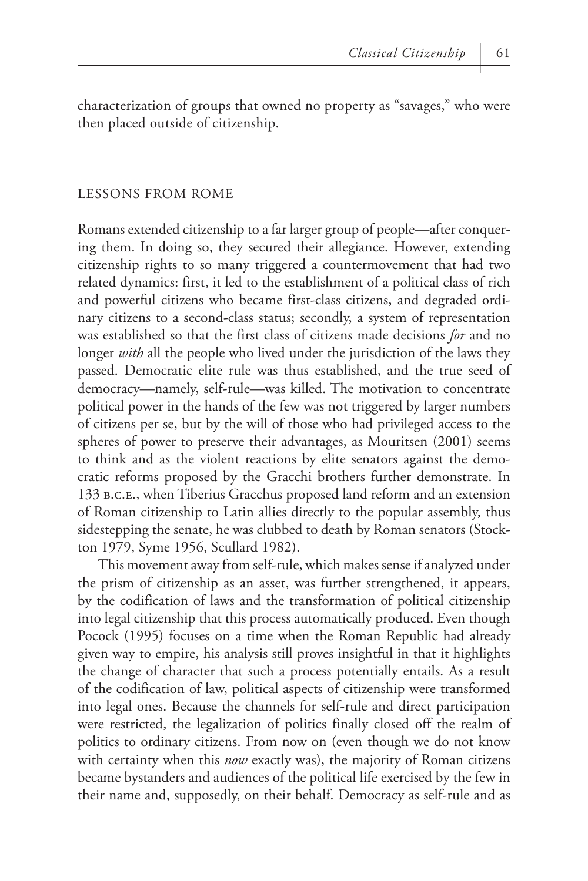characterization of groups that owned no property as "savages," who were then placed outside of citizenship.

### Lessons from Rome

Romans extended citizenship to a far larger group of people—after conquering them. In doing so, they secured their allegiance. However, extending citizenship rights to so many triggered a countermovement that had two related dynamics: first, it led to the establishment of a political class of rich and powerful citizens who became first-class citizens, and degraded ordinary citizens to a second-class status; secondly, a system of representation was established so that the first class of citizens made decisions *for* and no longer *with* all the people who lived under the jurisdiction of the laws they passed. Democratic elite rule was thus established, and the true seed of democracy—namely, self-rule—was killed. The motivation to concentrate political power in the hands of the few was not triggered by larger numbers of citizens per se, but by the will of those who had privileged access to the spheres of power to preserve their advantages, as Mouritsen (2001) seems to think and as the violent reactions by elite senators against the democratic reforms proposed by the Gracchi brothers further demonstrate. In 133 b.c.e., when Tiberius Gracchus proposed land reform and an extension of Roman citizenship to Latin allies directly to the popular assembly, thus sidestepping the senate, he was clubbed to death by Roman senators (Stockton 1979, Syme 1956, Scullard 1982).

This movement away from self-rule, which makes sense if analyzed under the prism of citizenship as an asset, was further strengthened, it appears, by the codification of laws and the transformation of political citizenship into legal citizenship that this process automatically produced. Even though Pocock (1995) focuses on a time when the Roman Republic had already given way to empire, his analysis still proves insightful in that it highlights the change of character that such a process potentially entails. As a result of the codification of law, political aspects of citizenship were transformed into legal ones. Because the channels for self-rule and direct participation were restricted, the legalization of politics finally closed off the realm of politics to ordinary citizens. From now on (even though we do not know with certainty when this *now* exactly was), the majority of Roman citizens became bystanders and audiences of the political life exercised by the few in their name and, supposedly, on their behalf. Democracy as self-rule and as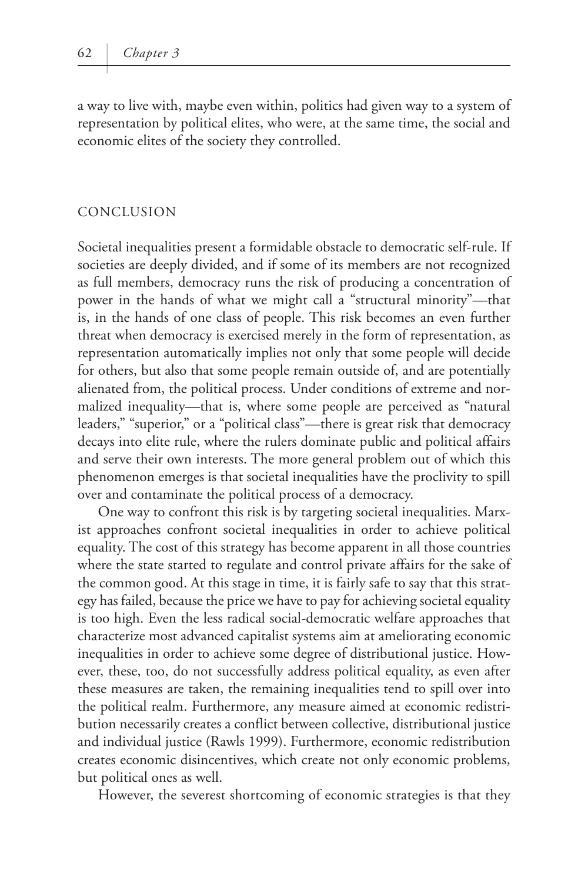a way to live with, maybe even within, politics had given way to a system of representation by political elites, who were, at the same time, the social and economic elites of the society they controlled.

### Conclusion

Societal inequalities present a formidable obstacle to democratic self-rule. If societies are deeply divided, and if some of its members are not recognized as full members, democracy runs the risk of producing a concentration of power in the hands of what we might call a "structural minority"—that is, in the hands of one class of people. This risk becomes an even further threat when democracy is exercised merely in the form of representation, as representation automatically implies not only that some people will decide for others, but also that some people remain outside of, and are potentially alienated from, the political process. Under conditions of extreme and normalized inequality—that is, where some people are perceived as "natural leaders," "superior," or a "political class"—there is great risk that democracy decays into elite rule, where the rulers dominate public and political affairs and serve their own interests. The more general problem out of which this phenomenon emerges is that societal inequalities have the proclivity to spill over and contaminate the political process of a democracy.

One way to confront this risk is by targeting societal inequalities. Marxist approaches confront societal inequalities in order to achieve political equality. The cost of this strategy has become apparent in all those countries where the state started to regulate and control private affairs for the sake of the common good. At this stage in time, it is fairly safe to say that this strategy has failed, because the price we have to pay for achieving societal equality is too high. Even the less radical social-democratic welfare approaches that characterize most advanced capitalist systems aim at ameliorating economic inequalities in order to achieve some degree of distributional justice. However, these, too, do not successfully address political equality, as even after these measures are taken, the remaining inequalities tend to spill over into the political realm. Furthermore, any measure aimed at economic redistribution necessarily creates a conflict between collective, distributional justice and individual justice (Rawls 1999). Furthermore, economic redistribution creates economic disincentives, which create not only economic problems, but political ones as well.

However, the severest shortcoming of economic strategies is that they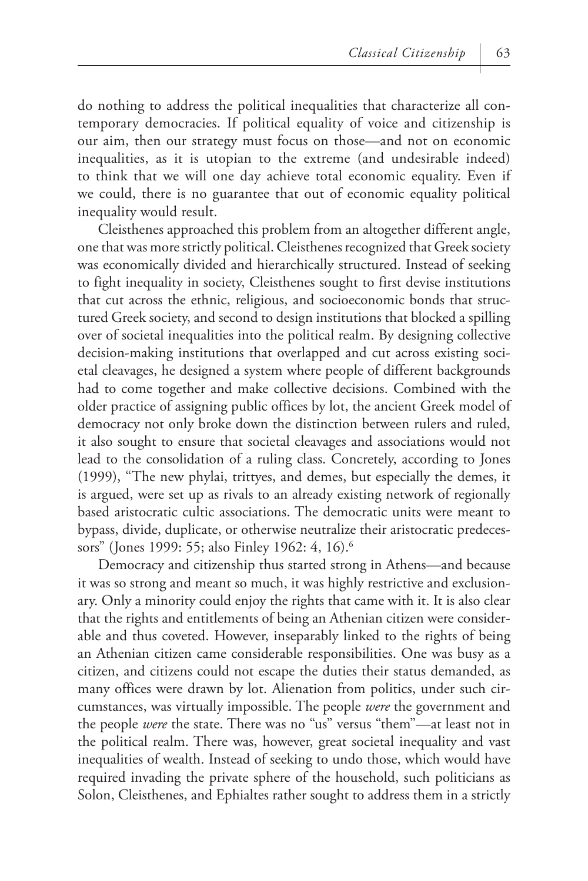do nothing to address the political inequalities that characterize all contemporary democracies. If political equality of voice and citizenship is our aim, then our strategy must focus on those—and not on economic inequalities, as it is utopian to the extreme (and undesirable indeed) to think that we will one day achieve total economic equality. Even if we could, there is no guarantee that out of economic equality political inequality would result.

Cleisthenes approached this problem from an altogether different angle, one that was more strictly political. Cleisthenes recognized that Greek society was economically divided and hierarchically structured. Instead of seeking to fight inequality in society, Cleisthenes sought to first devise institutions that cut across the ethnic, religious, and socioeconomic bonds that structured Greek society, and second to design institutions that blocked a spilling over of societal inequalities into the political realm. By designing collective decision-making institutions that overlapped and cut across existing societal cleavages, he designed a system where people of different backgrounds had to come together and make collective decisions. Combined with the older practice of assigning public offices by lot, the ancient Greek model of democracy not only broke down the distinction between rulers and ruled, it also sought to ensure that societal cleavages and associations would not lead to the consolidation of a ruling class. Concretely, according to Jones (1999), "The new phylai, trittyes, and demes, but especially the demes, it is argued, were set up as rivals to an already existing network of regionally based aristocratic cultic associations. The democratic units were meant to bypass, divide, duplicate, or otherwise neutralize their aristocratic predecessors" (Jones 1999: 55; also Finley 1962: 4, 16).<sup>6</sup>

Democracy and citizenship thus started strong in Athens—and because it was so strong and meant so much, it was highly restrictive and exclusionary. Only a minority could enjoy the rights that came with it. It is also clear that the rights and entitlements of being an Athenian citizen were considerable and thus coveted. However, inseparably linked to the rights of being an Athenian citizen came considerable responsibilities. One was busy as a citizen, and citizens could not escape the duties their status demanded, as many offices were drawn by lot. Alienation from politics, under such circumstances, was virtually impossible. The people *were* the government and the people *were* the state. There was no "us" versus "them"—at least not in the political realm. There was, however, great societal inequality and vast inequalities of wealth. Instead of seeking to undo those, which would have required invading the private sphere of the household, such politicians as Solon, Cleisthenes, and Ephialtes rather sought to address them in a strictly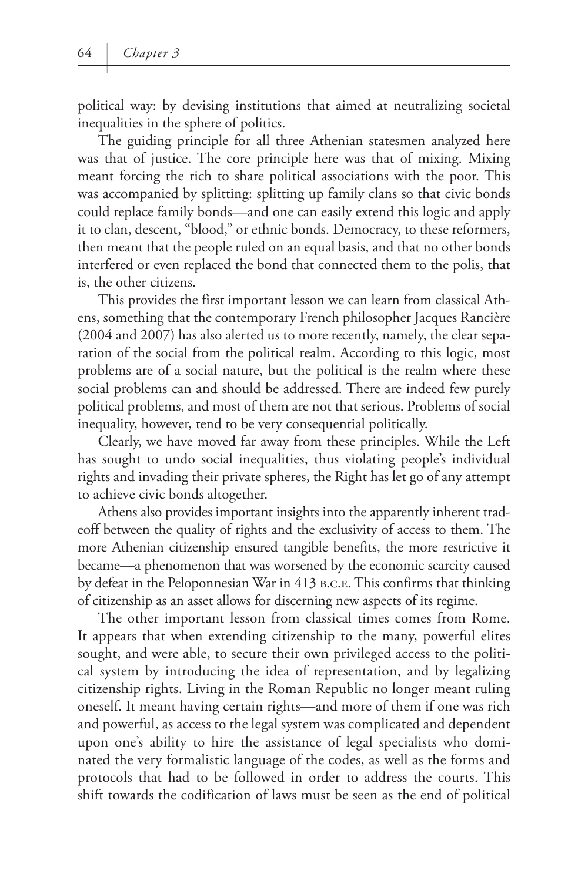political way: by devising institutions that aimed at neutralizing societal inequalities in the sphere of politics.

The guiding principle for all three Athenian statesmen analyzed here was that of justice. The core principle here was that of mixing. Mixing meant forcing the rich to share political associations with the poor. This was accompanied by splitting: splitting up family clans so that civic bonds could replace family bonds—and one can easily extend this logic and apply it to clan, descent, "blood," or ethnic bonds. Democracy, to these reformers, then meant that the people ruled on an equal basis, and that no other bonds interfered or even replaced the bond that connected them to the polis, that is, the other citizens.

This provides the first important lesson we can learn from classical Athens, something that the contemporary French philosopher Jacques Rancière (2004 and 2007) has also alerted us to more recently, namely, the clear separation of the social from the political realm. According to this logic, most problems are of a social nature, but the political is the realm where these social problems can and should be addressed. There are indeed few purely political problems, and most of them are not that serious. Problems of social inequality, however, tend to be very consequential politically.

Clearly, we have moved far away from these principles. While the Left has sought to undo social inequalities, thus violating people's individual rights and invading their private spheres, the Right has let go of any attempt to achieve civic bonds altogether.

Athens also provides important insights into the apparently inherent tradeoff between the quality of rights and the exclusivity of access to them. The more Athenian citizenship ensured tangible benefits, the more restrictive it became—a phenomenon that was worsened by the economic scarcity caused by defeat in the Peloponnesian War in 413 b.c.e. This confirms that thinking of citizenship as an asset allows for discerning new aspects of its regime.

The other important lesson from classical times comes from Rome. It appears that when extending citizenship to the many, powerful elites sought, and were able, to secure their own privileged access to the political system by introducing the idea of representation, and by legalizing citizenship rights. Living in the Roman Republic no longer meant ruling oneself. It meant having certain rights—and more of them if one was rich and powerful, as access to the legal system was complicated and dependent upon one's ability to hire the assistance of legal specialists who dominated the very formalistic language of the codes, as well as the forms and protocols that had to be followed in order to address the courts. This shift towards the codification of laws must be seen as the end of political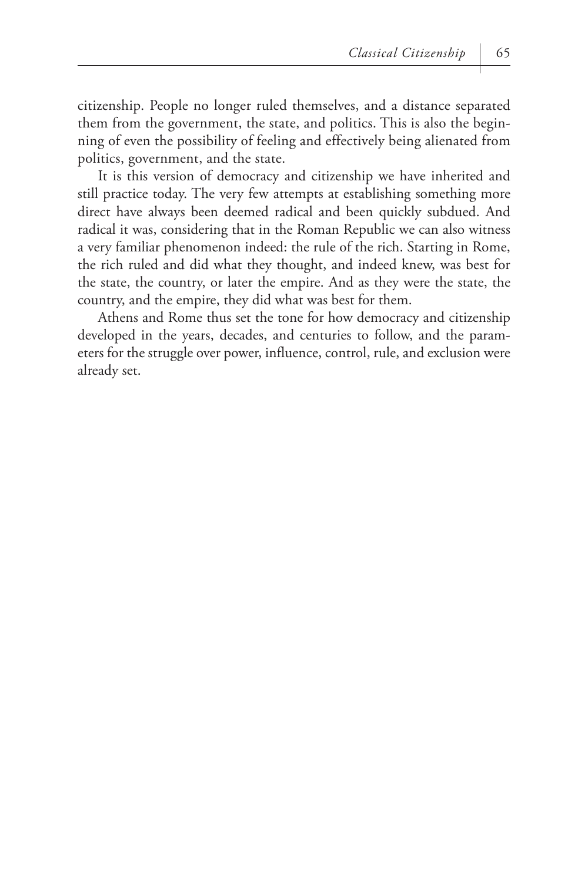citizenship. People no longer ruled themselves, and a distance separated them from the government, the state, and politics. This is also the beginning of even the possibility of feeling and effectively being alienated from politics, government, and the state.

It is this version of democracy and citizenship we have inherited and still practice today. The very few attempts at establishing something more direct have always been deemed radical and been quickly subdued. And radical it was, considering that in the Roman Republic we can also witness a very familiar phenomenon indeed: the rule of the rich. Starting in Rome, the rich ruled and did what they thought, and indeed knew, was best for the state, the country, or later the empire. And as they were the state, the country, and the empire, they did what was best for them.

Athens and Rome thus set the tone for how democracy and citizenship developed in the years, decades, and centuries to follow, and the parameters for the struggle over power, influence, control, rule, and exclusion were already set.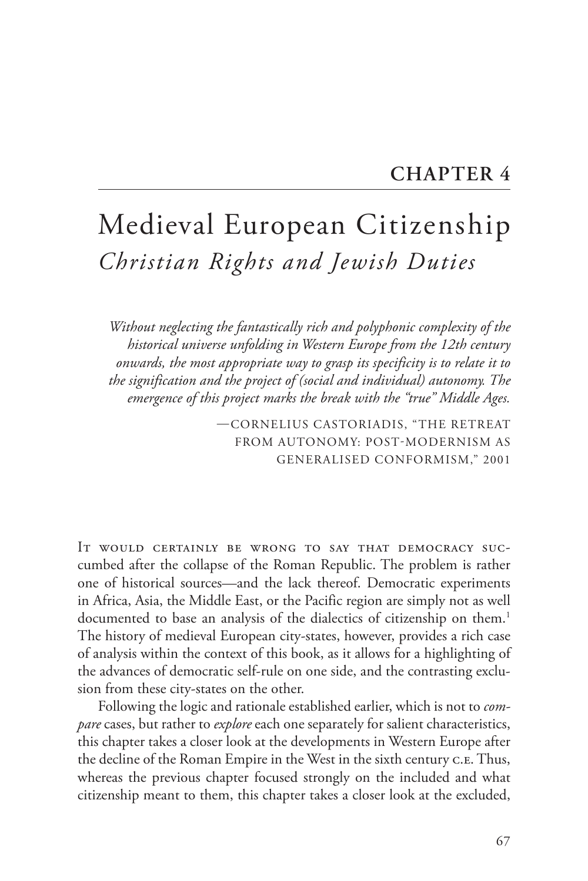## **Chapter 4**

# Medieval European Citizenship *Christian Rights and Jewish Duties*

*Without neglecting the fantastically rich and polyphonic complexity of the historical universe unfolding in Western Europe from the 12th century onwards, the most appropriate way to grasp its specificity is to relate it to the signification and the project of (social and individual) autonomy. The emergence of this project marks the break with the "true" Middle Ages.*

> —Cornelius Castoriadis, "The Retreat from Autonomy: Post-modernism as Generalised Conformism," 2001

It would certainly be wrong to say that democracy succumbed after the collapse of the Roman Republic. The problem is rather one of historical sources—and the lack thereof. Democratic experiments in Africa, Asia, the Middle East, or the Pacific region are simply not as well documented to base an analysis of the dialectics of citizenship on them.<sup>1</sup> The history of medieval European city-states, however, provides a rich case of analysis within the context of this book, as it allows for a highlighting of the advances of democratic self-rule on one side, and the contrasting exclusion from these city-states on the other.

Following the logic and rationale established earlier, which is not to *compare* cases, but rather to *explore* each one separately for salient characteristics, this chapter takes a closer look at the developments in Western Europe after the decline of the Roman Empire in the West in the sixth century c.e. Thus, whereas the previous chapter focused strongly on the included and what citizenship meant to them, this chapter takes a closer look at the excluded,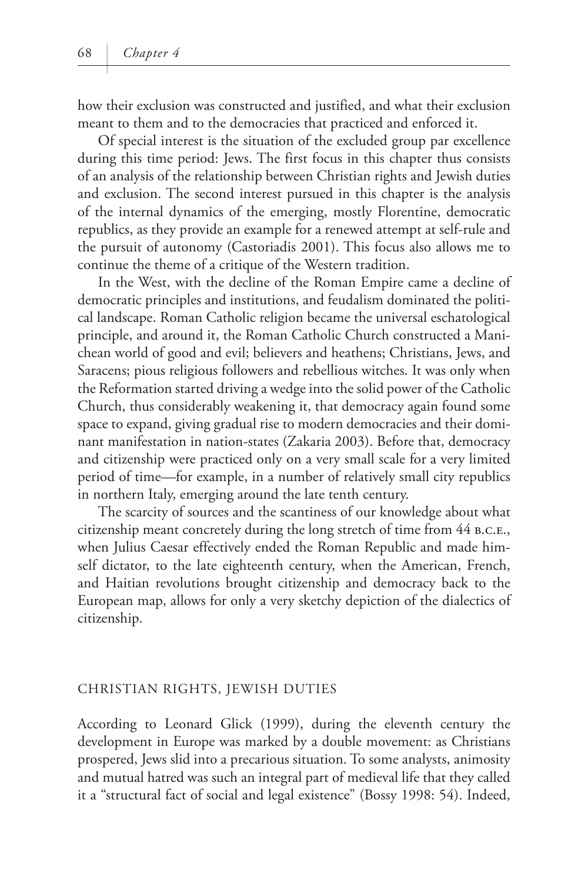how their exclusion was constructed and justified, and what their exclusion meant to them and to the democracies that practiced and enforced it.

Of special interest is the situation of the excluded group par excellence during this time period: Jews. The first focus in this chapter thus consists of an analysis of the relationship between Christian rights and Jewish duties and exclusion. The second interest pursued in this chapter is the analysis of the internal dynamics of the emerging, mostly Florentine, democratic republics, as they provide an example for a renewed attempt at self-rule and the pursuit of autonomy (Castoriadis 2001). This focus also allows me to continue the theme of a critique of the Western tradition.

In the West, with the decline of the Roman Empire came a decline of democratic principles and institutions, and feudalism dominated the political landscape. Roman Catholic religion became the universal eschatological principle, and around it, the Roman Catholic Church constructed a Manichean world of good and evil; believers and heathens; Christians, Jews, and Saracens; pious religious followers and rebellious witches. It was only when the Reformation started driving a wedge into the solid power of the Catholic Church, thus considerably weakening it, that democracy again found some space to expand, giving gradual rise to modern democracies and their dominant manifestation in nation-states (Zakaria 2003). Before that, democracy and citizenship were practiced only on a very small scale for a very limited period of time—for example, in a number of relatively small city republics in northern Italy, emerging around the late tenth century.

The scarcity of sources and the scantiness of our knowledge about what citizenship meant concretely during the long stretch of time from 44 b.c.e., when Julius Caesar effectively ended the Roman Republic and made himself dictator, to the late eighteenth century, when the American, French, and Haitian revolutions brought citizenship and democracy back to the European map, allows for only a very sketchy depiction of the dialectics of citizenship.

#### Christian Rights, Jewish Duties

According to Leonard Glick (1999), during the eleventh century the development in Europe was marked by a double movement: as Christians prospered, Jews slid into a precarious situation. To some analysts, animosity and mutual hatred was such an integral part of medieval life that they called it a "structural fact of social and legal existence" (Bossy 1998: 54). Indeed,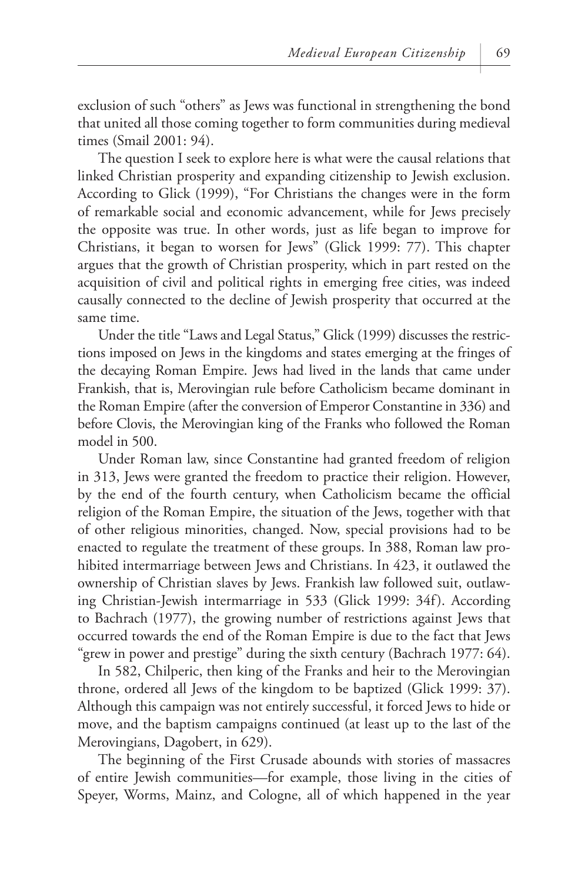exclusion of such "others" as Jews was functional in strengthening the bond that united all those coming together to form communities during medieval times (Smail 2001: 94).

The question I seek to explore here is what were the causal relations that linked Christian prosperity and expanding citizenship to Jewish exclusion. According to Glick (1999), "For Christians the changes were in the form of remarkable social and economic advancement, while for Jews precisely the opposite was true. In other words, just as life began to improve for Christians, it began to worsen for Jews" (Glick 1999: 77). This chapter argues that the growth of Christian prosperity, which in part rested on the acquisition of civil and political rights in emerging free cities, was indeed causally connected to the decline of Jewish prosperity that occurred at the same time.

Under the title "Laws and Legal Status," Glick (1999) discusses the restrictions imposed on Jews in the kingdoms and states emerging at the fringes of the decaying Roman Empire. Jews had lived in the lands that came under Frankish, that is, Merovingian rule before Catholicism became dominant in the Roman Empire (after the conversion of Emperor Constantine in 336) and before Clovis, the Merovingian king of the Franks who followed the Roman model in 500.

Under Roman law, since Constantine had granted freedom of religion in 313, Jews were granted the freedom to practice their religion. However, by the end of the fourth century, when Catholicism became the official religion of the Roman Empire, the situation of the Jews, together with that of other religious minorities, changed. Now, special provisions had to be enacted to regulate the treatment of these groups. In 388, Roman law prohibited intermarriage between Jews and Christians. In 423, it outlawed the ownership of Christian slaves by Jews. Frankish law followed suit, outlawing Christian-Jewish intermarriage in 533 (Glick 1999: 34f). According to Bachrach (1977), the growing number of restrictions against Jews that occurred towards the end of the Roman Empire is due to the fact that Jews "grew in power and prestige" during the sixth century (Bachrach 1977: 64).

In 582, Chilperic, then king of the Franks and heir to the Merovingian throne, ordered all Jews of the kingdom to be baptized (Glick 1999: 37). Although this campaign was not entirely successful, it forced Jews to hide or move, and the baptism campaigns continued (at least up to the last of the Merovingians, Dagobert, in 629).

The beginning of the First Crusade abounds with stories of massacres of entire Jewish communities—for example, those living in the cities of Speyer, Worms, Mainz, and Cologne, all of which happened in the year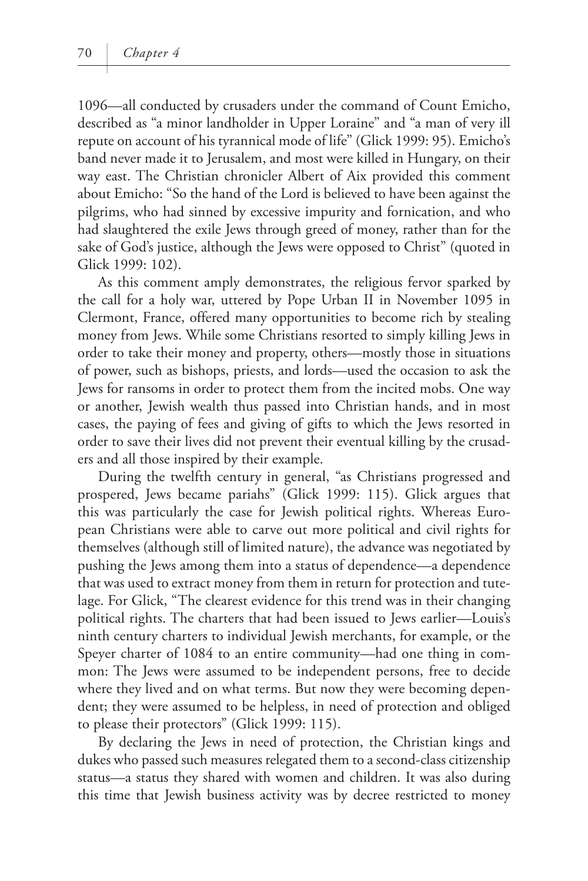1096—all conducted by crusaders under the command of Count Emicho, described as "a minor landholder in Upper Loraine" and "a man of very ill repute on account of his tyrannical mode of life" (Glick 1999: 95). Emicho's band never made it to Jerusalem, and most were killed in Hungary, on their way east. The Christian chronicler Albert of Aix provided this comment about Emicho: "So the hand of the Lord is believed to have been against the pilgrims, who had sinned by excessive impurity and fornication, and who had slaughtered the exile Jews through greed of money, rather than for the sake of God's justice, although the Jews were opposed to Christ" (quoted in Glick 1999: 102).

As this comment amply demonstrates, the religious fervor sparked by the call for a holy war, uttered by Pope Urban II in November 1095 in Clermont, France, offered many opportunities to become rich by stealing money from Jews. While some Christians resorted to simply killing Jews in order to take their money and property, others—mostly those in situations of power, such as bishops, priests, and lords—used the occasion to ask the Jews for ransoms in order to protect them from the incited mobs. One way or another, Jewish wealth thus passed into Christian hands, and in most cases, the paying of fees and giving of gifts to which the Jews resorted in order to save their lives did not prevent their eventual killing by the crusaders and all those inspired by their example.

During the twelfth century in general, "as Christians progressed and prospered, Jews became pariahs" (Glick 1999: 115). Glick argues that this was particularly the case for Jewish political rights. Whereas European Christians were able to carve out more political and civil rights for themselves (although still of limited nature), the advance was negotiated by pushing the Jews among them into a status of dependence—a dependence that was used to extract money from them in return for protection and tutelage. For Glick, "The clearest evidence for this trend was in their changing political rights. The charters that had been issued to Jews earlier—Louis's ninth century charters to individual Jewish merchants, for example, or the Speyer charter of 1084 to an entire community—had one thing in common: The Jews were assumed to be independent persons, free to decide where they lived and on what terms. But now they were becoming dependent; they were assumed to be helpless, in need of protection and obliged to please their protectors" (Glick 1999: 115).

By declaring the Jews in need of protection, the Christian kings and dukes who passed such measures relegated them to a second-class citizenship status—a status they shared with women and children. It was also during this time that Jewish business activity was by decree restricted to money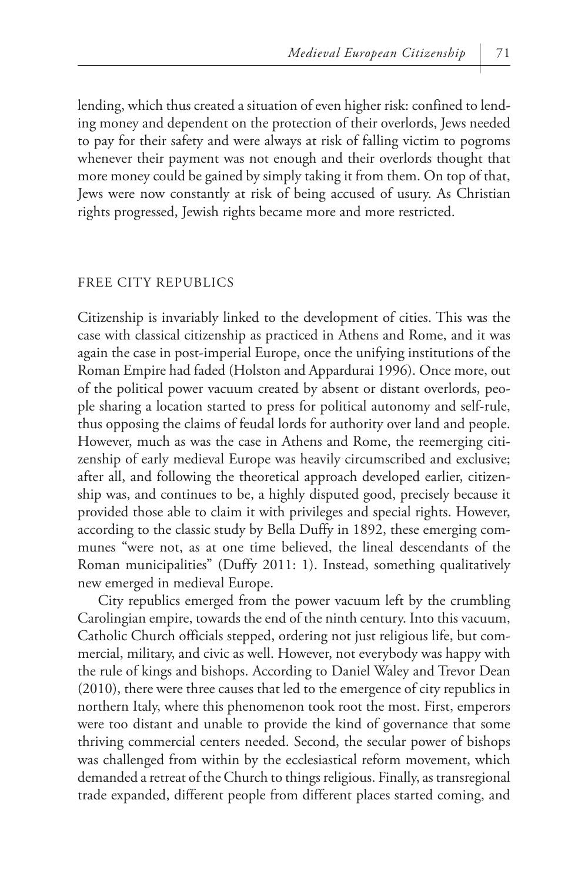lending, which thus created a situation of even higher risk: confined to lending money and dependent on the protection of their overlords, Jews needed to pay for their safety and were always at risk of falling victim to pogroms whenever their payment was not enough and their overlords thought that more money could be gained by simply taking it from them. On top of that, Jews were now constantly at risk of being accused of usury. As Christian rights progressed, Jewish rights became more and more restricted.

### Free City Republics

Citizenship is invariably linked to the development of cities. This was the case with classical citizenship as practiced in Athens and Rome, and it was again the case in post-imperial Europe, once the unifying institutions of the Roman Empire had faded (Holston and Appardurai 1996). Once more, out of the political power vacuum created by absent or distant overlords, people sharing a location started to press for political autonomy and self-rule, thus opposing the claims of feudal lords for authority over land and people. However, much as was the case in Athens and Rome, the reemerging citizenship of early medieval Europe was heavily circumscribed and exclusive; after all, and following the theoretical approach developed earlier, citizenship was, and continues to be, a highly disputed good, precisely because it provided those able to claim it with privileges and special rights. However, according to the classic study by Bella Duffy in 1892, these emerging communes "were not, as at one time believed, the lineal descendants of the Roman municipalities" (Duffy 2011: 1). Instead, something qualitatively new emerged in medieval Europe.

City republics emerged from the power vacuum left by the crumbling Carolingian empire, towards the end of the ninth century. Into this vacuum, Catholic Church officials stepped, ordering not just religious life, but commercial, military, and civic as well. However, not everybody was happy with the rule of kings and bishops. According to Daniel Waley and Trevor Dean (2010), there were three causes that led to the emergence of city republics in northern Italy, where this phenomenon took root the most. First, emperors were too distant and unable to provide the kind of governance that some thriving commercial centers needed. Second, the secular power of bishops was challenged from within by the ecclesiastical reform movement, which demanded a retreat of the Church to things religious. Finally, as transregional trade expanded, different people from different places started coming, and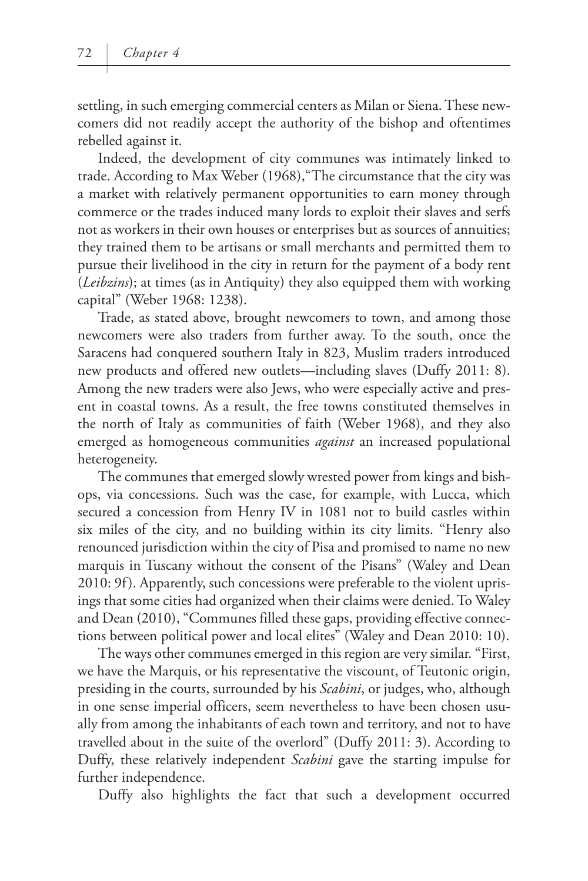settling, in such emerging commercial centers as Milan or Siena. These newcomers did not readily accept the authority of the bishop and oftentimes rebelled against it.

Indeed, the development of city communes was intimately linked to trade. According to Max Weber (1968),"The circumstance that the city was a market with relatively permanent opportunities to earn money through commerce or the trades induced many lords to exploit their slaves and serfs not as workers in their own houses or enterprises but as sources of annuities; they trained them to be artisans or small merchants and permitted them to pursue their livelihood in the city in return for the payment of a body rent (*Leibzins*); at times (as in Antiquity) they also equipped them with working capital" (Weber 1968: 1238).

Trade, as stated above, brought newcomers to town, and among those newcomers were also traders from further away. To the south, once the Saracens had conquered southern Italy in 823, Muslim traders introduced new products and offered new outlets—including slaves (Duffy 2011: 8). Among the new traders were also Jews, who were especially active and present in coastal towns. As a result, the free towns constituted themselves in the north of Italy as communities of faith (Weber 1968), and they also emerged as homogeneous communities *against* an increased populational heterogeneity.

The communes that emerged slowly wrested power from kings and bishops, via concessions. Such was the case, for example, with Lucca, which secured a concession from Henry IV in 1081 not to build castles within six miles of the city, and no building within its city limits. "Henry also renounced jurisdiction within the city of Pisa and promised to name no new marquis in Tuscany without the consent of the Pisans" (Waley and Dean 2010: 9f). Apparently, such concessions were preferable to the violent uprisings that some cities had organized when their claims were denied. To Waley and Dean (2010), "Communes filled these gaps, providing effective connections between political power and local elites" (Waley and Dean 2010: 10).

The ways other communes emerged in this region are very similar. "First, we have the Marquis, or his representative the viscount, of Teutonic origin, presiding in the courts, surrounded by his *Scabini*, or judges, who, although in one sense imperial officers, seem nevertheless to have been chosen usually from among the inhabitants of each town and territory, and not to have travelled about in the suite of the overlord" (Duffy 2011: 3). According to Duffy, these relatively independent *Scabini* gave the starting impulse for further independence.

Duffy also highlights the fact that such a development occurred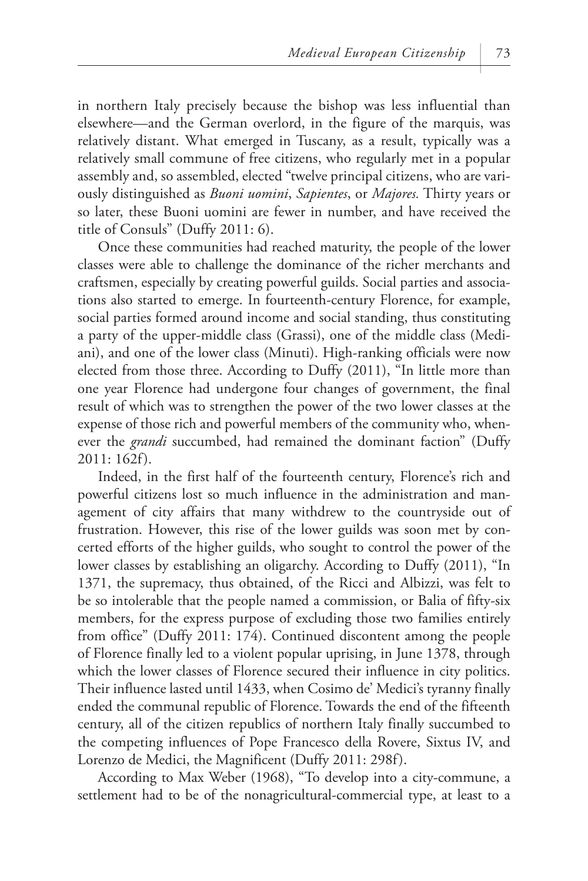in northern Italy precisely because the bishop was less influential than elsewhere—and the German overlord, in the figure of the marquis, was relatively distant. What emerged in Tuscany, as a result, typically was a relatively small commune of free citizens, who regularly met in a popular assembly and, so assembled, elected "twelve principal citizens, who are variously distinguished as *Buoni uomini*, *Sapientes*, or *Majores.* Thirty years or so later, these Buoni uomini are fewer in number, and have received the title of Consuls" (Duffy 2011: 6).

Once these communities had reached maturity, the people of the lower classes were able to challenge the dominance of the richer merchants and craftsmen, especially by creating powerful guilds. Social parties and associations also started to emerge. In fourteenth-century Florence, for example, social parties formed around income and social standing, thus constituting a party of the upper-middle class (Grassi), one of the middle class (Mediani), and one of the lower class (Minuti). High-ranking officials were now elected from those three. According to Duffy (2011), "In little more than one year Florence had undergone four changes of government, the final result of which was to strengthen the power of the two lower classes at the expense of those rich and powerful members of the community who, whenever the *grandi* succumbed, had remained the dominant faction" (Duffy 2011: 162f).

Indeed, in the first half of the fourteenth century, Florence's rich and powerful citizens lost so much influence in the administration and management of city affairs that many withdrew to the countryside out of frustration. However, this rise of the lower guilds was soon met by concerted efforts of the higher guilds, who sought to control the power of the lower classes by establishing an oligarchy. According to Duffy (2011), "In 1371, the supremacy, thus obtained, of the Ricci and Albizzi, was felt to be so intolerable that the people named a commission, or Balia of fifty-six members, for the express purpose of excluding those two families entirely from office" (Duffy 2011: 174). Continued discontent among the people of Florence finally led to a violent popular uprising, in June 1378, through which the lower classes of Florence secured their influence in city politics. Their influence lasted until 1433, when Cosimo de' Medici's tyranny finally ended the communal republic of Florence. Towards the end of the fifteenth century, all of the citizen republics of northern Italy finally succumbed to the competing influences of Pope Francesco della Rovere, Sixtus IV, and Lorenzo de Medici, the Magnificent (Duffy 2011: 298f).

According to Max Weber (1968), "To develop into a city-commune, a settlement had to be of the nonagricultural-commercial type, at least to a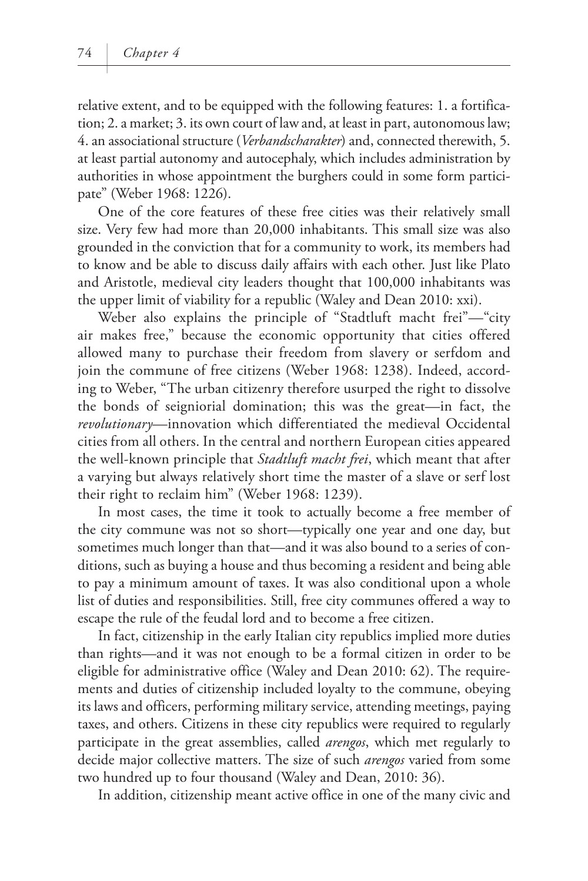relative extent, and to be equipped with the following features: 1. a fortification; 2. a market; 3. its own court of law and, at least in part, autonomous law; 4. an associational structure (*Verbandscharakter*) and, connected therewith, 5. at least partial autonomy and autocephaly, which includes administration by authorities in whose appointment the burghers could in some form participate" (Weber 1968: 1226).

One of the core features of these free cities was their relatively small size. Very few had more than 20,000 inhabitants. This small size was also grounded in the conviction that for a community to work, its members had to know and be able to discuss daily affairs with each other. Just like Plato and Aristotle, medieval city leaders thought that 100,000 inhabitants was the upper limit of viability for a republic (Waley and Dean 2010: xxi).

Weber also explains the principle of "Stadtluft macht frei"—"city air makes free," because the economic opportunity that cities offered allowed many to purchase their freedom from slavery or serfdom and join the commune of free citizens (Weber 1968: 1238). Indeed, according to Weber, "The urban citizenry therefore usurped the right to dissolve the bonds of seigniorial domination; this was the great—in fact, the *revolutionary*—innovation which differentiated the medieval Occidental cities from all others. In the central and northern European cities appeared the well-known principle that *Stadtluft macht frei*, which meant that after a varying but always relatively short time the master of a slave or serf lost their right to reclaim him" (Weber 1968: 1239).

In most cases, the time it took to actually become a free member of the city commune was not so short—typically one year and one day, but sometimes much longer than that—and it was also bound to a series of conditions, such as buying a house and thus becoming a resident and being able to pay a minimum amount of taxes. It was also conditional upon a whole list of duties and responsibilities. Still, free city communes offered a way to escape the rule of the feudal lord and to become a free citizen.

In fact, citizenship in the early Italian city republics implied more duties than rights—and it was not enough to be a formal citizen in order to be eligible for administrative office (Waley and Dean 2010: 62). The requirements and duties of citizenship included loyalty to the commune, obeying its laws and officers, performing military service, attending meetings, paying taxes, and others. Citizens in these city republics were required to regularly participate in the great assemblies, called *arengos*, which met regularly to decide major collective matters. The size of such *arengos* varied from some two hundred up to four thousand (Waley and Dean, 2010: 36).

In addition, citizenship meant active office in one of the many civic and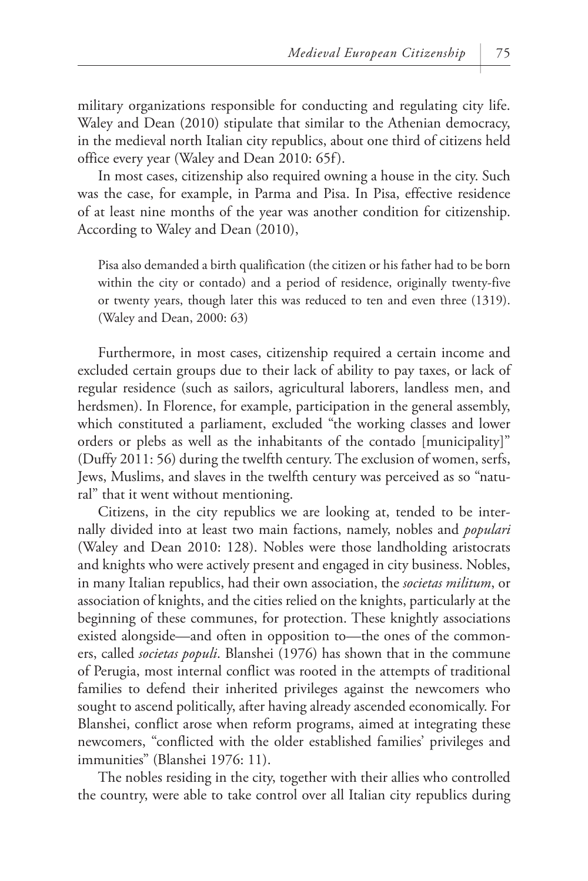military organizations responsible for conducting and regulating city life. Waley and Dean (2010) stipulate that similar to the Athenian democracy, in the medieval north Italian city republics, about one third of citizens held office every year (Waley and Dean 2010: 65f).

In most cases, citizenship also required owning a house in the city. Such was the case, for example, in Parma and Pisa. In Pisa, effective residence of at least nine months of the year was another condition for citizenship. According to Waley and Dean (2010),

Pisa also demanded a birth qualification (the citizen or his father had to be born within the city or contado) and a period of residence, originally twenty-five or twenty years, though later this was reduced to ten and even three (1319). (Waley and Dean, 2000: 63)

Furthermore, in most cases, citizenship required a certain income and excluded certain groups due to their lack of ability to pay taxes, or lack of regular residence (such as sailors, agricultural laborers, landless men, and herdsmen). In Florence, for example, participation in the general assembly, which constituted a parliament, excluded "the working classes and lower orders or plebs as well as the inhabitants of the contado [municipality]" (Duffy 2011: 56) during the twelfth century. The exclusion of women, serfs, Jews, Muslims, and slaves in the twelfth century was perceived as so "natural" that it went without mentioning.

Citizens, in the city republics we are looking at, tended to be internally divided into at least two main factions, namely, nobles and *populari* (Waley and Dean 2010: 128). Nobles were those landholding aristocrats and knights who were actively present and engaged in city business. Nobles, in many Italian republics, had their own association, the *societas militum*, or association of knights, and the cities relied on the knights, particularly at the beginning of these communes, for protection. These knightly associations existed alongside—and often in opposition to—the ones of the commoners, called *societas populi*. Blanshei (1976) has shown that in the commune of Perugia, most internal conflict was rooted in the attempts of traditional families to defend their inherited privileges against the newcomers who sought to ascend politically, after having already ascended economically. For Blanshei, conflict arose when reform programs, aimed at integrating these newcomers, "conflicted with the older established families' privileges and immunities" (Blanshei 1976: 11).

The nobles residing in the city, together with their allies who controlled the country, were able to take control over all Italian city republics during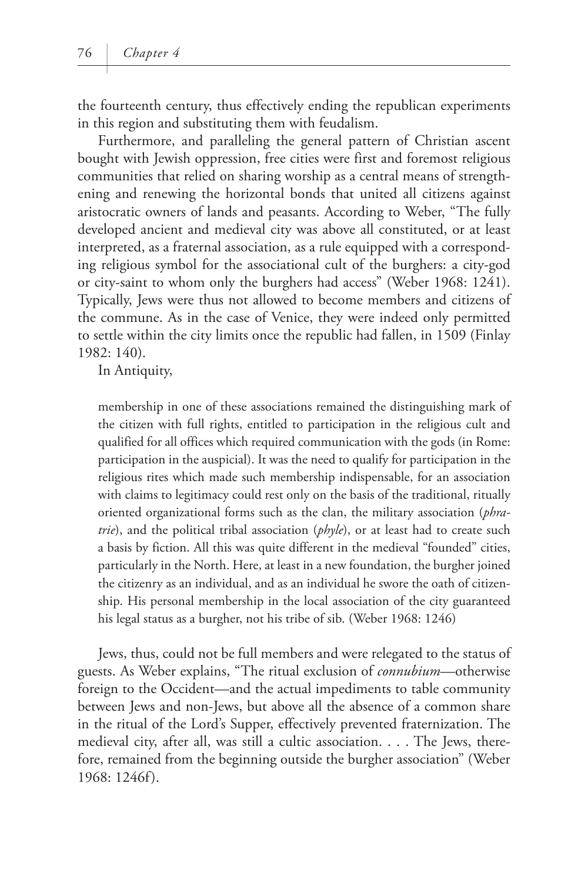the fourteenth century, thus effectively ending the republican experiments in this region and substituting them with feudalism.

Furthermore, and paralleling the general pattern of Christian ascent bought with Jewish oppression, free cities were first and foremost religious communities that relied on sharing worship as a central means of strengthening and renewing the horizontal bonds that united all citizens against aristocratic owners of lands and peasants. According to Weber, "The fully developed ancient and medieval city was above all constituted, or at least interpreted, as a fraternal association, as a rule equipped with a corresponding religious symbol for the associational cult of the burghers: a city-god or city-saint to whom only the burghers had access" (Weber 1968: 1241). Typically, Jews were thus not allowed to become members and citizens of the commune. As in the case of Venice, they were indeed only permitted to settle within the city limits once the republic had fallen, in 1509 (Finlay 1982: 140).

In Antiquity,

membership in one of these associations remained the distinguishing mark of the citizen with full rights, entitled to participation in the religious cult and qualified for all offices which required communication with the gods (in Rome: participation in the auspicial). It was the need to qualify for participation in the religious rites which made such membership indispensable, for an association with claims to legitimacy could rest only on the basis of the traditional, ritually oriented organizational forms such as the clan, the military association (*phratrie*), and the political tribal association (*phyle*), or at least had to create such a basis by fiction. All this was quite different in the medieval "founded" cities, particularly in the North. Here, at least in a new foundation, the burgher joined the citizenry as an individual, and as an individual he swore the oath of citizenship. His personal membership in the local association of the city guaranteed his legal status as a burgher, not his tribe of sib. (Weber 1968: 1246)

Jews, thus, could not be full members and were relegated to the status of guests. As Weber explains, "The ritual exclusion of *connubium*—otherwise foreign to the Occident—and the actual impediments to table community between Jews and non-Jews, but above all the absence of a common share in the ritual of the Lord's Supper, effectively prevented fraternization. The medieval city, after all, was still a cultic association. . . . The Jews, therefore, remained from the beginning outside the burgher association" (Weber 1968: 1246f).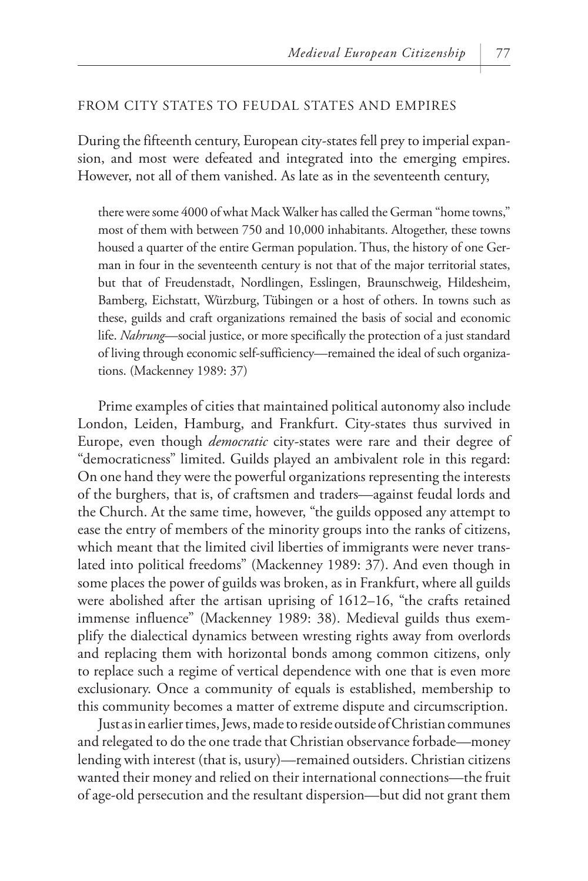### FROM CITY STATES TO FEUDAL STATES AND EMPIRES

During the fifteenth century, European city-states fell prey to imperial expansion, and most were defeated and integrated into the emerging empires. However, not all of them vanished. As late as in the seventeenth century,

there were some 4000 of what Mack Walker has called the German "home towns," most of them with between 750 and 10,000 inhabitants. Altogether, these towns housed a quarter of the entire German population. Thus, the history of one German in four in the seventeenth century is not that of the major territorial states, but that of Freudenstadt, Nordlingen, Esslingen, Braunschweig, Hildesheim, Bamberg, Eichstatt, Würzburg, Tübingen or a host of others. In towns such as these, guilds and craft organizations remained the basis of social and economic life. *Nahrung*—social justice, or more specifically the protection of a just standard of living through economic self-sufficiency—remained the ideal of such organizations. (Mackenney 1989: 37)

Prime examples of cities that maintained political autonomy also include London, Leiden, Hamburg, and Frankfurt. City-states thus survived in Europe, even though *democratic* city-states were rare and their degree of "democraticness" limited. Guilds played an ambivalent role in this regard: On one hand they were the powerful organizations representing the interests of the burghers, that is, of craftsmen and traders—against feudal lords and the Church. At the same time, however, "the guilds opposed any attempt to ease the entry of members of the minority groups into the ranks of citizens, which meant that the limited civil liberties of immigrants were never translated into political freedoms" (Mackenney 1989: 37). And even though in some places the power of guilds was broken, as in Frankfurt, where all guilds were abolished after the artisan uprising of 1612–16, "the crafts retained immense influence" (Mackenney 1989: 38). Medieval guilds thus exemplify the dialectical dynamics between wresting rights away from overlords and replacing them with horizontal bonds among common citizens, only to replace such a regime of vertical dependence with one that is even more exclusionary. Once a community of equals is established, membership to this community becomes a matter of extreme dispute and circumscription.

Just as in earlier times, Jews, made to reside outside of Christian communes and relegated to do the one trade that Christian observance forbade—money lending with interest (that is, usury)—remained outsiders. Christian citizens wanted their money and relied on their international connections—the fruit of age-old persecution and the resultant dispersion—but did not grant them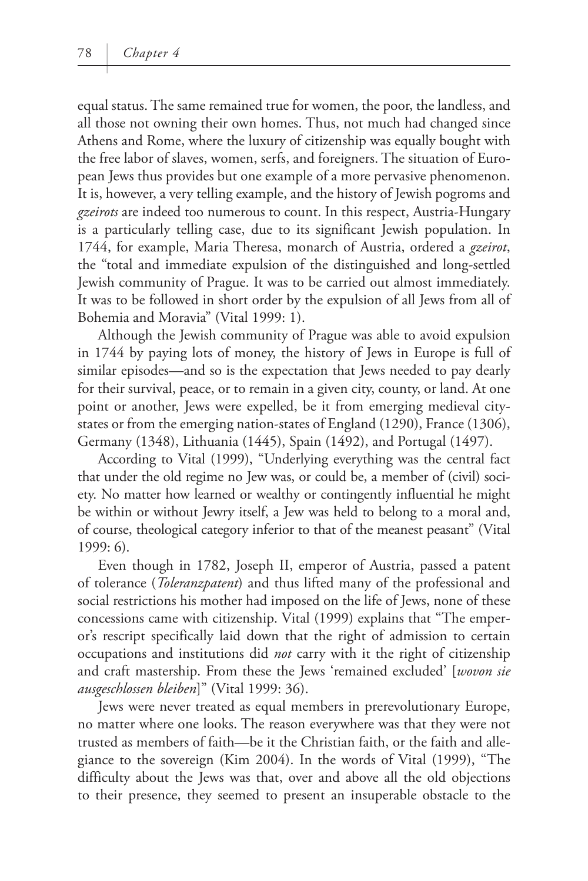equal status. The same remained true for women, the poor, the landless, and all those not owning their own homes. Thus, not much had changed since Athens and Rome, where the luxury of citizenship was equally bought with the free labor of slaves, women, serfs, and foreigners. The situation of European Jews thus provides but one example of a more pervasive phenomenon. It is, however, a very telling example, and the history of Jewish pogroms and *gzeirots* are indeed too numerous to count. In this respect, Austria-Hungary is a particularly telling case, due to its significant Jewish population. In 1744, for example, Maria Theresa, monarch of Austria, ordered a *gzeirot*, the "total and immediate expulsion of the distinguished and long-settled Jewish community of Prague. It was to be carried out almost immediately. It was to be followed in short order by the expulsion of all Jews from all of Bohemia and Moravia" (Vital 1999: 1).

Although the Jewish community of Prague was able to avoid expulsion in 1744 by paying lots of money, the history of Jews in Europe is full of similar episodes—and so is the expectation that Jews needed to pay dearly for their survival, peace, or to remain in a given city, county, or land. At one point or another, Jews were expelled, be it from emerging medieval citystates or from the emerging nation-states of England (1290), France (1306), Germany (1348), Lithuania (1445), Spain (1492), and Portugal (1497).

According to Vital (1999), "Underlying everything was the central fact that under the old regime no Jew was, or could be, a member of (civil) society. No matter how learned or wealthy or contingently influential he might be within or without Jewry itself, a Jew was held to belong to a moral and, of course, theological category inferior to that of the meanest peasant" (Vital 1999: 6).

Even though in 1782, Joseph II, emperor of Austria, passed a patent of tolerance (*Toleranzpatent*) and thus lifted many of the professional and social restrictions his mother had imposed on the life of Jews, none of these concessions came with citizenship. Vital (1999) explains that "The emperor's rescript specifically laid down that the right of admission to certain occupations and institutions did *not* carry with it the right of citizenship and craft mastership. From these the Jews 'remained excluded' [*wovon sie ausgeschlossen bleiben*]" (Vital 1999: 36).

Jews were never treated as equal members in prerevolutionary Europe, no matter where one looks. The reason everywhere was that they were not trusted as members of faith—be it the Christian faith, or the faith and allegiance to the sovereign (Kim 2004). In the words of Vital (1999), "The difficulty about the Jews was that, over and above all the old objections to their presence, they seemed to present an insuperable obstacle to the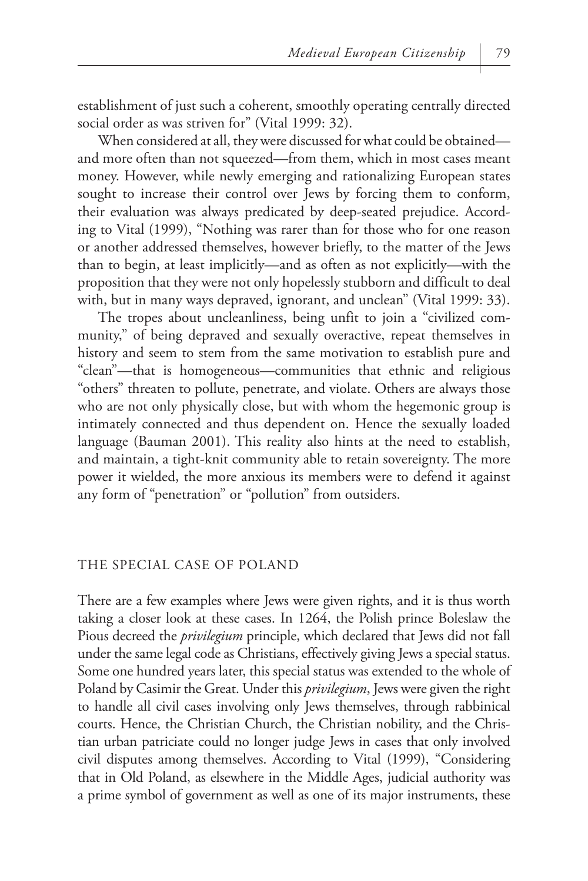establishment of just such a coherent, smoothly operating centrally directed social order as was striven for" (Vital 1999: 32).

When considered at all, they were discussed for what could be obtained and more often than not squeezed—from them, which in most cases meant money. However, while newly emerging and rationalizing European states sought to increase their control over Jews by forcing them to conform, their evaluation was always predicated by deep-seated prejudice. According to Vital (1999), "Nothing was rarer than for those who for one reason or another addressed themselves, however briefly, to the matter of the Jews than to begin, at least implicitly—and as often as not explicitly—with the proposition that they were not only hopelessly stubborn and difficult to deal with, but in many ways depraved, ignorant, and unclean" (Vital 1999: 33).

The tropes about uncleanliness, being unfit to join a "civilized community," of being depraved and sexually overactive, repeat themselves in history and seem to stem from the same motivation to establish pure and "clean"—that is homogeneous—communities that ethnic and religious "others" threaten to pollute, penetrate, and violate. Others are always those who are not only physically close, but with whom the hegemonic group is intimately connected and thus dependent on. Hence the sexually loaded language (Bauman 2001). This reality also hints at the need to establish, and maintain, a tight-knit community able to retain sovereignty. The more power it wielded, the more anxious its members were to defend it against any form of "penetration" or "pollution" from outsiders.

### The Special Case of Poland

There are a few examples where Jews were given rights, and it is thus worth taking a closer look at these cases. In 1264, the Polish prince Boleslaw the Pious decreed the *privilegium* principle, which declared that Jews did not fall under the same legal code as Christians, effectively giving Jews a special status. Some one hundred years later, this special status was extended to the whole of Poland by Casimir the Great. Under this *privilegium*, Jews were given the right to handle all civil cases involving only Jews themselves, through rabbinical courts. Hence, the Christian Church, the Christian nobility, and the Christian urban patriciate could no longer judge Jews in cases that only involved civil disputes among themselves. According to Vital (1999), "Considering that in Old Poland, as elsewhere in the Middle Ages, judicial authority was a prime symbol of government as well as one of its major instruments, these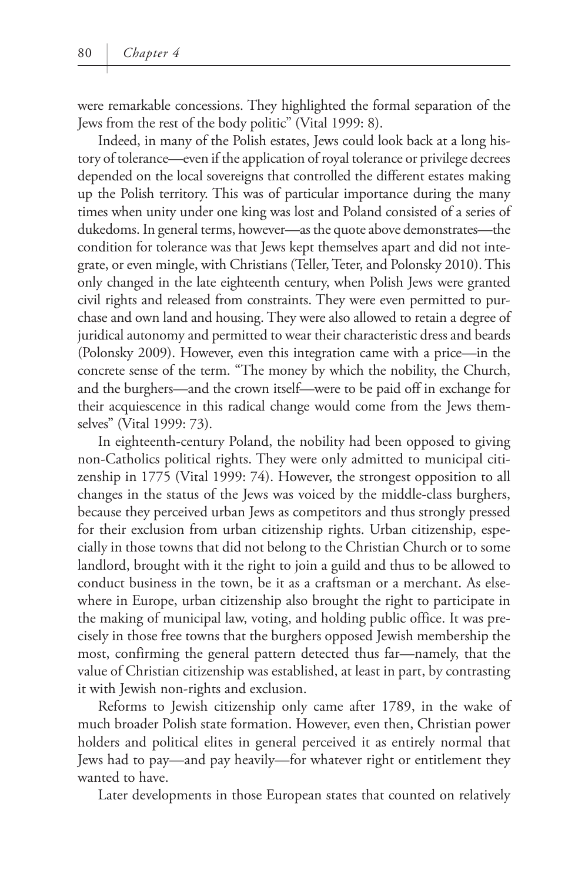were remarkable concessions. They highlighted the formal separation of the Jews from the rest of the body politic" (Vital 1999: 8).

Indeed, in many of the Polish estates, Jews could look back at a long history of tolerance—even if the application of royal tolerance or privilege decrees depended on the local sovereigns that controlled the different estates making up the Polish territory. This was of particular importance during the many times when unity under one king was lost and Poland consisted of a series of dukedoms. In general terms, however—as the quote above demonstrates—the condition for tolerance was that Jews kept themselves apart and did not integrate, or even mingle, with Christians (Teller, Teter, and Polonsky 2010). This only changed in the late eighteenth century, when Polish Jews were granted civil rights and released from constraints. They were even permitted to purchase and own land and housing. They were also allowed to retain a degree of juridical autonomy and permitted to wear their characteristic dress and beards (Polonsky 2009). However, even this integration came with a price—in the concrete sense of the term. "The money by which the nobility, the Church, and the burghers—and the crown itself—were to be paid off in exchange for their acquiescence in this radical change would come from the Jews themselves" (Vital 1999: 73).

In eighteenth-century Poland, the nobility had been opposed to giving non-Catholics political rights. They were only admitted to municipal citizenship in 1775 (Vital 1999: 74). However, the strongest opposition to all changes in the status of the Jews was voiced by the middle-class burghers, because they perceived urban Jews as competitors and thus strongly pressed for their exclusion from urban citizenship rights. Urban citizenship, especially in those towns that did not belong to the Christian Church or to some landlord, brought with it the right to join a guild and thus to be allowed to conduct business in the town, be it as a craftsman or a merchant. As elsewhere in Europe, urban citizenship also brought the right to participate in the making of municipal law, voting, and holding public office. It was precisely in those free towns that the burghers opposed Jewish membership the most, confirming the general pattern detected thus far—namely, that the value of Christian citizenship was established, at least in part, by contrasting it with Jewish non-rights and exclusion.

Reforms to Jewish citizenship only came after 1789, in the wake of much broader Polish state formation. However, even then, Christian power holders and political elites in general perceived it as entirely normal that Jews had to pay—and pay heavily—for whatever right or entitlement they wanted to have.

Later developments in those European states that counted on relatively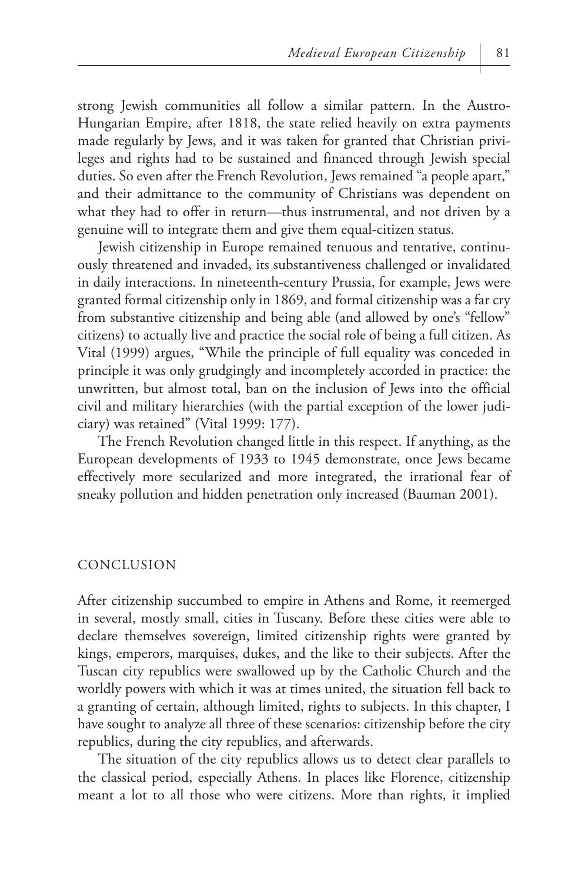<sup>|</sup> <sup>81</sup>

strong Jewish communities all follow a similar pattern. In the Austro-Hungarian Empire, after 1818, the state relied heavily on extra payments made regularly by Jews, and it was taken for granted that Christian privileges and rights had to be sustained and financed through Jewish special duties. So even after the French Revolution, Jews remained "a people apart," and their admittance to the community of Christians was dependent on what they had to offer in return—thus instrumental, and not driven by a genuine will to integrate them and give them equal-citizen status.

Jewish citizenship in Europe remained tenuous and tentative, continuously threatened and invaded, its substantiveness challenged or invalidated in daily interactions. In nineteenth-century Prussia, for example, Jews were granted formal citizenship only in 1869, and formal citizenship was a far cry from substantive citizenship and being able (and allowed by one's "fellow" citizens) to actually live and practice the social role of being a full citizen. As Vital (1999) argues, "While the principle of full equality was conceded in principle it was only grudgingly and incompletely accorded in practice: the unwritten, but almost total, ban on the inclusion of Jews into the official civil and military hierarchies (with the partial exception of the lower judiciary) was retained" (Vital 1999: 177).

The French Revolution changed little in this respect. If anything, as the European developments of 1933 to 1945 demonstrate, once Jews became effectively more secularized and more integrated, the irrational fear of sneaky pollution and hidden penetration only increased (Bauman 2001).

### Conclusion

After citizenship succumbed to empire in Athens and Rome, it reemerged in several, mostly small, cities in Tuscany. Before these cities were able to declare themselves sovereign, limited citizenship rights were granted by kings, emperors, marquises, dukes, and the like to their subjects. After the Tuscan city republics were swallowed up by the Catholic Church and the worldly powers with which it was at times united, the situation fell back to a granting of certain, although limited, rights to subjects. In this chapter, I have sought to analyze all three of these scenarios: citizenship before the city republics, during the city republics, and afterwards.

The situation of the city republics allows us to detect clear parallels to the classical period, especially Athens. In places like Florence, citizenship meant a lot to all those who were citizens. More than rights, it implied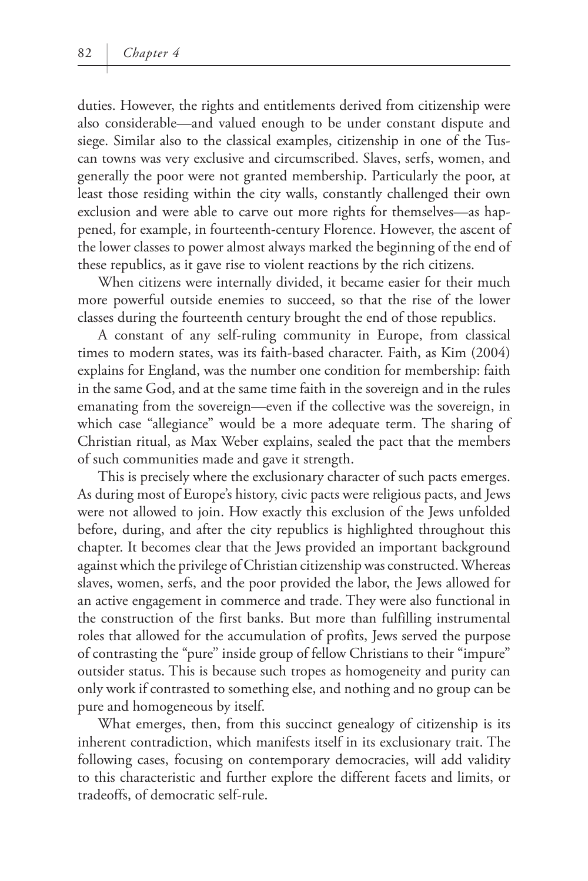duties. However, the rights and entitlements derived from citizenship were also considerable—and valued enough to be under constant dispute and siege. Similar also to the classical examples, citizenship in one of the Tuscan towns was very exclusive and circumscribed. Slaves, serfs, women, and generally the poor were not granted membership. Particularly the poor, at least those residing within the city walls, constantly challenged their own exclusion and were able to carve out more rights for themselves—as happened, for example, in fourteenth-century Florence. However, the ascent of the lower classes to power almost always marked the beginning of the end of these republics, as it gave rise to violent reactions by the rich citizens.

When citizens were internally divided, it became easier for their much more powerful outside enemies to succeed, so that the rise of the lower classes during the fourteenth century brought the end of those republics.

A constant of any self-ruling community in Europe, from classical times to modern states, was its faith-based character. Faith, as Kim (2004) explains for England, was the number one condition for membership: faith in the same God, and at the same time faith in the sovereign and in the rules emanating from the sovereign—even if the collective was the sovereign, in which case "allegiance" would be a more adequate term. The sharing of Christian ritual, as Max Weber explains, sealed the pact that the members of such communities made and gave it strength.

This is precisely where the exclusionary character of such pacts emerges. As during most of Europe's history, civic pacts were religious pacts, and Jews were not allowed to join. How exactly this exclusion of the Jews unfolded before, during, and after the city republics is highlighted throughout this chapter. It becomes clear that the Jews provided an important background against which the privilege of Christian citizenship was constructed. Whereas slaves, women, serfs, and the poor provided the labor, the Jews allowed for an active engagement in commerce and trade. They were also functional in the construction of the first banks. But more than fulfilling instrumental roles that allowed for the accumulation of profits, Jews served the purpose of contrasting the "pure" inside group of fellow Christians to their "impure" outsider status. This is because such tropes as homogeneity and purity can only work if contrasted to something else, and nothing and no group can be pure and homogeneous by itself.

What emerges, then, from this succinct genealogy of citizenship is its inherent contradiction, which manifests itself in its exclusionary trait. The following cases, focusing on contemporary democracies, will add validity to this characteristic and further explore the different facets and limits, or tradeoffs, of democratic self-rule.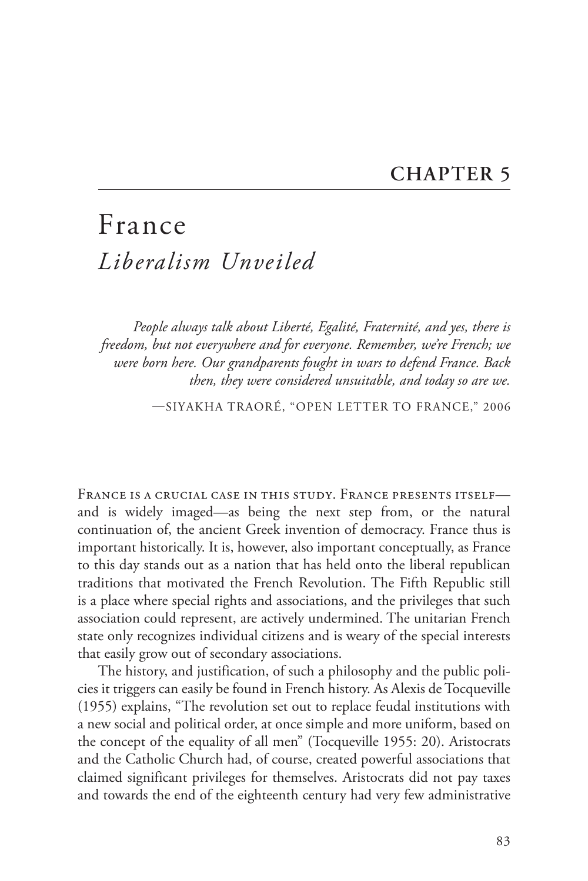### **Chapter 5**

## France *Liberalism Unveiled*

*People always talk about Liberté, Egalité, Fraternité, and yes, there is freedom, but not everywhere and for everyone. Remember, we're French; we were born here. Our grandparents fought in wars to defend France. Back then, they were considered unsuitable, and today so are we.*

—Siyakha Traoré, "Open Letter to France," 2006

FRANCE IS A CRUCIAL CASE IN THIS STUDY. FRANCE PRESENTS ITSELFand is widely imaged—as being the next step from, or the natural continuation of, the ancient Greek invention of democracy. France thus is important historically. It is, however, also important conceptually, as France to this day stands out as a nation that has held onto the liberal republican traditions that motivated the French Revolution. The Fifth Republic still is a place where special rights and associations, and the privileges that such association could represent, are actively undermined. The unitarian French state only recognizes individual citizens and is weary of the special interests that easily grow out of secondary associations.

The history, and justification, of such a philosophy and the public policies it triggers can easily be found in French history. As Alexis de Tocqueville (1955) explains, "The revolution set out to replace feudal institutions with a new social and political order, at once simple and more uniform, based on the concept of the equality of all men" (Tocqueville 1955: 20). Aristocrats and the Catholic Church had, of course, created powerful associations that claimed significant privileges for themselves. Aristocrats did not pay taxes and towards the end of the eighteenth century had very few administrative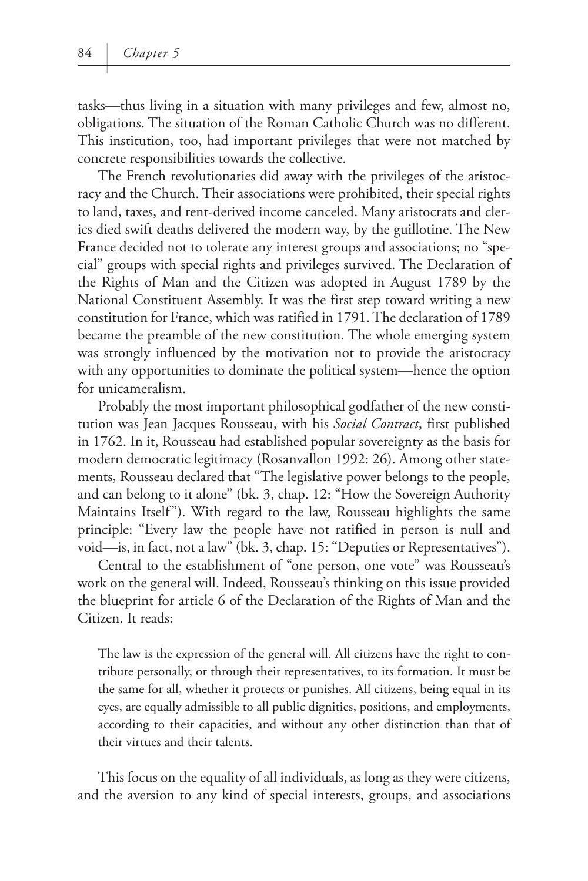tasks—thus living in a situation with many privileges and few, almost no, obligations. The situation of the Roman Catholic Church was no different. This institution, too, had important privileges that were not matched by concrete responsibilities towards the collective.

The French revolutionaries did away with the privileges of the aristocracy and the Church. Their associations were prohibited, their special rights to land, taxes, and rent-derived income canceled. Many aristocrats and clerics died swift deaths delivered the modern way, by the guillotine. The New France decided not to tolerate any interest groups and associations; no "special" groups with special rights and privileges survived. The Declaration of the Rights of Man and the Citizen was adopted in August 1789 by the National Constituent Assembly. It was the first step toward writing a new constitution for France, which was ratified in 1791. The declaration of 1789 became the preamble of the new constitution. The whole emerging system was strongly influenced by the motivation not to provide the aristocracy with any opportunities to dominate the political system—hence the option for unicameralism.

Probably the most important philosophical godfather of the new constitution was Jean Jacques Rousseau, with his *Social Contract*, first published in 1762. In it, Rousseau had established popular sovereignty as the basis for modern democratic legitimacy (Rosanvallon 1992: 26). Among other statements, Rousseau declared that "The legislative power belongs to the people, and can belong to it alone" (bk. 3, chap. 12: "How the Sovereign Authority Maintains Itself"). With regard to the law, Rousseau highlights the same principle: "Every law the people have not ratified in person is null and void—is, in fact, not a law" (bk. 3, chap. 15: "Deputies or Representatives").

Central to the establishment of "one person, one vote" was Rousseau's work on the general will. Indeed, Rousseau's thinking on this issue provided the blueprint for article 6 of the Declaration of the Rights of Man and the Citizen. It reads:

The law is the expression of the general will. All citizens have the right to contribute personally, or through their representatives, to its formation. It must be the same for all, whether it protects or punishes. All citizens, being equal in its eyes, are equally admissible to all public dignities, positions, and employments, according to their capacities, and without any other distinction than that of their virtues and their talents.

This focus on the equality of all individuals, as long as they were citizens, and the aversion to any kind of special interests, groups, and associations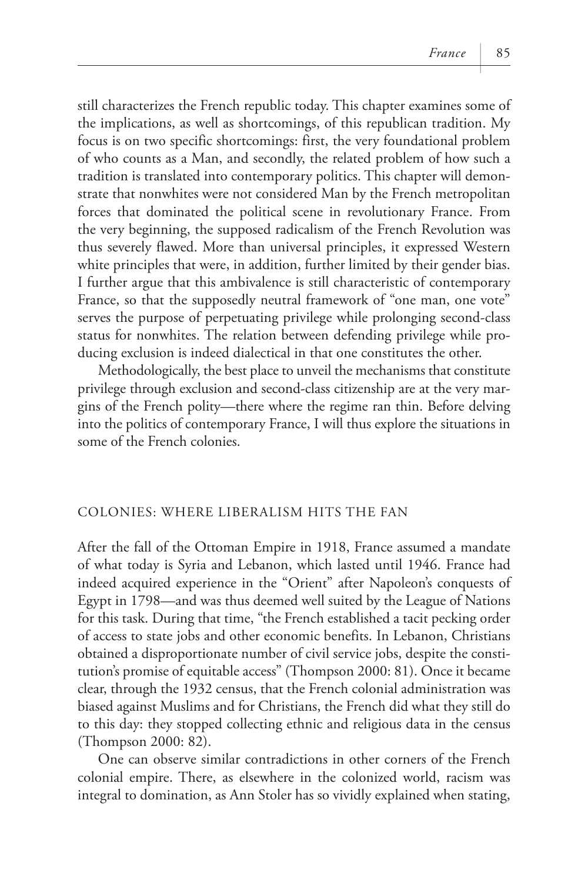still characterizes the French republic today. This chapter examines some of the implications, as well as shortcomings, of this republican tradition. My focus is on two specific shortcomings: first, the very foundational problem of who counts as a Man, and secondly, the related problem of how such a tradition is translated into contemporary politics. This chapter will demonstrate that nonwhites were not considered Man by the French metropolitan forces that dominated the political scene in revolutionary France. From the very beginning, the supposed radicalism of the French Revolution was thus severely flawed. More than universal principles, it expressed Western white principles that were, in addition, further limited by their gender bias. I further argue that this ambivalence is still characteristic of contemporary France, so that the supposedly neutral framework of "one man, one vote" serves the purpose of perpetuating privilege while prolonging second-class status for nonwhites. The relation between defending privilege while producing exclusion is indeed dialectical in that one constitutes the other.

Methodologically, the best place to unveil the mechanisms that constitute privilege through exclusion and second-class citizenship are at the very margins of the French polity—there where the regime ran thin. Before delving into the politics of contemporary France, I will thus explore the situations in some of the French colonies.

#### Colonies: Where Liberalism Hits the Fan

After the fall of the Ottoman Empire in 1918, France assumed a mandate of what today is Syria and Lebanon, which lasted until 1946. France had indeed acquired experience in the "Orient" after Napoleon's conquests of Egypt in 1798—and was thus deemed well suited by the League of Nations for this task. During that time, "the French established a tacit pecking order of access to state jobs and other economic benefits. In Lebanon, Christians obtained a disproportionate number of civil service jobs, despite the constitution's promise of equitable access" (Thompson 2000: 81). Once it became clear, through the 1932 census, that the French colonial administration was biased against Muslims and for Christians, the French did what they still do to this day: they stopped collecting ethnic and religious data in the census (Thompson 2000: 82).

One can observe similar contradictions in other corners of the French colonial empire. There, as elsewhere in the colonized world, racism was integral to domination, as Ann Stoler has so vividly explained when stating,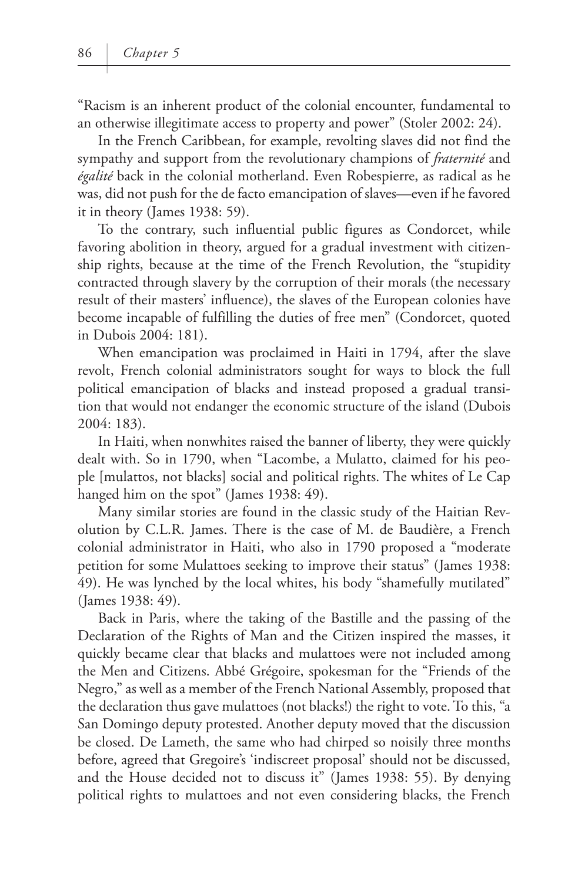"Racism is an inherent product of the colonial encounter, fundamental to an otherwise illegitimate access to property and power" (Stoler 2002: 24).

In the French Caribbean, for example, revolting slaves did not find the sympathy and support from the revolutionary champions of *fraternité* and *égalité* back in the colonial motherland. Even Robespierre, as radical as he was, did not push for the de facto emancipation of slaves—even if he favored it in theory (James 1938: 59).

To the contrary, such influential public figures as Condorcet, while favoring abolition in theory, argued for a gradual investment with citizenship rights, because at the time of the French Revolution, the "stupidity contracted through slavery by the corruption of their morals (the necessary result of their masters' influence), the slaves of the European colonies have become incapable of fulfilling the duties of free men" (Condorcet, quoted in Dubois 2004: 181).

When emancipation was proclaimed in Haiti in 1794, after the slave revolt, French colonial administrators sought for ways to block the full political emancipation of blacks and instead proposed a gradual transition that would not endanger the economic structure of the island (Dubois 2004: 183).

In Haiti, when nonwhites raised the banner of liberty, they were quickly dealt with. So in 1790, when "Lacombe, a Mulatto, claimed for his people [mulattos, not blacks] social and political rights. The whites of Le Cap hanged him on the spot" (James 1938: 49).

Many similar stories are found in the classic study of the Haitian Revolution by C.L.R. James. There is the case of M. de Baudière, a French colonial administrator in Haiti, who also in 1790 proposed a "moderate petition for some Mulattoes seeking to improve their status" (James 1938: 49). He was lynched by the local whites, his body "shamefully mutilated" (James 1938: 49).

Back in Paris, where the taking of the Bastille and the passing of the Declaration of the Rights of Man and the Citizen inspired the masses, it quickly became clear that blacks and mulattoes were not included among the Men and Citizens. Abbé Grégoire, spokesman for the "Friends of the Negro," as well as a member of the French National Assembly, proposed that the declaration thus gave mulattoes (not blacks!) the right to vote. To this, "a San Domingo deputy protested. Another deputy moved that the discussion be closed. De Lameth, the same who had chirped so noisily three months before, agreed that Gregoire's 'indiscreet proposal' should not be discussed, and the House decided not to discuss it" (James 1938: 55). By denying political rights to mulattoes and not even considering blacks, the French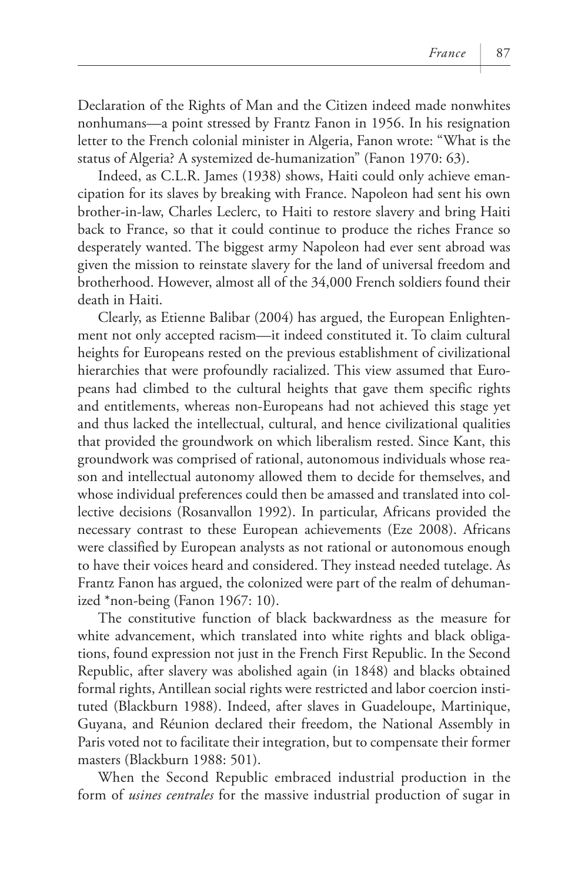Declaration of the Rights of Man and the Citizen indeed made nonwhites nonhumans—a point stressed by Frantz Fanon in 1956. In his resignation letter to the French colonial minister in Algeria, Fanon wrote: "What is the status of Algeria? A systemized de-humanization" (Fanon 1970: 63).

Indeed, as C.L.R. James (1938) shows, Haiti could only achieve emancipation for its slaves by breaking with France. Napoleon had sent his own brother-in-law, Charles Leclerc, to Haiti to restore slavery and bring Haiti back to France, so that it could continue to produce the riches France so desperately wanted. The biggest army Napoleon had ever sent abroad was given the mission to reinstate slavery for the land of universal freedom and brotherhood. However, almost all of the 34,000 French soldiers found their death in Haiti.

Clearly, as Etienne Balibar (2004) has argued, the European Enlightenment not only accepted racism—it indeed constituted it. To claim cultural heights for Europeans rested on the previous establishment of civilizational hierarchies that were profoundly racialized. This view assumed that Europeans had climbed to the cultural heights that gave them specific rights and entitlements, whereas non-Europeans had not achieved this stage yet and thus lacked the intellectual, cultural, and hence civilizational qualities that provided the groundwork on which liberalism rested. Since Kant, this groundwork was comprised of rational, autonomous individuals whose reason and intellectual autonomy allowed them to decide for themselves, and whose individual preferences could then be amassed and translated into collective decisions (Rosanvallon 1992). In particular, Africans provided the necessary contrast to these European achievements (Eze 2008). Africans were classified by European analysts as not rational or autonomous enough to have their voices heard and considered. They instead needed tutelage. As Frantz Fanon has argued, the colonized were part of the realm of dehumanized \*non-being (Fanon 1967: 10).

The constitutive function of black backwardness as the measure for white advancement, which translated into white rights and black obligations, found expression not just in the French First Republic. In the Second Republic, after slavery was abolished again (in 1848) and blacks obtained formal rights, Antillean social rights were restricted and labor coercion instituted (Blackburn 1988). Indeed, after slaves in Guadeloupe, Martinique, Guyana, and Réunion declared their freedom, the National Assembly in Paris voted not to facilitate their integration, but to compensate their former masters (Blackburn 1988: 501).

When the Second Republic embraced industrial production in the form of *usines centrales* for the massive industrial production of sugar in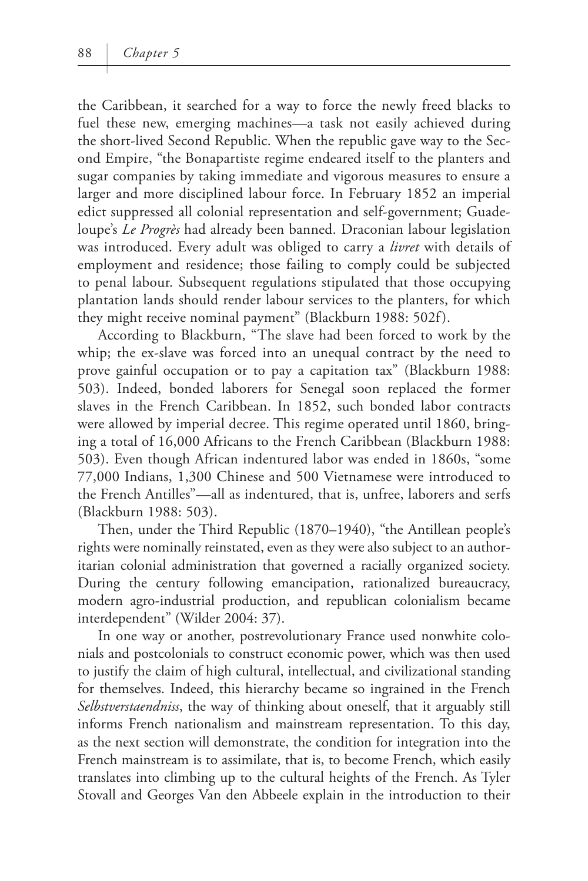the Caribbean, it searched for a way to force the newly freed blacks to fuel these new, emerging machines—a task not easily achieved during the short-lived Second Republic. When the republic gave way to the Second Empire, "the Bonapartiste regime endeared itself to the planters and sugar companies by taking immediate and vigorous measures to ensure a larger and more disciplined labour force. In February 1852 an imperial edict suppressed all colonial representation and self-government; Guadeloupe's *Le Progrès* had already been banned. Draconian labour legislation was introduced. Every adult was obliged to carry a *livret* with details of employment and residence; those failing to comply could be subjected to penal labour. Subsequent regulations stipulated that those occupying plantation lands should render labour services to the planters, for which they might receive nominal payment" (Blackburn 1988: 502f).

According to Blackburn, "The slave had been forced to work by the whip; the ex-slave was forced into an unequal contract by the need to prove gainful occupation or to pay a capitation tax" (Blackburn 1988: 503). Indeed, bonded laborers for Senegal soon replaced the former slaves in the French Caribbean. In 1852, such bonded labor contracts were allowed by imperial decree. This regime operated until 1860, bringing a total of 16,000 Africans to the French Caribbean (Blackburn 1988: 503). Even though African indentured labor was ended in 1860s, "some 77,000 Indians, 1,300 Chinese and 500 Vietnamese were introduced to the French Antilles"—all as indentured, that is, unfree, laborers and serfs (Blackburn 1988: 503).

Then, under the Third Republic (1870–1940), "the Antillean people's rights were nominally reinstated, even as they were also subject to an authoritarian colonial administration that governed a racially organized society. During the century following emancipation, rationalized bureaucracy, modern agro-industrial production, and republican colonialism became interdependent" (Wilder 2004: 37).

In one way or another, postrevolutionary France used nonwhite colonials and postcolonials to construct economic power, which was then used to justify the claim of high cultural, intellectual, and civilizational standing for themselves. Indeed, this hierarchy became so ingrained in the French *Selbstverstaendniss*, the way of thinking about oneself, that it arguably still informs French nationalism and mainstream representation. To this day, as the next section will demonstrate, the condition for integration into the French mainstream is to assimilate, that is, to become French, which easily translates into climbing up to the cultural heights of the French. As Tyler Stovall and Georges Van den Abbeele explain in the introduction to their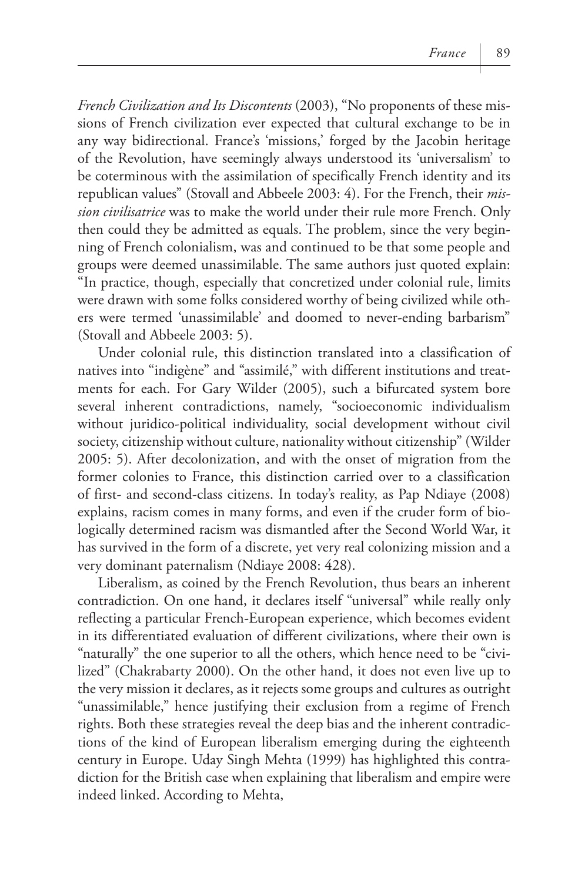*French Civilization and Its Discontents* (2003), "No proponents of these missions of French civilization ever expected that cultural exchange to be in any way bidirectional. France's 'missions,' forged by the Jacobin heritage of the Revolution, have seemingly always understood its 'universalism' to be coterminous with the assimilation of specifically French identity and its republican values" (Stovall and Abbeele 2003: 4). For the French, their *mission civilisatrice* was to make the world under their rule more French. Only then could they be admitted as equals. The problem, since the very beginning of French colonialism, was and continued to be that some people and groups were deemed unassimilable. The same authors just quoted explain: "In practice, though, especially that concretized under colonial rule, limits were drawn with some folks considered worthy of being civilized while others were termed 'unassimilable' and doomed to never-ending barbarism" (Stovall and Abbeele 2003: 5).

Under colonial rule, this distinction translated into a classification of natives into "indigène" and "assimilé," with different institutions and treatments for each. For Gary Wilder (2005), such a bifurcated system bore several inherent contradictions, namely, "socioeconomic individualism without juridico-political individuality, social development without civil society, citizenship without culture, nationality without citizenship" (Wilder 2005: 5). After decolonization, and with the onset of migration from the former colonies to France, this distinction carried over to a classification of first- and second-class citizens. In today's reality, as Pap Ndiaye (2008) explains, racism comes in many forms, and even if the cruder form of biologically determined racism was dismantled after the Second World War, it has survived in the form of a discrete, yet very real colonizing mission and a very dominant paternalism (Ndiaye 2008: 428).

Liberalism, as coined by the French Revolution, thus bears an inherent contradiction. On one hand, it declares itself "universal" while really only reflecting a particular French-European experience, which becomes evident in its differentiated evaluation of different civilizations, where their own is "naturally" the one superior to all the others, which hence need to be "civilized" (Chakrabarty 2000). On the other hand, it does not even live up to the very mission it declares, as it rejects some groups and cultures as outright "unassimilable," hence justifying their exclusion from a regime of French rights. Both these strategies reveal the deep bias and the inherent contradictions of the kind of European liberalism emerging during the eighteenth century in Europe. Uday Singh Mehta (1999) has highlighted this contradiction for the British case when explaining that liberalism and empire were indeed linked. According to Mehta,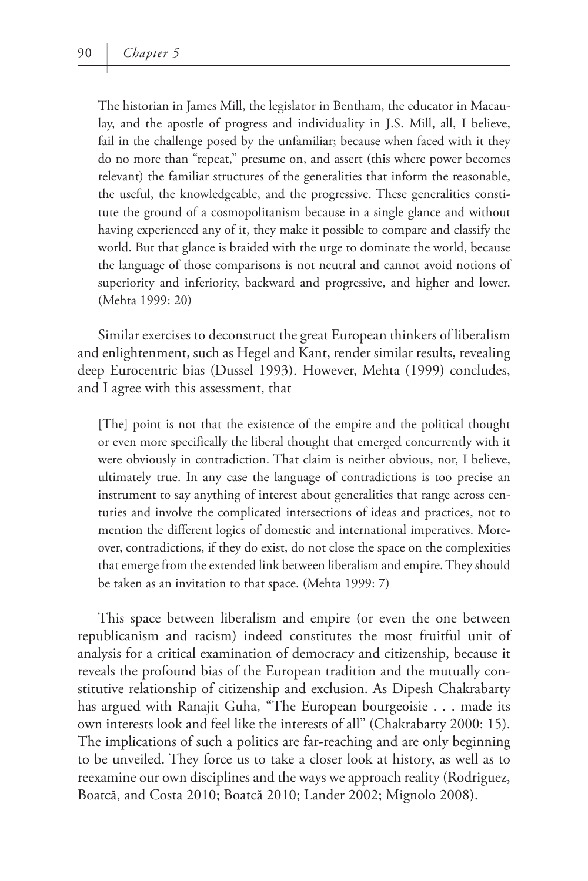The historian in James Mill, the legislator in Bentham, the educator in Macaulay, and the apostle of progress and individuality in J.S. Mill, all, I believe, fail in the challenge posed by the unfamiliar; because when faced with it they do no more than "repeat," presume on, and assert (this where power becomes relevant) the familiar structures of the generalities that inform the reasonable, the useful, the knowledgeable, and the progressive. These generalities constitute the ground of a cosmopolitanism because in a single glance and without having experienced any of it, they make it possible to compare and classify the world. But that glance is braided with the urge to dominate the world, because the language of those comparisons is not neutral and cannot avoid notions of superiority and inferiority, backward and progressive, and higher and lower. (Mehta 1999: 20)

Similar exercises to deconstruct the great European thinkers of liberalism and enlightenment, such as Hegel and Kant, render similar results, revealing deep Eurocentric bias (Dussel 1993). However, Mehta (1999) concludes, and I agree with this assessment, that

[The] point is not that the existence of the empire and the political thought or even more specifically the liberal thought that emerged concurrently with it were obviously in contradiction. That claim is neither obvious, nor, I believe, ultimately true. In any case the language of contradictions is too precise an instrument to say anything of interest about generalities that range across centuries and involve the complicated intersections of ideas and practices, not to mention the different logics of domestic and international imperatives. Moreover, contradictions, if they do exist, do not close the space on the complexities that emerge from the extended link between liberalism and empire. They should be taken as an invitation to that space. (Mehta 1999: 7)

This space between liberalism and empire (or even the one between republicanism and racism) indeed constitutes the most fruitful unit of analysis for a critical examination of democracy and citizenship, because it reveals the profound bias of the European tradition and the mutually constitutive relationship of citizenship and exclusion. As Dipesh Chakrabarty has argued with Ranajit Guha, "The European bourgeoisie . . . made its own interests look and feel like the interests of all" (Chakrabarty 2000: 15). The implications of such a politics are far-reaching and are only beginning to be unveiled. They force us to take a closer look at history, as well as to reexamine our own disciplines and the ways we approach reality (Rodriguez, Boatcă, and Costa 2010; Boatcă 2010; Lander 2002; Mignolo 2008).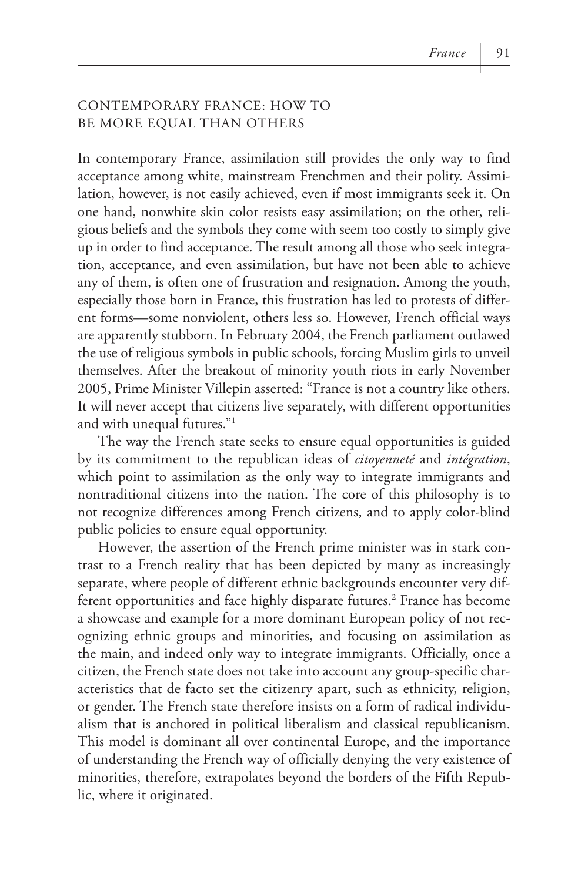## Contemporary France: How to Be More Equal Than Others

In contemporary France, assimilation still provides the only way to find acceptance among white, mainstream Frenchmen and their polity. Assimilation, however, is not easily achieved, even if most immigrants seek it. On one hand, nonwhite skin color resists easy assimilation; on the other, religious beliefs and the symbols they come with seem too costly to simply give up in order to find acceptance. The result among all those who seek integration, acceptance, and even assimilation, but have not been able to achieve any of them, is often one of frustration and resignation. Among the youth, especially those born in France, this frustration has led to protests of different forms—some nonviolent, others less so. However, French official ways are apparently stubborn. In February 2004, the French parliament outlawed the use of religious symbols in public schools, forcing Muslim girls to unveil themselves. After the breakout of minority youth riots in early November 2005, Prime Minister Villepin asserted: "France is not a country like others. It will never accept that citizens live separately, with different opportunities and with unequal futures."1

The way the French state seeks to ensure equal opportunities is guided by its commitment to the republican ideas of *citoyenneté* and *intégration*, which point to assimilation as the only way to integrate immigrants and nontraditional citizens into the nation. The core of this philosophy is to not recognize differences among French citizens, and to apply color-blind public policies to ensure equal opportunity.

However, the assertion of the French prime minister was in stark contrast to a French reality that has been depicted by many as increasingly separate, where people of different ethnic backgrounds encounter very different opportunities and face highly disparate futures.<sup>2</sup> France has become a showcase and example for a more dominant European policy of not recognizing ethnic groups and minorities, and focusing on assimilation as the main, and indeed only way to integrate immigrants. Officially, once a citizen, the French state does not take into account any group-specific characteristics that de facto set the citizenry apart, such as ethnicity, religion, or gender. The French state therefore insists on a form of radical individualism that is anchored in political liberalism and classical republicanism. This model is dominant all over continental Europe, and the importance of understanding the French way of officially denying the very existence of minorities, therefore, extrapolates beyond the borders of the Fifth Republic, where it originated.

<sup>|</sup> <sup>91</sup>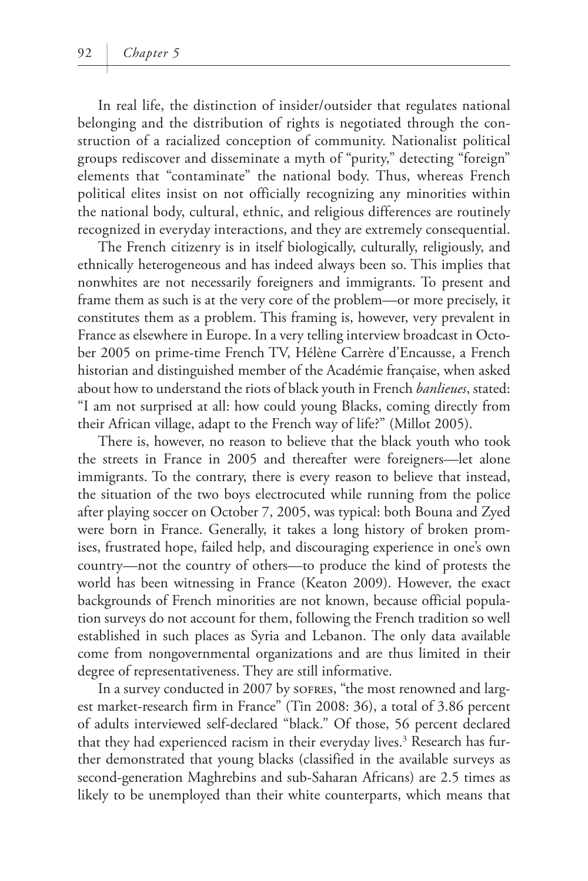In real life, the distinction of insider/outsider that regulates national belonging and the distribution of rights is negotiated through the construction of a racialized conception of community. Nationalist political groups rediscover and disseminate a myth of "purity," detecting "foreign" elements that "contaminate" the national body. Thus, whereas French political elites insist on not officially recognizing any minorities within the national body, cultural, ethnic, and religious differences are routinely recognized in everyday interactions, and they are extremely consequential.

The French citizenry is in itself biologically, culturally, religiously, and ethnically heterogeneous and has indeed always been so. This implies that nonwhites are not necessarily foreigners and immigrants. To present and frame them as such is at the very core of the problem—or more precisely, it constitutes them as a problem. This framing is, however, very prevalent in France as elsewhere in Europe. In a very telling interview broadcast in October 2005 on prime-time French TV, Hélène Carrère d'Encausse, a French historian and distinguished member of the Académie française, when asked about how to understand the riots of black youth in French *banlieues*, stated: "I am not surprised at all: how could young Blacks, coming directly from their African village, adapt to the French way of life?" (Millot 2005).

There is, however, no reason to believe that the black youth who took the streets in France in 2005 and thereafter were foreigners—let alone immigrants. To the contrary, there is every reason to believe that instead, the situation of the two boys electrocuted while running from the police after playing soccer on October 7, 2005, was typical: both Bouna and Zyed were born in France. Generally, it takes a long history of broken promises, frustrated hope, failed help, and discouraging experience in one's own country—not the country of others—to produce the kind of protests the world has been witnessing in France (Keaton 2009). However, the exact backgrounds of French minorities are not known, because official population surveys do not account for them, following the French tradition so well established in such places as Syria and Lebanon. The only data available come from nongovernmental organizations and are thus limited in their degree of representativeness. They are still informative.

In a survey conducted in 2007 by sorres, "the most renowned and largest market-research firm in France" (Tin 2008: 36), a total of 3.86 percent of adults interviewed self-declared "black." Of those, 56 percent declared that they had experienced racism in their everyday lives.<sup>3</sup> Research has further demonstrated that young blacks (classified in the available surveys as second-generation Maghrebins and sub-Saharan Africans) are 2.5 times as likely to be unemployed than their white counterparts, which means that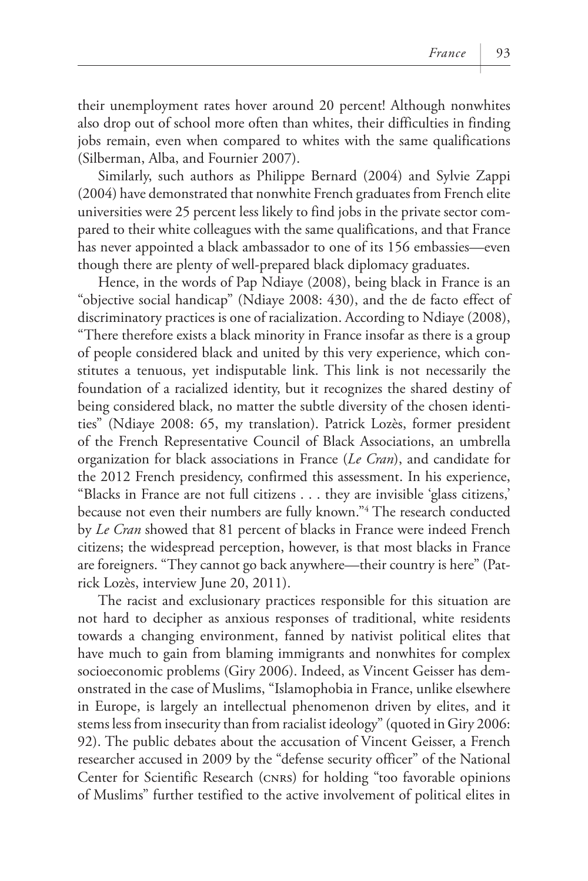their unemployment rates hover around 20 percent! Although nonwhites also drop out of school more often than whites, their difficulties in finding jobs remain, even when compared to whites with the same qualifications (Silberman, Alba, and Fournier 2007).

Similarly, such authors as Philippe Bernard (2004) and Sylvie Zappi (2004) have demonstrated that nonwhite French graduates from French elite universities were 25 percent less likely to find jobs in the private sector compared to their white colleagues with the same qualifications, and that France has never appointed a black ambassador to one of its 156 embassies—even though there are plenty of well-prepared black diplomacy graduates.

Hence, in the words of Pap Ndiaye (2008), being black in France is an "objective social handicap" (Ndiaye 2008: 430), and the de facto effect of discriminatory practices is one of racialization. According to Ndiaye (2008), "There therefore exists a black minority in France insofar as there is a group of people considered black and united by this very experience, which constitutes a tenuous, yet indisputable link. This link is not necessarily the foundation of a racialized identity, but it recognizes the shared destiny of being considered black, no matter the subtle diversity of the chosen identities" (Ndiaye 2008: 65, my translation). Patrick Lozès, former president of the French Representative Council of Black Associations, an umbrella organization for black associations in France (*Le Cran*), and candidate for the 2012 French presidency, confirmed this assessment. In his experience, "Blacks in France are not full citizens . . . they are invisible 'glass citizens,' because not even their numbers are fully known."4 The research conducted by *Le Cran* showed that 81 percent of blacks in France were indeed French citizens; the widespread perception, however, is that most blacks in France are foreigners. "They cannot go back anywhere—their country is here" (Patrick Lozès, interview June 20, 2011).

The racist and exclusionary practices responsible for this situation are not hard to decipher as anxious responses of traditional, white residents towards a changing environment, fanned by nativist political elites that have much to gain from blaming immigrants and nonwhites for complex socioeconomic problems (Giry 2006). Indeed, as Vincent Geisser has demonstrated in the case of Muslims, "Islamophobia in France, unlike elsewhere in Europe, is largely an intellectual phenomenon driven by elites, and it stems less from insecurity than from racialist ideology" (quoted in Giry 2006: 92). The public debates about the accusation of Vincent Geisser, a French researcher accused in 2009 by the "defense security officer" of the National Center for Scientific Research (cnrs) for holding "too favorable opinions of Muslims" further testified to the active involvement of political elites in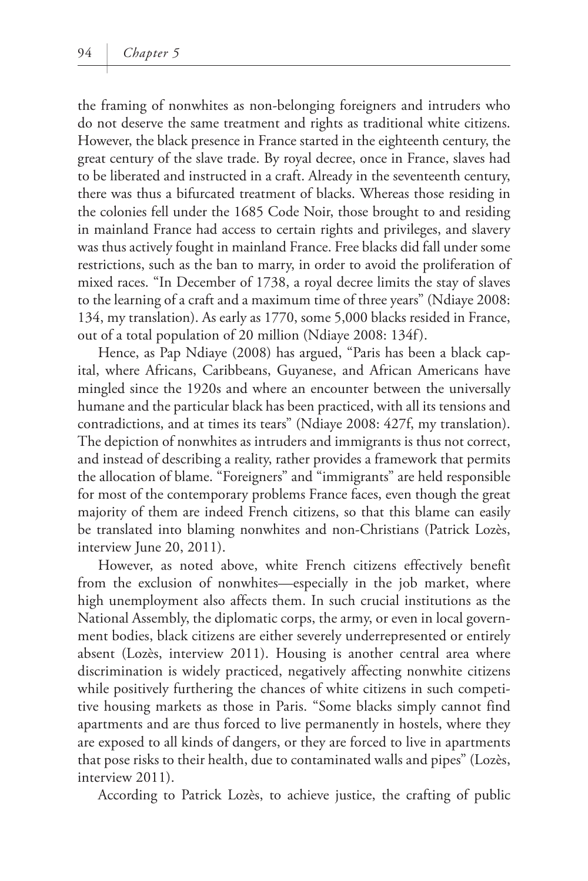the framing of nonwhites as non-belonging foreigners and intruders who do not deserve the same treatment and rights as traditional white citizens. However, the black presence in France started in the eighteenth century, the great century of the slave trade. By royal decree, once in France, slaves had to be liberated and instructed in a craft. Already in the seventeenth century, there was thus a bifurcated treatment of blacks. Whereas those residing in the colonies fell under the 1685 Code Noir, those brought to and residing in mainland France had access to certain rights and privileges, and slavery was thus actively fought in mainland France. Free blacks did fall under some restrictions, such as the ban to marry, in order to avoid the proliferation of mixed races. "In December of 1738, a royal decree limits the stay of slaves to the learning of a craft and a maximum time of three years" (Ndiaye 2008: 134, my translation). As early as 1770, some 5,000 blacks resided in France, out of a total population of 20 million (Ndiaye 2008: 134f).

Hence, as Pap Ndiaye (2008) has argued, "Paris has been a black capital, where Africans, Caribbeans, Guyanese, and African Americans have mingled since the 1920s and where an encounter between the universally humane and the particular black has been practiced, with all its tensions and contradictions, and at times its tears" (Ndiaye 2008: 427f, my translation). The depiction of nonwhites as intruders and immigrants is thus not correct, and instead of describing a reality, rather provides a framework that permits the allocation of blame. "Foreigners" and "immigrants" are held responsible for most of the contemporary problems France faces, even though the great majority of them are indeed French citizens, so that this blame can easily be translated into blaming nonwhites and non-Christians (Patrick Lozès, interview June 20, 2011).

However, as noted above, white French citizens effectively benefit from the exclusion of nonwhites—especially in the job market, where high unemployment also affects them. In such crucial institutions as the National Assembly, the diplomatic corps, the army, or even in local government bodies, black citizens are either severely underrepresented or entirely absent (Lozès, interview 2011). Housing is another central area where discrimination is widely practiced, negatively affecting nonwhite citizens while positively furthering the chances of white citizens in such competitive housing markets as those in Paris. "Some blacks simply cannot find apartments and are thus forced to live permanently in hostels, where they are exposed to all kinds of dangers, or they are forced to live in apartments that pose risks to their health, due to contaminated walls and pipes" (Lozès, interview 2011).

According to Patrick Lozès, to achieve justice, the crafting of public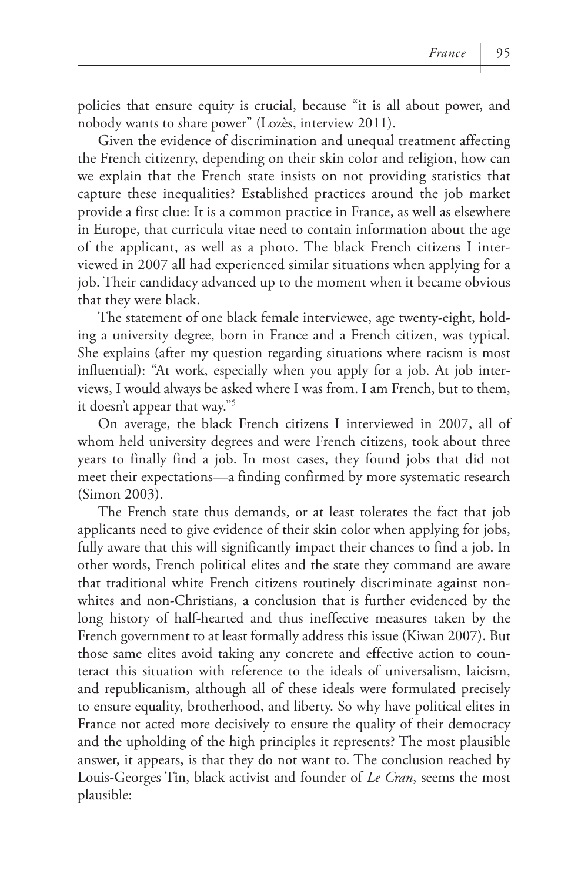policies that ensure equity is crucial, because "it is all about power, and nobody wants to share power" (Lozès, interview 2011).

Given the evidence of discrimination and unequal treatment affecting the French citizenry, depending on their skin color and religion, how can we explain that the French state insists on not providing statistics that capture these inequalities? Established practices around the job market provide a first clue: It is a common practice in France, as well as elsewhere in Europe, that curricula vitae need to contain information about the age of the applicant, as well as a photo. The black French citizens I interviewed in 2007 all had experienced similar situations when applying for a job. Their candidacy advanced up to the moment when it became obvious that they were black.

The statement of one black female interviewee, age twenty-eight, holding a university degree, born in France and a French citizen, was typical. She explains (after my question regarding situations where racism is most influential): "At work, especially when you apply for a job. At job interviews, I would always be asked where I was from. I am French, but to them, it doesn't appear that way."5

On average, the black French citizens I interviewed in 2007, all of whom held university degrees and were French citizens, took about three years to finally find a job. In most cases, they found jobs that did not meet their expectations—a finding confirmed by more systematic research (Simon 2003).

The French state thus demands, or at least tolerates the fact that job applicants need to give evidence of their skin color when applying for jobs, fully aware that this will significantly impact their chances to find a job. In other words, French political elites and the state they command are aware that traditional white French citizens routinely discriminate against nonwhites and non-Christians, a conclusion that is further evidenced by the long history of half-hearted and thus ineffective measures taken by the French government to at least formally address this issue (Kiwan 2007). But those same elites avoid taking any concrete and effective action to counteract this situation with reference to the ideals of universalism, laicism, and republicanism, although all of these ideals were formulated precisely to ensure equality, brotherhood, and liberty. So why have political elites in France not acted more decisively to ensure the quality of their democracy and the upholding of the high principles it represents? The most plausible answer, it appears, is that they do not want to. The conclusion reached by Louis-Georges Tin, black activist and founder of *Le Cran*, seems the most plausible: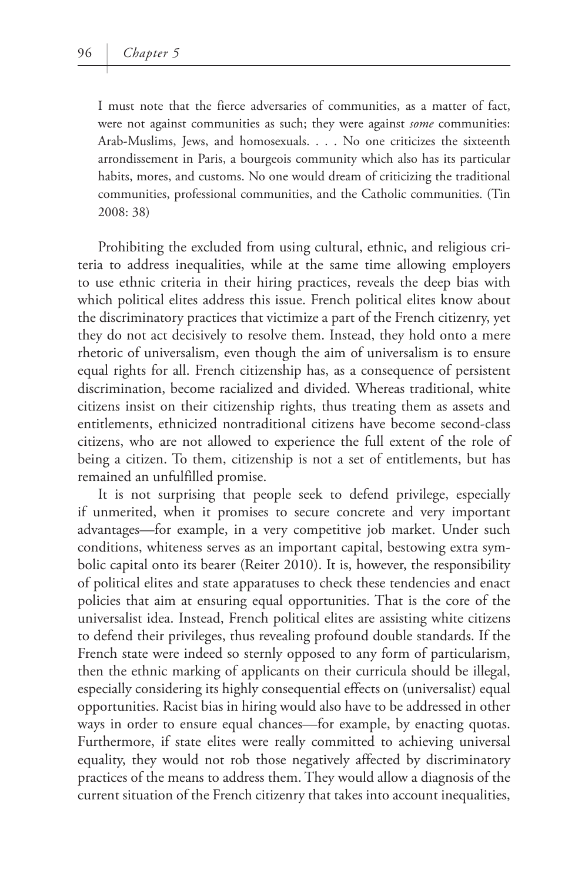I must note that the fierce adversaries of communities, as a matter of fact, were not against communities as such; they were against *some* communities: Arab-Muslims, Jews, and homosexuals. . . . No one criticizes the sixteenth arrondissement in Paris, a bourgeois community which also has its particular habits, mores, and customs. No one would dream of criticizing the traditional communities, professional communities, and the Catholic communities. (Tin 2008: 38)

Prohibiting the excluded from using cultural, ethnic, and religious criteria to address inequalities, while at the same time allowing employers to use ethnic criteria in their hiring practices, reveals the deep bias with which political elites address this issue. French political elites know about the discriminatory practices that victimize a part of the French citizenry, yet they do not act decisively to resolve them. Instead, they hold onto a mere rhetoric of universalism, even though the aim of universalism is to ensure equal rights for all. French citizenship has, as a consequence of persistent discrimination, become racialized and divided. Whereas traditional, white citizens insist on their citizenship rights, thus treating them as assets and entitlements, ethnicized nontraditional citizens have become second-class citizens, who are not allowed to experience the full extent of the role of being a citizen. To them, citizenship is not a set of entitlements, but has remained an unfulfilled promise.

It is not surprising that people seek to defend privilege, especially if unmerited, when it promises to secure concrete and very important advantages—for example, in a very competitive job market. Under such conditions, whiteness serves as an important capital, bestowing extra symbolic capital onto its bearer (Reiter 2010). It is, however, the responsibility of political elites and state apparatuses to check these tendencies and enact policies that aim at ensuring equal opportunities. That is the core of the universalist idea. Instead, French political elites are assisting white citizens to defend their privileges, thus revealing profound double standards. If the French state were indeed so sternly opposed to any form of particularism, then the ethnic marking of applicants on their curricula should be illegal, especially considering its highly consequential effects on (universalist) equal opportunities. Racist bias in hiring would also have to be addressed in other ways in order to ensure equal chances—for example, by enacting quotas. Furthermore, if state elites were really committed to achieving universal equality, they would not rob those negatively affected by discriminatory practices of the means to address them. They would allow a diagnosis of the current situation of the French citizenry that takes into account inequalities,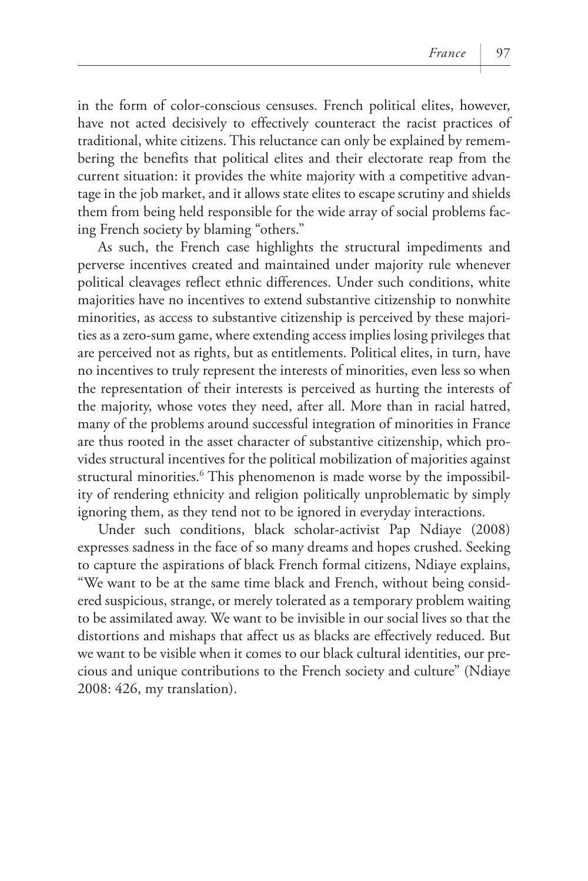in the form of color-conscious censuses. French political elites, however, have not acted decisively to effectively counteract the racist practices of traditional, white citizens. This reluctance can only be explained by remembering the benefits that political elites and their electorate reap from the current situation: it provides the white majority with a competitive advantage in the job market, and it allows state elites to escape scrutiny and shields them from being held responsible for the wide array of social problems facing French society by blaming "others."

As such, the French case highlights the structural impediments and perverse incentives created and maintained under majority rule whenever political cleavages reflect ethnic differences. Under such conditions, white majorities have no incentives to extend substantive citizenship to nonwhite minorities, as access to substantive citizenship is perceived by these majorities as a zero-sum game, where extending access implies losing privileges that are perceived not as rights, but as entitlements. Political elites, in turn, have no incentives to truly represent the interests of minorities, even less so when the representation of their interests is perceived as hurting the interests of the majority, whose votes they need, after all. More than in racial hatred, many of the problems around successful integration of minorities in France are thus rooted in the asset character of substantive citizenship, which provides structural incentives for the political mobilization of majorities against structural minorities.<sup>6</sup> This phenomenon is made worse by the impossibility of rendering ethnicity and religion politically unproblematic by simply ignoring them, as they tend not to be ignored in everyday interactions.

Under such conditions, black scholar-activist Pap Ndiaye (2008) expresses sadness in the face of so many dreams and hopes crushed. Seeking to capture the aspirations of black French formal citizens, Ndiaye explains, "We want to be at the same time black and French, without being considered suspicious, strange, or merely tolerated as a temporary problem waiting to be assimilated away. We want to be invisible in our social lives so that the distortions and mishaps that affect us as blacks are effectively reduced. But we want to be visible when it comes to our black cultural identities, our precious and unique contributions to the French society and culture" (Ndiaye 2008: 426, my translation).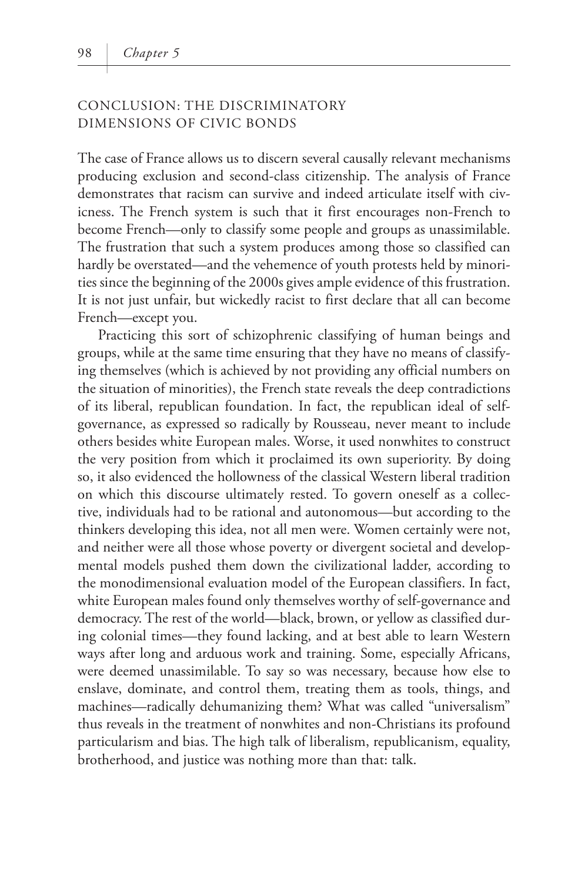### Conclusion: The Discriminatory Dimensions of Civic Bonds

The case of France allows us to discern several causally relevant mechanisms producing exclusion and second-class citizenship. The analysis of France demonstrates that racism can survive and indeed articulate itself with civicness. The French system is such that it first encourages non-French to become French—only to classify some people and groups as unassimilable. The frustration that such a system produces among those so classified can hardly be overstated—and the vehemence of youth protests held by minorities since the beginning of the 2000s gives ample evidence of this frustration. It is not just unfair, but wickedly racist to first declare that all can become French—except you.

Practicing this sort of schizophrenic classifying of human beings and groups, while at the same time ensuring that they have no means of classifying themselves (which is achieved by not providing any official numbers on the situation of minorities), the French state reveals the deep contradictions of its liberal, republican foundation. In fact, the republican ideal of selfgovernance, as expressed so radically by Rousseau, never meant to include others besides white European males. Worse, it used nonwhites to construct the very position from which it proclaimed its own superiority. By doing so, it also evidenced the hollowness of the classical Western liberal tradition on which this discourse ultimately rested. To govern oneself as a collective, individuals had to be rational and autonomous—but according to the thinkers developing this idea, not all men were. Women certainly were not, and neither were all those whose poverty or divergent societal and developmental models pushed them down the civilizational ladder, according to the monodimensional evaluation model of the European classifiers. In fact, white European males found only themselves worthy of self-governance and democracy. The rest of the world—black, brown, or yellow as classified during colonial times—they found lacking, and at best able to learn Western ways after long and arduous work and training. Some, especially Africans, were deemed unassimilable. To say so was necessary, because how else to enslave, dominate, and control them, treating them as tools, things, and machines—radically dehumanizing them? What was called "universalism" thus reveals in the treatment of nonwhites and non-Christians its profound particularism and bias. The high talk of liberalism, republicanism, equality, brotherhood, and justice was nothing more than that: talk.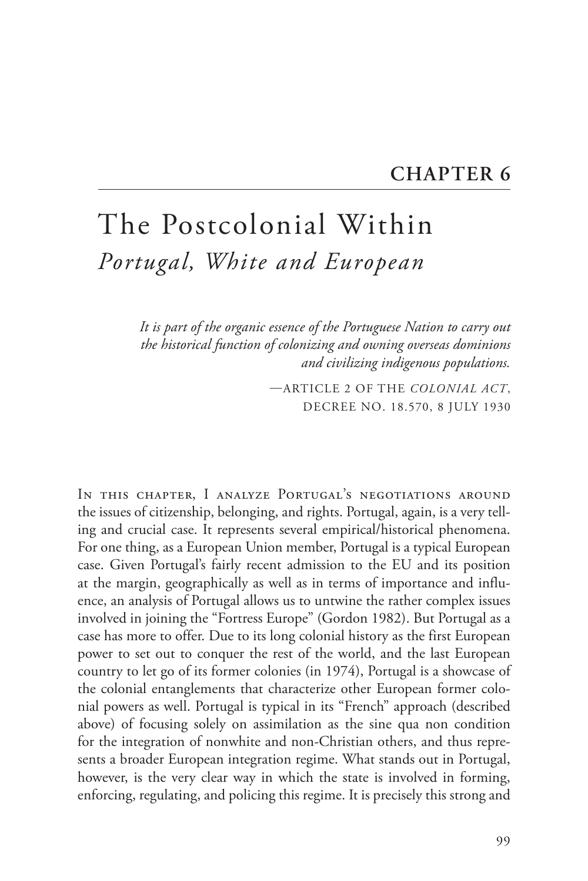# **CHAPTER 6**

# The Postcolonial Within *Portugal, White and European*

*It is part of the organic essence of the Portuguese Nation to carry out the historical function of colonizing and owning overseas dominions and civilizing indigenous populations.*

> —Article 2 of the *Colonial Act*, Decree no. 18.570, 8 July 1930

IN THIS CHAPTER, I ANALYZE PORTUGAL'S NEGOTIATIONS AROUND the issues of citizenship, belonging, and rights. Portugal, again, is a very telling and crucial case. It represents several empirical/historical phenomena. For one thing, as a European Union member, Portugal is a typical European case. Given Portugal's fairly recent admission to the EU and its position at the margin, geographically as well as in terms of importance and influence, an analysis of Portugal allows us to untwine the rather complex issues involved in joining the "Fortress Europe" (Gordon 1982). But Portugal as a case has more to offer. Due to its long colonial history as the first European power to set out to conquer the rest of the world, and the last European country to let go of its former colonies (in 1974), Portugal is a showcase of the colonial entanglements that characterize other European former colonial powers as well. Portugal is typical in its "French" approach (described above) of focusing solely on assimilation as the sine qua non condition for the integration of nonwhite and non-Christian others, and thus represents a broader European integration regime. What stands out in Portugal, however, is the very clear way in which the state is involved in forming, enforcing, regulating, and policing this regime. It is precisely this strong and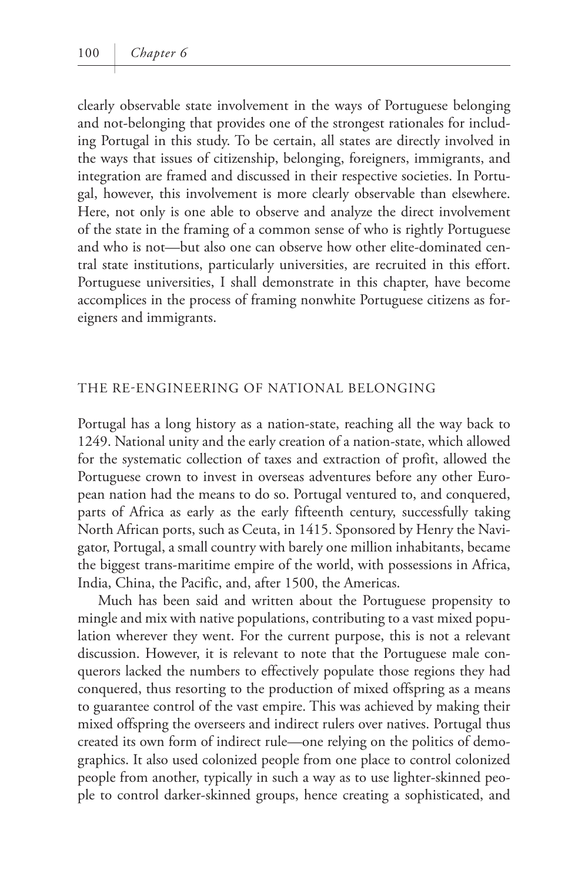clearly observable state involvement in the ways of Portuguese belonging and not-belonging that provides one of the strongest rationales for including Portugal in this study. To be certain, all states are directly involved in the ways that issues of citizenship, belonging, foreigners, immigrants, and integration are framed and discussed in their respective societies. In Portugal, however, this involvement is more clearly observable than elsewhere. Here, not only is one able to observe and analyze the direct involvement of the state in the framing of a common sense of who is rightly Portuguese and who is not—but also one can observe how other elite-dominated central state institutions, particularly universities, are recruited in this effort. Portuguese universities, I shall demonstrate in this chapter, have become accomplices in the process of framing nonwhite Portuguese citizens as foreigners and immigrants.

#### The Re-engineering of National Belonging

Portugal has a long history as a nation-state, reaching all the way back to 1249. National unity and the early creation of a nation-state, which allowed for the systematic collection of taxes and extraction of profit, allowed the Portuguese crown to invest in overseas adventures before any other European nation had the means to do so. Portugal ventured to, and conquered, parts of Africa as early as the early fifteenth century, successfully taking North African ports, such as Ceuta, in 1415. Sponsored by Henry the Navigator, Portugal, a small country with barely one million inhabitants, became the biggest trans-maritime empire of the world, with possessions in Africa, India, China, the Pacific, and, after 1500, the Americas.

Much has been said and written about the Portuguese propensity to mingle and mix with native populations, contributing to a vast mixed population wherever they went. For the current purpose, this is not a relevant discussion. However, it is relevant to note that the Portuguese male conquerors lacked the numbers to effectively populate those regions they had conquered, thus resorting to the production of mixed offspring as a means to guarantee control of the vast empire. This was achieved by making their mixed offspring the overseers and indirect rulers over natives. Portugal thus created its own form of indirect rule—one relying on the politics of demographics. It also used colonized people from one place to control colonized people from another, typically in such a way as to use lighter-skinned people to control darker-skinned groups, hence creating a sophisticated, and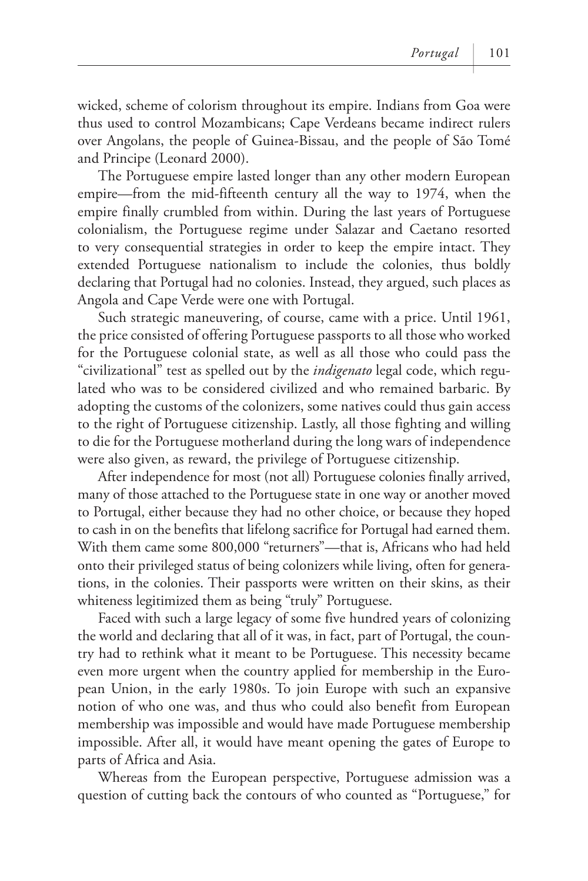wicked, scheme of colorism throughout its empire. Indians from Goa were thus used to control Mozambicans; Cape Verdeans became indirect rulers over Angolans, the people of Guinea-Bissau, and the people of São Tomé and Principe (Leonard 2000).

The Portuguese empire lasted longer than any other modern European empire—from the mid-fifteenth century all the way to 1974, when the empire finally crumbled from within. During the last years of Portuguese colonialism, the Portuguese regime under Salazar and Caetano resorted to very consequential strategies in order to keep the empire intact. They extended Portuguese nationalism to include the colonies, thus boldly declaring that Portugal had no colonies. Instead, they argued, such places as Angola and Cape Verde were one with Portugal.

Such strategic maneuvering, of course, came with a price. Until 1961, the price consisted of offering Portuguese passports to all those who worked for the Portuguese colonial state, as well as all those who could pass the "civilizational" test as spelled out by the *indigenato* legal code, which regulated who was to be considered civilized and who remained barbaric. By adopting the customs of the colonizers, some natives could thus gain access to the right of Portuguese citizenship. Lastly, all those fighting and willing to die for the Portuguese motherland during the long wars of independence were also given, as reward, the privilege of Portuguese citizenship.

After independence for most (not all) Portuguese colonies finally arrived, many of those attached to the Portuguese state in one way or another moved to Portugal, either because they had no other choice, or because they hoped to cash in on the benefits that lifelong sacrifice for Portugal had earned them. With them came some 800,000 "returners"—that is, Africans who had held onto their privileged status of being colonizers while living, often for generations, in the colonies. Their passports were written on their skins, as their whiteness legitimized them as being "truly" Portuguese.

Faced with such a large legacy of some five hundred years of colonizing the world and declaring that all of it was, in fact, part of Portugal, the country had to rethink what it meant to be Portuguese. This necessity became even more urgent when the country applied for membership in the European Union, in the early 1980s. To join Europe with such an expansive notion of who one was, and thus who could also benefit from European membership was impossible and would have made Portuguese membership impossible. After all, it would have meant opening the gates of Europe to parts of Africa and Asia.

Whereas from the European perspective, Portuguese admission was a question of cutting back the contours of who counted as "Portuguese," for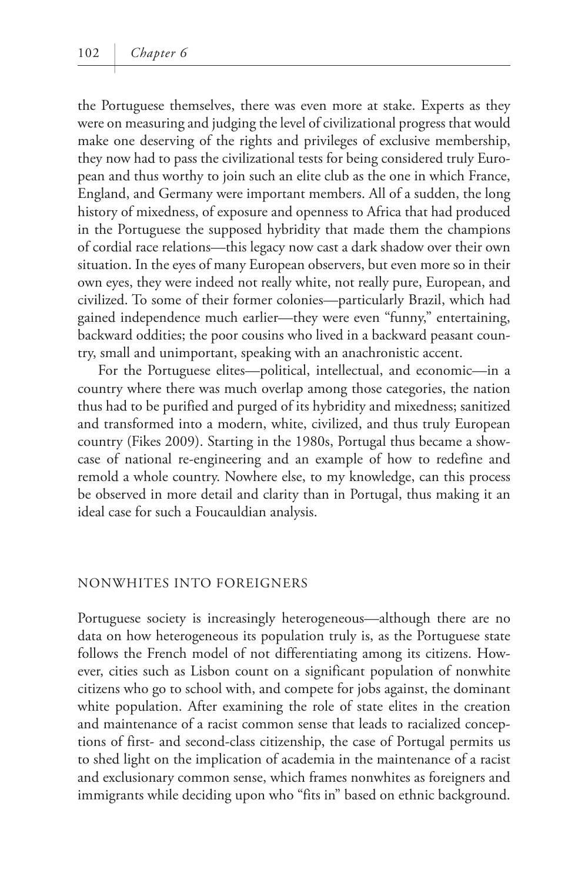the Portuguese themselves, there was even more at stake. Experts as they were on measuring and judging the level of civilizational progress that would make one deserving of the rights and privileges of exclusive membership, they now had to pass the civilizational tests for being considered truly European and thus worthy to join such an elite club as the one in which France, England, and Germany were important members. All of a sudden, the long history of mixedness, of exposure and openness to Africa that had produced in the Portuguese the supposed hybridity that made them the champions of cordial race relations—this legacy now cast a dark shadow over their own situation. In the eyes of many European observers, but even more so in their own eyes, they were indeed not really white, not really pure, European, and civilized. To some of their former colonies—particularly Brazil, which had gained independence much earlier—they were even "funny," entertaining, backward oddities; the poor cousins who lived in a backward peasant country, small and unimportant, speaking with an anachronistic accent.

For the Portuguese elites—political, intellectual, and economic—in a country where there was much overlap among those categories, the nation thus had to be purified and purged of its hybridity and mixedness; sanitized and transformed into a modern, white, civilized, and thus truly European country (Fikes 2009). Starting in the 1980s, Portugal thus became a showcase of national re-engineering and an example of how to redefine and remold a whole country. Nowhere else, to my knowledge, can this process be observed in more detail and clarity than in Portugal, thus making it an ideal case for such a Foucauldian analysis.

#### Nonwhites into Foreigners

Portuguese society is increasingly heterogeneous—although there are no data on how heterogeneous its population truly is, as the Portuguese state follows the French model of not differentiating among its citizens. However, cities such as Lisbon count on a significant population of nonwhite citizens who go to school with, and compete for jobs against, the dominant white population. After examining the role of state elites in the creation and maintenance of a racist common sense that leads to racialized conceptions of first- and second-class citizenship, the case of Portugal permits us to shed light on the implication of academia in the maintenance of a racist and exclusionary common sense, which frames nonwhites as foreigners and immigrants while deciding upon who "fits in" based on ethnic background.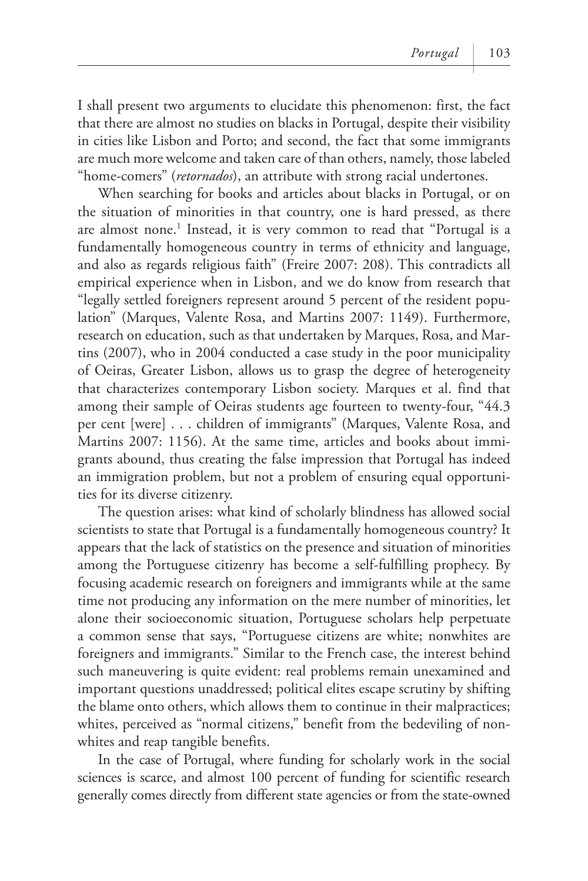I shall present two arguments to elucidate this phenomenon: first, the fact that there are almost no studies on blacks in Portugal, despite their visibility in cities like Lisbon and Porto; and second, the fact that some immigrants are much more welcome and taken care of than others, namely, those labeled "home-comers" (*retornados*), an attribute with strong racial undertones.

When searching for books and articles about blacks in Portugal, or on the situation of minorities in that country, one is hard pressed, as there are almost none.<sup>1</sup> Instead, it is very common to read that "Portugal is a fundamentally homogeneous country in terms of ethnicity and language, and also as regards religious faith" (Freire 2007: 208). This contradicts all empirical experience when in Lisbon, and we do know from research that "legally settled foreigners represent around 5 percent of the resident population" (Marques, Valente Rosa, and Martins 2007: 1149). Furthermore, research on education, such as that undertaken by Marques, Rosa, and Martins (2007), who in 2004 conducted a case study in the poor municipality of Oeiras, Greater Lisbon, allows us to grasp the degree of heterogeneity that characterizes contemporary Lisbon society. Marques et al. find that among their sample of Oeiras students age fourteen to twenty-four, "44.3 per cent [were] . . . children of immigrants" (Marques, Valente Rosa, and Martins 2007: 1156). At the same time, articles and books about immigrants abound, thus creating the false impression that Portugal has indeed an immigration problem, but not a problem of ensuring equal opportunities for its diverse citizenry.

The question arises: what kind of scholarly blindness has allowed social scientists to state that Portugal is a fundamentally homogeneous country? It appears that the lack of statistics on the presence and situation of minorities among the Portuguese citizenry has become a self-fulfilling prophecy. By focusing academic research on foreigners and immigrants while at the same time not producing any information on the mere number of minorities, let alone their socioeconomic situation, Portuguese scholars help perpetuate a common sense that says, "Portuguese citizens are white; nonwhites are foreigners and immigrants." Similar to the French case, the interest behind such maneuvering is quite evident: real problems remain unexamined and important questions unaddressed; political elites escape scrutiny by shifting the blame onto others, which allows them to continue in their malpractices; whites, perceived as "normal citizens," benefit from the bedeviling of nonwhites and reap tangible benefits.

In the case of Portugal, where funding for scholarly work in the social sciences is scarce, and almost 100 percent of funding for scientific research generally comes directly from different state agencies or from the state-owned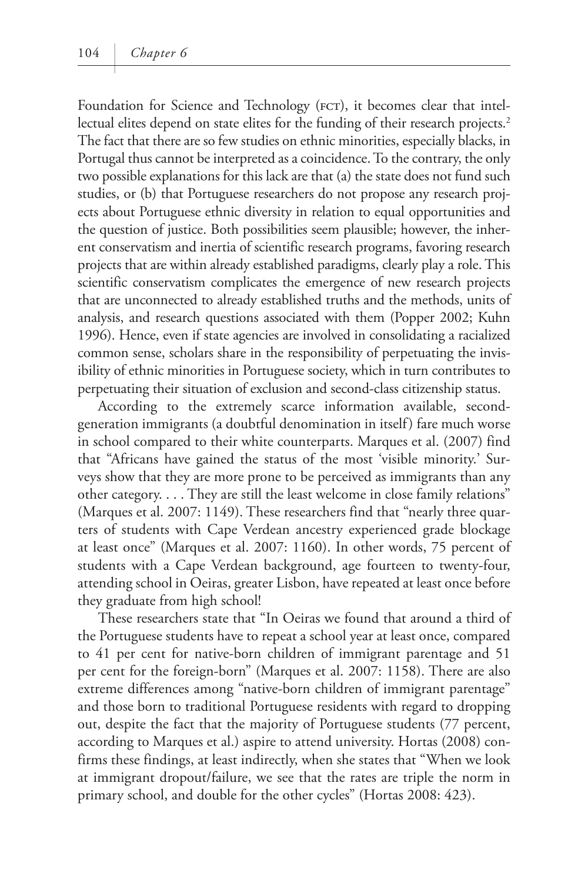Foundation for Science and Technology (FCT), it becomes clear that intellectual elites depend on state elites for the funding of their research projects.<sup>2</sup> The fact that there are so few studies on ethnic minorities, especially blacks, in Portugal thus cannot be interpreted as a coincidence. To the contrary, the only two possible explanations for this lack are that (a) the state does not fund such studies, or (b) that Portuguese researchers do not propose any research projects about Portuguese ethnic diversity in relation to equal opportunities and the question of justice. Both possibilities seem plausible; however, the inherent conservatism and inertia of scientific research programs, favoring research projects that are within already established paradigms, clearly play a role. This scientific conservatism complicates the emergence of new research projects that are unconnected to already established truths and the methods, units of analysis, and research questions associated with them (Popper 2002; Kuhn 1996). Hence, even if state agencies are involved in consolidating a racialized common sense, scholars share in the responsibility of perpetuating the invisibility of ethnic minorities in Portuguese society, which in turn contributes to perpetuating their situation of exclusion and second-class citizenship status.

According to the extremely scarce information available, secondgeneration immigrants (a doubtful denomination in itself) fare much worse in school compared to their white counterparts. Marques et al. (2007) find that "Africans have gained the status of the most 'visible minority.' Surveys show that they are more prone to be perceived as immigrants than any other category. . . . They are still the least welcome in close family relations" (Marques et al. 2007: 1149). These researchers find that "nearly three quarters of students with Cape Verdean ancestry experienced grade blockage at least once" (Marques et al. 2007: 1160). In other words, 75 percent of students with a Cape Verdean background, age fourteen to twenty-four, attending school in Oeiras, greater Lisbon, have repeated at least once before they graduate from high school!

These researchers state that "In Oeiras we found that around a third of the Portuguese students have to repeat a school year at least once, compared to 41 per cent for native-born children of immigrant parentage and 51 per cent for the foreign-born" (Marques et al. 2007: 1158). There are also extreme differences among "native-born children of immigrant parentage" and those born to traditional Portuguese residents with regard to dropping out, despite the fact that the majority of Portuguese students (77 percent, according to Marques et al.) aspire to attend university. Hortas (2008) confirms these findings, at least indirectly, when she states that "When we look at immigrant dropout/failure, we see that the rates are triple the norm in primary school, and double for the other cycles" (Hortas 2008: 423).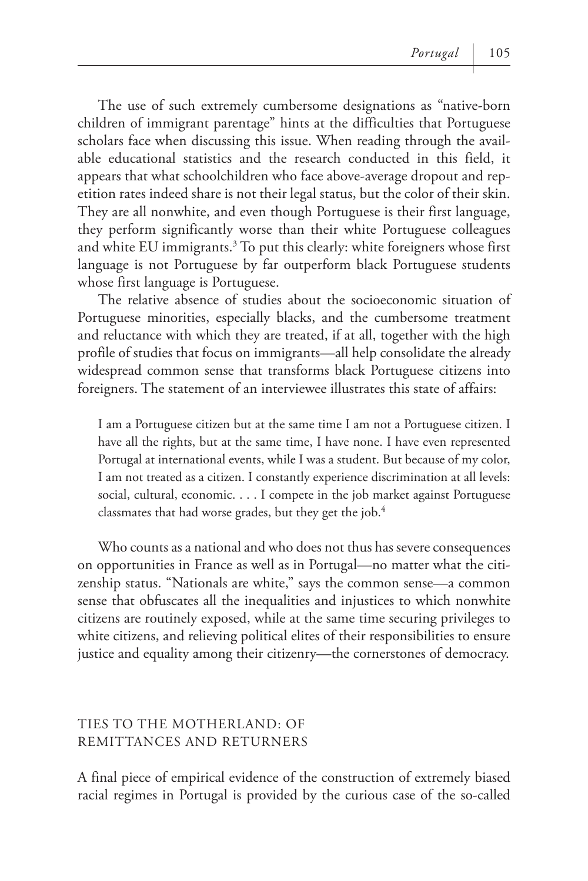The use of such extremely cumbersome designations as "native-born children of immigrant parentage" hints at the difficulties that Portuguese scholars face when discussing this issue. When reading through the available educational statistics and the research conducted in this field, it appears that what schoolchildren who face above-average dropout and repetition rates indeed share is not their legal status, but the color of their skin. They are all nonwhite, and even though Portuguese is their first language, they perform significantly worse than their white Portuguese colleagues and white EU immigrants.3 To put this clearly: white foreigners whose first language is not Portuguese by far outperform black Portuguese students whose first language is Portuguese.

The relative absence of studies about the socioeconomic situation of Portuguese minorities, especially blacks, and the cumbersome treatment and reluctance with which they are treated, if at all, together with the high profile of studies that focus on immigrants—all help consolidate the already widespread common sense that transforms black Portuguese citizens into foreigners. The statement of an interviewee illustrates this state of affairs:

I am a Portuguese citizen but at the same time I am not a Portuguese citizen. I have all the rights, but at the same time, I have none. I have even represented Portugal at international events, while I was a student. But because of my color, I am not treated as a citizen. I constantly experience discrimination at all levels: social, cultural, economic. . . . I compete in the job market against Portuguese classmates that had worse grades, but they get the job.<sup>4</sup>

Who counts as a national and who does not thus has severe consequences on opportunities in France as well as in Portugal—no matter what the citizenship status. "Nationals are white," says the common sense—a common sense that obfuscates all the inequalities and injustices to which nonwhite citizens are routinely exposed, while at the same time securing privileges to white citizens, and relieving political elites of their responsibilities to ensure justice and equality among their citizenry—the cornerstones of democracy.

## Ties to the Motherland: Of Remittances and Returners

A final piece of empirical evidence of the construction of extremely biased racial regimes in Portugal is provided by the curious case of the so-called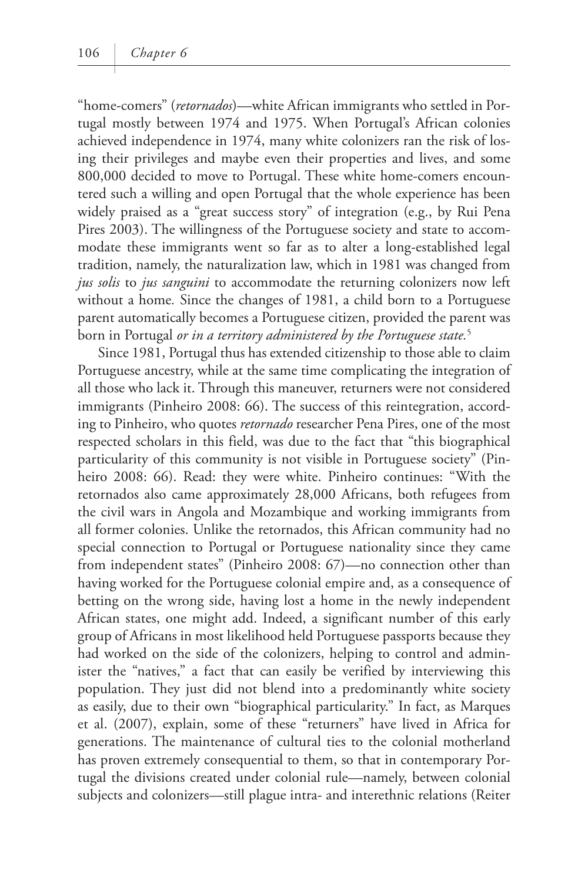"home-comers" (*retornados*)—white African immigrants who settled in Portugal mostly between 1974 and 1975. When Portugal's African colonies achieved independence in 1974, many white colonizers ran the risk of losing their privileges and maybe even their properties and lives, and some 800,000 decided to move to Portugal. These white home-comers encountered such a willing and open Portugal that the whole experience has been widely praised as a "great success story" of integration (e.g., by Rui Pena Pires 2003). The willingness of the Portuguese society and state to accommodate these immigrants went so far as to alter a long-established legal tradition, namely, the naturalization law, which in 1981 was changed from *jus solis* to *jus sanguini* to accommodate the returning colonizers now left without a home*.* Since the changes of 1981, a child born to a Portuguese parent automatically becomes a Portuguese citizen, provided the parent was born in Portugal *or in a territory administered by the Portuguese state.*<sup>5</sup>

Since 1981, Portugal thus has extended citizenship to those able to claim Portuguese ancestry, while at the same time complicating the integration of all those who lack it. Through this maneuver, returners were not considered immigrants (Pinheiro 2008: 66). The success of this reintegration, according to Pinheiro, who quotes *retornado* researcher Pena Pires, one of the most respected scholars in this field, was due to the fact that "this biographical particularity of this community is not visible in Portuguese society" (Pinheiro 2008: 66). Read: they were white. Pinheiro continues: "With the retornados also came approximately 28,000 Africans, both refugees from the civil wars in Angola and Mozambique and working immigrants from all former colonies. Unlike the retornados, this African community had no special connection to Portugal or Portuguese nationality since they came from independent states" (Pinheiro 2008: 67)—no connection other than having worked for the Portuguese colonial empire and, as a consequence of betting on the wrong side, having lost a home in the newly independent African states, one might add. Indeed, a significant number of this early group of Africans in most likelihood held Portuguese passports because they had worked on the side of the colonizers, helping to control and administer the "natives," a fact that can easily be verified by interviewing this population. They just did not blend into a predominantly white society as easily, due to their own "biographical particularity." In fact, as Marques et al. (2007), explain, some of these "returners" have lived in Africa for generations. The maintenance of cultural ties to the colonial motherland has proven extremely consequential to them, so that in contemporary Portugal the divisions created under colonial rule—namely, between colonial subjects and colonizers—still plague intra- and interethnic relations (Reiter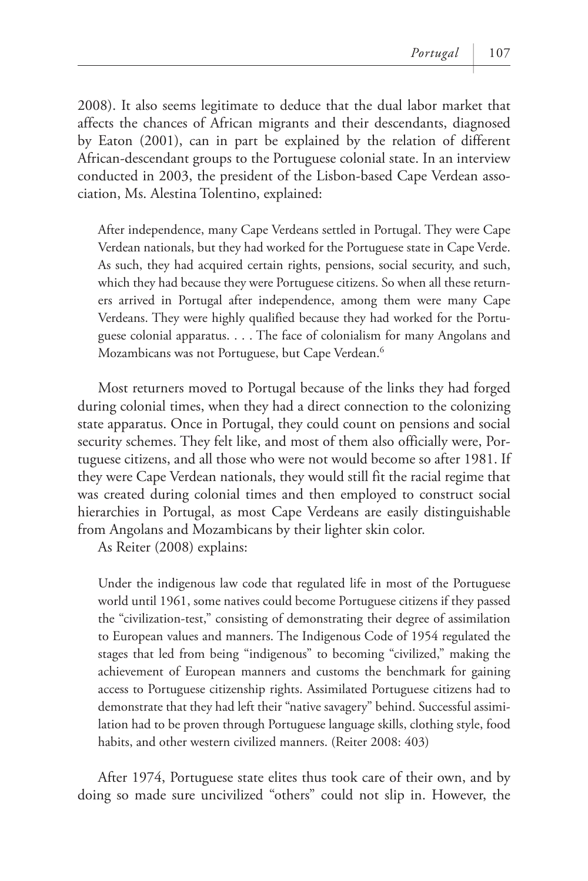2008). It also seems legitimate to deduce that the dual labor market that affects the chances of African migrants and their descendants, diagnosed by Eaton (2001), can in part be explained by the relation of different African-descendant groups to the Portuguese colonial state. In an interview conducted in 2003, the president of the Lisbon-based Cape Verdean association, Ms. Alestina Tolentino, explained:

After independence, many Cape Verdeans settled in Portugal. They were Cape Verdean nationals, but they had worked for the Portuguese state in Cape Verde. As such, they had acquired certain rights, pensions, social security, and such, which they had because they were Portuguese citizens. So when all these returners arrived in Portugal after independence, among them were many Cape Verdeans. They were highly qualified because they had worked for the Portuguese colonial apparatus. . . . The face of colonialism for many Angolans and Mozambicans was not Portuguese, but Cape Verdean.<sup>6</sup>

Most returners moved to Portugal because of the links they had forged during colonial times, when they had a direct connection to the colonizing state apparatus. Once in Portugal, they could count on pensions and social security schemes. They felt like, and most of them also officially were, Portuguese citizens, and all those who were not would become so after 1981. If they were Cape Verdean nationals, they would still fit the racial regime that was created during colonial times and then employed to construct social hierarchies in Portugal, as most Cape Verdeans are easily distinguishable from Angolans and Mozambicans by their lighter skin color.

As Reiter (2008) explains:

Under the indigenous law code that regulated life in most of the Portuguese world until 1961, some natives could become Portuguese citizens if they passed the "civilization-test," consisting of demonstrating their degree of assimilation to European values and manners. The Indigenous Code of 1954 regulated the stages that led from being "indigenous" to becoming "civilized," making the achievement of European manners and customs the benchmark for gaining access to Portuguese citizenship rights. Assimilated Portuguese citizens had to demonstrate that they had left their "native savagery" behind. Successful assimilation had to be proven through Portuguese language skills, clothing style, food habits, and other western civilized manners. (Reiter 2008: 403)

After 1974, Portuguese state elites thus took care of their own, and by doing so made sure uncivilized "others" could not slip in. However, the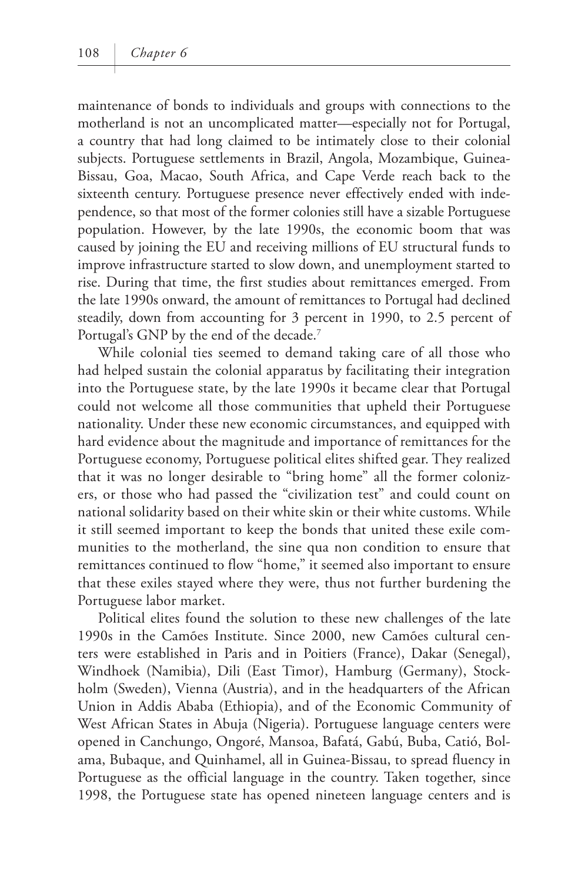maintenance of bonds to individuals and groups with connections to the motherland is not an uncomplicated matter—especially not for Portugal, a country that had long claimed to be intimately close to their colonial subjects. Portuguese settlements in Brazil, Angola, Mozambique, Guinea-Bissau, Goa, Macao, South Africa, and Cape Verde reach back to the sixteenth century. Portuguese presence never effectively ended with independence, so that most of the former colonies still have a sizable Portuguese population. However, by the late 1990s, the economic boom that was caused by joining the EU and receiving millions of EU structural funds to improve infrastructure started to slow down, and unemployment started to rise. During that time, the first studies about remittances emerged. From the late 1990s onward, the amount of remittances to Portugal had declined steadily, down from accounting for 3 percent in 1990, to 2.5 percent of Portugal's GNP by the end of the decade.<sup>7</sup>

While colonial ties seemed to demand taking care of all those who had helped sustain the colonial apparatus by facilitating their integration into the Portuguese state, by the late 1990s it became clear that Portugal could not welcome all those communities that upheld their Portuguese nationality. Under these new economic circumstances, and equipped with hard evidence about the magnitude and importance of remittances for the Portuguese economy, Portuguese political elites shifted gear. They realized that it was no longer desirable to "bring home" all the former colonizers, or those who had passed the "civilization test" and could count on national solidarity based on their white skin or their white customs. While it still seemed important to keep the bonds that united these exile communities to the motherland, the sine qua non condition to ensure that remittances continued to flow "home," it seemed also important to ensure that these exiles stayed where they were, thus not further burdening the Portuguese labor market.

Political elites found the solution to these new challenges of the late 1990s in the Camões Institute. Since 2000, new Camões cultural centers were established in Paris and in Poitiers (France), Dakar (Senegal), Windhoek (Namibia), Dili (East Timor), Hamburg (Germany), Stockholm (Sweden), Vienna (Austria), and in the headquarters of the African Union in Addis Ababa (Ethiopia), and of the Economic Community of West African States in Abuja (Nigeria). Portuguese language centers were opened in Canchungo, Ongoré, Mansoa, Bafatá, Gabú, Buba, Catió, Bolama, Bubaque, and Quinhamel, all in Guinea-Bissau, to spread fluency in Portuguese as the official language in the country. Taken together, since 1998, the Portuguese state has opened nineteen language centers and is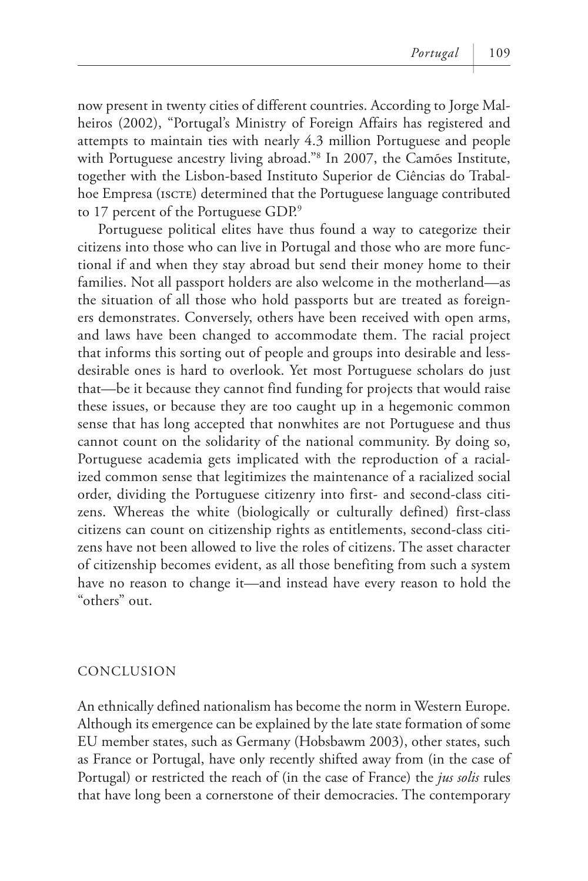now present in twenty cities of different countries. According to Jorge Malheiros (2002), "Portugal's Ministry of Foreign Affairs has registered and attempts to maintain ties with nearly 4.3 million Portuguese and people with Portuguese ancestry living abroad."8 In 2007, the Camões Institute, together with the Lisbon-based Instituto Superior de Ciências do Trabalhoe Empresa (ISCTE) determined that the Portuguese language contributed to 17 percent of the Portuguese GDP. 9

Portuguese political elites have thus found a way to categorize their citizens into those who can live in Portugal and those who are more functional if and when they stay abroad but send their money home to their families. Not all passport holders are also welcome in the motherland—as the situation of all those who hold passports but are treated as foreigners demonstrates. Conversely, others have been received with open arms, and laws have been changed to accommodate them. The racial project that informs this sorting out of people and groups into desirable and lessdesirable ones is hard to overlook. Yet most Portuguese scholars do just that—be it because they cannot find funding for projects that would raise these issues, or because they are too caught up in a hegemonic common sense that has long accepted that nonwhites are not Portuguese and thus cannot count on the solidarity of the national community. By doing so, Portuguese academia gets implicated with the reproduction of a racialized common sense that legitimizes the maintenance of a racialized social order, dividing the Portuguese citizenry into first- and second-class citizens. Whereas the white (biologically or culturally defined) first-class citizens can count on citizenship rights as entitlements, second-class citizens have not been allowed to live the roles of citizens. The asset character of citizenship becomes evident, as all those benefiting from such a system have no reason to change it—and instead have every reason to hold the "others" out.

#### Conclusion

An ethnically defined nationalism has become the norm in Western Europe. Although its emergence can be explained by the late state formation of some EU member states, such as Germany (Hobsbawm 2003), other states, such as France or Portugal, have only recently shifted away from (in the case of Portugal) or restricted the reach of (in the case of France) the *jus solis* rules that have long been a cornerstone of their democracies. The contemporary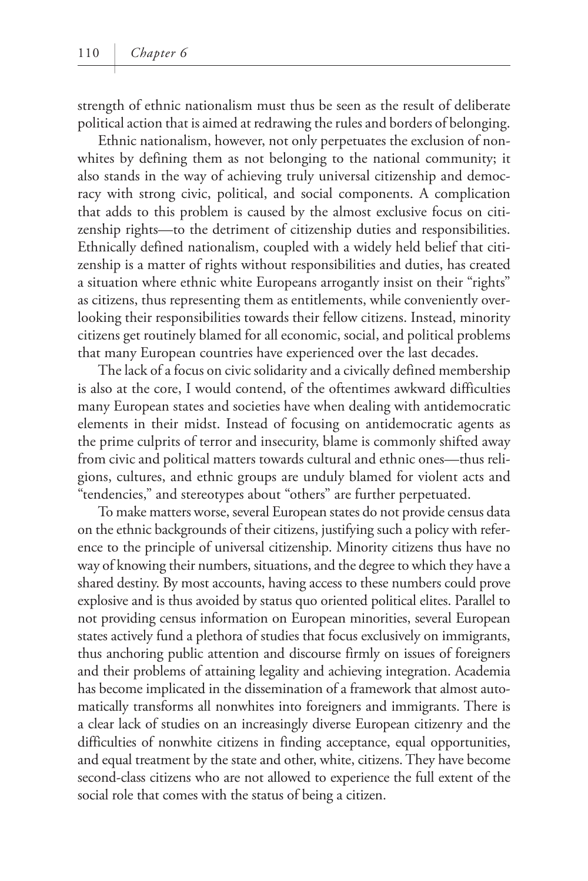strength of ethnic nationalism must thus be seen as the result of deliberate political action that is aimed at redrawing the rules and borders of belonging.

Ethnic nationalism, however, not only perpetuates the exclusion of nonwhites by defining them as not belonging to the national community; it also stands in the way of achieving truly universal citizenship and democracy with strong civic, political, and social components. A complication that adds to this problem is caused by the almost exclusive focus on citizenship rights—to the detriment of citizenship duties and responsibilities. Ethnically defined nationalism, coupled with a widely held belief that citizenship is a matter of rights without responsibilities and duties, has created a situation where ethnic white Europeans arrogantly insist on their "rights" as citizens, thus representing them as entitlements, while conveniently overlooking their responsibilities towards their fellow citizens. Instead, minority citizens get routinely blamed for all economic, social, and political problems that many European countries have experienced over the last decades.

The lack of a focus on civic solidarity and a civically defined membership is also at the core, I would contend, of the oftentimes awkward difficulties many European states and societies have when dealing with antidemocratic elements in their midst. Instead of focusing on antidemocratic agents as the prime culprits of terror and insecurity, blame is commonly shifted away from civic and political matters towards cultural and ethnic ones—thus religions, cultures, and ethnic groups are unduly blamed for violent acts and "tendencies," and stereotypes about "others" are further perpetuated.

To make matters worse, several European states do not provide census data on the ethnic backgrounds of their citizens, justifying such a policy with reference to the principle of universal citizenship. Minority citizens thus have no way of knowing their numbers, situations, and the degree to which they have a shared destiny. By most accounts, having access to these numbers could prove explosive and is thus avoided by status quo oriented political elites. Parallel to not providing census information on European minorities, several European states actively fund a plethora of studies that focus exclusively on immigrants, thus anchoring public attention and discourse firmly on issues of foreigners and their problems of attaining legality and achieving integration. Academia has become implicated in the dissemination of a framework that almost automatically transforms all nonwhites into foreigners and immigrants. There is a clear lack of studies on an increasingly diverse European citizenry and the difficulties of nonwhite citizens in finding acceptance, equal opportunities, and equal treatment by the state and other, white, citizens. They have become second-class citizens who are not allowed to experience the full extent of the social role that comes with the status of being a citizen.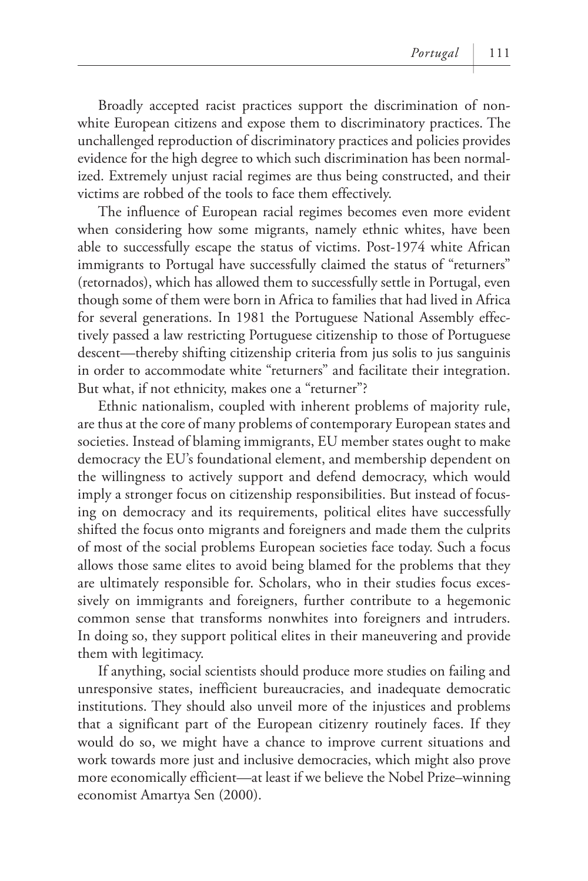Broadly accepted racist practices support the discrimination of nonwhite European citizens and expose them to discriminatory practices. The unchallenged reproduction of discriminatory practices and policies provides evidence for the high degree to which such discrimination has been normalized. Extremely unjust racial regimes are thus being constructed, and their victims are robbed of the tools to face them effectively.

The influence of European racial regimes becomes even more evident when considering how some migrants, namely ethnic whites, have been able to successfully escape the status of victims. Post-1974 white African immigrants to Portugal have successfully claimed the status of "returners" (retornados), which has allowed them to successfully settle in Portugal, even though some of them were born in Africa to families that had lived in Africa for several generations. In 1981 the Portuguese National Assembly effectively passed a law restricting Portuguese citizenship to those of Portuguese descent—thereby shifting citizenship criteria from jus solis to jus sanguinis in order to accommodate white "returners" and facilitate their integration. But what, if not ethnicity, makes one a "returner"?

Ethnic nationalism, coupled with inherent problems of majority rule, are thus at the core of many problems of contemporary European states and societies. Instead of blaming immigrants, EU member states ought to make democracy the EU's foundational element, and membership dependent on the willingness to actively support and defend democracy, which would imply a stronger focus on citizenship responsibilities. But instead of focusing on democracy and its requirements, political elites have successfully shifted the focus onto migrants and foreigners and made them the culprits of most of the social problems European societies face today. Such a focus allows those same elites to avoid being blamed for the problems that they are ultimately responsible for. Scholars, who in their studies focus excessively on immigrants and foreigners, further contribute to a hegemonic common sense that transforms nonwhites into foreigners and intruders. In doing so, they support political elites in their maneuvering and provide them with legitimacy.

If anything, social scientists should produce more studies on failing and unresponsive states, inefficient bureaucracies, and inadequate democratic institutions. They should also unveil more of the injustices and problems that a significant part of the European citizenry routinely faces. If they would do so, we might have a chance to improve current situations and work towards more just and inclusive democracies, which might also prove more economically efficient—at least if we believe the Nobel Prize–winning economist Amartya Sen (2000).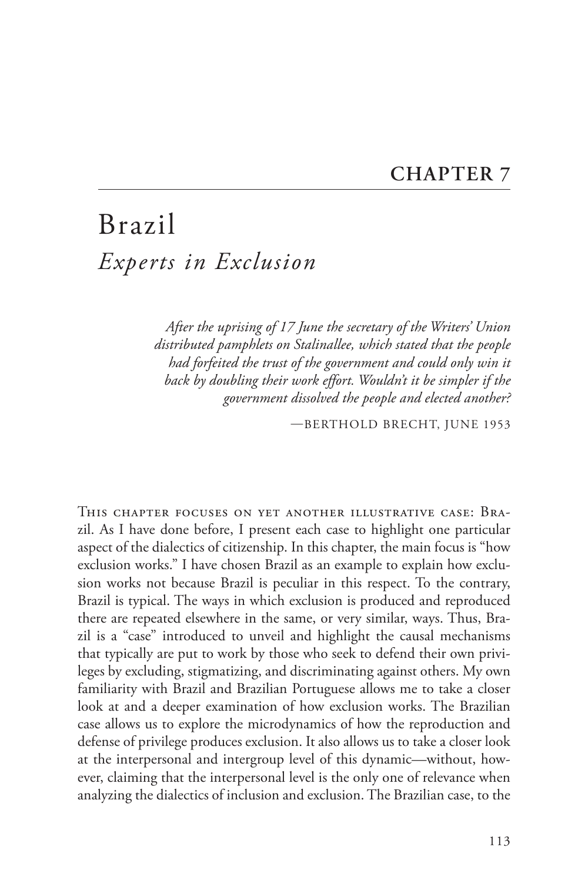## **CHAPTER 7**

# Brazil *Experts in Exclusion*

*After the uprising of 17 June the secretary of the Writers' Union distributed pamphlets on Stalinallee, which stated that the people had forfeited the trust of the government and could only win it back by doubling their work effort. Wouldn't it be simpler if the government dissolved the people and elected another?*

—Berthold Brecht, June 1953

This chapter focuses on yet another illustrative case: Brazil. As I have done before, I present each case to highlight one particular aspect of the dialectics of citizenship. In this chapter, the main focus is "how exclusion works." I have chosen Brazil as an example to explain how exclusion works not because Brazil is peculiar in this respect. To the contrary, Brazil is typical. The ways in which exclusion is produced and reproduced there are repeated elsewhere in the same, or very similar, ways. Thus, Brazil is a "case" introduced to unveil and highlight the causal mechanisms that typically are put to work by those who seek to defend their own privileges by excluding, stigmatizing, and discriminating against others. My own familiarity with Brazil and Brazilian Portuguese allows me to take a closer look at and a deeper examination of how exclusion works. The Brazilian case allows us to explore the microdynamics of how the reproduction and defense of privilege produces exclusion. It also allows us to take a closer look at the interpersonal and intergroup level of this dynamic—without, however, claiming that the interpersonal level is the only one of relevance when analyzing the dialectics of inclusion and exclusion. The Brazilian case, to the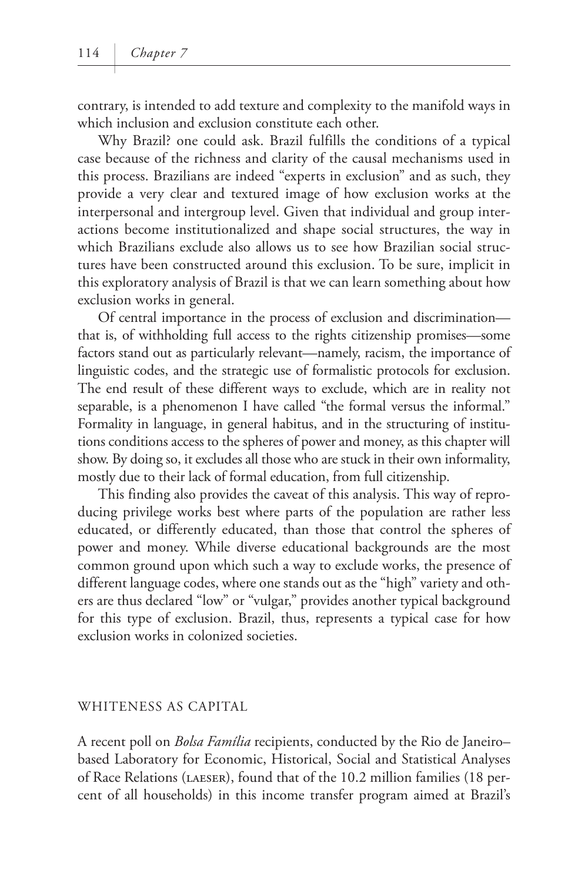contrary, is intended to add texture and complexity to the manifold ways in which inclusion and exclusion constitute each other.

Why Brazil? one could ask. Brazil fulfills the conditions of a typical case because of the richness and clarity of the causal mechanisms used in this process. Brazilians are indeed "experts in exclusion" and as such, they provide a very clear and textured image of how exclusion works at the interpersonal and intergroup level. Given that individual and group interactions become institutionalized and shape social structures, the way in which Brazilians exclude also allows us to see how Brazilian social structures have been constructed around this exclusion. To be sure, implicit in this exploratory analysis of Brazil is that we can learn something about how exclusion works in general.

Of central importance in the process of exclusion and discrimination that is, of withholding full access to the rights citizenship promises—some factors stand out as particularly relevant—namely, racism, the importance of linguistic codes, and the strategic use of formalistic protocols for exclusion. The end result of these different ways to exclude, which are in reality not separable, is a phenomenon I have called "the formal versus the informal." Formality in language, in general habitus, and in the structuring of institutions conditions access to the spheres of power and money, as this chapter will show. By doing so, it excludes all those who are stuck in their own informality, mostly due to their lack of formal education, from full citizenship.

This finding also provides the caveat of this analysis. This way of reproducing privilege works best where parts of the population are rather less educated, or differently educated, than those that control the spheres of power and money. While diverse educational backgrounds are the most common ground upon which such a way to exclude works, the presence of different language codes, where one stands out as the "high" variety and others are thus declared "low" or "vulgar," provides another typical background for this type of exclusion. Brazil, thus, represents a typical case for how exclusion works in colonized societies.

#### WHITENESS AS CAPITAL

A recent poll on *Bolsa Família* recipients, conducted by the Rio de Janeiro– based Laboratory for Economic, Historical, Social and Statistical Analyses of Race Relations (laeser), found that of the 10.2 million families (18 percent of all households) in this income transfer program aimed at Brazil's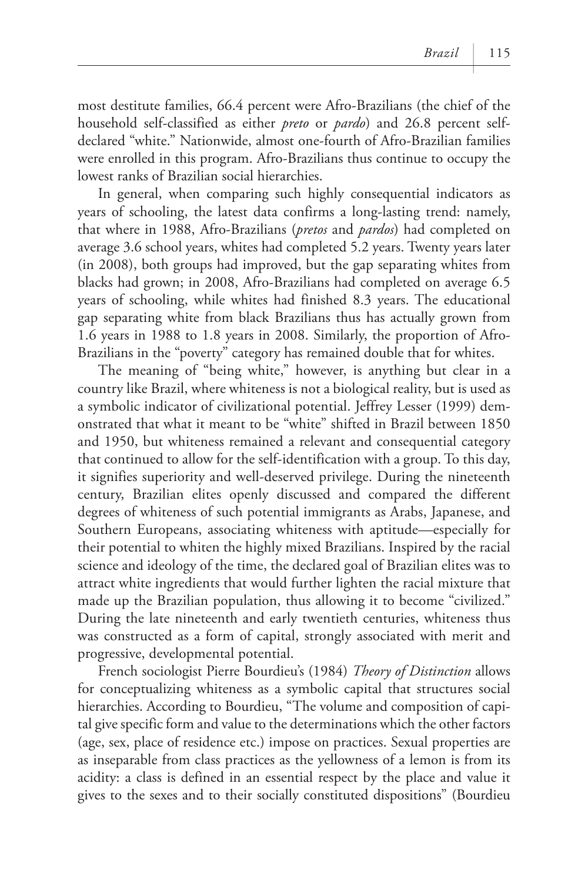most destitute families, 66.4 percent were Afro-Brazilians (the chief of the household self-classified as either *preto* or *pardo*) and 26.8 percent selfdeclared "white." Nationwide, almost one-fourth of Afro-Brazilian families were enrolled in this program. Afro-Brazilians thus continue to occupy the lowest ranks of Brazilian social hierarchies.

In general, when comparing such highly consequential indicators as years of schooling, the latest data confirms a long-lasting trend: namely, that where in 1988, Afro-Brazilians (*pretos* and *pardos*) had completed on average 3.6 school years, whites had completed 5.2 years. Twenty years later (in 2008), both groups had improved, but the gap separating whites from blacks had grown; in 2008, Afro-Brazilians had completed on average 6.5 years of schooling, while whites had finished 8.3 years. The educational gap separating white from black Brazilians thus has actually grown from 1.6 years in 1988 to 1.8 years in 2008. Similarly, the proportion of Afro-Brazilians in the "poverty" category has remained double that for whites.

The meaning of "being white," however, is anything but clear in a country like Brazil, where whiteness is not a biological reality, but is used as a symbolic indicator of civilizational potential. Jeffrey Lesser (1999) demonstrated that what it meant to be "white" shifted in Brazil between 1850 and 1950, but whiteness remained a relevant and consequential category that continued to allow for the self-identification with a group. To this day, it signifies superiority and well-deserved privilege. During the nineteenth century, Brazilian elites openly discussed and compared the different degrees of whiteness of such potential immigrants as Arabs, Japanese, and Southern Europeans, associating whiteness with aptitude—especially for their potential to whiten the highly mixed Brazilians. Inspired by the racial science and ideology of the time, the declared goal of Brazilian elites was to attract white ingredients that would further lighten the racial mixture that made up the Brazilian population, thus allowing it to become "civilized." During the late nineteenth and early twentieth centuries, whiteness thus was constructed as a form of capital, strongly associated with merit and progressive, developmental potential.

French sociologist Pierre Bourdieu's (1984) *Theory of Distinction* allows for conceptualizing whiteness as a symbolic capital that structures social hierarchies. According to Bourdieu, "The volume and composition of capital give specific form and value to the determinations which the other factors (age, sex, place of residence etc.) impose on practices. Sexual properties are as inseparable from class practices as the yellowness of a lemon is from its acidity: a class is defined in an essential respect by the place and value it gives to the sexes and to their socially constituted dispositions" (Bourdieu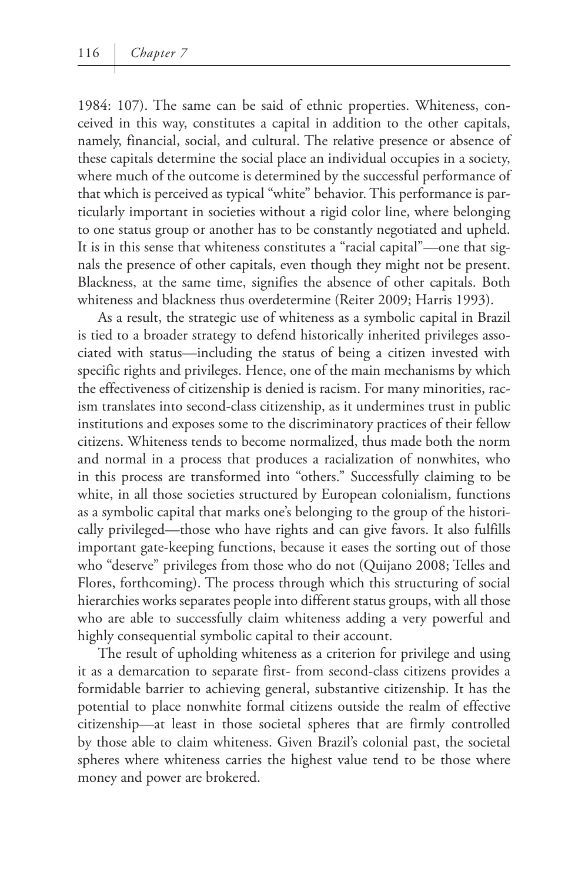1984: 107). The same can be said of ethnic properties. Whiteness, conceived in this way, constitutes a capital in addition to the other capitals, namely, financial, social, and cultural. The relative presence or absence of these capitals determine the social place an individual occupies in a society, where much of the outcome is determined by the successful performance of that which is perceived as typical "white" behavior. This performance is particularly important in societies without a rigid color line, where belonging to one status group or another has to be constantly negotiated and upheld. It is in this sense that whiteness constitutes a "racial capital"—one that signals the presence of other capitals, even though they might not be present. Blackness, at the same time, signifies the absence of other capitals. Both whiteness and blackness thus overdetermine (Reiter 2009; Harris 1993).

As a result, the strategic use of whiteness as a symbolic capital in Brazil is tied to a broader strategy to defend historically inherited privileges associated with status—including the status of being a citizen invested with specific rights and privileges. Hence, one of the main mechanisms by which the effectiveness of citizenship is denied is racism. For many minorities, racism translates into second-class citizenship, as it undermines trust in public institutions and exposes some to the discriminatory practices of their fellow citizens. Whiteness tends to become normalized, thus made both the norm and normal in a process that produces a racialization of nonwhites, who in this process are transformed into "others." Successfully claiming to be white, in all those societies structured by European colonialism, functions as a symbolic capital that marks one's belonging to the group of the historically privileged—those who have rights and can give favors. It also fulfills important gate-keeping functions, because it eases the sorting out of those who "deserve" privileges from those who do not (Quijano 2008; Telles and Flores, forthcoming). The process through which this structuring of social hierarchies works separates people into different status groups, with all those who are able to successfully claim whiteness adding a very powerful and highly consequential symbolic capital to their account.

The result of upholding whiteness as a criterion for privilege and using it as a demarcation to separate first- from second-class citizens provides a formidable barrier to achieving general, substantive citizenship. It has the potential to place nonwhite formal citizens outside the realm of effective citizenship—at least in those societal spheres that are firmly controlled by those able to claim whiteness. Given Brazil's colonial past, the societal spheres where whiteness carries the highest value tend to be those where money and power are brokered.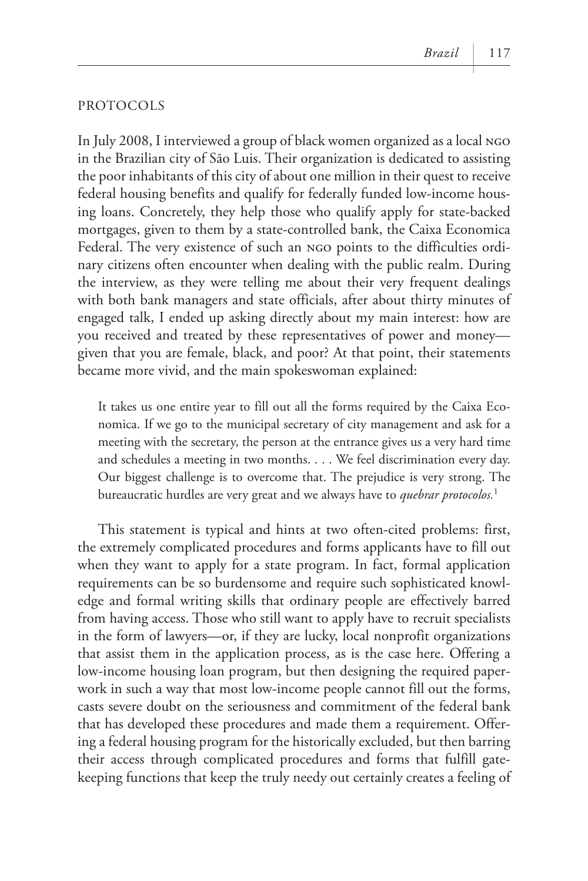#### PROTOCOLS

In July 2008, I interviewed a group of black women organized as a local ngo in the Brazilian city of São Luis. Their organization is dedicated to assisting the poor inhabitants of this city of about one million in their quest to receive federal housing benefits and qualify for federally funded low-income housing loans. Concretely, they help those who qualify apply for state-backed mortgages, given to them by a state-controlled bank, the Caixa Economica Federal. The very existence of such an ngo points to the difficulties ordinary citizens often encounter when dealing with the public realm. During the interview, as they were telling me about their very frequent dealings with both bank managers and state officials, after about thirty minutes of engaged talk, I ended up asking directly about my main interest: how are you received and treated by these representatives of power and money given that you are female, black, and poor? At that point, their statements became more vivid, and the main spokeswoman explained:

It takes us one entire year to fill out all the forms required by the Caixa Economica. If we go to the municipal secretary of city management and ask for a meeting with the secretary, the person at the entrance gives us a very hard time and schedules a meeting in two months. . . . We feel discrimination every day. Our biggest challenge is to overcome that. The prejudice is very strong. The bureaucratic hurdles are very great and we always have to *quebrar protocolos.*<sup>1</sup>

This statement is typical and hints at two often-cited problems: first, the extremely complicated procedures and forms applicants have to fill out when they want to apply for a state program. In fact, formal application requirements can be so burdensome and require such sophisticated knowledge and formal writing skills that ordinary people are effectively barred from having access. Those who still want to apply have to recruit specialists in the form of lawyers—or, if they are lucky, local nonprofit organizations that assist them in the application process, as is the case here. Offering a low-income housing loan program, but then designing the required paperwork in such a way that most low-income people cannot fill out the forms, casts severe doubt on the seriousness and commitment of the federal bank that has developed these procedures and made them a requirement. Offering a federal housing program for the historically excluded, but then barring their access through complicated procedures and forms that fulfill gatekeeping functions that keep the truly needy out certainly creates a feeling of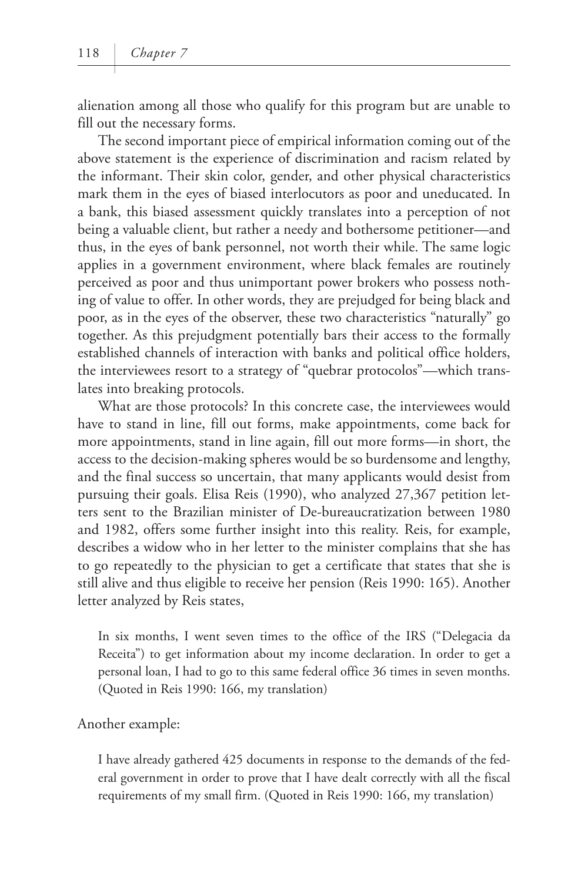alienation among all those who qualify for this program but are unable to fill out the necessary forms.

The second important piece of empirical information coming out of the above statement is the experience of discrimination and racism related by the informant. Their skin color, gender, and other physical characteristics mark them in the eyes of biased interlocutors as poor and uneducated. In a bank, this biased assessment quickly translates into a perception of not being a valuable client, but rather a needy and bothersome petitioner—and thus, in the eyes of bank personnel, not worth their while. The same logic applies in a government environment, where black females are routinely perceived as poor and thus unimportant power brokers who possess nothing of value to offer. In other words, they are prejudged for being black and poor, as in the eyes of the observer, these two characteristics "naturally" go together. As this prejudgment potentially bars their access to the formally established channels of interaction with banks and political office holders, the interviewees resort to a strategy of "quebrar protocolos"—which translates into breaking protocols.

What are those protocols? In this concrete case, the interviewees would have to stand in line, fill out forms, make appointments, come back for more appointments, stand in line again, fill out more forms—in short, the access to the decision-making spheres would be so burdensome and lengthy, and the final success so uncertain, that many applicants would desist from pursuing their goals. Elisa Reis (1990), who analyzed 27,367 petition letters sent to the Brazilian minister of De-bureaucratization between 1980 and 1982, offers some further insight into this reality. Reis, for example, describes a widow who in her letter to the minister complains that she has to go repeatedly to the physician to get a certificate that states that she is still alive and thus eligible to receive her pension (Reis 1990: 165). Another letter analyzed by Reis states,

In six months, I went seven times to the office of the IRS ("Delegacia da Receita") to get information about my income declaration. In order to get a personal loan, I had to go to this same federal office 36 times in seven months. (Quoted in Reis 1990: 166, my translation)

#### Another example:

I have already gathered 425 documents in response to the demands of the federal government in order to prove that I have dealt correctly with all the fiscal requirements of my small firm. (Quoted in Reis 1990: 166, my translation)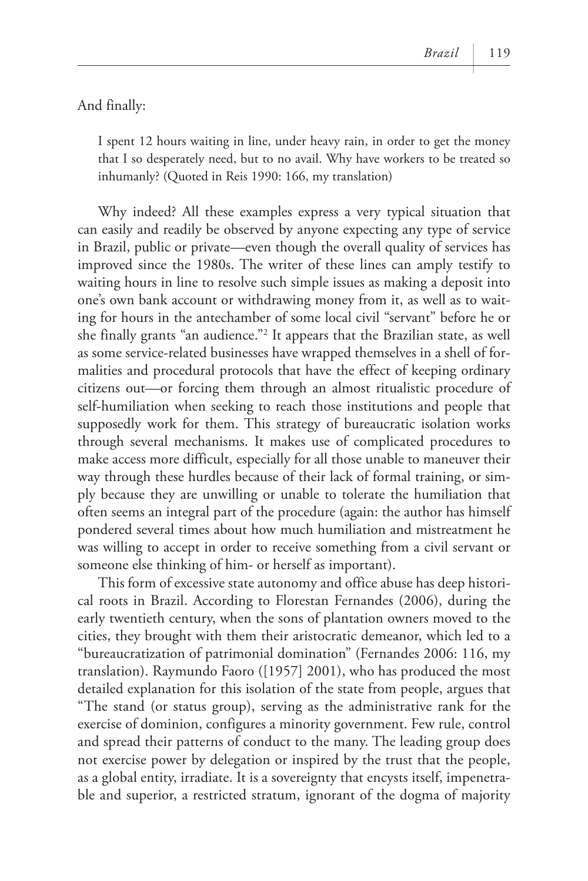#### And finally:

I spent 12 hours waiting in line, under heavy rain, in order to get the money that I so desperately need, but to no avail. Why have workers to be treated so inhumanly? (Quoted in Reis 1990: 166, my translation)

Why indeed? All these examples express a very typical situation that can easily and readily be observed by anyone expecting any type of service in Brazil, public or private—even though the overall quality of services has improved since the 1980s. The writer of these lines can amply testify to waiting hours in line to resolve such simple issues as making a deposit into one's own bank account or withdrawing money from it, as well as to waiting for hours in the antechamber of some local civil "servant" before he or she finally grants "an audience."2 It appears that the Brazilian state, as well as some service-related businesses have wrapped themselves in a shell of formalities and procedural protocols that have the effect of keeping ordinary citizens out—or forcing them through an almost ritualistic procedure of self-humiliation when seeking to reach those institutions and people that supposedly work for them. This strategy of bureaucratic isolation works through several mechanisms. It makes use of complicated procedures to make access more difficult, especially for all those unable to maneuver their way through these hurdles because of their lack of formal training, or simply because they are unwilling or unable to tolerate the humiliation that often seems an integral part of the procedure (again: the author has himself pondered several times about how much humiliation and mistreatment he was willing to accept in order to receive something from a civil servant or someone else thinking of him- or herself as important).

This form of excessive state autonomy and office abuse has deep historical roots in Brazil. According to Florestan Fernandes (2006), during the early twentieth century, when the sons of plantation owners moved to the cities, they brought with them their aristocratic demeanor, which led to a "bureaucratization of patrimonial domination" (Fernandes 2006: 116, my translation). Raymundo Faoro ([1957] 2001), who has produced the most detailed explanation for this isolation of the state from people, argues that "The stand (or status group), serving as the administrative rank for the exercise of dominion, configures a minority government. Few rule, control and spread their patterns of conduct to the many. The leading group does not exercise power by delegation or inspired by the trust that the people, as a global entity, irradiate. It is a sovereignty that encysts itself, impenetrable and superior, a restricted stratum, ignorant of the dogma of majority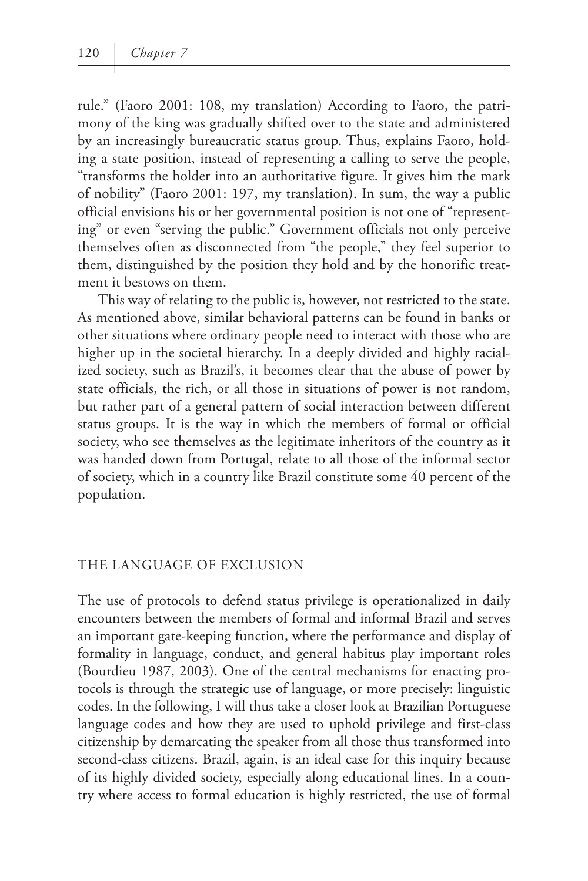rule." (Faoro 2001: 108, my translation) According to Faoro, the patrimony of the king was gradually shifted over to the state and administered by an increasingly bureaucratic status group. Thus, explains Faoro, holding a state position, instead of representing a calling to serve the people, "transforms the holder into an authoritative figure. It gives him the mark of nobility" (Faoro 2001: 197, my translation). In sum, the way a public official envisions his or her governmental position is not one of "representing" or even "serving the public." Government officials not only perceive themselves often as disconnected from "the people," they feel superior to them, distinguished by the position they hold and by the honorific treatment it bestows on them.

This way of relating to the public is, however, not restricted to the state. As mentioned above, similar behavioral patterns can be found in banks or other situations where ordinary people need to interact with those who are higher up in the societal hierarchy. In a deeply divided and highly racialized society, such as Brazil's, it becomes clear that the abuse of power by state officials, the rich, or all those in situations of power is not random, but rather part of a general pattern of social interaction between different status groups. It is the way in which the members of formal or official society, who see themselves as the legitimate inheritors of the country as it was handed down from Portugal, relate to all those of the informal sector of society, which in a country like Brazil constitute some 40 percent of the population.

#### The Language of Exclusion

The use of protocols to defend status privilege is operationalized in daily encounters between the members of formal and informal Brazil and serves an important gate-keeping function, where the performance and display of formality in language, conduct, and general habitus play important roles (Bourdieu 1987, 2003). One of the central mechanisms for enacting protocols is through the strategic use of language, or more precisely: linguistic codes. In the following, I will thus take a closer look at Brazilian Portuguese language codes and how they are used to uphold privilege and first-class citizenship by demarcating the speaker from all those thus transformed into second-class citizens. Brazil, again, is an ideal case for this inquiry because of its highly divided society, especially along educational lines. In a country where access to formal education is highly restricted, the use of formal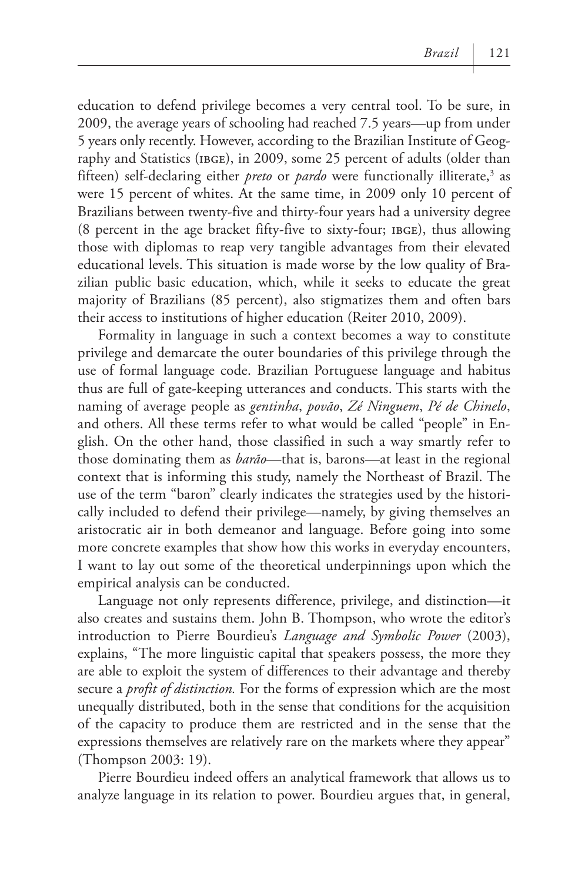education to defend privilege becomes a very central tool. To be sure, in 2009, the average years of schooling had reached 7.5 years—up from under 5 years only recently. However, according to the Brazilian Institute of Geography and Statistics (ibge), in 2009, some 25 percent of adults (older than fifteen) self-declaring either *preto* or *pardo* were functionally illiterate,<sup>3</sup> as were 15 percent of whites. At the same time, in 2009 only 10 percent of Brazilians between twenty-five and thirty-four years had a university degree (8 percent in the age bracket fifty-five to sixty-four; ibge), thus allowing those with diplomas to reap very tangible advantages from their elevated educational levels. This situation is made worse by the low quality of Brazilian public basic education, which, while it seeks to educate the great majority of Brazilians (85 percent), also stigmatizes them and often bars their access to institutions of higher education (Reiter 2010, 2009).

Formality in language in such a context becomes a way to constitute privilege and demarcate the outer boundaries of this privilege through the use of formal language code. Brazilian Portuguese language and habitus thus are full of gate-keeping utterances and conducts. This starts with the naming of average people as *gentinha*, *povão*, *Zé Ninguem*, *Pé de Chinelo*, and others. All these terms refer to what would be called "people" in English. On the other hand, those classified in such a way smartly refer to those dominating them as *barão*—that is, barons—at least in the regional context that is informing this study, namely the Northeast of Brazil. The use of the term "baron" clearly indicates the strategies used by the historically included to defend their privilege—namely, by giving themselves an aristocratic air in both demeanor and language. Before going into some more concrete examples that show how this works in everyday encounters, I want to lay out some of the theoretical underpinnings upon which the empirical analysis can be conducted.

Language not only represents difference, privilege, and distinction—it also creates and sustains them. John B. Thompson, who wrote the editor's introduction to Pierre Bourdieu's *Language and Symbolic Power* (2003), explains, "The more linguistic capital that speakers possess, the more they are able to exploit the system of differences to their advantage and thereby secure a *profit of distinction.* For the forms of expression which are the most unequally distributed, both in the sense that conditions for the acquisition of the capacity to produce them are restricted and in the sense that the expressions themselves are relatively rare on the markets where they appear" (Thompson 2003: 19).

Pierre Bourdieu indeed offers an analytical framework that allows us to analyze language in its relation to power. Bourdieu argues that, in general,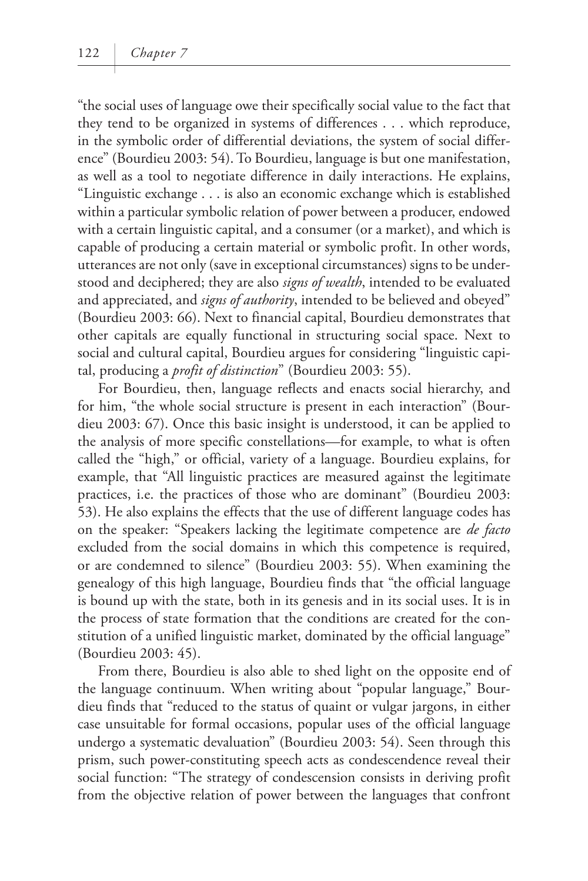"the social uses of language owe their specifically social value to the fact that they tend to be organized in systems of differences . . . which reproduce, in the symbolic order of differential deviations, the system of social difference" (Bourdieu 2003: 54). To Bourdieu, language is but one manifestation, as well as a tool to negotiate difference in daily interactions. He explains, "Linguistic exchange . . . is also an economic exchange which is established within a particular symbolic relation of power between a producer, endowed with a certain linguistic capital, and a consumer (or a market), and which is capable of producing a certain material or symbolic profit. In other words, utterances are not only (save in exceptional circumstances) signs to be understood and deciphered; they are also *signs of wealth*, intended to be evaluated and appreciated, and *signs of authority*, intended to be believed and obeyed" (Bourdieu 2003: 66). Next to financial capital, Bourdieu demonstrates that other capitals are equally functional in structuring social space. Next to social and cultural capital, Bourdieu argues for considering "linguistic capital, producing a *profit of distinction*" (Bourdieu 2003: 55).

For Bourdieu, then, language reflects and enacts social hierarchy, and for him, "the whole social structure is present in each interaction" (Bourdieu 2003: 67). Once this basic insight is understood, it can be applied to the analysis of more specific constellations—for example, to what is often called the "high," or official, variety of a language. Bourdieu explains, for example, that "All linguistic practices are measured against the legitimate practices, i.e. the practices of those who are dominant" (Bourdieu 2003: 53). He also explains the effects that the use of different language codes has on the speaker: "Speakers lacking the legitimate competence are *de facto* excluded from the social domains in which this competence is required, or are condemned to silence" (Bourdieu 2003: 55). When examining the genealogy of this high language, Bourdieu finds that "the official language is bound up with the state, both in its genesis and in its social uses. It is in the process of state formation that the conditions are created for the constitution of a unified linguistic market, dominated by the official language" (Bourdieu 2003: 45).

From there, Bourdieu is also able to shed light on the opposite end of the language continuum. When writing about "popular language," Bourdieu finds that "reduced to the status of quaint or vulgar jargons, in either case unsuitable for formal occasions, popular uses of the official language undergo a systematic devaluation" (Bourdieu 2003: 54). Seen through this prism, such power-constituting speech acts as condescendence reveal their social function: "The strategy of condescension consists in deriving profit from the objective relation of power between the languages that confront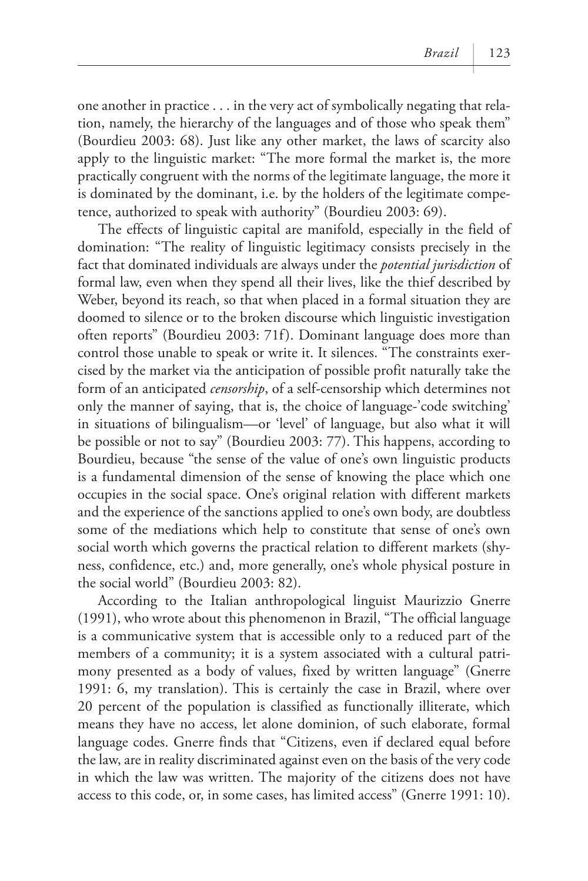one another in practice . . . in the very act of symbolically negating that relation, namely, the hierarchy of the languages and of those who speak them" (Bourdieu 2003: 68). Just like any other market, the laws of scarcity also apply to the linguistic market: "The more formal the market is, the more practically congruent with the norms of the legitimate language, the more it is dominated by the dominant, i.e. by the holders of the legitimate competence, authorized to speak with authority" (Bourdieu 2003: 69).

The effects of linguistic capital are manifold, especially in the field of domination: "The reality of linguistic legitimacy consists precisely in the fact that dominated individuals are always under the *potential jurisdiction* of formal law, even when they spend all their lives, like the thief described by Weber, beyond its reach, so that when placed in a formal situation they are doomed to silence or to the broken discourse which linguistic investigation often reports" (Bourdieu 2003: 71f). Dominant language does more than control those unable to speak or write it. It silences. "The constraints exercised by the market via the anticipation of possible profit naturally take the form of an anticipated *censorship*, of a self-censorship which determines not only the manner of saying, that is, the choice of language-'code switching' in situations of bilingualism—or 'level' of language, but also what it will be possible or not to say" (Bourdieu 2003: 77). This happens, according to Bourdieu, because "the sense of the value of one's own linguistic products is a fundamental dimension of the sense of knowing the place which one occupies in the social space. One's original relation with different markets and the experience of the sanctions applied to one's own body, are doubtless some of the mediations which help to constitute that sense of one's own social worth which governs the practical relation to different markets (shyness, confidence, etc.) and, more generally, one's whole physical posture in the social world" (Bourdieu 2003: 82).

According to the Italian anthropological linguist Maurizzio Gnerre (1991), who wrote about this phenomenon in Brazil, "The official language is a communicative system that is accessible only to a reduced part of the members of a community; it is a system associated with a cultural patrimony presented as a body of values, fixed by written language" (Gnerre 1991: 6, my translation). This is certainly the case in Brazil, where over 20 percent of the population is classified as functionally illiterate, which means they have no access, let alone dominion, of such elaborate, formal language codes. Gnerre finds that "Citizens, even if declared equal before the law, are in reality discriminated against even on the basis of the very code in which the law was written. The majority of the citizens does not have access to this code, or, in some cases, has limited access" (Gnerre 1991: 10).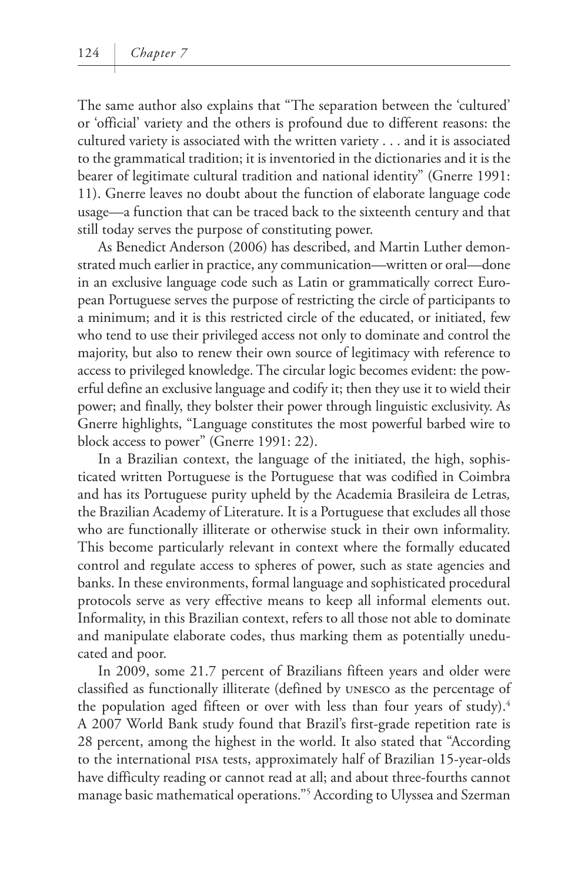The same author also explains that "The separation between the 'cultured' or 'official' variety and the others is profound due to different reasons: the cultured variety is associated with the written variety . . . and it is associated to the grammatical tradition; it is inventoried in the dictionaries and it is the bearer of legitimate cultural tradition and national identity" (Gnerre 1991: 11). Gnerre leaves no doubt about the function of elaborate language code usage—a function that can be traced back to the sixteenth century and that still today serves the purpose of constituting power.

As Benedict Anderson (2006) has described, and Martin Luther demonstrated much earlier in practice, any communication—written or oral—done in an exclusive language code such as Latin or grammatically correct European Portuguese serves the purpose of restricting the circle of participants to a minimum; and it is this restricted circle of the educated, or initiated, few who tend to use their privileged access not only to dominate and control the majority, but also to renew their own source of legitimacy with reference to access to privileged knowledge. The circular logic becomes evident: the powerful define an exclusive language and codify it; then they use it to wield their power; and finally, they bolster their power through linguistic exclusivity. As Gnerre highlights, "Language constitutes the most powerful barbed wire to block access to power" (Gnerre 1991: 22).

In a Brazilian context, the language of the initiated, the high, sophisticated written Portuguese is the Portuguese that was codified in Coimbra and has its Portuguese purity upheld by the Academia Brasileira de Letras*,* the Brazilian Academy of Literature. It is a Portuguese that excludes all those who are functionally illiterate or otherwise stuck in their own informality. This become particularly relevant in context where the formally educated control and regulate access to spheres of power, such as state agencies and banks. In these environments, formal language and sophisticated procedural protocols serve as very effective means to keep all informal elements out. Informality, in this Brazilian context, refers to all those not able to dominate and manipulate elaborate codes, thus marking them as potentially uneducated and poor.

In 2009, some 21.7 percent of Brazilians fifteen years and older were classified as functionally illiterate (defined by unesco as the percentage of the population aged fifteen or over with less than four years of study). $4$ A 2007 World Bank study found that Brazil's first-grade repetition rate is 28 percent, among the highest in the world. It also stated that "According to the international pisa tests, approximately half of Brazilian 15-year-olds have difficulty reading or cannot read at all; and about three-fourths cannot manage basic mathematical operations."5 According to Ulyssea and Szerman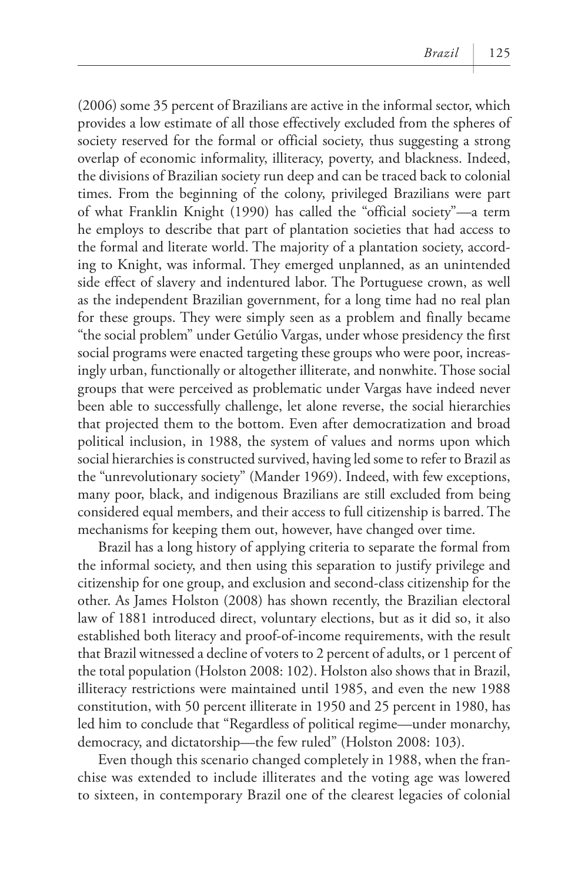(2006) some 35 percent of Brazilians are active in the informal sector, which provides a low estimate of all those effectively excluded from the spheres of society reserved for the formal or official society, thus suggesting a strong overlap of economic informality, illiteracy, poverty, and blackness. Indeed, the divisions of Brazilian society run deep and can be traced back to colonial times. From the beginning of the colony, privileged Brazilians were part of what Franklin Knight (1990) has called the "official society"—a term he employs to describe that part of plantation societies that had access to the formal and literate world. The majority of a plantation society, according to Knight, was informal. They emerged unplanned, as an unintended side effect of slavery and indentured labor. The Portuguese crown, as well as the independent Brazilian government, for a long time had no real plan for these groups. They were simply seen as a problem and finally became "the social problem" under Getúlio Vargas, under whose presidency the first social programs were enacted targeting these groups who were poor, increasingly urban, functionally or altogether illiterate, and nonwhite. Those social groups that were perceived as problematic under Vargas have indeed never been able to successfully challenge, let alone reverse, the social hierarchies that projected them to the bottom. Even after democratization and broad political inclusion, in 1988, the system of values and norms upon which social hierarchies is constructed survived, having led some to refer to Brazil as the "unrevolutionary society" (Mander 1969). Indeed, with few exceptions, many poor, black, and indigenous Brazilians are still excluded from being considered equal members, and their access to full citizenship is barred. The mechanisms for keeping them out, however, have changed over time.

Brazil has a long history of applying criteria to separate the formal from the informal society, and then using this separation to justify privilege and citizenship for one group, and exclusion and second-class citizenship for the other. As James Holston (2008) has shown recently, the Brazilian electoral law of 1881 introduced direct, voluntary elections, but as it did so, it also established both literacy and proof-of-income requirements, with the result that Brazil witnessed a decline of voters to 2 percent of adults, or 1 percent of the total population (Holston 2008: 102). Holston also shows that in Brazil, illiteracy restrictions were maintained until 1985, and even the new 1988 constitution, with 50 percent illiterate in 1950 and 25 percent in 1980, has led him to conclude that "Regardless of political regime—under monarchy, democracy, and dictatorship—the few ruled" (Holston 2008: 103).

Even though this scenario changed completely in 1988, when the franchise was extended to include illiterates and the voting age was lowered to sixteen, in contemporary Brazil one of the clearest legacies of colonial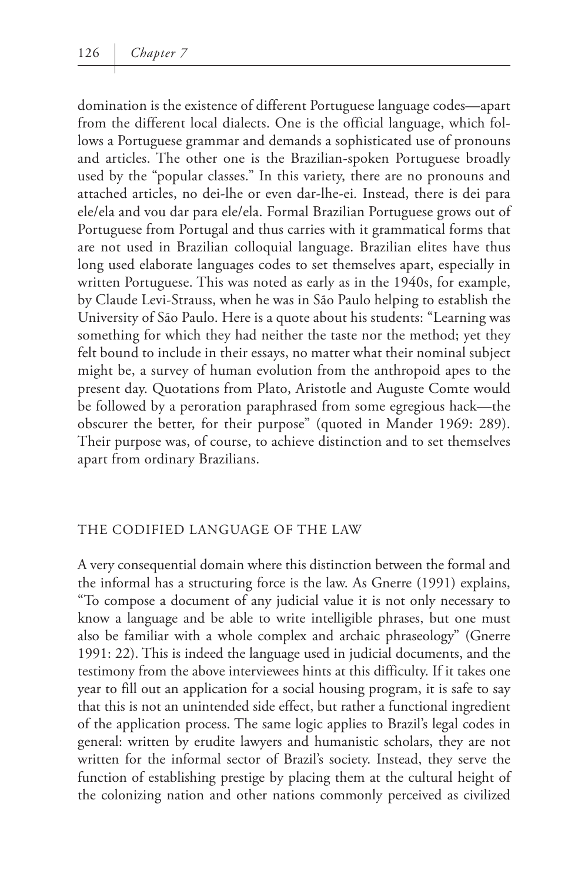domination is the existence of different Portuguese language codes—apart from the different local dialects. One is the official language, which follows a Portuguese grammar and demands a sophisticated use of pronouns and articles. The other one is the Brazilian-spoken Portuguese broadly used by the "popular classes." In this variety, there are no pronouns and attached articles, no dei-lhe or even dar-lhe-ei*.* Instead, there is dei para ele/ela and vou dar para ele/ela. Formal Brazilian Portuguese grows out of Portuguese from Portugal and thus carries with it grammatical forms that are not used in Brazilian colloquial language. Brazilian elites have thus long used elaborate languages codes to set themselves apart, especially in written Portuguese. This was noted as early as in the 1940s, for example, by Claude Levi-Strauss, when he was in São Paulo helping to establish the University of São Paulo. Here is a quote about his students: "Learning was something for which they had neither the taste nor the method; yet they felt bound to include in their essays, no matter what their nominal subject might be, a survey of human evolution from the anthropoid apes to the present day. Quotations from Plato, Aristotle and Auguste Comte would be followed by a peroration paraphrased from some egregious hack—the obscurer the better, for their purpose" (quoted in Mander 1969: 289). Their purpose was, of course, to achieve distinction and to set themselves apart from ordinary Brazilians.

#### The Codified Language of the Law

A very consequential domain where this distinction between the formal and the informal has a structuring force is the law. As Gnerre (1991) explains, "To compose a document of any judicial value it is not only necessary to know a language and be able to write intelligible phrases, but one must also be familiar with a whole complex and archaic phraseology" (Gnerre 1991: 22). This is indeed the language used in judicial documents, and the testimony from the above interviewees hints at this difficulty. If it takes one year to fill out an application for a social housing program, it is safe to say that this is not an unintended side effect, but rather a functional ingredient of the application process. The same logic applies to Brazil's legal codes in general: written by erudite lawyers and humanistic scholars, they are not written for the informal sector of Brazil's society. Instead, they serve the function of establishing prestige by placing them at the cultural height of the colonizing nation and other nations commonly perceived as civilized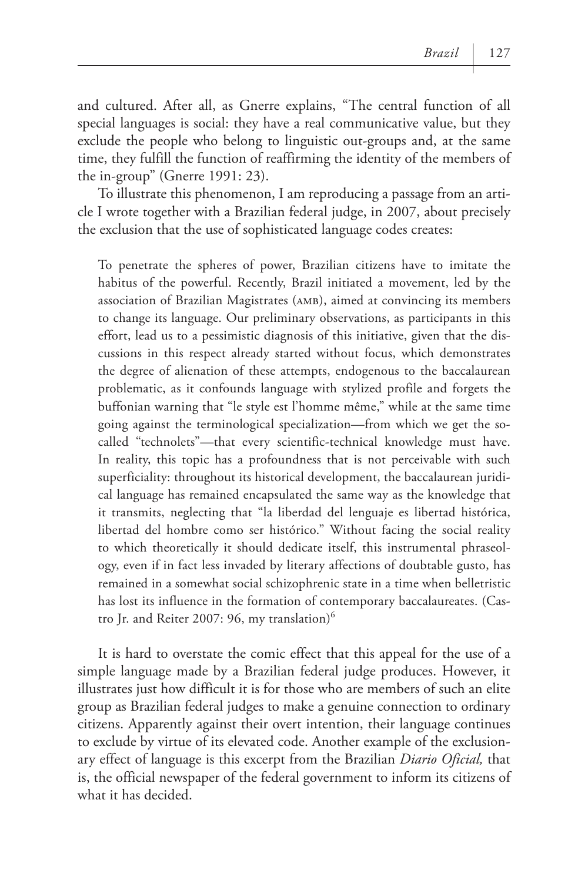and cultured. After all, as Gnerre explains, "The central function of all special languages is social: they have a real communicative value, but they exclude the people who belong to linguistic out-groups and, at the same time, they fulfill the function of reaffirming the identity of the members of the in-group" (Gnerre 1991: 23).

To illustrate this phenomenon, I am reproducing a passage from an article I wrote together with a Brazilian federal judge, in 2007, about precisely the exclusion that the use of sophisticated language codes creates:

To penetrate the spheres of power, Brazilian citizens have to imitate the habitus of the powerful. Recently, Brazil initiated a movement, led by the association of Brazilian Magistrates (amb), aimed at convincing its members to change its language. Our preliminary observations, as participants in this effort, lead us to a pessimistic diagnosis of this initiative, given that the discussions in this respect already started without focus, which demonstrates the degree of alienation of these attempts, endogenous to the baccalaurean problematic, as it confounds language with stylized profile and forgets the buffonian warning that "le style est l'homme même," while at the same time going against the terminological specialization—from which we get the socalled "technolets"—that every scientific-technical knowledge must have. In reality, this topic has a profoundness that is not perceivable with such superficiality: throughout its historical development, the baccalaurean juridical language has remained encapsulated the same way as the knowledge that it transmits, neglecting that "la liberdad del lenguaje es libertad histórica, libertad del hombre como ser histórico." Without facing the social reality to which theoretically it should dedicate itself, this instrumental phraseology, even if in fact less invaded by literary affections of doubtable gusto, has remained in a somewhat social schizophrenic state in a time when belletristic has lost its influence in the formation of contemporary baccalaureates. (Castro Jr. and Reiter 2007: 96, my translation) $^{6}$ 

It is hard to overstate the comic effect that this appeal for the use of a simple language made by a Brazilian federal judge produces. However, it illustrates just how difficult it is for those who are members of such an elite group as Brazilian federal judges to make a genuine connection to ordinary citizens. Apparently against their overt intention, their language continues to exclude by virtue of its elevated code. Another example of the exclusionary effect of language is this excerpt from the Brazilian *Diario Oficial,* that is, the official newspaper of the federal government to inform its citizens of what it has decided.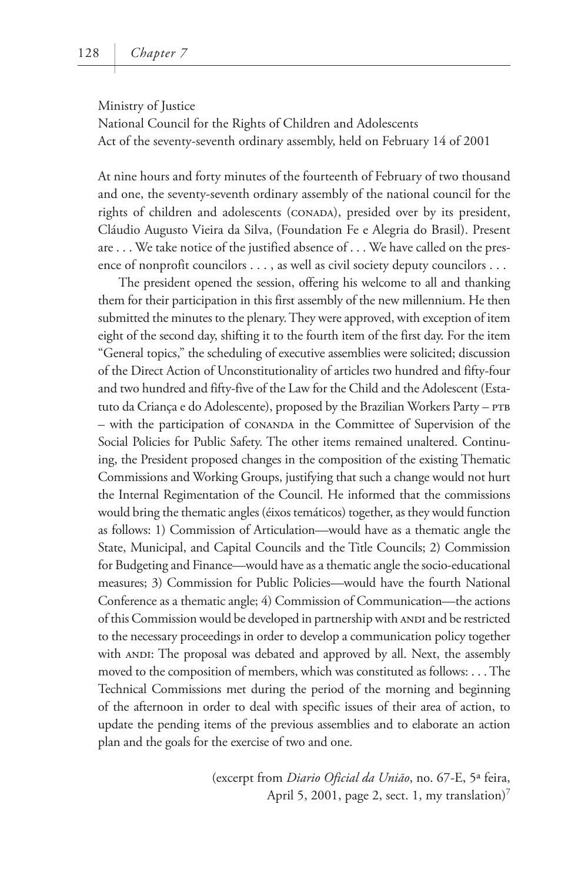#### Ministry of Justice

National Council for the Rights of Children and Adolescents Act of the seventy-seventh ordinary assembly, held on February 14 of 2001

At nine hours and forty minutes of the fourteenth of February of two thousand and one, the seventy-seventh ordinary assembly of the national council for the rights of children and adolescents (CONADA), presided over by its president, Cláudio Augusto Vieira da Silva, (Foundation Fe e Alegria do Brasil). Present are . . . We take notice of the justified absence of . . . We have called on the presence of nonprofit councilors . . . , as well as civil society deputy councilors . . .

The president opened the session, offering his welcome to all and thanking them for their participation in this first assembly of the new millennium. He then submitted the minutes to the plenary. They were approved, with exception of item eight of the second day, shifting it to the fourth item of the first day. For the item "General topics," the scheduling of executive assemblies were solicited; discussion of the Direct Action of Unconstitutionality of articles two hundred and fifty-four and two hundred and fifty-five of the Law for the Child and the Adolescent (Estatuto da Criança e do Adolescente), proposed by the Brazilian Workers Party - PTB – with the participation of conanda in the Committee of Supervision of the Social Policies for Public Safety. The other items remained unaltered. Continuing, the President proposed changes in the composition of the existing Thematic Commissions and Working Groups, justifying that such a change would not hurt the Internal Regimentation of the Council. He informed that the commissions would bring the thematic angles (éixos temáticos) together, as they would function as follows: 1) Commission of Articulation—would have as a thematic angle the State, Municipal, and Capital Councils and the Title Councils; 2) Commission for Budgeting and Finance—would have as a thematic angle the socio-educational measures; 3) Commission for Public Policies—would have the fourth National Conference as a thematic angle; 4) Commission of Communication—the actions of this Commission would be developed in partnership with ANDI and be restricted to the necessary proceedings in order to develop a communication policy together with ANDI: The proposal was debated and approved by all. Next, the assembly moved to the composition of members, which was constituted as follows: . . . The Technical Commissions met during the period of the morning and beginning of the afternoon in order to deal with specific issues of their area of action, to update the pending items of the previous assemblies and to elaborate an action plan and the goals for the exercise of two and one.

> (excerpt from *Diario Oficial da União*, no. 67-E, 5ª feira, April 5, 2001, page 2, sect. 1, my translation)<sup>7</sup>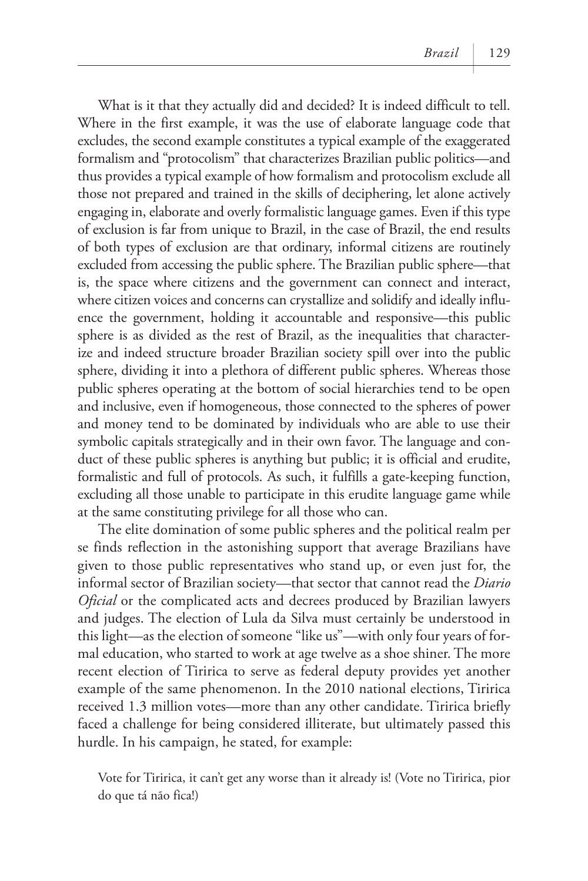What is it that they actually did and decided? It is indeed difficult to tell. Where in the first example, it was the use of elaborate language code that excludes, the second example constitutes a typical example of the exaggerated formalism and "protocolism" that characterizes Brazilian public politics—and thus provides a typical example of how formalism and protocolism exclude all those not prepared and trained in the skills of deciphering, let alone actively engaging in, elaborate and overly formalistic language games. Even if this type of exclusion is far from unique to Brazil, in the case of Brazil, the end results of both types of exclusion are that ordinary, informal citizens are routinely excluded from accessing the public sphere. The Brazilian public sphere—that is, the space where citizens and the government can connect and interact, where citizen voices and concerns can crystallize and solidify and ideally influence the government, holding it accountable and responsive—this public sphere is as divided as the rest of Brazil, as the inequalities that characterize and indeed structure broader Brazilian society spill over into the public sphere, dividing it into a plethora of different public spheres. Whereas those public spheres operating at the bottom of social hierarchies tend to be open and inclusive, even if homogeneous, those connected to the spheres of power and money tend to be dominated by individuals who are able to use their symbolic capitals strategically and in their own favor. The language and conduct of these public spheres is anything but public; it is official and erudite, formalistic and full of protocols. As such, it fulfills a gate-keeping function, excluding all those unable to participate in this erudite language game while at the same constituting privilege for all those who can.

The elite domination of some public spheres and the political realm per se finds reflection in the astonishing support that average Brazilians have given to those public representatives who stand up, or even just for, the informal sector of Brazilian society—that sector that cannot read the *Diario Oficial* or the complicated acts and decrees produced by Brazilian lawyers and judges. The election of Lula da Silva must certainly be understood in this light—as the election of someone "like us"—with only four years of formal education, who started to work at age twelve as a shoe shiner. The more recent election of Tiririca to serve as federal deputy provides yet another example of the same phenomenon. In the 2010 national elections, Tiririca received 1.3 million votes—more than any other candidate. Tiririca briefly faced a challenge for being considered illiterate, but ultimately passed this hurdle. In his campaign, he stated, for example:

Vote for Tiririca, it can't get any worse than it already is! (Vote no Tiririca, pior do que tá não fica!)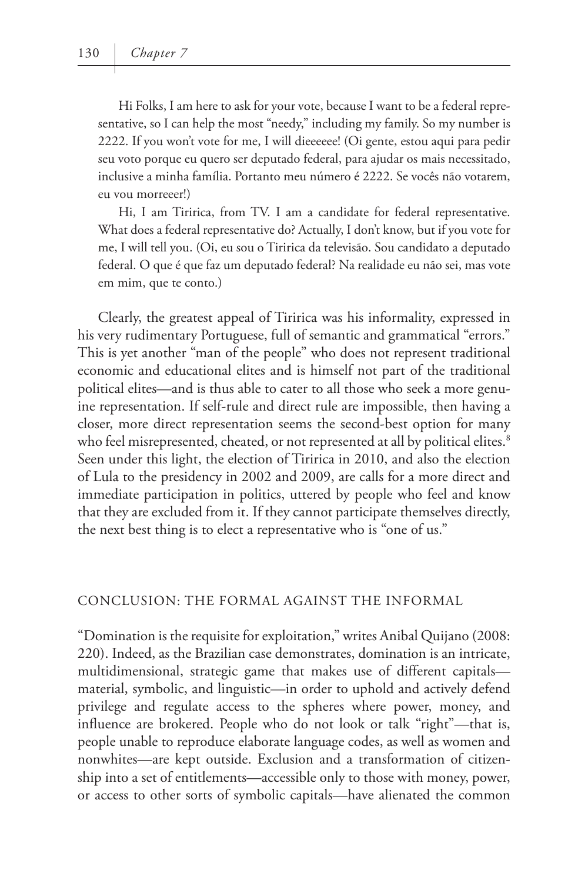Hi Folks, I am here to ask for your vote, because I want to be a federal representative, so I can help the most "needy," including my family. So my number is 2222. If you won't vote for me, I will dieeeeee! (Oi gente, estou aqui para pedir seu voto porque eu quero ser deputado federal, para ajudar os mais necessitado, inclusive a minha família. Portanto meu número é 2222. Se vocês não votarem, eu vou morreeer!)

Hi, I am Tiririca, from TV. I am a candidate for federal representative. What does a federal representative do? Actually, I don't know, but if you vote for me, I will tell you. (Oi, eu sou o Tiririca da televisão. Sou candidato a deputado federal. O que é que faz um deputado federal? Na realidade eu não sei, mas vote em mim, que te conto.)

Clearly, the greatest appeal of Tiririca was his informality, expressed in his very rudimentary Portuguese, full of semantic and grammatical "errors." This is yet another "man of the people" who does not represent traditional economic and educational elites and is himself not part of the traditional political elites—and is thus able to cater to all those who seek a more genuine representation. If self-rule and direct rule are impossible, then having a closer, more direct representation seems the second-best option for many who feel misrepresented, cheated, or not represented at all by political elites.<sup>8</sup> Seen under this light, the election of Tiririca in 2010, and also the election of Lula to the presidency in 2002 and 2009, are calls for a more direct and immediate participation in politics, uttered by people who feel and know that they are excluded from it. If they cannot participate themselves directly, the next best thing is to elect a representative who is "one of us."

#### Conclusion: The Formal against the Informal

"Domination is the requisite for exploitation," writes Anibal Quijano (2008: 220). Indeed, as the Brazilian case demonstrates, domination is an intricate, multidimensional, strategic game that makes use of different capitals material, symbolic, and linguistic—in order to uphold and actively defend privilege and regulate access to the spheres where power, money, and influence are brokered. People who do not look or talk "right"—that is, people unable to reproduce elaborate language codes, as well as women and nonwhites—are kept outside. Exclusion and a transformation of citizenship into a set of entitlements—accessible only to those with money, power, or access to other sorts of symbolic capitals—have alienated the common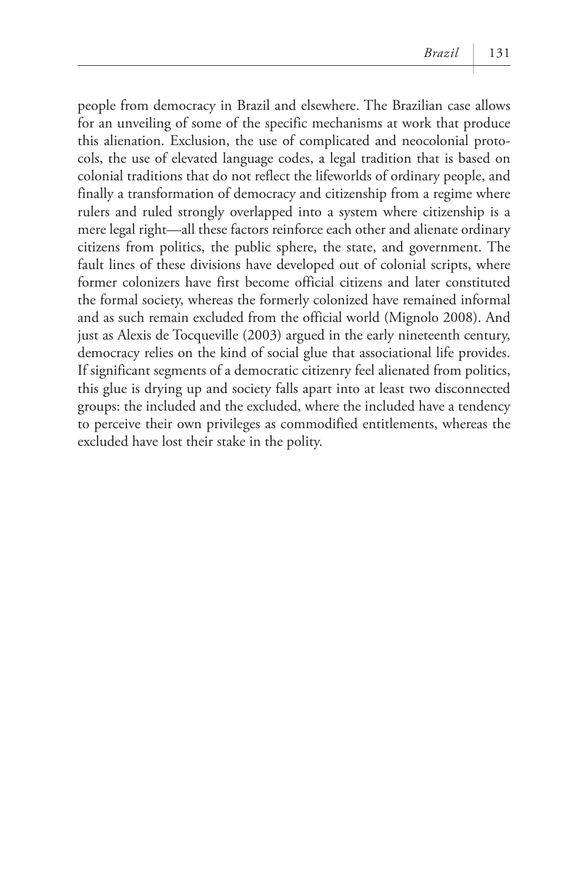people from democracy in Brazil and elsewhere. The Brazilian case allows for an unveiling of some of the specific mechanisms at work that produce this alienation. Exclusion, the use of complicated and neocolonial protocols, the use of elevated language codes, a legal tradition that is based on colonial traditions that do not reflect the lifeworlds of ordinary people, and finally a transformation of democracy and citizenship from a regime where rulers and ruled strongly overlapped into a system where citizenship is a mere legal right—all these factors reinforce each other and alienate ordinary citizens from politics, the public sphere, the state, and government. The fault lines of these divisions have developed out of colonial scripts, where former colonizers have first become official citizens and later constituted the formal society, whereas the formerly colonized have remained informal and as such remain excluded from the official world (Mignolo 2008). And just as Alexis de Tocqueville (2003) argued in the early nineteenth century, democracy relies on the kind of social glue that associational life provides. If significant segments of a democratic citizenry feel alienated from politics, this glue is drying up and society falls apart into at least two disconnected groups: the included and the excluded, where the included have a tendency to perceive their own privileges as commodified entitlements, whereas the excluded have lost their stake in the polity.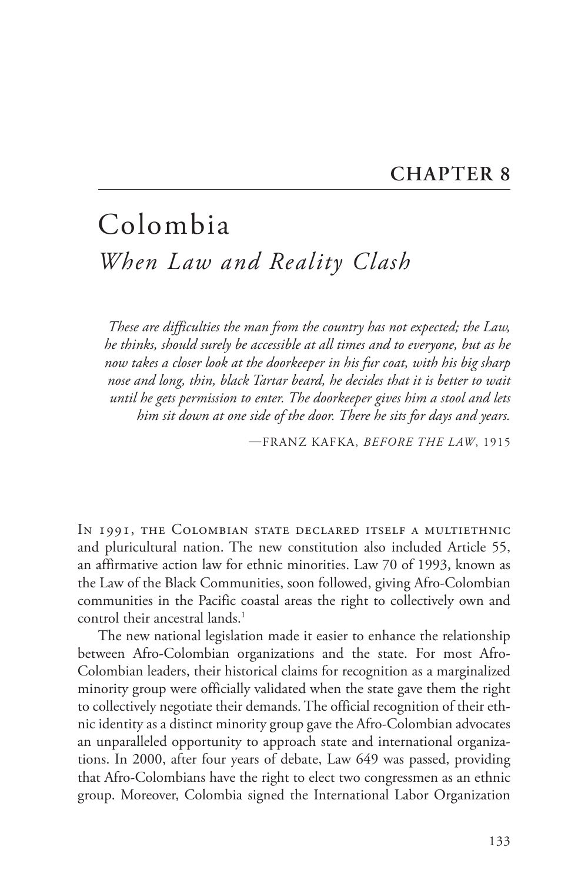### **Chapter 8**

## Colombia *When Law and Reality Clash*

*These are difficulties the man from the country has not expected; the Law, he thinks, should surely be accessible at all times and to everyone, but as he now takes a closer look at the doorkeeper in his fur coat, with his big sharp nose and long, thin, black Tartar beard, he decides that it is better to wait until he gets permission to enter. The doorkeeper gives him a stool and lets him sit down at one side of the door. There he sits for days and years.*

—Franz Kafka, *Before the Law*, 1915

IN 1991, THE COLOMBIAN STATE DECLARED ITSELF A MULTIETHNIC and pluricultural nation. The new constitution also included Article 55, an affirmative action law for ethnic minorities. Law 70 of 1993, known as the Law of the Black Communities, soon followed, giving Afro-Colombian communities in the Pacific coastal areas the right to collectively own and control their ancestral lands.<sup>1</sup>

The new national legislation made it easier to enhance the relationship between Afro-Colombian organizations and the state. For most Afro-Colombian leaders, their historical claims for recognition as a marginalized minority group were officially validated when the state gave them the right to collectively negotiate their demands. The official recognition of their ethnic identity as a distinct minority group gave the Afro-Colombian advocates an unparalleled opportunity to approach state and international organizations. In 2000, after four years of debate, Law 649 was passed, providing that Afro-Colombians have the right to elect two congressmen as an ethnic group. Moreover, Colombia signed the International Labor Organization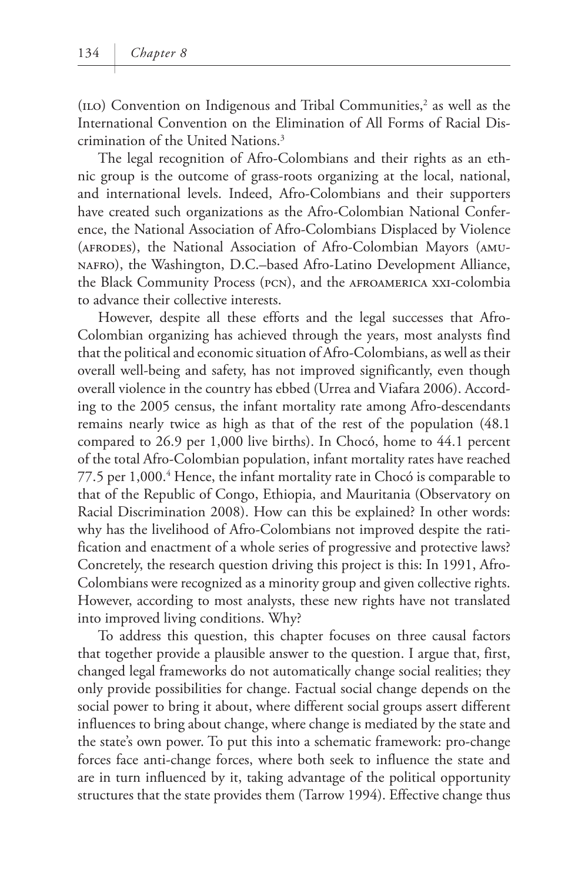(ILO) Convention on Indigenous and Tribal Communities,<sup>2</sup> as well as the International Convention on the Elimination of All Forms of Racial Discrimination of the United Nations.3

The legal recognition of Afro-Colombians and their rights as an ethnic group is the outcome of grass-roots organizing at the local, national, and international levels. Indeed, Afro-Colombians and their supporters have created such organizations as the Afro-Colombian National Conference, the National Association of Afro-Colombians Displaced by Violence (afrodes), the National Association of Afro-Colombian Mayors (amunafro), the Washington, D.C.–based Afro-Latino Development Alliance, the Black Community Process (pcn), and the afroamerica xxi-colombia to advance their collective interests.

However, despite all these efforts and the legal successes that Afro-Colombian organizing has achieved through the years, most analysts find that the political and economic situation of Afro-Colombians, as well as their overall well-being and safety, has not improved significantly, even though overall violence in the country has ebbed (Urrea and Viafara 2006). According to the 2005 census, the infant mortality rate among Afro-descendants remains nearly twice as high as that of the rest of the population (48.1 compared to 26.9 per 1,000 live births). In Chocó, home to 44.1 percent of the total Afro-Colombian population, infant mortality rates have reached 77.5 per  $1,000$ .<sup>4</sup> Hence, the infant mortality rate in Chocó is comparable to that of the Republic of Congo, Ethiopia, and Mauritania (Observatory on Racial Discrimination 2008). How can this be explained? In other words: why has the livelihood of Afro-Colombians not improved despite the ratification and enactment of a whole series of progressive and protective laws? Concretely, the research question driving this project is this: In 1991, Afro-Colombians were recognized as a minority group and given collective rights. However, according to most analysts, these new rights have not translated into improved living conditions. Why?

To address this question, this chapter focuses on three causal factors that together provide a plausible answer to the question. I argue that, first, changed legal frameworks do not automatically change social realities; they only provide possibilities for change. Factual social change depends on the social power to bring it about, where different social groups assert different influences to bring about change, where change is mediated by the state and the state's own power. To put this into a schematic framework: pro-change forces face anti-change forces, where both seek to influence the state and are in turn influenced by it, taking advantage of the political opportunity structures that the state provides them (Tarrow 1994). Effective change thus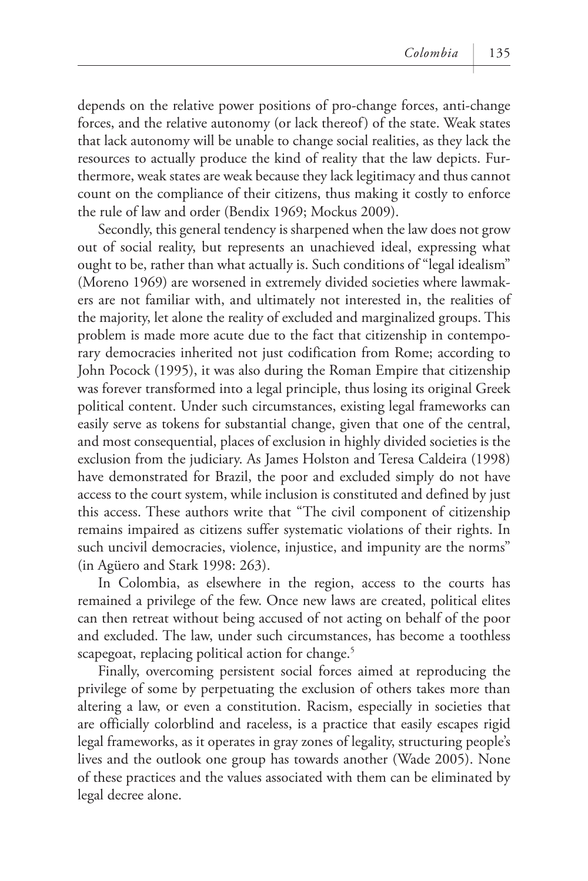depends on the relative power positions of pro-change forces, anti-change forces, and the relative autonomy (or lack thereof) of the state. Weak states that lack autonomy will be unable to change social realities, as they lack the resources to actually produce the kind of reality that the law depicts. Furthermore, weak states are weak because they lack legitimacy and thus cannot count on the compliance of their citizens, thus making it costly to enforce the rule of law and order (Bendix 1969; Mockus 2009).

Secondly, this general tendency is sharpened when the law does not grow out of social reality, but represents an unachieved ideal, expressing what ought to be, rather than what actually is. Such conditions of "legal idealism" (Moreno 1969) are worsened in extremely divided societies where lawmakers are not familiar with, and ultimately not interested in, the realities of the majority, let alone the reality of excluded and marginalized groups. This problem is made more acute due to the fact that citizenship in contemporary democracies inherited not just codification from Rome; according to John Pocock (1995), it was also during the Roman Empire that citizenship was forever transformed into a legal principle, thus losing its original Greek political content. Under such circumstances, existing legal frameworks can easily serve as tokens for substantial change, given that one of the central, and most consequential, places of exclusion in highly divided societies is the exclusion from the judiciary. As James Holston and Teresa Caldeira (1998) have demonstrated for Brazil, the poor and excluded simply do not have access to the court system, while inclusion is constituted and defined by just this access. These authors write that "The civil component of citizenship remains impaired as citizens suffer systematic violations of their rights. In such uncivil democracies, violence, injustice, and impunity are the norms" (in Agüero and Stark 1998: 263).

In Colombia, as elsewhere in the region, access to the courts has remained a privilege of the few. Once new laws are created, political elites can then retreat without being accused of not acting on behalf of the poor and excluded. The law, under such circumstances, has become a toothless scapegoat, replacing political action for change.<sup>5</sup>

Finally, overcoming persistent social forces aimed at reproducing the privilege of some by perpetuating the exclusion of others takes more than altering a law, or even a constitution. Racism, especially in societies that are officially colorblind and raceless, is a practice that easily escapes rigid legal frameworks, as it operates in gray zones of legality, structuring people's lives and the outlook one group has towards another (Wade 2005). None of these practices and the values associated with them can be eliminated by legal decree alone.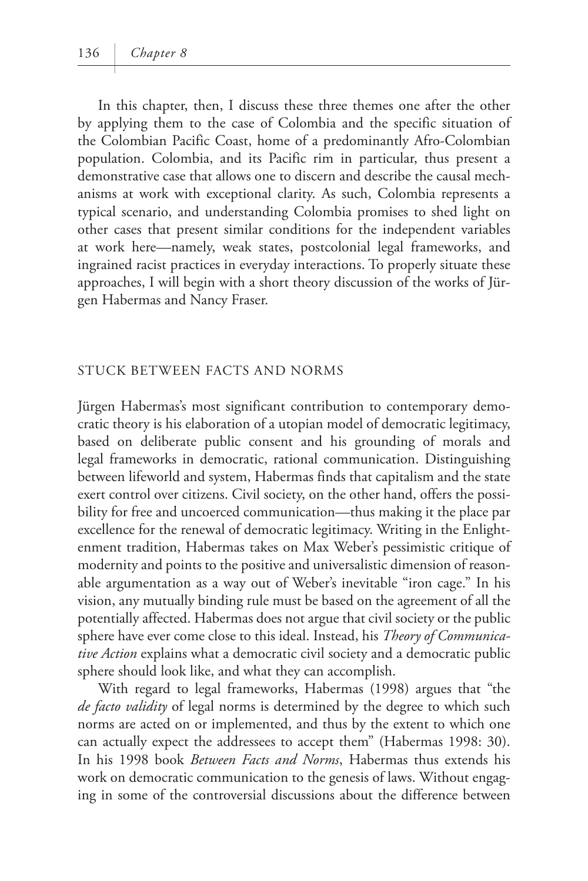In this chapter, then, I discuss these three themes one after the other by applying them to the case of Colombia and the specific situation of the Colombian Pacific Coast, home of a predominantly Afro-Colombian population. Colombia, and its Pacific rim in particular, thus present a demonstrative case that allows one to discern and describe the causal mechanisms at work with exceptional clarity. As such, Colombia represents a typical scenario, and understanding Colombia promises to shed light on other cases that present similar conditions for the independent variables at work here—namely, weak states, postcolonial legal frameworks, and ingrained racist practices in everyday interactions. To properly situate these approaches, I will begin with a short theory discussion of the works of Jürgen Habermas and Nancy Fraser.

#### Stuck between Facts and Norms

Jürgen Habermas's most significant contribution to contemporary democratic theory is his elaboration of a utopian model of democratic legitimacy, based on deliberate public consent and his grounding of morals and legal frameworks in democratic, rational communication. Distinguishing between lifeworld and system, Habermas finds that capitalism and the state exert control over citizens. Civil society, on the other hand, offers the possibility for free and uncoerced communication—thus making it the place par excellence for the renewal of democratic legitimacy. Writing in the Enlightenment tradition, Habermas takes on Max Weber's pessimistic critique of modernity and points to the positive and universalistic dimension of reasonable argumentation as a way out of Weber's inevitable "iron cage." In his vision, any mutually binding rule must be based on the agreement of all the potentially affected. Habermas does not argue that civil society or the public sphere have ever come close to this ideal. Instead, his *Theory of Communicative Action* explains what a democratic civil society and a democratic public sphere should look like, and what they can accomplish.

With regard to legal frameworks, Habermas (1998) argues that "the *de facto validity* of legal norms is determined by the degree to which such norms are acted on or implemented, and thus by the extent to which one can actually expect the addressees to accept them" (Habermas 1998: 30). In his 1998 book *Between Facts and Norms*, Habermas thus extends his work on democratic communication to the genesis of laws. Without engaging in some of the controversial discussions about the difference between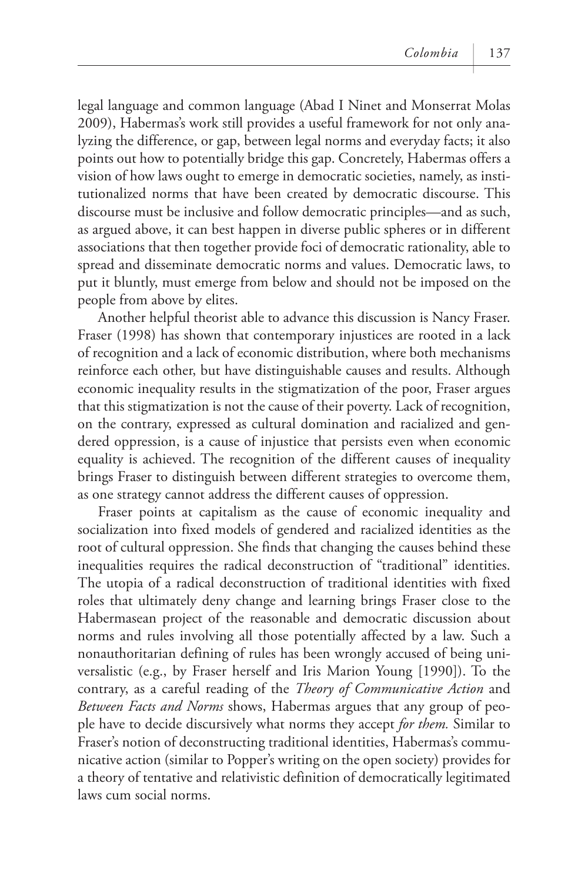legal language and common language (Abad I Ninet and Monserrat Molas 2009), Habermas's work still provides a useful framework for not only analyzing the difference, or gap, between legal norms and everyday facts; it also points out how to potentially bridge this gap. Concretely, Habermas offers a vision of how laws ought to emerge in democratic societies, namely, as institutionalized norms that have been created by democratic discourse. This discourse must be inclusive and follow democratic principles—and as such, as argued above, it can best happen in diverse public spheres or in different associations that then together provide foci of democratic rationality, able to spread and disseminate democratic norms and values. Democratic laws, to put it bluntly, must emerge from below and should not be imposed on the people from above by elites.

Another helpful theorist able to advance this discussion is Nancy Fraser. Fraser (1998) has shown that contemporary injustices are rooted in a lack of recognition and a lack of economic distribution, where both mechanisms reinforce each other, but have distinguishable causes and results. Although economic inequality results in the stigmatization of the poor, Fraser argues that this stigmatization is not the cause of their poverty. Lack of recognition, on the contrary, expressed as cultural domination and racialized and gendered oppression, is a cause of injustice that persists even when economic equality is achieved. The recognition of the different causes of inequality brings Fraser to distinguish between different strategies to overcome them, as one strategy cannot address the different causes of oppression.

Fraser points at capitalism as the cause of economic inequality and socialization into fixed models of gendered and racialized identities as the root of cultural oppression. She finds that changing the causes behind these inequalities requires the radical deconstruction of "traditional" identities. The utopia of a radical deconstruction of traditional identities with fixed roles that ultimately deny change and learning brings Fraser close to the Habermasean project of the reasonable and democratic discussion about norms and rules involving all those potentially affected by a law. Such a nonauthoritarian defining of rules has been wrongly accused of being universalistic (e.g., by Fraser herself and Iris Marion Young [1990]). To the contrary, as a careful reading of the *Theory of Communicative Action* and *Between Facts and Norms* shows, Habermas argues that any group of people have to decide discursively what norms they accept *for them.* Similar to Fraser's notion of deconstructing traditional identities, Habermas's communicative action (similar to Popper's writing on the open society) provides for a theory of tentative and relativistic definition of democratically legitimated laws cum social norms.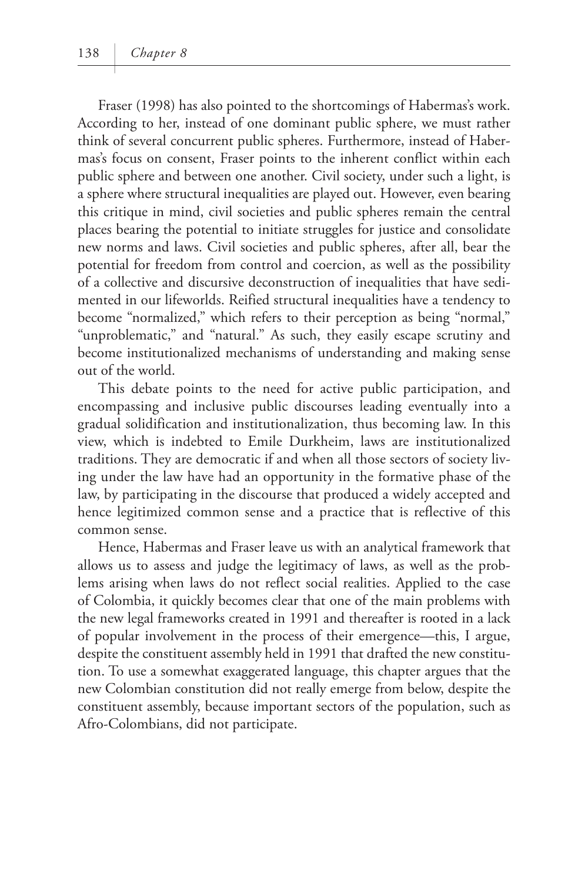Fraser (1998) has also pointed to the shortcomings of Habermas's work. According to her, instead of one dominant public sphere, we must rather think of several concurrent public spheres. Furthermore, instead of Habermas's focus on consent, Fraser points to the inherent conflict within each public sphere and between one another. Civil society, under such a light, is a sphere where structural inequalities are played out. However, even bearing this critique in mind, civil societies and public spheres remain the central places bearing the potential to initiate struggles for justice and consolidate new norms and laws. Civil societies and public spheres, after all, bear the potential for freedom from control and coercion, as well as the possibility of a collective and discursive deconstruction of inequalities that have sedimented in our lifeworlds. Reified structural inequalities have a tendency to become "normalized," which refers to their perception as being "normal," "unproblematic," and "natural." As such, they easily escape scrutiny and become institutionalized mechanisms of understanding and making sense out of the world.

This debate points to the need for active public participation, and encompassing and inclusive public discourses leading eventually into a gradual solidification and institutionalization, thus becoming law. In this view, which is indebted to Emile Durkheim, laws are institutionalized traditions. They are democratic if and when all those sectors of society living under the law have had an opportunity in the formative phase of the law, by participating in the discourse that produced a widely accepted and hence legitimized common sense and a practice that is reflective of this common sense.

Hence, Habermas and Fraser leave us with an analytical framework that allows us to assess and judge the legitimacy of laws, as well as the problems arising when laws do not reflect social realities. Applied to the case of Colombia, it quickly becomes clear that one of the main problems with the new legal frameworks created in 1991 and thereafter is rooted in a lack of popular involvement in the process of their emergence—this, I argue, despite the constituent assembly held in 1991 that drafted the new constitution. To use a somewhat exaggerated language, this chapter argues that the new Colombian constitution did not really emerge from below, despite the constituent assembly, because important sectors of the population, such as Afro-Colombians, did not participate.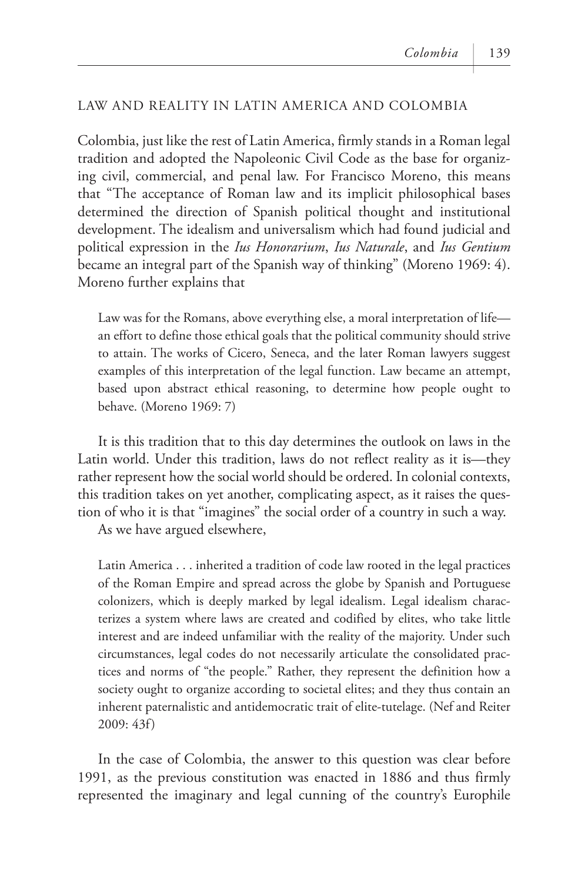#### Law and Reality in Latin America and Colombia

Colombia, just like the rest of Latin America, firmly stands in a Roman legal tradition and adopted the Napoleonic Civil Code as the base for organizing civil, commercial, and penal law. For Francisco Moreno, this means that "The acceptance of Roman law and its implicit philosophical bases determined the direction of Spanish political thought and institutional development. The idealism and universalism which had found judicial and political expression in the *Ius Honorarium*, *Ius Naturale*, and *Ius Gentium* became an integral part of the Spanish way of thinking" (Moreno 1969: 4). Moreno further explains that

Law was for the Romans, above everything else, a moral interpretation of life an effort to define those ethical goals that the political community should strive to attain. The works of Cicero, Seneca, and the later Roman lawyers suggest examples of this interpretation of the legal function. Law became an attempt, based upon abstract ethical reasoning, to determine how people ought to behave. (Moreno 1969: 7)

It is this tradition that to this day determines the outlook on laws in the Latin world. Under this tradition, laws do not reflect reality as it is—they rather represent how the social world should be ordered. In colonial contexts, this tradition takes on yet another, complicating aspect, as it raises the question of who it is that "imagines" the social order of a country in such a way.

As we have argued elsewhere,

Latin America . . . inherited a tradition of code law rooted in the legal practices of the Roman Empire and spread across the globe by Spanish and Portuguese colonizers, which is deeply marked by legal idealism. Legal idealism characterizes a system where laws are created and codified by elites, who take little interest and are indeed unfamiliar with the reality of the majority. Under such circumstances, legal codes do not necessarily articulate the consolidated practices and norms of "the people." Rather, they represent the definition how a society ought to organize according to societal elites; and they thus contain an inherent paternalistic and antidemocratic trait of elite-tutelage. (Nef and Reiter 2009: 43f)

In the case of Colombia, the answer to this question was clear before 1991, as the previous constitution was enacted in 1886 and thus firmly represented the imaginary and legal cunning of the country's Europhile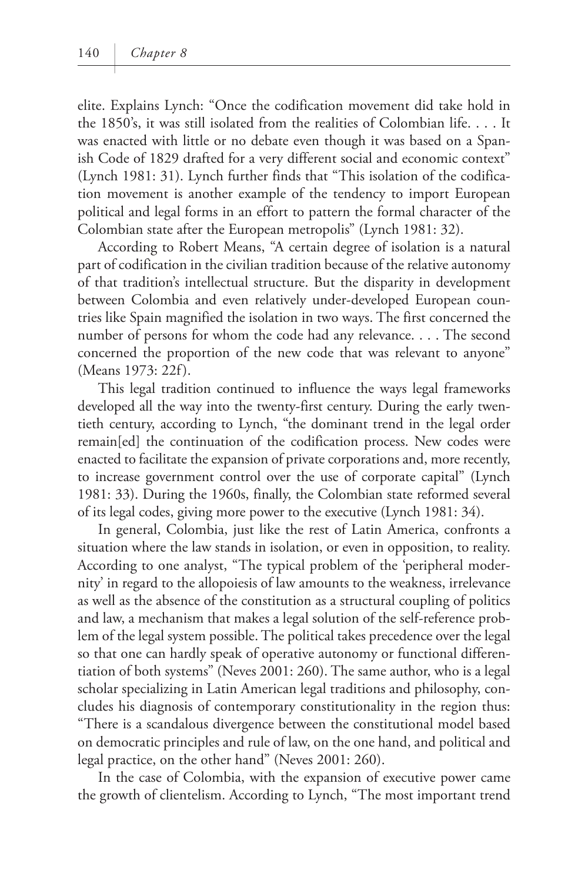elite. Explains Lynch: "Once the codification movement did take hold in the 1850's, it was still isolated from the realities of Colombian life. . . . It was enacted with little or no debate even though it was based on a Spanish Code of 1829 drafted for a very different social and economic context" (Lynch 1981: 31). Lynch further finds that "This isolation of the codification movement is another example of the tendency to import European political and legal forms in an effort to pattern the formal character of the Colombian state after the European metropolis" (Lynch 1981: 32).

According to Robert Means, "A certain degree of isolation is a natural part of codification in the civilian tradition because of the relative autonomy of that tradition's intellectual structure. But the disparity in development between Colombia and even relatively under-developed European countries like Spain magnified the isolation in two ways. The first concerned the number of persons for whom the code had any relevance. . . . The second concerned the proportion of the new code that was relevant to anyone" (Means 1973: 22f).

This legal tradition continued to influence the ways legal frameworks developed all the way into the twenty-first century. During the early twentieth century, according to Lynch, "the dominant trend in the legal order remain[ed] the continuation of the codification process. New codes were enacted to facilitate the expansion of private corporations and, more recently, to increase government control over the use of corporate capital" (Lynch 1981: 33). During the 1960s, finally, the Colombian state reformed several of its legal codes, giving more power to the executive (Lynch 1981: 34).

In general, Colombia, just like the rest of Latin America, confronts a situation where the law stands in isolation, or even in opposition, to reality. According to one analyst, "The typical problem of the 'peripheral modernity' in regard to the allopoiesis of law amounts to the weakness, irrelevance as well as the absence of the constitution as a structural coupling of politics and law, a mechanism that makes a legal solution of the self-reference problem of the legal system possible. The political takes precedence over the legal so that one can hardly speak of operative autonomy or functional differentiation of both systems" (Neves 2001: 260). The same author, who is a legal scholar specializing in Latin American legal traditions and philosophy, concludes his diagnosis of contemporary constitutionality in the region thus: "There is a scandalous divergence between the constitutional model based on democratic principles and rule of law, on the one hand, and political and legal practice, on the other hand" (Neves 2001: 260).

In the case of Colombia, with the expansion of executive power came the growth of clientelism. According to Lynch, "The most important trend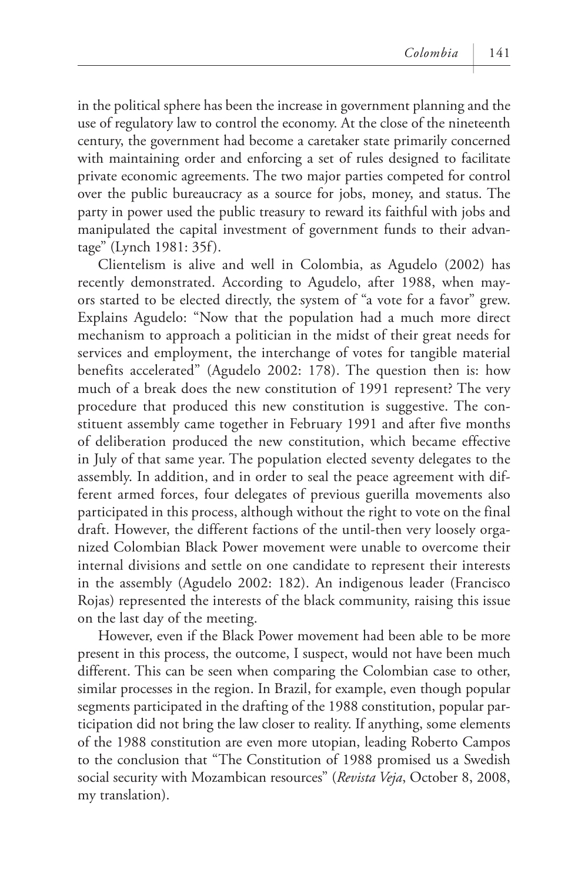in the political sphere has been the increase in government planning and the use of regulatory law to control the economy. At the close of the nineteenth century, the government had become a caretaker state primarily concerned with maintaining order and enforcing a set of rules designed to facilitate private economic agreements. The two major parties competed for control over the public bureaucracy as a source for jobs, money, and status. The party in power used the public treasury to reward its faithful with jobs and manipulated the capital investment of government funds to their advantage" (Lynch 1981: 35f).

Clientelism is alive and well in Colombia, as Agudelo (2002) has recently demonstrated. According to Agudelo, after 1988, when mayors started to be elected directly, the system of "a vote for a favor" grew. Explains Agudelo: "Now that the population had a much more direct mechanism to approach a politician in the midst of their great needs for services and employment, the interchange of votes for tangible material benefits accelerated" (Agudelo 2002: 178). The question then is: how much of a break does the new constitution of 1991 represent? The very procedure that produced this new constitution is suggestive. The constituent assembly came together in February 1991 and after five months of deliberation produced the new constitution, which became effective in July of that same year. The population elected seventy delegates to the assembly. In addition, and in order to seal the peace agreement with different armed forces, four delegates of previous guerilla movements also participated in this process, although without the right to vote on the final draft. However, the different factions of the until-then very loosely organized Colombian Black Power movement were unable to overcome their internal divisions and settle on one candidate to represent their interests in the assembly (Agudelo 2002: 182). An indigenous leader (Francisco Rojas) represented the interests of the black community, raising this issue on the last day of the meeting.

However, even if the Black Power movement had been able to be more present in this process, the outcome, I suspect, would not have been much different. This can be seen when comparing the Colombian case to other, similar processes in the region. In Brazil, for example, even though popular segments participated in the drafting of the 1988 constitution, popular participation did not bring the law closer to reality. If anything, some elements of the 1988 constitution are even more utopian, leading Roberto Campos to the conclusion that "The Constitution of 1988 promised us a Swedish social security with Mozambican resources" (*Revista Veja*, October 8, 2008, my translation).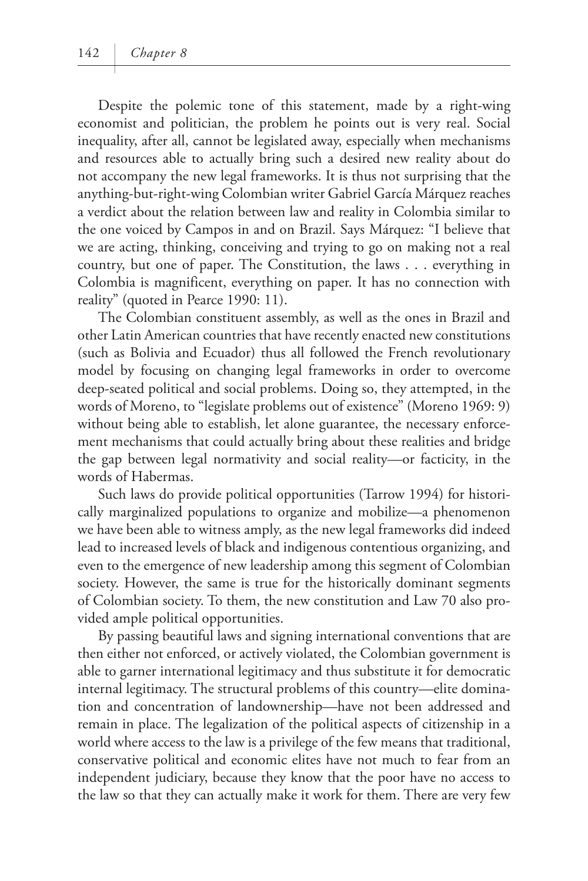Despite the polemic tone of this statement, made by a right-wing economist and politician, the problem he points out is very real. Social inequality, after all, cannot be legislated away, especially when mechanisms and resources able to actually bring such a desired new reality about do not accompany the new legal frameworks. It is thus not surprising that the anything-but-right-wing Colombian writer Gabriel García Márquez reaches a verdict about the relation between law and reality in Colombia similar to the one voiced by Campos in and on Brazil. Says Márquez: "I believe that we are acting, thinking, conceiving and trying to go on making not a real country, but one of paper. The Constitution, the laws . . . everything in Colombia is magnificent, everything on paper. It has no connection with reality" (quoted in Pearce 1990: 11).

The Colombian constituent assembly, as well as the ones in Brazil and other Latin American countries that have recently enacted new constitutions (such as Bolivia and Ecuador) thus all followed the French revolutionary model by focusing on changing legal frameworks in order to overcome deep-seated political and social problems. Doing so, they attempted, in the words of Moreno, to "legislate problems out of existence" (Moreno 1969: 9) without being able to establish, let alone guarantee, the necessary enforcement mechanisms that could actually bring about these realities and bridge the gap between legal normativity and social reality—or facticity, in the words of Habermas.

Such laws do provide political opportunities (Tarrow 1994) for historically marginalized populations to organize and mobilize—a phenomenon we have been able to witness amply, as the new legal frameworks did indeed lead to increased levels of black and indigenous contentious organizing, and even to the emergence of new leadership among this segment of Colombian society. However, the same is true for the historically dominant segments of Colombian society. To them, the new constitution and Law 70 also provided ample political opportunities.

By passing beautiful laws and signing international conventions that are then either not enforced, or actively violated, the Colombian government is able to garner international legitimacy and thus substitute it for democratic internal legitimacy. The structural problems of this country—elite domination and concentration of landownership—have not been addressed and remain in place. The legalization of the political aspects of citizenship in a world where access to the law is a privilege of the few means that traditional, conservative political and economic elites have not much to fear from an independent judiciary, because they know that the poor have no access to the law so that they can actually make it work for them. There are very few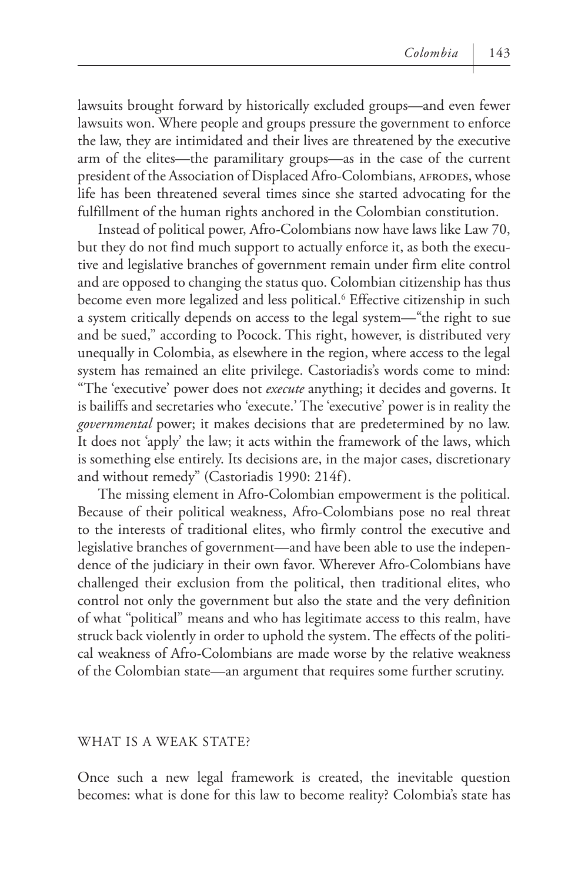lawsuits brought forward by historically excluded groups—and even fewer lawsuits won. Where people and groups pressure the government to enforce the law, they are intimidated and their lives are threatened by the executive arm of the elites—the paramilitary groups—as in the case of the current president of the Association of Displaced Afro-Colombians, AFRODES, whose life has been threatened several times since she started advocating for the fulfillment of the human rights anchored in the Colombian constitution.

Instead of political power, Afro-Colombians now have laws like Law 70, but they do not find much support to actually enforce it, as both the executive and legislative branches of government remain under firm elite control and are opposed to changing the status quo. Colombian citizenship has thus become even more legalized and less political.<sup>6</sup> Effective citizenship in such a system critically depends on access to the legal system—"the right to sue and be sued," according to Pocock. This right, however, is distributed very unequally in Colombia, as elsewhere in the region, where access to the legal system has remained an elite privilege. Castoriadis's words come to mind: "The 'executive' power does not *execute* anything; it decides and governs. It is bailiffs and secretaries who 'execute.' The 'executive' power is in reality the

*governmental* power; it makes decisions that are predetermined by no law. It does not 'apply' the law; it acts within the framework of the laws, which is something else entirely. Its decisions are, in the major cases, discretionary and without remedy" (Castoriadis 1990: 214f).

The missing element in Afro-Colombian empowerment is the political. Because of their political weakness, Afro-Colombians pose no real threat to the interests of traditional elites, who firmly control the executive and legislative branches of government—and have been able to use the independence of the judiciary in their own favor. Wherever Afro-Colombians have challenged their exclusion from the political, then traditional elites, who control not only the government but also the state and the very definition of what "political" means and who has legitimate access to this realm, have struck back violently in order to uphold the system. The effects of the political weakness of Afro-Colombians are made worse by the relative weakness of the Colombian state—an argument that requires some further scrutiny.

#### WHAT IS A WEAK STATE?

Once such a new legal framework is created, the inevitable question becomes: what is done for this law to become reality? Colombia's state has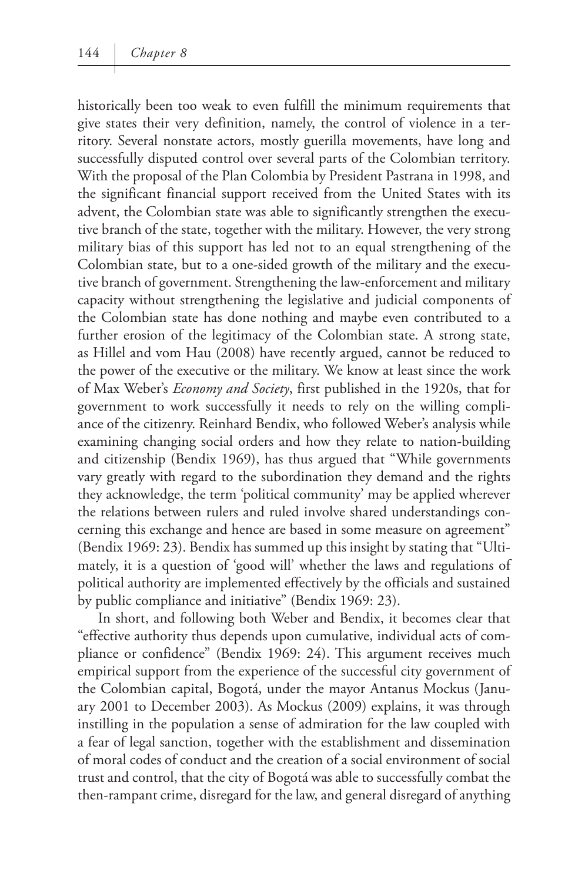historically been too weak to even fulfill the minimum requirements that give states their very definition, namely, the control of violence in a territory. Several nonstate actors, mostly guerilla movements, have long and successfully disputed control over several parts of the Colombian territory. With the proposal of the Plan Colombia by President Pastrana in 1998, and the significant financial support received from the United States with its advent, the Colombian state was able to significantly strengthen the executive branch of the state, together with the military. However, the very strong military bias of this support has led not to an equal strengthening of the Colombian state, but to a one-sided growth of the military and the executive branch of government. Strengthening the law-enforcement and military capacity without strengthening the legislative and judicial components of the Colombian state has done nothing and maybe even contributed to a further erosion of the legitimacy of the Colombian state. A strong state, as Hillel and vom Hau (2008) have recently argued, cannot be reduced to the power of the executive or the military. We know at least since the work of Max Weber's *Economy and Society*, first published in the 1920s, that for government to work successfully it needs to rely on the willing compliance of the citizenry. Reinhard Bendix, who followed Weber's analysis while examining changing social orders and how they relate to nation-building and citizenship (Bendix 1969), has thus argued that "While governments vary greatly with regard to the subordination they demand and the rights they acknowledge, the term 'political community' may be applied wherever the relations between rulers and ruled involve shared understandings concerning this exchange and hence are based in some measure on agreement" (Bendix 1969: 23). Bendix has summed up this insight by stating that "Ultimately, it is a question of 'good will' whether the laws and regulations of political authority are implemented effectively by the officials and sustained by public compliance and initiative" (Bendix 1969: 23).

In short, and following both Weber and Bendix, it becomes clear that "effective authority thus depends upon cumulative, individual acts of compliance or confidence" (Bendix 1969: 24). This argument receives much empirical support from the experience of the successful city government of the Colombian capital, Bogotá, under the mayor Antanus Mockus (January 2001 to December 2003). As Mockus (2009) explains, it was through instilling in the population a sense of admiration for the law coupled with a fear of legal sanction, together with the establishment and dissemination of moral codes of conduct and the creation of a social environment of social trust and control, that the city of Bogotá was able to successfully combat the then-rampant crime, disregard for the law, and general disregard of anything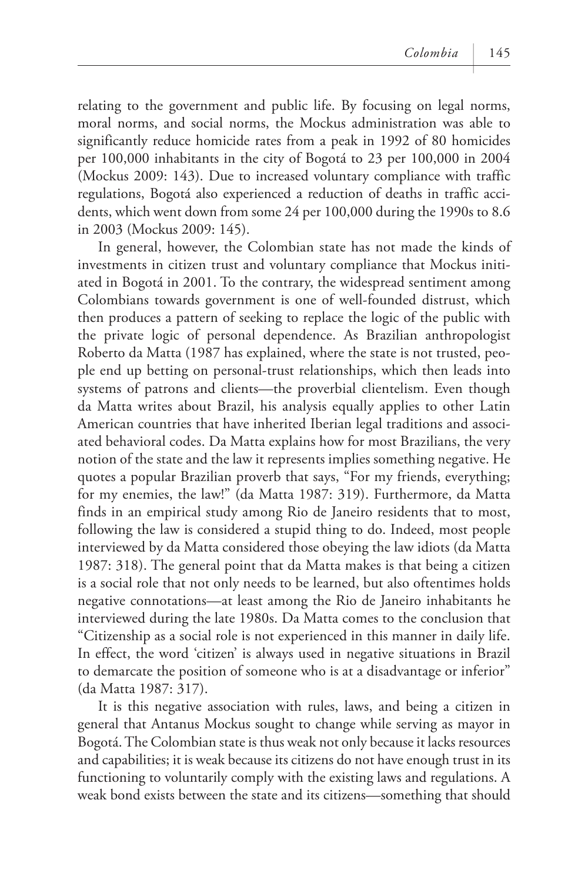relating to the government and public life. By focusing on legal norms, moral norms, and social norms, the Mockus administration was able to significantly reduce homicide rates from a peak in 1992 of 80 homicides per 100,000 inhabitants in the city of Bogotá to 23 per 100,000 in 2004 (Mockus 2009: 143). Due to increased voluntary compliance with traffic regulations, Bogotá also experienced a reduction of deaths in traffic accidents, which went down from some 24 per 100,000 during the 1990s to 8.6 in 2003 (Mockus 2009: 145).

In general, however, the Colombian state has not made the kinds of investments in citizen trust and voluntary compliance that Mockus initiated in Bogotá in 2001. To the contrary, the widespread sentiment among Colombians towards government is one of well-founded distrust, which then produces a pattern of seeking to replace the logic of the public with the private logic of personal dependence. As Brazilian anthropologist Roberto da Matta (1987 has explained, where the state is not trusted, people end up betting on personal-trust relationships, which then leads into systems of patrons and clients—the proverbial clientelism. Even though da Matta writes about Brazil, his analysis equally applies to other Latin American countries that have inherited Iberian legal traditions and associated behavioral codes. Da Matta explains how for most Brazilians, the very notion of the state and the law it represents implies something negative. He quotes a popular Brazilian proverb that says, "For my friends, everything; for my enemies, the law!" (da Matta 1987: 319). Furthermore, da Matta finds in an empirical study among Rio de Janeiro residents that to most, following the law is considered a stupid thing to do. Indeed, most people interviewed by da Matta considered those obeying the law idiots (da Matta 1987: 318). The general point that da Matta makes is that being a citizen is a social role that not only needs to be learned, but also oftentimes holds negative connotations—at least among the Rio de Janeiro inhabitants he interviewed during the late 1980s. Da Matta comes to the conclusion that "Citizenship as a social role is not experienced in this manner in daily life. In effect, the word 'citizen' is always used in negative situations in Brazil to demarcate the position of someone who is at a disadvantage or inferior" (da Matta 1987: 317).

It is this negative association with rules, laws, and being a citizen in general that Antanus Mockus sought to change while serving as mayor in Bogotá. The Colombian state is thus weak not only because it lacks resources and capabilities; it is weak because its citizens do not have enough trust in its functioning to voluntarily comply with the existing laws and regulations. A weak bond exists between the state and its citizens—something that should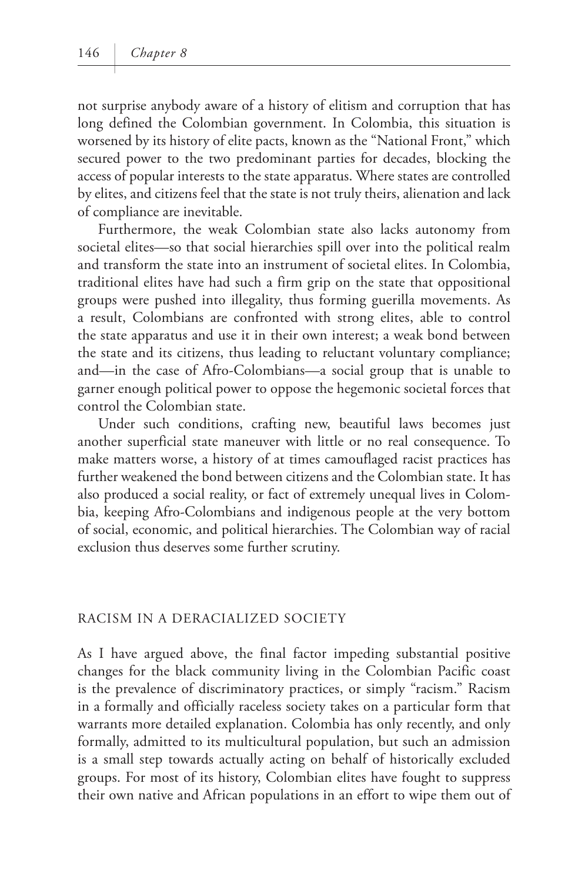not surprise anybody aware of a history of elitism and corruption that has long defined the Colombian government. In Colombia, this situation is worsened by its history of elite pacts, known as the "National Front," which secured power to the two predominant parties for decades, blocking the access of popular interests to the state apparatus. Where states are controlled by elites, and citizens feel that the state is not truly theirs, alienation and lack of compliance are inevitable.

Furthermore, the weak Colombian state also lacks autonomy from societal elites—so that social hierarchies spill over into the political realm and transform the state into an instrument of societal elites. In Colombia, traditional elites have had such a firm grip on the state that oppositional groups were pushed into illegality, thus forming guerilla movements. As a result, Colombians are confronted with strong elites, able to control the state apparatus and use it in their own interest; a weak bond between the state and its citizens, thus leading to reluctant voluntary compliance; and—in the case of Afro-Colombians—a social group that is unable to garner enough political power to oppose the hegemonic societal forces that control the Colombian state.

Under such conditions, crafting new, beautiful laws becomes just another superficial state maneuver with little or no real consequence. To make matters worse, a history of at times camouflaged racist practices has further weakened the bond between citizens and the Colombian state. It has also produced a social reality, or fact of extremely unequal lives in Colombia, keeping Afro-Colombians and indigenous people at the very bottom of social, economic, and political hierarchies. The Colombian way of racial exclusion thus deserves some further scrutiny.

#### Racism in a Deracialized Society

As I have argued above, the final factor impeding substantial positive changes for the black community living in the Colombian Pacific coast is the prevalence of discriminatory practices, or simply "racism." Racism in a formally and officially raceless society takes on a particular form that warrants more detailed explanation. Colombia has only recently, and only formally, admitted to its multicultural population, but such an admission is a small step towards actually acting on behalf of historically excluded groups. For most of its history, Colombian elites have fought to suppress their own native and African populations in an effort to wipe them out of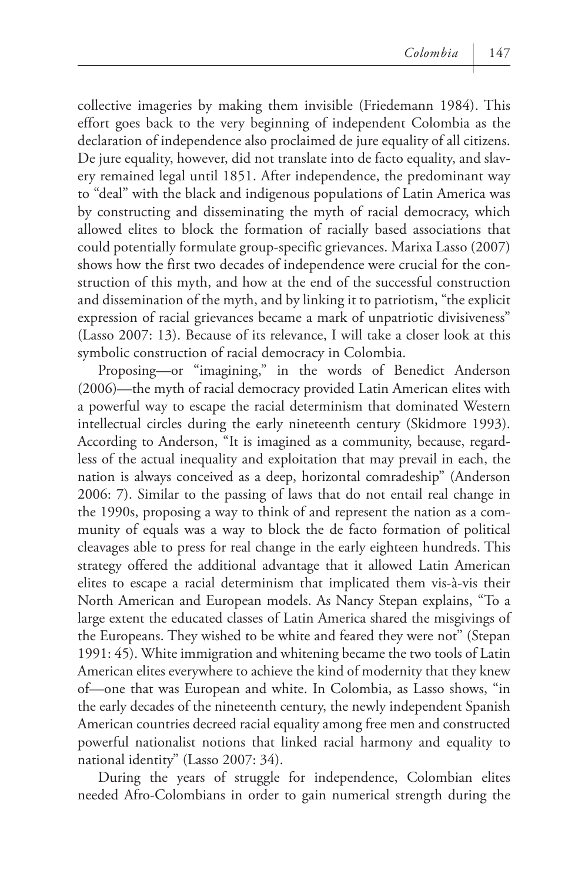collective imageries by making them invisible (Friedemann 1984). This effort goes back to the very beginning of independent Colombia as the declaration of independence also proclaimed de jure equality of all citizens. De jure equality, however, did not translate into de facto equality, and slavery remained legal until 1851. After independence, the predominant way to "deal" with the black and indigenous populations of Latin America was by constructing and disseminating the myth of racial democracy, which allowed elites to block the formation of racially based associations that could potentially formulate group-specific grievances. Marixa Lasso (2007) shows how the first two decades of independence were crucial for the construction of this myth, and how at the end of the successful construction and dissemination of the myth, and by linking it to patriotism, "the explicit expression of racial grievances became a mark of unpatriotic divisiveness" (Lasso 2007: 13). Because of its relevance, I will take a closer look at this symbolic construction of racial democracy in Colombia.

Proposing—or "imagining," in the words of Benedict Anderson (2006)—the myth of racial democracy provided Latin American elites with a powerful way to escape the racial determinism that dominated Western intellectual circles during the early nineteenth century (Skidmore 1993). According to Anderson, "It is imagined as a community, because, regardless of the actual inequality and exploitation that may prevail in each, the nation is always conceived as a deep, horizontal comradeship" (Anderson 2006: 7). Similar to the passing of laws that do not entail real change in the 1990s, proposing a way to think of and represent the nation as a community of equals was a way to block the de facto formation of political cleavages able to press for real change in the early eighteen hundreds. This strategy offered the additional advantage that it allowed Latin American elites to escape a racial determinism that implicated them vis-à-vis their North American and European models. As Nancy Stepan explains, "To a large extent the educated classes of Latin America shared the misgivings of the Europeans. They wished to be white and feared they were not" (Stepan 1991: 45). White immigration and whitening became the two tools of Latin American elites everywhere to achieve the kind of modernity that they knew of—one that was European and white. In Colombia, as Lasso shows, "in the early decades of the nineteenth century, the newly independent Spanish American countries decreed racial equality among free men and constructed powerful nationalist notions that linked racial harmony and equality to national identity" (Lasso 2007: 34).

During the years of struggle for independence, Colombian elites needed Afro-Colombians in order to gain numerical strength during the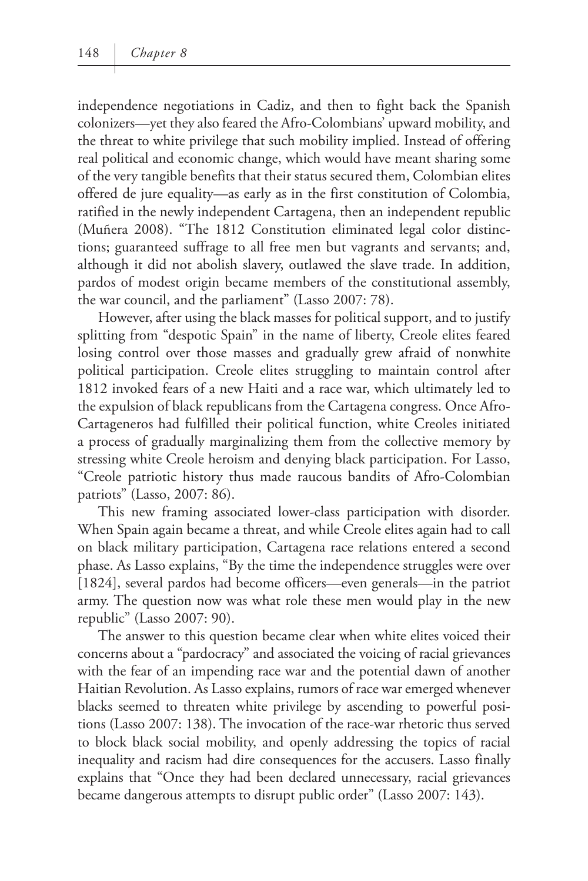independence negotiations in Cadiz, and then to fight back the Spanish colonizers—yet they also feared the Afro-Colombians' upward mobility, and the threat to white privilege that such mobility implied. Instead of offering real political and economic change, which would have meant sharing some of the very tangible benefits that their status secured them, Colombian elites offered de jure equality—as early as in the first constitution of Colombia, ratified in the newly independent Cartagena, then an independent republic (Muñera 2008). "The 1812 Constitution eliminated legal color distinctions; guaranteed suffrage to all free men but vagrants and servants; and, although it did not abolish slavery, outlawed the slave trade. In addition, pardos of modest origin became members of the constitutional assembly, the war council, and the parliament" (Lasso 2007: 78).

However, after using the black masses for political support, and to justify splitting from "despotic Spain" in the name of liberty, Creole elites feared losing control over those masses and gradually grew afraid of nonwhite political participation. Creole elites struggling to maintain control after 1812 invoked fears of a new Haiti and a race war, which ultimately led to the expulsion of black republicans from the Cartagena congress. Once Afro-Cartageneros had fulfilled their political function, white Creoles initiated a process of gradually marginalizing them from the collective memory by stressing white Creole heroism and denying black participation. For Lasso, "Creole patriotic history thus made raucous bandits of Afro-Colombian patriots" (Lasso, 2007: 86).

This new framing associated lower-class participation with disorder. When Spain again became a threat, and while Creole elites again had to call on black military participation, Cartagena race relations entered a second phase. As Lasso explains, "By the time the independence struggles were over [1824], several pardos had become officers—even generals—in the patriot army. The question now was what role these men would play in the new republic" (Lasso 2007: 90).

The answer to this question became clear when white elites voiced their concerns about a "pardocracy" and associated the voicing of racial grievances with the fear of an impending race war and the potential dawn of another Haitian Revolution. As Lasso explains, rumors of race war emerged whenever blacks seemed to threaten white privilege by ascending to powerful positions (Lasso 2007: 138). The invocation of the race-war rhetoric thus served to block black social mobility, and openly addressing the topics of racial inequality and racism had dire consequences for the accusers. Lasso finally explains that "Once they had been declared unnecessary, racial grievances became dangerous attempts to disrupt public order" (Lasso 2007: 143).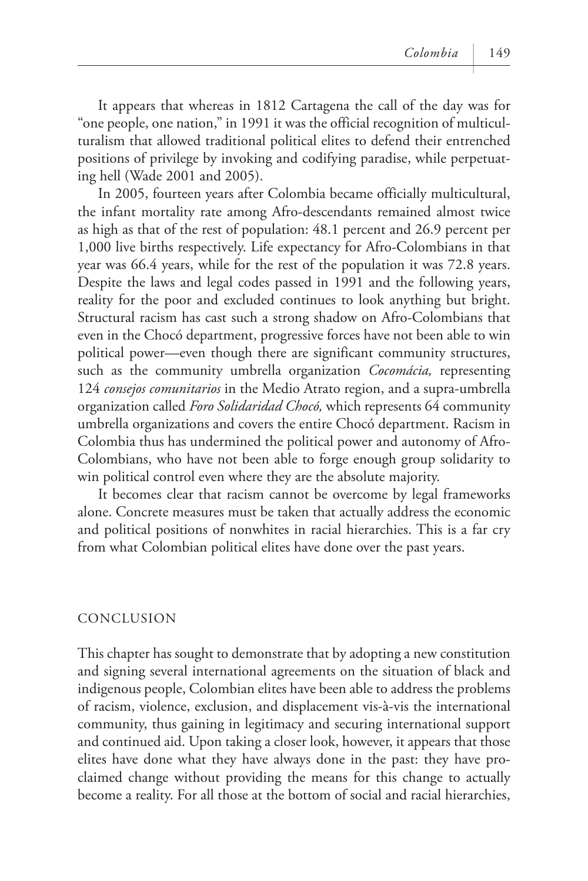It appears that whereas in 1812 Cartagena the call of the day was for "one people, one nation," in 1991 it was the official recognition of multiculturalism that allowed traditional political elites to defend their entrenched positions of privilege by invoking and codifying paradise, while perpetuating hell (Wade 2001 and 2005).

In 2005, fourteen years after Colombia became officially multicultural, the infant mortality rate among Afro-descendants remained almost twice as high as that of the rest of population: 48.1 percent and 26.9 percent per 1,000 live births respectively. Life expectancy for Afro-Colombians in that year was 66.4 years, while for the rest of the population it was 72.8 years. Despite the laws and legal codes passed in 1991 and the following years, reality for the poor and excluded continues to look anything but bright. Structural racism has cast such a strong shadow on Afro-Colombians that even in the Chocó department, progressive forces have not been able to win political power—even though there are significant community structures, such as the community umbrella organization *Cocomácia,* representing 124 *consejos comunitarios* in the Medio Atrato region, and a supra-umbrella organization called *Foro Solidaridad Chocó,* which represents 64 community umbrella organizations and covers the entire Chocó department. Racism in Colombia thus has undermined the political power and autonomy of Afro-Colombians, who have not been able to forge enough group solidarity to win political control even where they are the absolute majority.

It becomes clear that racism cannot be overcome by legal frameworks alone. Concrete measures must be taken that actually address the economic and political positions of nonwhites in racial hierarchies. This is a far cry from what Colombian political elites have done over the past years.

#### Conclusion

This chapter has sought to demonstrate that by adopting a new constitution and signing several international agreements on the situation of black and indigenous people, Colombian elites have been able to address the problems of racism, violence, exclusion, and displacement vis-à-vis the international community, thus gaining in legitimacy and securing international support and continued aid. Upon taking a closer look, however, it appears that those elites have done what they have always done in the past: they have proclaimed change without providing the means for this change to actually become a reality. For all those at the bottom of social and racial hierarchies,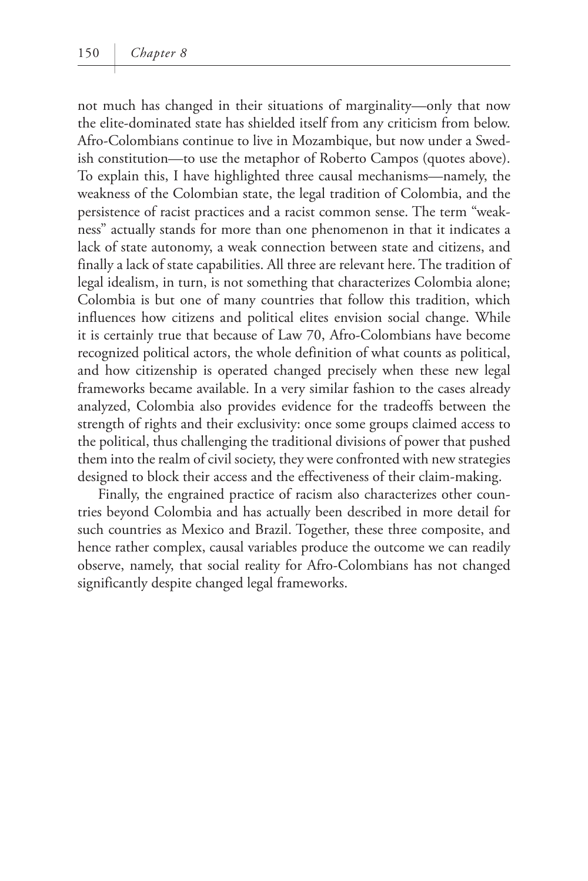not much has changed in their situations of marginality—only that now the elite-dominated state has shielded itself from any criticism from below. Afro-Colombians continue to live in Mozambique, but now under a Swedish constitution—to use the metaphor of Roberto Campos (quotes above). To explain this, I have highlighted three causal mechanisms—namely, the weakness of the Colombian state, the legal tradition of Colombia, and the persistence of racist practices and a racist common sense. The term "weakness" actually stands for more than one phenomenon in that it indicates a lack of state autonomy, a weak connection between state and citizens, and finally a lack of state capabilities. All three are relevant here. The tradition of legal idealism, in turn, is not something that characterizes Colombia alone; Colombia is but one of many countries that follow this tradition, which influences how citizens and political elites envision social change. While it is certainly true that because of Law 70, Afro-Colombians have become recognized political actors, the whole definition of what counts as political, and how citizenship is operated changed precisely when these new legal frameworks became available. In a very similar fashion to the cases already analyzed, Colombia also provides evidence for the tradeoffs between the strength of rights and their exclusivity: once some groups claimed access to the political, thus challenging the traditional divisions of power that pushed them into the realm of civil society, they were confronted with new strategies designed to block their access and the effectiveness of their claim-making.

Finally, the engrained practice of racism also characterizes other countries beyond Colombia and has actually been described in more detail for such countries as Mexico and Brazil. Together, these three composite, and hence rather complex, causal variables produce the outcome we can readily observe, namely, that social reality for Afro-Colombians has not changed significantly despite changed legal frameworks.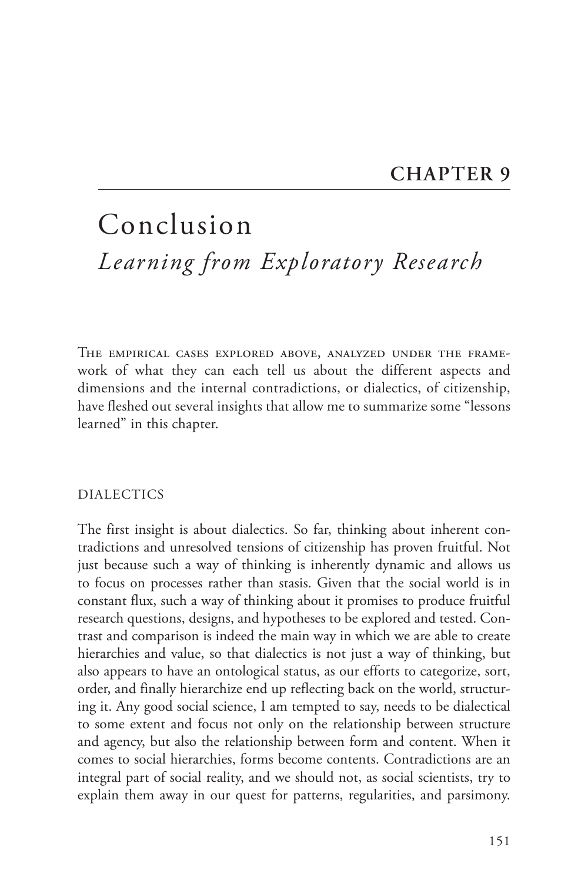## **Chapter 9**

# Conclusion *Learning from Exploratory Research*

The empirical cases explored above, analyzed under the framework of what they can each tell us about the different aspects and dimensions and the internal contradictions, or dialectics, of citizenship, have fleshed out several insights that allow me to summarize some "lessons learned" in this chapter.

#### **DIALECTICS**

The first insight is about dialectics. So far, thinking about inherent contradictions and unresolved tensions of citizenship has proven fruitful. Not just because such a way of thinking is inherently dynamic and allows us to focus on processes rather than stasis. Given that the social world is in constant flux, such a way of thinking about it promises to produce fruitful research questions, designs, and hypotheses to be explored and tested. Contrast and comparison is indeed the main way in which we are able to create hierarchies and value, so that dialectics is not just a way of thinking, but also appears to have an ontological status, as our efforts to categorize, sort, order, and finally hierarchize end up reflecting back on the world, structuring it. Any good social science, I am tempted to say, needs to be dialectical to some extent and focus not only on the relationship between structure and agency, but also the relationship between form and content. When it comes to social hierarchies, forms become contents. Contradictions are an integral part of social reality, and we should not, as social scientists, try to explain them away in our quest for patterns, regularities, and parsimony.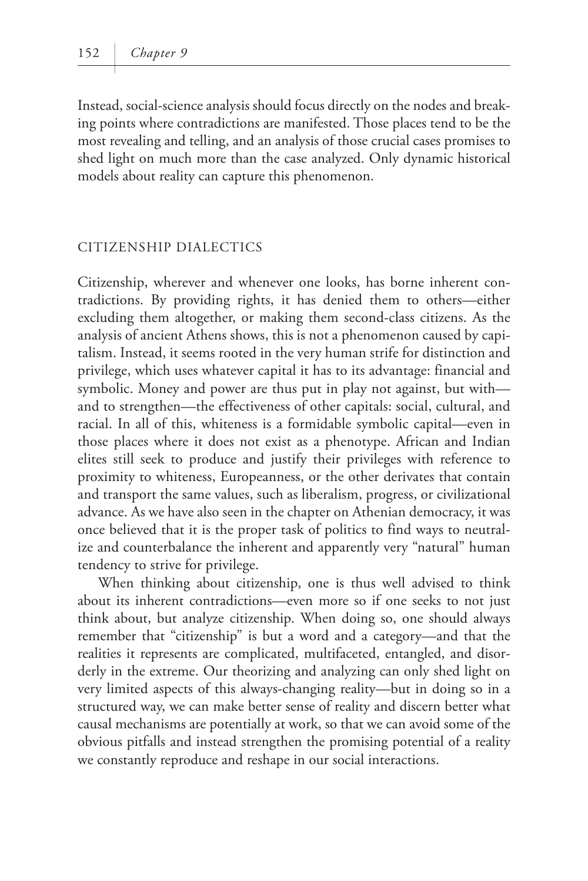Instead, social-science analysis should focus directly on the nodes and breaking points where contradictions are manifested. Those places tend to be the most revealing and telling, and an analysis of those crucial cases promises to shed light on much more than the case analyzed. Only dynamic historical models about reality can capture this phenomenon.

#### CITIZENSHIP DIALECTICS

Citizenship, wherever and whenever one looks, has borne inherent contradictions. By providing rights, it has denied them to others—either excluding them altogether, or making them second-class citizens. As the analysis of ancient Athens shows, this is not a phenomenon caused by capitalism. Instead, it seems rooted in the very human strife for distinction and privilege, which uses whatever capital it has to its advantage: financial and symbolic. Money and power are thus put in play not against, but with and to strengthen—the effectiveness of other capitals: social, cultural, and racial. In all of this, whiteness is a formidable symbolic capital—even in those places where it does not exist as a phenotype. African and Indian elites still seek to produce and justify their privileges with reference to proximity to whiteness, Europeanness, or the other derivates that contain and transport the same values, such as liberalism, progress, or civilizational advance. As we have also seen in the chapter on Athenian democracy, it was once believed that it is the proper task of politics to find ways to neutralize and counterbalance the inherent and apparently very "natural" human tendency to strive for privilege.

When thinking about citizenship, one is thus well advised to think about its inherent contradictions—even more so if one seeks to not just think about, but analyze citizenship. When doing so, one should always remember that "citizenship" is but a word and a category—and that the realities it represents are complicated, multifaceted, entangled, and disorderly in the extreme. Our theorizing and analyzing can only shed light on very limited aspects of this always-changing reality—but in doing so in a structured way, we can make better sense of reality and discern better what causal mechanisms are potentially at work, so that we can avoid some of the obvious pitfalls and instead strengthen the promising potential of a reality we constantly reproduce and reshape in our social interactions.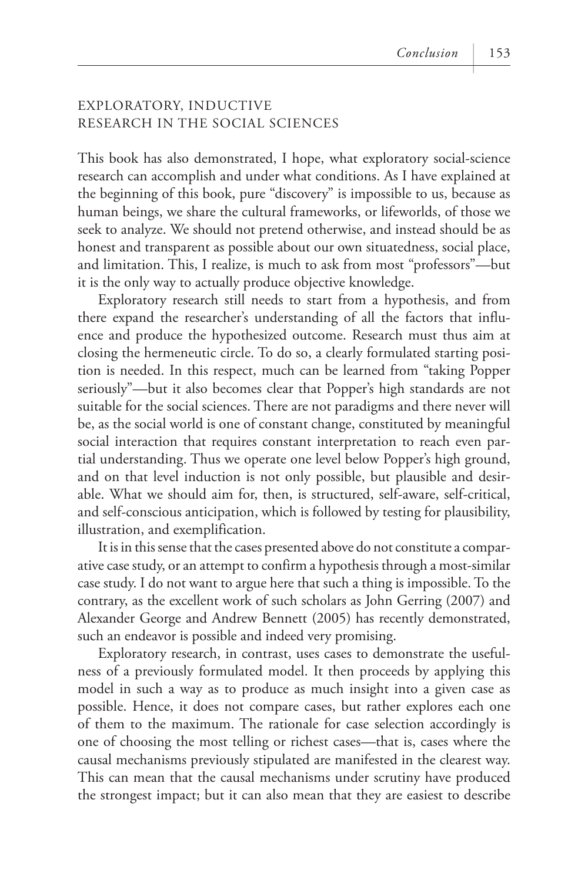#### Exploratory, Inductive Research in the Social Sciences

This book has also demonstrated, I hope, what exploratory social-science research can accomplish and under what conditions. As I have explained at the beginning of this book, pure "discovery" is impossible to us, because as human beings, we share the cultural frameworks, or lifeworlds, of those we seek to analyze. We should not pretend otherwise, and instead should be as honest and transparent as possible about our own situatedness, social place, and limitation. This, I realize, is much to ask from most "professors"—but it is the only way to actually produce objective knowledge.

Exploratory research still needs to start from a hypothesis, and from there expand the researcher's understanding of all the factors that influence and produce the hypothesized outcome. Research must thus aim at closing the hermeneutic circle. To do so, a clearly formulated starting position is needed. In this respect, much can be learned from "taking Popper seriously"—but it also becomes clear that Popper's high standards are not suitable for the social sciences. There are not paradigms and there never will be, as the social world is one of constant change, constituted by meaningful social interaction that requires constant interpretation to reach even partial understanding. Thus we operate one level below Popper's high ground, and on that level induction is not only possible, but plausible and desirable. What we should aim for, then, is structured, self-aware, self-critical, and self-conscious anticipation, which is followed by testing for plausibility, illustration, and exemplification.

It is in this sense that the cases presented above do not constitute a comparative case study, or an attempt to confirm a hypothesis through a most-similar case study. I do not want to argue here that such a thing is impossible. To the contrary, as the excellent work of such scholars as John Gerring (2007) and Alexander George and Andrew Bennett (2005) has recently demonstrated, such an endeavor is possible and indeed very promising.

Exploratory research, in contrast, uses cases to demonstrate the usefulness of a previously formulated model. It then proceeds by applying this model in such a way as to produce as much insight into a given case as possible. Hence, it does not compare cases, but rather explores each one of them to the maximum. The rationale for case selection accordingly is one of choosing the most telling or richest cases—that is, cases where the causal mechanisms previously stipulated are manifested in the clearest way. This can mean that the causal mechanisms under scrutiny have produced the strongest impact; but it can also mean that they are easiest to describe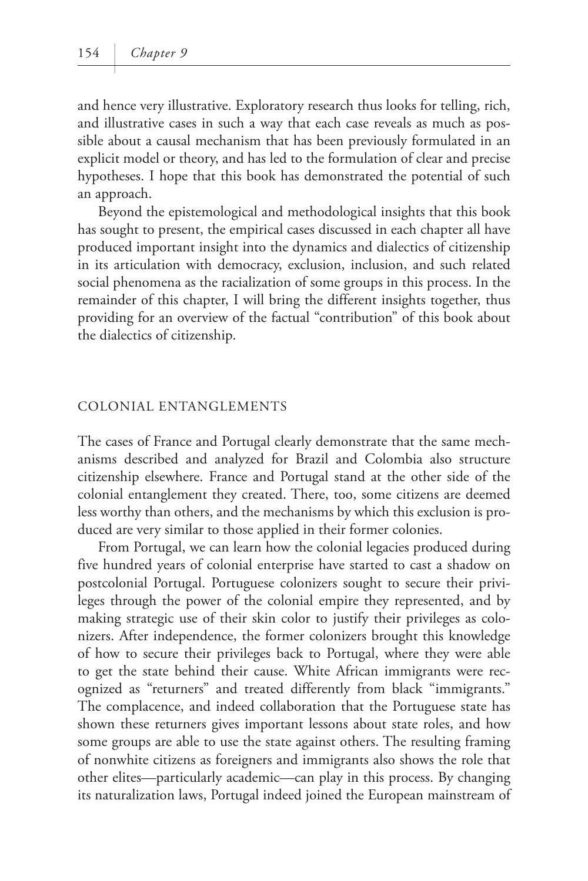and hence very illustrative. Exploratory research thus looks for telling, rich, and illustrative cases in such a way that each case reveals as much as possible about a causal mechanism that has been previously formulated in an explicit model or theory, and has led to the formulation of clear and precise hypotheses. I hope that this book has demonstrated the potential of such an approach.

Beyond the epistemological and methodological insights that this book has sought to present, the empirical cases discussed in each chapter all have produced important insight into the dynamics and dialectics of citizenship in its articulation with democracy, exclusion, inclusion, and such related social phenomena as the racialization of some groups in this process. In the remainder of this chapter, I will bring the different insights together, thus providing for an overview of the factual "contribution" of this book about the dialectics of citizenship.

#### Colonial Entanglements

The cases of France and Portugal clearly demonstrate that the same mechanisms described and analyzed for Brazil and Colombia also structure citizenship elsewhere. France and Portugal stand at the other side of the colonial entanglement they created. There, too, some citizens are deemed less worthy than others, and the mechanisms by which this exclusion is produced are very similar to those applied in their former colonies.

From Portugal, we can learn how the colonial legacies produced during five hundred years of colonial enterprise have started to cast a shadow on postcolonial Portugal. Portuguese colonizers sought to secure their privileges through the power of the colonial empire they represented, and by making strategic use of their skin color to justify their privileges as colonizers. After independence, the former colonizers brought this knowledge of how to secure their privileges back to Portugal, where they were able to get the state behind their cause. White African immigrants were recognized as "returners" and treated differently from black "immigrants." The complacence, and indeed collaboration that the Portuguese state has shown these returners gives important lessons about state roles, and how some groups are able to use the state against others. The resulting framing of nonwhite citizens as foreigners and immigrants also shows the role that other elites—particularly academic—can play in this process. By changing its naturalization laws, Portugal indeed joined the European mainstream of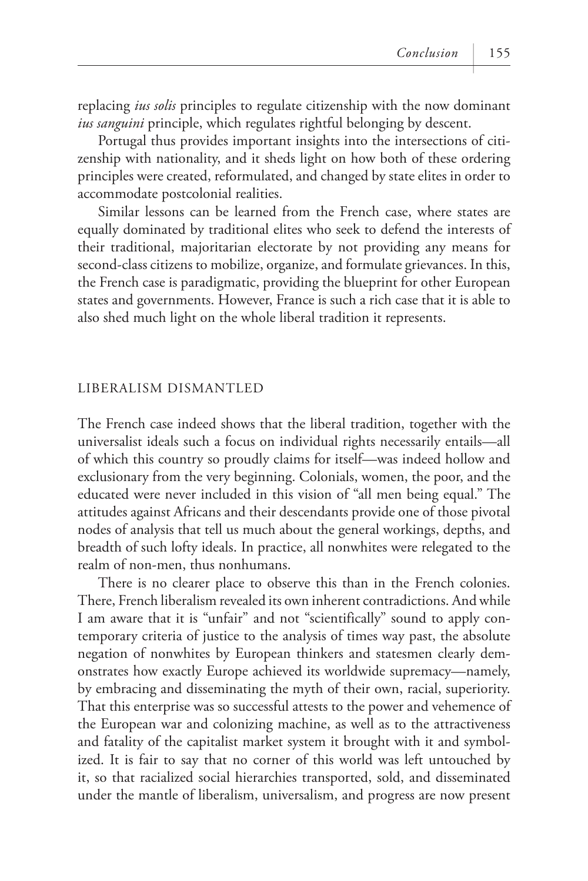replacing *ius solis* principles to regulate citizenship with the now dominant *ius sanguini* principle, which regulates rightful belonging by descent.

Portugal thus provides important insights into the intersections of citizenship with nationality, and it sheds light on how both of these ordering principles were created, reformulated, and changed by state elites in order to accommodate postcolonial realities.

Similar lessons can be learned from the French case, where states are equally dominated by traditional elites who seek to defend the interests of their traditional, majoritarian electorate by not providing any means for second-class citizens to mobilize, organize, and formulate grievances. In this, the French case is paradigmatic, providing the blueprint for other European states and governments. However, France is such a rich case that it is able to also shed much light on the whole liberal tradition it represents.

#### Liberalism Dismantled

The French case indeed shows that the liberal tradition, together with the universalist ideals such a focus on individual rights necessarily entails—all of which this country so proudly claims for itself—was indeed hollow and exclusionary from the very beginning. Colonials, women, the poor, and the educated were never included in this vision of "all men being equal." The attitudes against Africans and their descendants provide one of those pivotal nodes of analysis that tell us much about the general workings, depths, and breadth of such lofty ideals. In practice, all nonwhites were relegated to the realm of non-men, thus nonhumans.

There is no clearer place to observe this than in the French colonies. There, French liberalism revealed its own inherent contradictions. And while I am aware that it is "unfair" and not "scientifically" sound to apply contemporary criteria of justice to the analysis of times way past, the absolute negation of nonwhites by European thinkers and statesmen clearly demonstrates how exactly Europe achieved its worldwide supremacy—namely, by embracing and disseminating the myth of their own, racial, superiority. That this enterprise was so successful attests to the power and vehemence of the European war and colonizing machine, as well as to the attractiveness and fatality of the capitalist market system it brought with it and symbolized. It is fair to say that no corner of this world was left untouched by it, so that racialized social hierarchies transported, sold, and disseminated under the mantle of liberalism, universalism, and progress are now present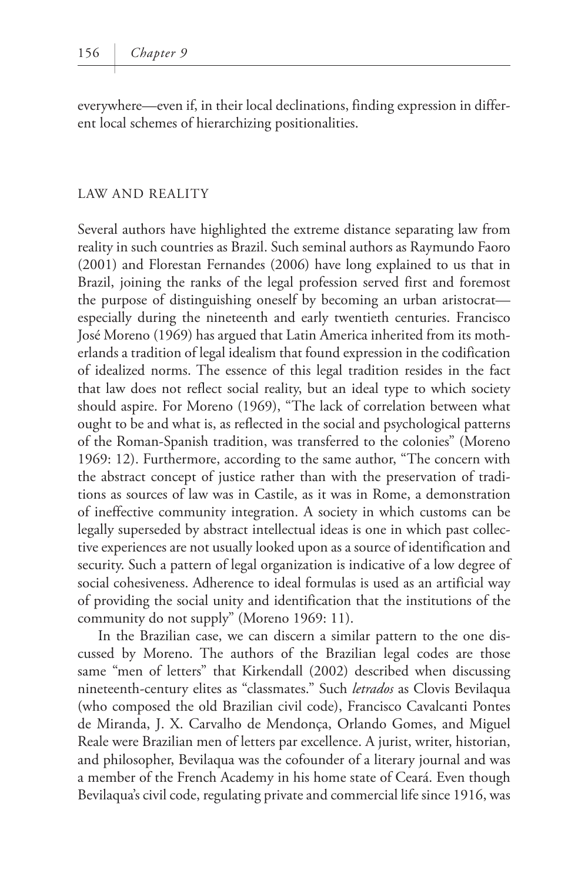everywhere—even if, in their local declinations, finding expression in different local schemes of hierarchizing positionalities.

#### Law and Reality

Several authors have highlighted the extreme distance separating law from reality in such countries as Brazil. Such seminal authors as Raymundo Faoro (2001) and Florestan Fernandes (2006) have long explained to us that in Brazil, joining the ranks of the legal profession served first and foremost the purpose of distinguishing oneself by becoming an urban aristocrat especially during the nineteenth and early twentieth centuries. Francisco José Moreno (1969) has argued that Latin America inherited from its motherlands a tradition of legal idealism that found expression in the codification of idealized norms. The essence of this legal tradition resides in the fact that law does not reflect social reality, but an ideal type to which society should aspire. For Moreno (1969), "The lack of correlation between what ought to be and what is, as reflected in the social and psychological patterns of the Roman-Spanish tradition, was transferred to the colonies" (Moreno 1969: 12). Furthermore, according to the same author, "The concern with the abstract concept of justice rather than with the preservation of traditions as sources of law was in Castile, as it was in Rome, a demonstration of ineffective community integration. A society in which customs can be legally superseded by abstract intellectual ideas is one in which past collective experiences are not usually looked upon as a source of identification and security. Such a pattern of legal organization is indicative of a low degree of social cohesiveness. Adherence to ideal formulas is used as an artificial way of providing the social unity and identification that the institutions of the community do not supply" (Moreno 1969: 11).

In the Brazilian case, we can discern a similar pattern to the one discussed by Moreno. The authors of the Brazilian legal codes are those same "men of letters" that Kirkendall (2002) described when discussing nineteenth-century elites as "classmates." Such *letrados* as Clovis Bevilaqua (who composed the old Brazilian civil code), Francisco Cavalcanti Pontes de Miranda, J. X. Carvalho de Mendonça, Orlando Gomes, and Miguel Reale were Brazilian men of letters par excellence. A jurist, writer, historian, and philosopher, Bevilaqua was the cofounder of a literary journal and was a member of the French Academy in his home state of Ceará. Even though Bevilaqua's civil code, regulating private and commercial life since 1916, was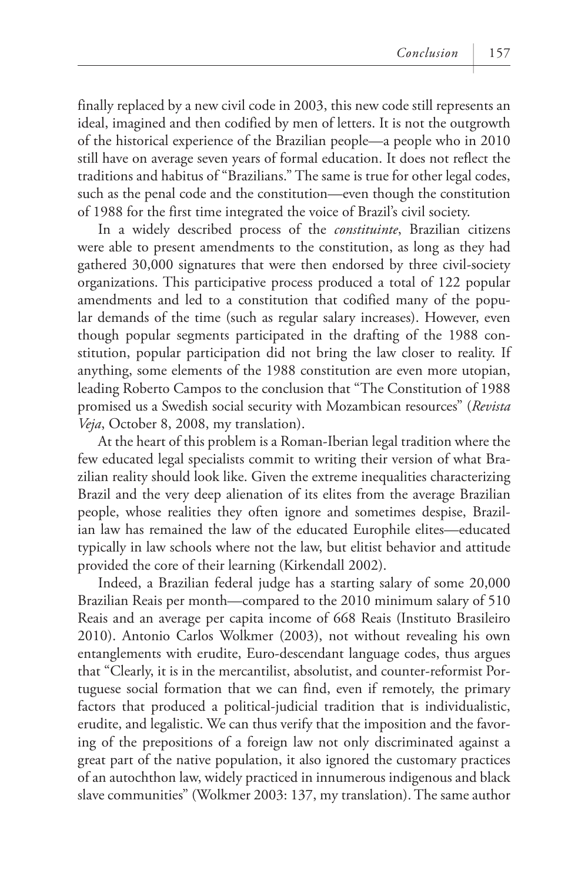finally replaced by a new civil code in 2003, this new code still represents an ideal, imagined and then codified by men of letters. It is not the outgrowth of the historical experience of the Brazilian people—a people who in 2010 still have on average seven years of formal education. It does not reflect the traditions and habitus of "Brazilians." The same is true for other legal codes, such as the penal code and the constitution—even though the constitution of 1988 for the first time integrated the voice of Brazil's civil society.

In a widely described process of the *constituinte*, Brazilian citizens were able to present amendments to the constitution, as long as they had gathered 30,000 signatures that were then endorsed by three civil-society organizations. This participative process produced a total of 122 popular amendments and led to a constitution that codified many of the popular demands of the time (such as regular salary increases). However, even though popular segments participated in the drafting of the 1988 constitution, popular participation did not bring the law closer to reality. If anything, some elements of the 1988 constitution are even more utopian, leading Roberto Campos to the conclusion that "The Constitution of 1988 promised us a Swedish social security with Mozambican resources" (*Revista Veja*, October 8, 2008, my translation).

At the heart of this problem is a Roman-Iberian legal tradition where the few educated legal specialists commit to writing their version of what Brazilian reality should look like. Given the extreme inequalities characterizing Brazil and the very deep alienation of its elites from the average Brazilian people, whose realities they often ignore and sometimes despise, Brazilian law has remained the law of the educated Europhile elites—educated typically in law schools where not the law, but elitist behavior and attitude provided the core of their learning (Kirkendall 2002).

Indeed, a Brazilian federal judge has a starting salary of some 20,000 Brazilian Reais per month—compared to the 2010 minimum salary of 510 Reais and an average per capita income of 668 Reais (Instituto Brasileiro 2010). Antonio Carlos Wolkmer (2003), not without revealing his own entanglements with erudite, Euro-descendant language codes, thus argues that "Clearly, it is in the mercantilist, absolutist, and counter-reformist Portuguese social formation that we can find, even if remotely, the primary factors that produced a political-judicial tradition that is individualistic, erudite, and legalistic. We can thus verify that the imposition and the favoring of the prepositions of a foreign law not only discriminated against a great part of the native population, it also ignored the customary practices of an autochthon law, widely practiced in innumerous indigenous and black slave communities" (Wolkmer 2003: 137, my translation). The same author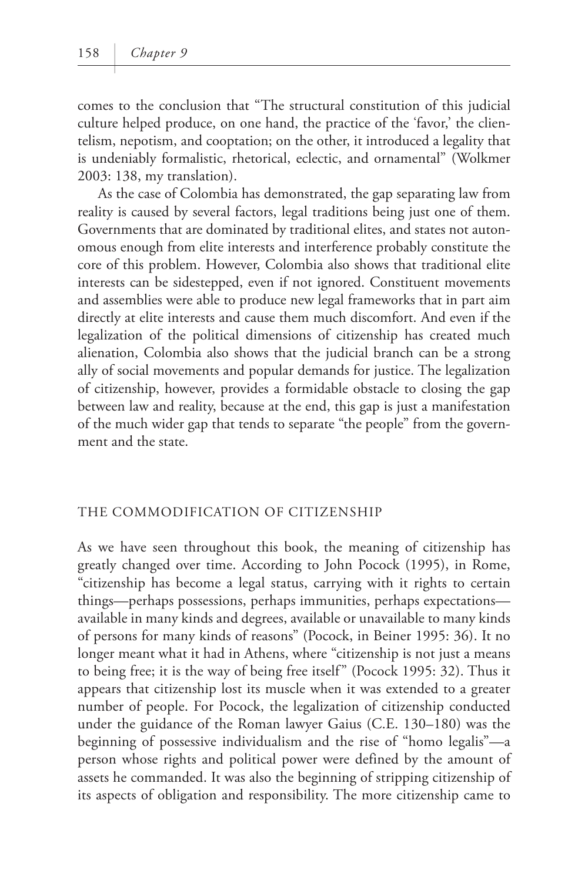comes to the conclusion that "The structural constitution of this judicial culture helped produce, on one hand, the practice of the 'favor,' the clientelism, nepotism, and cooptation; on the other, it introduced a legality that is undeniably formalistic, rhetorical, eclectic, and ornamental" (Wolkmer 2003: 138, my translation).

As the case of Colombia has demonstrated, the gap separating law from reality is caused by several factors, legal traditions being just one of them. Governments that are dominated by traditional elites, and states not autonomous enough from elite interests and interference probably constitute the core of this problem. However, Colombia also shows that traditional elite interests can be sidestepped, even if not ignored. Constituent movements and assemblies were able to produce new legal frameworks that in part aim directly at elite interests and cause them much discomfort. And even if the legalization of the political dimensions of citizenship has created much alienation, Colombia also shows that the judicial branch can be a strong ally of social movements and popular demands for justice. The legalization of citizenship, however, provides a formidable obstacle to closing the gap between law and reality, because at the end, this gap is just a manifestation of the much wider gap that tends to separate "the people" from the government and the state.

#### The Commodification of Citizenship

As we have seen throughout this book, the meaning of citizenship has greatly changed over time. According to John Pocock (1995), in Rome, "citizenship has become a legal status, carrying with it rights to certain things—perhaps possessions, perhaps immunities, perhaps expectations available in many kinds and degrees, available or unavailable to many kinds of persons for many kinds of reasons" (Pocock, in Beiner 1995: 36). It no longer meant what it had in Athens, where "citizenship is not just a means to being free; it is the way of being free itself" (Pocock 1995: 32). Thus it appears that citizenship lost its muscle when it was extended to a greater number of people. For Pocock, the legalization of citizenship conducted under the guidance of the Roman lawyer Gaius (C.E. 130–180) was the beginning of possessive individualism and the rise of "homo legalis"—a person whose rights and political power were defined by the amount of assets he commanded. It was also the beginning of stripping citizenship of its aspects of obligation and responsibility. The more citizenship came to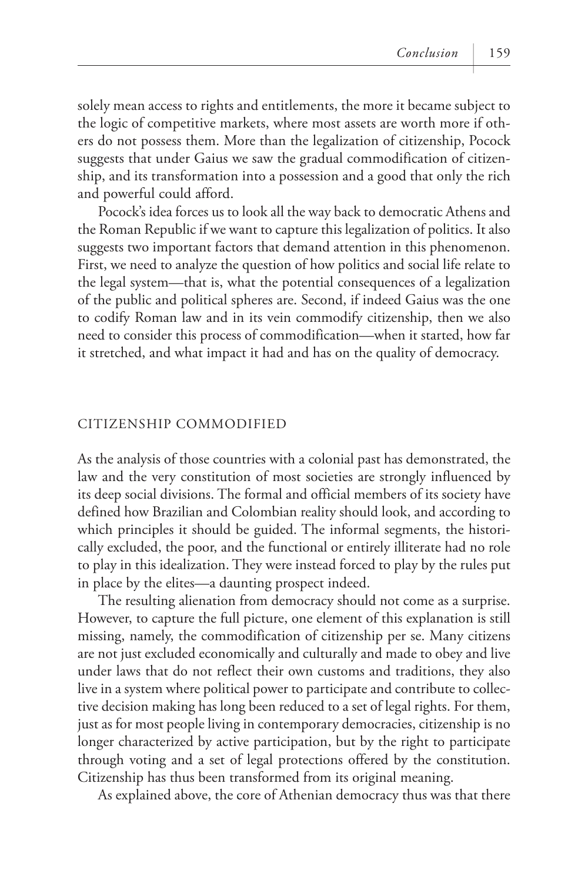solely mean access to rights and entitlements, the more it became subject to the logic of competitive markets, where most assets are worth more if others do not possess them. More than the legalization of citizenship, Pocock suggests that under Gaius we saw the gradual commodification of citizenship, and its transformation into a possession and a good that only the rich and powerful could afford.

Pocock's idea forces us to look all the way back to democratic Athens and the Roman Republic if we want to capture this legalization of politics. It also suggests two important factors that demand attention in this phenomenon. First, we need to analyze the question of how politics and social life relate to the legal system—that is, what the potential consequences of a legalization of the public and political spheres are. Second, if indeed Gaius was the one to codify Roman law and in its vein commodify citizenship, then we also need to consider this process of commodification—when it started, how far it stretched, and what impact it had and has on the quality of democracy.

#### Citizenship Commodified

As the analysis of those countries with a colonial past has demonstrated, the law and the very constitution of most societies are strongly influenced by its deep social divisions. The formal and official members of its society have defined how Brazilian and Colombian reality should look, and according to which principles it should be guided. The informal segments, the historically excluded, the poor, and the functional or entirely illiterate had no role to play in this idealization. They were instead forced to play by the rules put in place by the elites—a daunting prospect indeed.

The resulting alienation from democracy should not come as a surprise. However, to capture the full picture, one element of this explanation is still missing, namely, the commodification of citizenship per se. Many citizens are not just excluded economically and culturally and made to obey and live under laws that do not reflect their own customs and traditions, they also live in a system where political power to participate and contribute to collective decision making has long been reduced to a set of legal rights. For them, just as for most people living in contemporary democracies, citizenship is no longer characterized by active participation, but by the right to participate through voting and a set of legal protections offered by the constitution. Citizenship has thus been transformed from its original meaning.

As explained above, the core of Athenian democracy thus was that there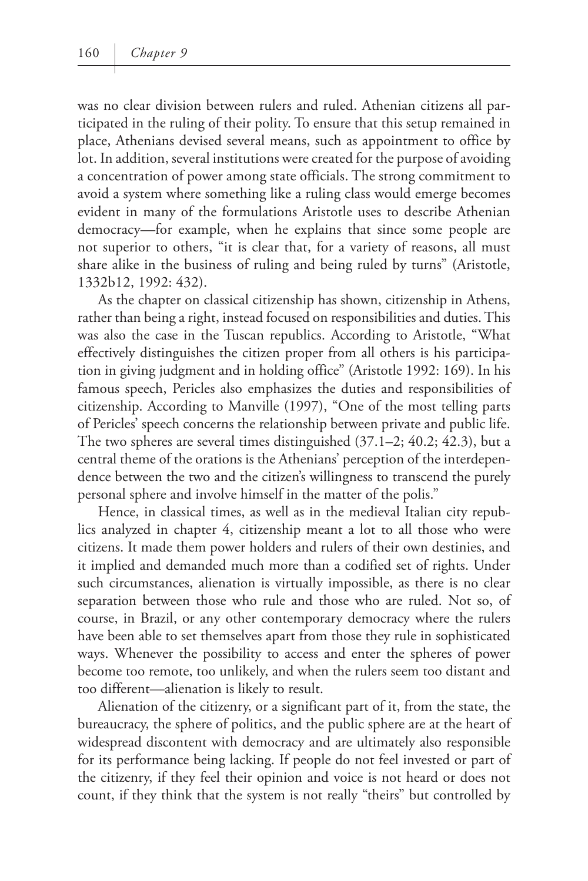was no clear division between rulers and ruled. Athenian citizens all participated in the ruling of their polity. To ensure that this setup remained in place, Athenians devised several means, such as appointment to office by lot. In addition, several institutions were created for the purpose of avoiding a concentration of power among state officials. The strong commitment to avoid a system where something like a ruling class would emerge becomes evident in many of the formulations Aristotle uses to describe Athenian democracy—for example, when he explains that since some people are not superior to others, "it is clear that, for a variety of reasons, all must share alike in the business of ruling and being ruled by turns" (Aristotle, 1332b12, 1992: 432).

As the chapter on classical citizenship has shown, citizenship in Athens, rather than being a right, instead focused on responsibilities and duties. This was also the case in the Tuscan republics. According to Aristotle, "What effectively distinguishes the citizen proper from all others is his participation in giving judgment and in holding office" (Aristotle 1992: 169). In his famous speech, Pericles also emphasizes the duties and responsibilities of citizenship. According to Manville (1997), "One of the most telling parts of Pericles' speech concerns the relationship between private and public life. The two spheres are several times distinguished (37.1–2; 40.2; 42.3), but a central theme of the orations is the Athenians' perception of the interdependence between the two and the citizen's willingness to transcend the purely personal sphere and involve himself in the matter of the polis."

Hence, in classical times, as well as in the medieval Italian city republics analyzed in chapter 4, citizenship meant a lot to all those who were citizens. It made them power holders and rulers of their own destinies, and it implied and demanded much more than a codified set of rights. Under such circumstances, alienation is virtually impossible, as there is no clear separation between those who rule and those who are ruled. Not so, of course, in Brazil, or any other contemporary democracy where the rulers have been able to set themselves apart from those they rule in sophisticated ways. Whenever the possibility to access and enter the spheres of power become too remote, too unlikely, and when the rulers seem too distant and too different—alienation is likely to result.

Alienation of the citizenry, or a significant part of it, from the state, the bureaucracy, the sphere of politics, and the public sphere are at the heart of widespread discontent with democracy and are ultimately also responsible for its performance being lacking. If people do not feel invested or part of the citizenry, if they feel their opinion and voice is not heard or does not count, if they think that the system is not really "theirs" but controlled by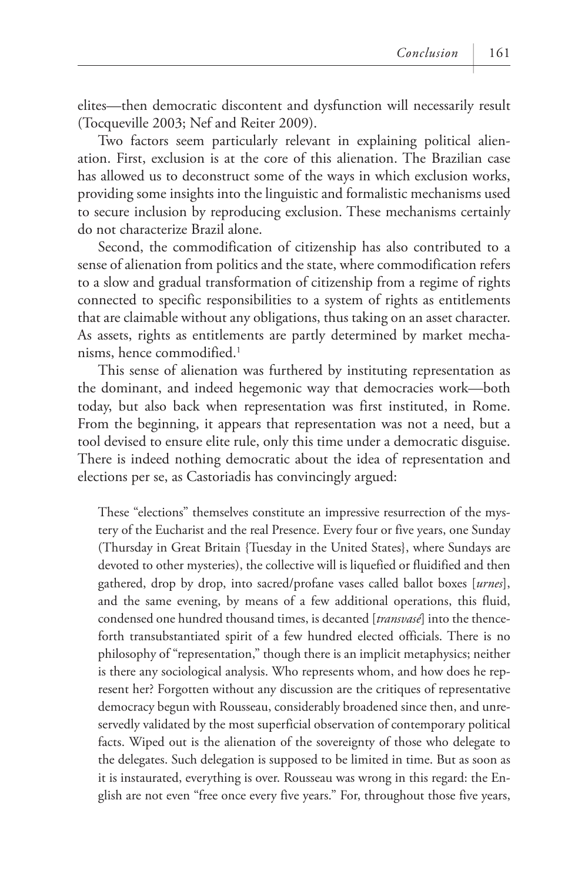elites—then democratic discontent and dysfunction will necessarily result (Tocqueville 2003; Nef and Reiter 2009).

Two factors seem particularly relevant in explaining political alienation. First, exclusion is at the core of this alienation. The Brazilian case has allowed us to deconstruct some of the ways in which exclusion works, providing some insights into the linguistic and formalistic mechanisms used to secure inclusion by reproducing exclusion. These mechanisms certainly do not characterize Brazil alone.

Second, the commodification of citizenship has also contributed to a sense of alienation from politics and the state, where commodification refers to a slow and gradual transformation of citizenship from a regime of rights connected to specific responsibilities to a system of rights as entitlements that are claimable without any obligations, thus taking on an asset character. As assets, rights as entitlements are partly determined by market mechanisms, hence commodified.<sup>1</sup>

This sense of alienation was furthered by instituting representation as the dominant, and indeed hegemonic way that democracies work—both today, but also back when representation was first instituted, in Rome. From the beginning, it appears that representation was not a need, but a tool devised to ensure elite rule, only this time under a democratic disguise. There is indeed nothing democratic about the idea of representation and elections per se, as Castoriadis has convincingly argued:

These "elections" themselves constitute an impressive resurrection of the mystery of the Eucharist and the real Presence. Every four or five years, one Sunday (Thursday in Great Britain {Tuesday in the United States}, where Sundays are devoted to other mysteries), the collective will is liquefied or fluidified and then gathered, drop by drop, into sacred/profane vases called ballot boxes [*urnes*], and the same evening, by means of a few additional operations, this fluid, condensed one hundred thousand times, is decanted [*transvasé*] into the thenceforth transubstantiated spirit of a few hundred elected officials. There is no philosophy of "representation," though there is an implicit metaphysics; neither is there any sociological analysis. Who represents whom, and how does he represent her? Forgotten without any discussion are the critiques of representative democracy begun with Rousseau, considerably broadened since then, and unreservedly validated by the most superficial observation of contemporary political facts. Wiped out is the alienation of the sovereignty of those who delegate to the delegates. Such delegation is supposed to be limited in time. But as soon as it is instaurated, everything is over. Rousseau was wrong in this regard: the English are not even "free once every five years." For, throughout those five years,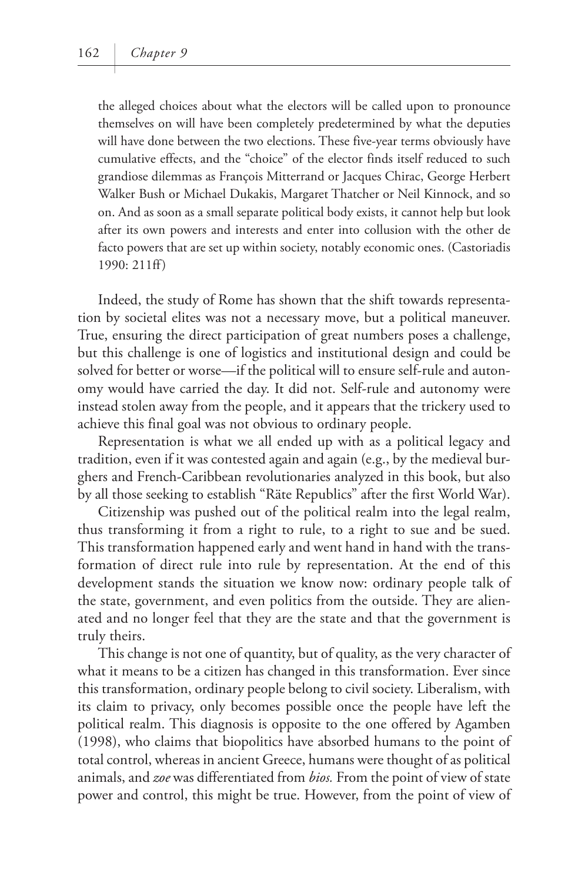the alleged choices about what the electors will be called upon to pronounce themselves on will have been completely predetermined by what the deputies will have done between the two elections. These five-year terms obviously have cumulative effects, and the "choice" of the elector finds itself reduced to such grandiose dilemmas as François Mitterrand or Jacques Chirac, George Herbert Walker Bush or Michael Dukakis, Margaret Thatcher or Neil Kinnock, and so on. And as soon as a small separate political body exists, it cannot help but look after its own powers and interests and enter into collusion with the other de facto powers that are set up within society, notably economic ones. (Castoriadis 1990: 211ff)

Indeed, the study of Rome has shown that the shift towards representation by societal elites was not a necessary move, but a political maneuver. True, ensuring the direct participation of great numbers poses a challenge, but this challenge is one of logistics and institutional design and could be solved for better or worse—if the political will to ensure self-rule and autonomy would have carried the day. It did not. Self-rule and autonomy were instead stolen away from the people, and it appears that the trickery used to achieve this final goal was not obvious to ordinary people.

Representation is what we all ended up with as a political legacy and tradition, even if it was contested again and again (e.g., by the medieval burghers and French-Caribbean revolutionaries analyzed in this book, but also by all those seeking to establish "Räte Republics" after the first World War).

Citizenship was pushed out of the political realm into the legal realm, thus transforming it from a right to rule, to a right to sue and be sued. This transformation happened early and went hand in hand with the transformation of direct rule into rule by representation. At the end of this development stands the situation we know now: ordinary people talk of the state, government, and even politics from the outside. They are alienated and no longer feel that they are the state and that the government is truly theirs.

This change is not one of quantity, but of quality, as the very character of what it means to be a citizen has changed in this transformation. Ever since this transformation, ordinary people belong to civil society. Liberalism, with its claim to privacy, only becomes possible once the people have left the political realm. This diagnosis is opposite to the one offered by Agamben (1998), who claims that biopolitics have absorbed humans to the point of total control, whereas in ancient Greece, humans were thought of as political animals, and *zoe* was differentiated from *bios.* From the point of view of state power and control, this might be true. However, from the point of view of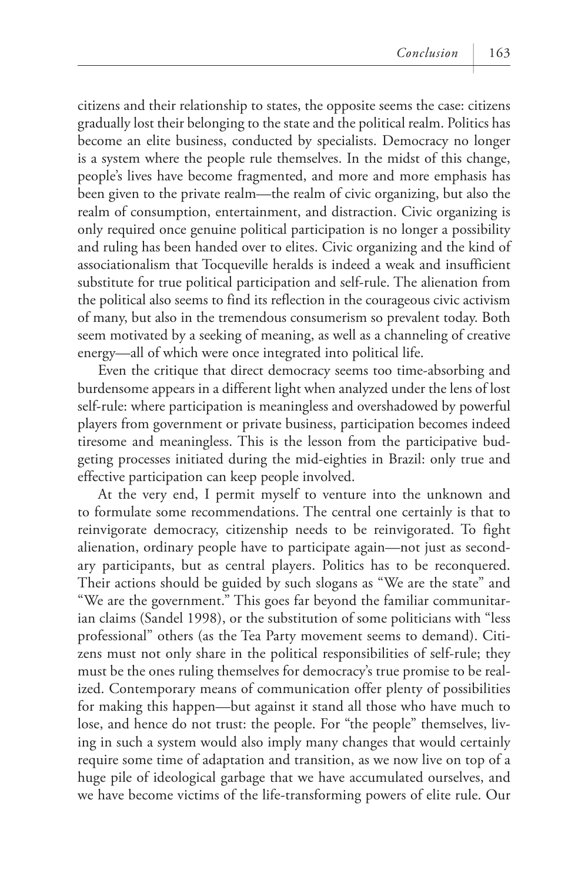citizens and their relationship to states, the opposite seems the case: citizens gradually lost their belonging to the state and the political realm. Politics has become an elite business, conducted by specialists. Democracy no longer is a system where the people rule themselves. In the midst of this change, people's lives have become fragmented, and more and more emphasis has been given to the private realm—the realm of civic organizing, but also the realm of consumption, entertainment, and distraction. Civic organizing is only required once genuine political participation is no longer a possibility and ruling has been handed over to elites. Civic organizing and the kind of associationalism that Tocqueville heralds is indeed a weak and insufficient substitute for true political participation and self-rule. The alienation from the political also seems to find its reflection in the courageous civic activism of many, but also in the tremendous consumerism so prevalent today. Both seem motivated by a seeking of meaning, as well as a channeling of creative energy—all of which were once integrated into political life.

Even the critique that direct democracy seems too time-absorbing and burdensome appears in a different light when analyzed under the lens of lost self-rule: where participation is meaningless and overshadowed by powerful players from government or private business, participation becomes indeed tiresome and meaningless. This is the lesson from the participative budgeting processes initiated during the mid-eighties in Brazil: only true and effective participation can keep people involved.

At the very end, I permit myself to venture into the unknown and to formulate some recommendations. The central one certainly is that to reinvigorate democracy, citizenship needs to be reinvigorated. To fight alienation, ordinary people have to participate again—not just as secondary participants, but as central players. Politics has to be reconquered. Their actions should be guided by such slogans as "We are the state" and "We are the government." This goes far beyond the familiar communitarian claims (Sandel 1998), or the substitution of some politicians with "less professional" others (as the Tea Party movement seems to demand). Citizens must not only share in the political responsibilities of self-rule; they must be the ones ruling themselves for democracy's true promise to be realized. Contemporary means of communication offer plenty of possibilities for making this happen—but against it stand all those who have much to lose, and hence do not trust: the people. For "the people" themselves, living in such a system would also imply many changes that would certainly require some time of adaptation and transition, as we now live on top of a huge pile of ideological garbage that we have accumulated ourselves, and we have become victims of the life-transforming powers of elite rule. Our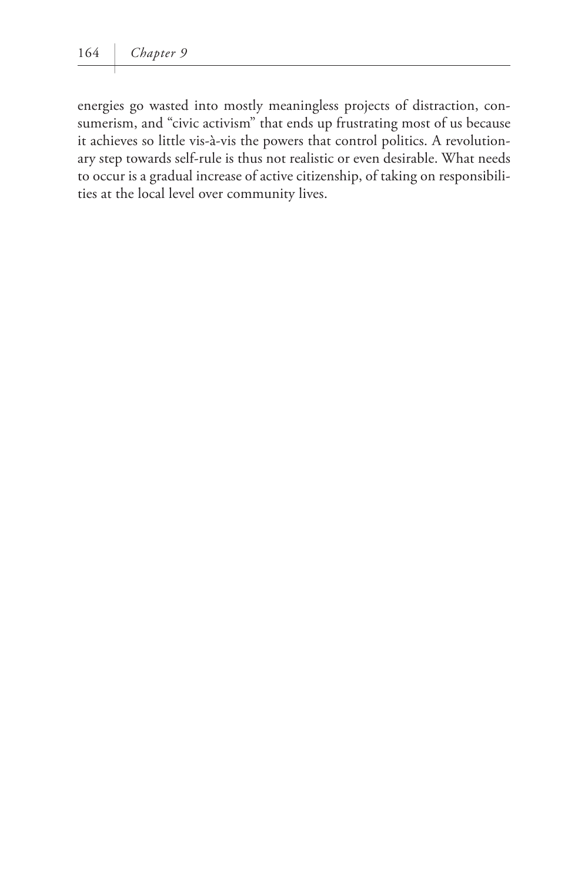energies go wasted into mostly meaningless projects of distraction, consumerism, and "civic activism" that ends up frustrating most of us because it achieves so little vis-à-vis the powers that control politics. A revolutionary step towards self-rule is thus not realistic or even desirable. What needs to occur is a gradual increase of active citizenship, of taking on responsibilities at the local level over community lives.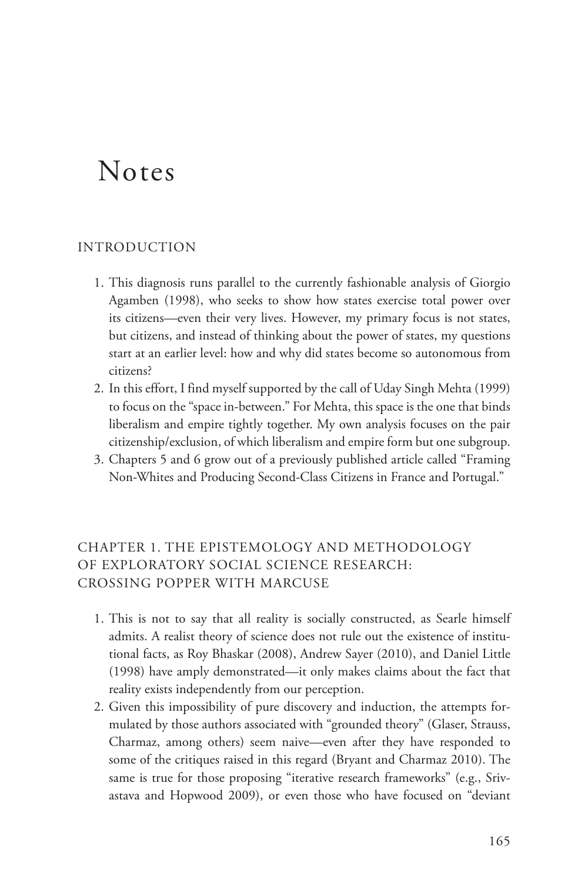## Notes

### **INTRODUCTION**

- 1. This diagnosis runs parallel to the currently fashionable analysis of Giorgio Agamben (1998), who seeks to show how states exercise total power over its citizens—even their very lives. However, my primary focus is not states, but citizens, and instead of thinking about the power of states, my questions start at an earlier level: how and why did states become so autonomous from citizens?
- 2. In this effort, I find myself supported by the call of Uday Singh Mehta (1999) to focus on the "space in-between." For Mehta, this space is the one that binds liberalism and empire tightly together. My own analysis focuses on the pair citizenship/exclusion, of which liberalism and empire form but one subgroup.
- 3. Chapters 5 and 6 grow out of a previously published article called "Framing Non-Whites and Producing Second-Class Citizens in France and Portugal."

## Chapter 1. The Epistemology and Methodology of Exploratory Social Science Research: Crossing Popper with Marcuse

- 1. This is not to say that all reality is socially constructed, as Searle himself admits. A realist theory of science does not rule out the existence of institutional facts, as Roy Bhaskar (2008), Andrew Sayer (2010), and Daniel Little (1998) have amply demonstrated—it only makes claims about the fact that reality exists independently from our perception.
- 2. Given this impossibility of pure discovery and induction, the attempts formulated by those authors associated with "grounded theory" (Glaser, Strauss, Charmaz, among others) seem naive—even after they have responded to some of the critiques raised in this regard (Bryant and Charmaz 2010). The same is true for those proposing "iterative research frameworks" (e.g., Srivastava and Hopwood 2009), or even those who have focused on "deviant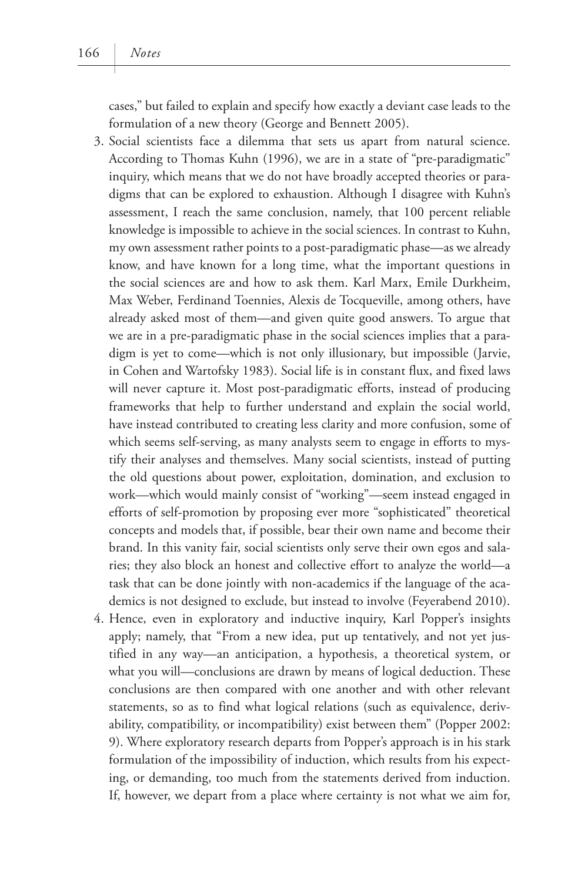cases," but failed to explain and specify how exactly a deviant case leads to the formulation of a new theory (George and Bennett 2005).

- 3. Social scientists face a dilemma that sets us apart from natural science. According to Thomas Kuhn (1996), we are in a state of "pre-paradigmatic" inquiry, which means that we do not have broadly accepted theories or paradigms that can be explored to exhaustion. Although I disagree with Kuhn's assessment, I reach the same conclusion, namely, that 100 percent reliable knowledge is impossible to achieve in the social sciences. In contrast to Kuhn, my own assessment rather points to a post-paradigmatic phase—as we already know, and have known for a long time, what the important questions in the social sciences are and how to ask them. Karl Marx, Emile Durkheim, Max Weber, Ferdinand Toennies, Alexis de Tocqueville, among others, have already asked most of them—and given quite good answers. To argue that we are in a pre-paradigmatic phase in the social sciences implies that a paradigm is yet to come—which is not only illusionary, but impossible (Jarvie, in Cohen and Wartofsky 1983). Social life is in constant flux, and fixed laws will never capture it. Most post-paradigmatic efforts, instead of producing frameworks that help to further understand and explain the social world, have instead contributed to creating less clarity and more confusion, some of which seems self-serving, as many analysts seem to engage in efforts to mystify their analyses and themselves. Many social scientists, instead of putting the old questions about power, exploitation, domination, and exclusion to work—which would mainly consist of "working"—seem instead engaged in efforts of self-promotion by proposing ever more "sophisticated" theoretical concepts and models that, if possible, bear their own name and become their brand. In this vanity fair, social scientists only serve their own egos and salaries; they also block an honest and collective effort to analyze the world—a task that can be done jointly with non-academics if the language of the academics is not designed to exclude, but instead to involve (Feyerabend 2010).
- 4. Hence, even in exploratory and inductive inquiry, Karl Popper's insights apply; namely, that "From a new idea, put up tentatively, and not yet justified in any way—an anticipation, a hypothesis, a theoretical system, or what you will—conclusions are drawn by means of logical deduction. These conclusions are then compared with one another and with other relevant statements, so as to find what logical relations (such as equivalence, derivability, compatibility, or incompatibility) exist between them" (Popper 2002: 9). Where exploratory research departs from Popper's approach is in his stark formulation of the impossibility of induction, which results from his expecting, or demanding, too much from the statements derived from induction. If, however, we depart from a place where certainty is not what we aim for,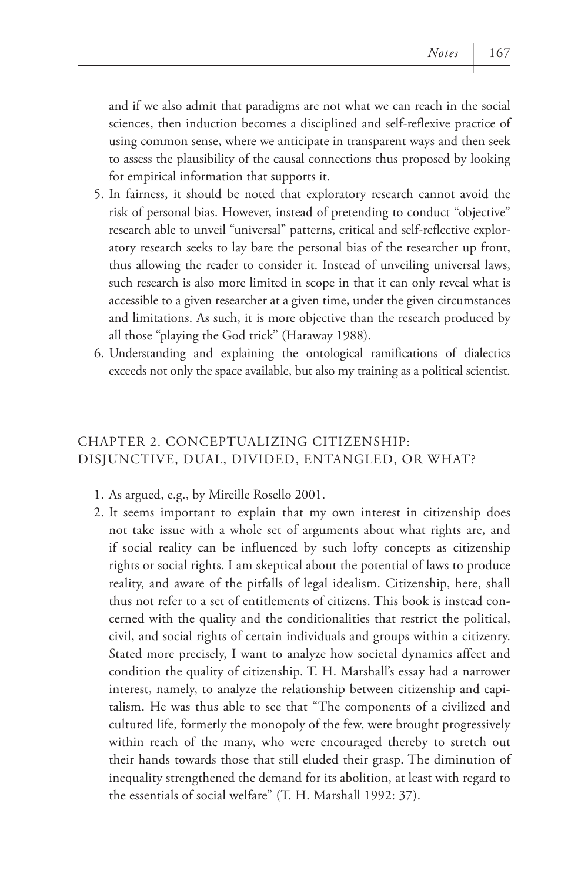and if we also admit that paradigms are not what we can reach in the social sciences, then induction becomes a disciplined and self-reflexive practice of using common sense, where we anticipate in transparent ways and then seek to assess the plausibility of the causal connections thus proposed by looking for empirical information that supports it.

- 5. In fairness, it should be noted that exploratory research cannot avoid the risk of personal bias. However, instead of pretending to conduct "objective" research able to unveil "universal" patterns, critical and self-reflective exploratory research seeks to lay bare the personal bias of the researcher up front, thus allowing the reader to consider it. Instead of unveiling universal laws, such research is also more limited in scope in that it can only reveal what is accessible to a given researcher at a given time, under the given circumstances and limitations. As such, it is more objective than the research produced by all those "playing the God trick" (Haraway 1988).
- 6. Understanding and explaining the ontological ramifications of dialectics exceeds not only the space available, but also my training as a political scientist.

## Chapter 2. Conceptualizing Citizenship: Disjunctive, Dual, Divided, Entangled, or What?

- 1. As argued, e.g., by Mireille Rosello 2001.
- 2. It seems important to explain that my own interest in citizenship does not take issue with a whole set of arguments about what rights are, and if social reality can be influenced by such lofty concepts as citizenship rights or social rights. I am skeptical about the potential of laws to produce reality, and aware of the pitfalls of legal idealism. Citizenship, here, shall thus not refer to a set of entitlements of citizens. This book is instead concerned with the quality and the conditionalities that restrict the political, civil, and social rights of certain individuals and groups within a citizenry. Stated more precisely, I want to analyze how societal dynamics affect and condition the quality of citizenship. T. H. Marshall's essay had a narrower interest, namely, to analyze the relationship between citizenship and capitalism. He was thus able to see that "The components of a civilized and cultured life, formerly the monopoly of the few, were brought progressively within reach of the many, who were encouraged thereby to stretch out their hands towards those that still eluded their grasp. The diminution of inequality strengthened the demand for its abolition, at least with regard to the essentials of social welfare" (T. H. Marshall 1992: 37).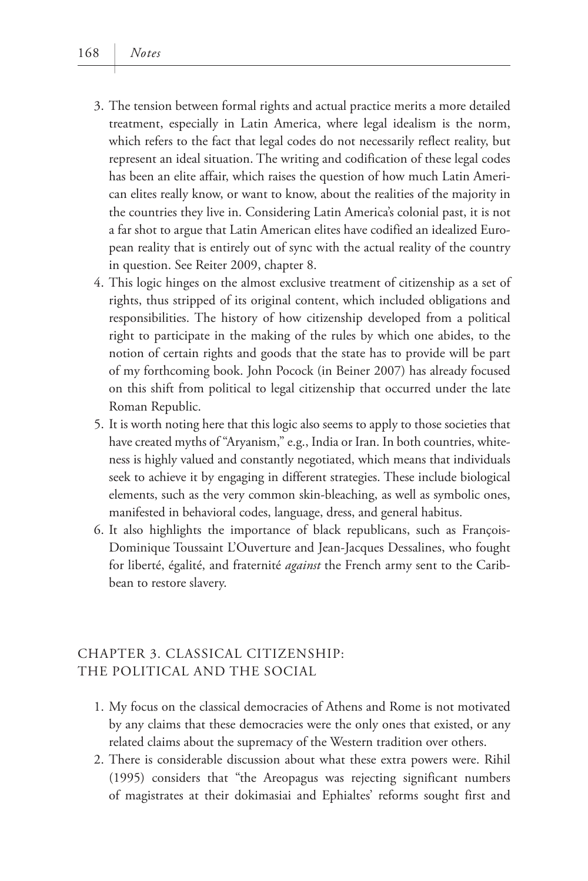- 3. The tension between formal rights and actual practice merits a more detailed treatment, especially in Latin America, where legal idealism is the norm, which refers to the fact that legal codes do not necessarily reflect reality, but represent an ideal situation. The writing and codification of these legal codes has been an elite affair, which raises the question of how much Latin American elites really know, or want to know, about the realities of the majority in the countries they live in. Considering Latin America's colonial past, it is not a far shot to argue that Latin American elites have codified an idealized European reality that is entirely out of sync with the actual reality of the country in question. See Reiter 2009, chapter 8.
- 4. This logic hinges on the almost exclusive treatment of citizenship as a set of rights, thus stripped of its original content, which included obligations and responsibilities. The history of how citizenship developed from a political right to participate in the making of the rules by which one abides, to the notion of certain rights and goods that the state has to provide will be part of my forthcoming book. John Pocock (in Beiner 2007) has already focused on this shift from political to legal citizenship that occurred under the late Roman Republic.
- 5. It is worth noting here that this logic also seems to apply to those societies that have created myths of "Aryanism," e.g., India or Iran. In both countries, whiteness is highly valued and constantly negotiated, which means that individuals seek to achieve it by engaging in different strategies. These include biological elements, such as the very common skin-bleaching, as well as symbolic ones, manifested in behavioral codes, language, dress, and general habitus.
- 6. It also highlights the importance of black republicans, such as François-Dominique Toussaint L'Ouverture and Jean-Jacques Dessalines, who fought for liberté, égalité, and fraternité *against* the French army sent to the Caribbean to restore slavery.

## Chapter 3. Classical Citizenship: The Political and the Social

- 1. My focus on the classical democracies of Athens and Rome is not motivated by any claims that these democracies were the only ones that existed, or any related claims about the supremacy of the Western tradition over others.
- 2. There is considerable discussion about what these extra powers were. Rihil (1995) considers that "the Areopagus was rejecting significant numbers of magistrates at their dokimasiai and Ephialtes' reforms sought first and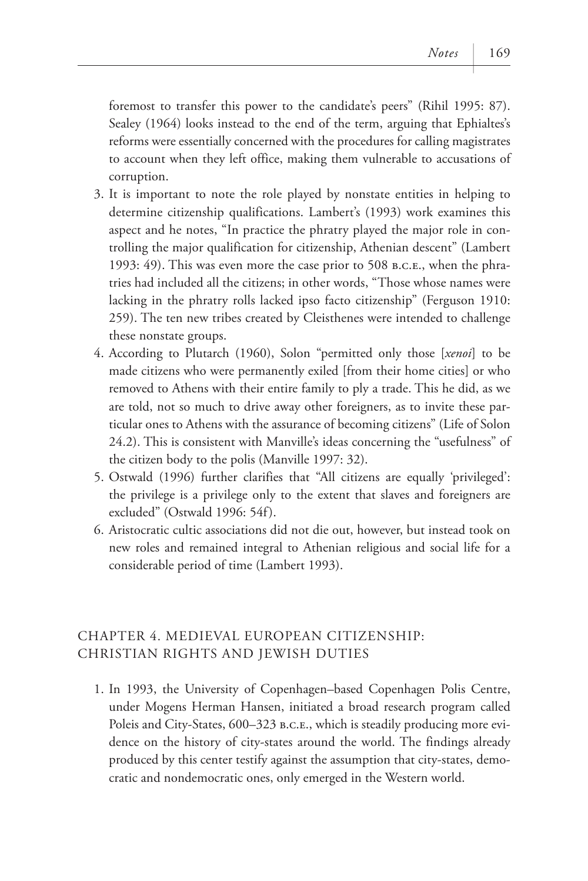foremost to transfer this power to the candidate's peers" (Rihil 1995: 87). Sealey (1964) looks instead to the end of the term, arguing that Ephialtes's reforms were essentially concerned with the procedures for calling magistrates to account when they left office, making them vulnerable to accusations of corruption.

- 3. It is important to note the role played by nonstate entities in helping to determine citizenship qualifications. Lambert's (1993) work examines this aspect and he notes, "In practice the phratry played the major role in controlling the major qualification for citizenship, Athenian descent" (Lambert 1993: 49). This was even more the case prior to 508 b.c.e., when the phratries had included all the citizens; in other words, "Those whose names were lacking in the phratry rolls lacked ipso facto citizenship" (Ferguson 1910: 259). The ten new tribes created by Cleisthenes were intended to challenge these nonstate groups.
- 4. According to Plutarch (1960), Solon "permitted only those [*xenoi*] to be made citizens who were permanently exiled [from their home cities] or who removed to Athens with their entire family to ply a trade. This he did, as we are told, not so much to drive away other foreigners, as to invite these particular ones to Athens with the assurance of becoming citizens" (Life of Solon 24.2). This is consistent with Manville's ideas concerning the "usefulness" of the citizen body to the polis (Manville 1997: 32).
- 5. Ostwald (1996) further clarifies that "All citizens are equally 'privileged': the privilege is a privilege only to the extent that slaves and foreigners are excluded" (Ostwald 1996: 54f).
- 6. Aristocratic cultic associations did not die out, however, but instead took on new roles and remained integral to Athenian religious and social life for a considerable period of time (Lambert 1993).

## Chapter 4. Medieval European Citizenship: Christian Rights and Jewish Duties

1. In 1993, the University of Copenhagen–based Copenhagen Polis Centre, under Mogens Herman Hansen, initiated a broad research program called Poleis and City-States, 600–323 b.c.e., which is steadily producing more evidence on the history of city-states around the world. The findings already produced by this center testify against the assumption that city-states, democratic and nondemocratic ones, only emerged in the Western world.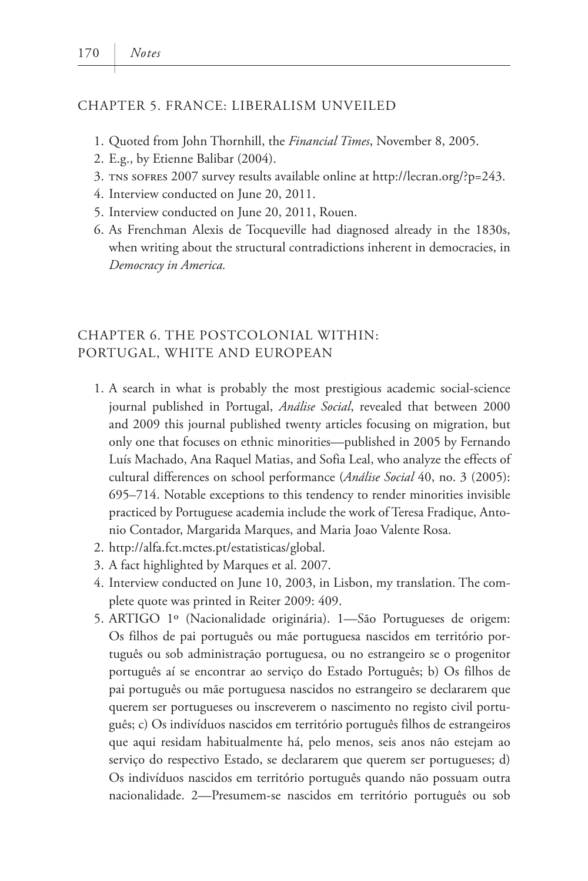#### Chapter 5. France: Liberalism Unveiled

- 1. Quoted from John Thornhill, the *Financial Times*, November 8, 2005.
- 2. E.g., by Etienne Balibar (2004).
- 3. tns sofres 2007 survey results available online at http://lecran.org/?p=243.
- 4. Interview conducted on June 20, 2011.
- 5. Interview conducted on June 20, 2011, Rouen.
- 6. As Frenchman Alexis de Tocqueville had diagnosed already in the 1830s, when writing about the structural contradictions inherent in democracies, in *Democracy in America.*

## Chapter 6. The Postcolonial Within: Portugal, White and European

- 1. A search in what is probably the most prestigious academic social-science journal published in Portugal, *Análise Social*, revealed that between 2000 and 2009 this journal published twenty articles focusing on migration, but only one that focuses on ethnic minorities—published in 2005 by Fernando Luís Machado, Ana Raquel Matias, and Sofia Leal, who analyze the effects of cultural differences on school performance (*Análise Social* 40, no. 3 (2005): 695–714. Notable exceptions to this tendency to render minorities invisible practiced by Portuguese academia include the work of Teresa Fradique, Antonio Contador, Margarida Marques, and Maria Joao Valente Rosa.
- 2. http://alfa.fct.mctes.pt/estatisticas/global.
- 3. A fact highlighted by Marques et al. 2007.
- 4. Interview conducted on June 10, 2003, in Lisbon, my translation. The complete quote was printed in Reiter 2009: 409.
- 5. ARTIGO 1º (Nacionalidade originária). 1—São Portugueses de origem: Os filhos de pai português ou mãe portuguesa nascidos em território português ou sob administração portuguesa, ou no estrangeiro se o progenitor português aí se encontrar ao serviço do Estado Português; b) Os filhos de pai português ou mãe portuguesa nascidos no estrangeiro se declararem que querem ser portugueses ou inscreverem o nascimento no registo civil português; c) Os indivíduos nascidos em território português filhos de estrangeiros que aqui residam habitualmente há, pelo menos, seis anos não estejam ao serviço do respectivo Estado, se declararem que querem ser portugueses; d) Os indivíduos nascidos em território português quando não possuam outra nacionalidade. 2—Presumem-se nascidos em território português ou sob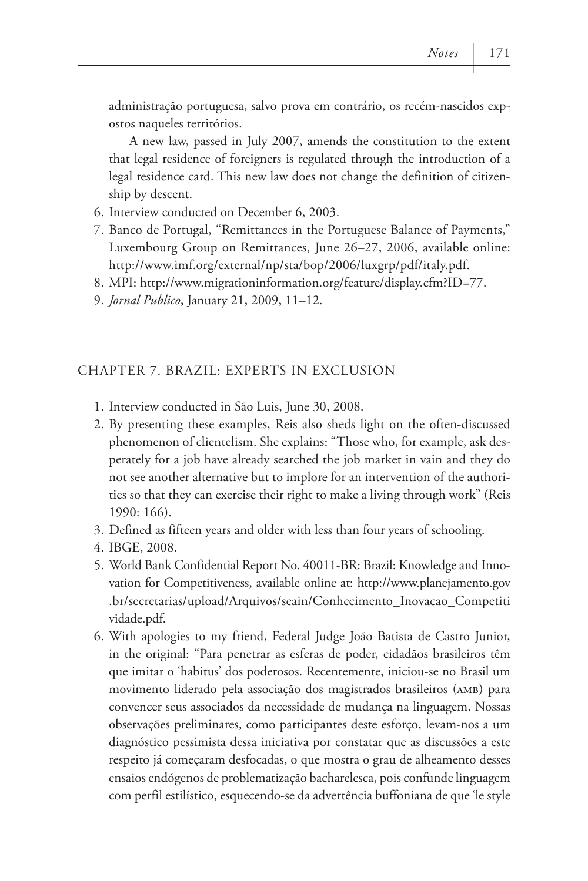administração portuguesa, salvo prova em contrário, os recém-nascidos expostos naqueles territórios.

A new law, passed in July 2007, amends the constitution to the extent that legal residence of foreigners is regulated through the introduction of a legal residence card. This new law does not change the definition of citizenship by descent.

- 6. Interview conducted on December 6, 2003.
- 7. Banco de Portugal, "Remittances in the Portuguese Balance of Payments," Luxembourg Group on Remittances, June 26–27, 2006, available online: http://www.imf.org/external/np/sta/bop/2006/luxgrp/pdf/italy.pdf.
- 8. MPI: http://www.migrationinformation.org/feature/display.cfm?ID=77.
- 9. *Jornal Publico*, January 21, 2009, 11–12.

#### Chapter 7. Brazil: Experts in Exclusion

- 1. Interview conducted in São Luis, June 30, 2008.
- 2. By presenting these examples, Reis also sheds light on the often-discussed phenomenon of clientelism. She explains: "Those who, for example, ask desperately for a job have already searched the job market in vain and they do not see another alternative but to implore for an intervention of the authorities so that they can exercise their right to make a living through work" (Reis 1990: 166).
- 3. Defined as fifteen years and older with less than four years of schooling.
- 4. IBGE, 2008.
- 5. World Bank Confidential Report No. 40011-BR: Brazil: Knowledge and Innovation for Competitiveness, available online at: http://www.planejamento.gov .br/secretarias/upload/Arquivos/seain/Conhecimento\_Inovacao\_Competiti vidade.pdf.
- 6. With apologies to my friend, Federal Judge João Batista de Castro Junior, in the original: "Para penetrar as esferas de poder, cidadãos brasileiros têm que imitar o 'habitus' dos poderosos. Recentemente, iniciou-se no Brasil um movimento liderado pela associação dos magistrados brasileiros (amb) para convencer seus associados da necessidade de mudança na linguagem. Nossas observações preliminares, como participantes deste esforço, levam-nos a um diagnóstico pessimista dessa iniciativa por constatar que as discussões a este respeito já começaram desfocadas, o que mostra o grau de alheamento desses ensaios endógenos de problematização bacharelesca, pois confunde linguagem com perfil estilístico, esquecendo-se da advertência buffoniana de que 'le style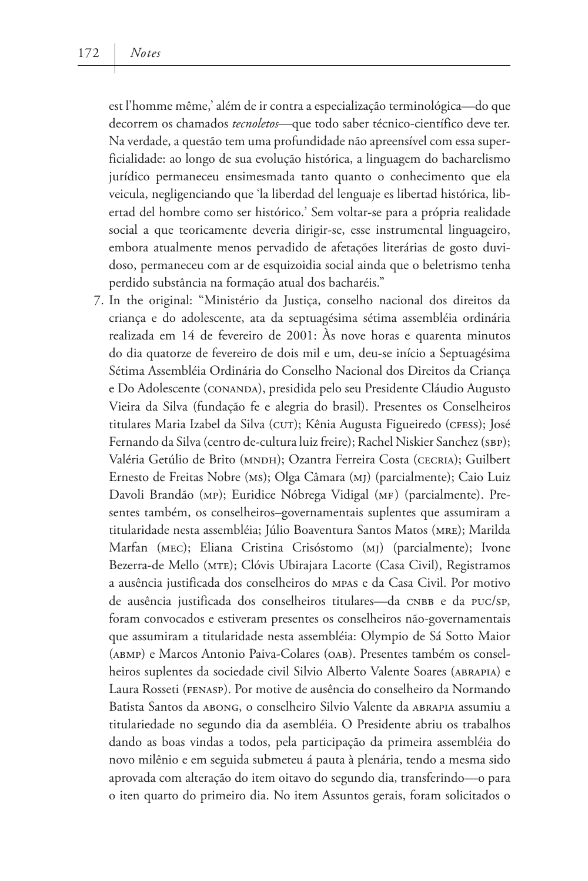est l'homme même,' além de ir contra a especialização terminológica—do que decorrem os chamados *tecnoletos—*que todo saber técnico-científico deve ter. Na verdade, a questão tem uma profundidade não apreensível com essa superficialidade: ao longo de sua evolução histórica, a linguagem do bacharelismo jurídico permaneceu ensimesmada tanto quanto o conhecimento que ela veicula, negligenciando que 'la liberdad del lenguaje es libertad histórica, libertad del hombre como ser histórico.' Sem voltar-se para a própria realidade social a que teoricamente deveria dirigir-se, esse instrumental linguageiro, embora atualmente menos pervadido de afetações literárias de gosto duvidoso, permaneceu com ar de esquizoidia social ainda que o beletrismo tenha perdido substância na formação atual dos bacharéis."

7. In the original: "Ministério da Justiça, conselho nacional dos direitos da criança e do adolescente, ata da septuagésima sétima assembléia ordinária realizada em 14 de fevereiro de 2001: Às nove horas e quarenta minutos do dia quatorze de fevereiro de dois mil e um, deu-se início a Septuagésima Sétima Assembléia Ordinária do Conselho Nacional dos Direitos da Criança e Do Adolescente (conanda), presidida pelo seu Presidente Cláudio Augusto Vieira da Silva (fundação fe e alegria do brasil). Presentes os Conselheiros titulares Maria Izabel da Silva (cur); Kênia Augusta Figueiredo (cress); José Fernando da Silva (centro de-cultura luiz freire); Rachel Niskier Sanchez (sbp); Valéria Getúlio de Brito (мNDH); Ozantra Ferreira Costa (CECRIA); Guilbert Ernesto de Freitas Nobre (ms); Olga Câmara (mj) (parcialmente); Caio Luiz Davoli Brandão (MP); Euridice Nóbrega Vidigal (MF) (parcialmente). Presentes também, os conselheiros–governamentais suplentes que assumiram a titularidade nesta assembléia; Júlio Boaventura Santos Matos (mre); Marilda Marfan (mec); Eliana Cristina Crisóstomo (mj) (parcialmente); Ivone Bezerra-de Mello (mte); Clóvis Ubirajara Lacorte (Casa Civil), Registramos a ausência justificada dos conselheiros do mpas e da Casa Civil. Por motivo de ausência justificada dos conselheiros titulares—da CNBB e da PUC/SP, foram convocados e estiveram presentes os conselheiros não-governamentais que assumiram a titularidade nesta assembléia: Olympio de Sá Sotto Maior (abmp) e Marcos Antonio Paiva-Colares (oab). Presentes também os conselheiros suplentes da sociedade civil Silvio Alberto Valente Soares (abrapia) e Laura Rosseti (fenasp). Por motive de ausência do conselheiro da Normando Batista Santos da abong, o conselheiro Silvio Valente da abrapia assumiu a titulariedade no segundo dia da asembléia. O Presidente abriu os trabalhos dando as boas vindas a todos, pela participação da primeira assembléia do novo milênio e em seguida submeteu á pauta à plenária, tendo a mesma sido aprovada com alteração do item oitavo do segundo dia, transferindo—o para o iten quarto do primeiro dia. No item Assuntos gerais, foram solicitados o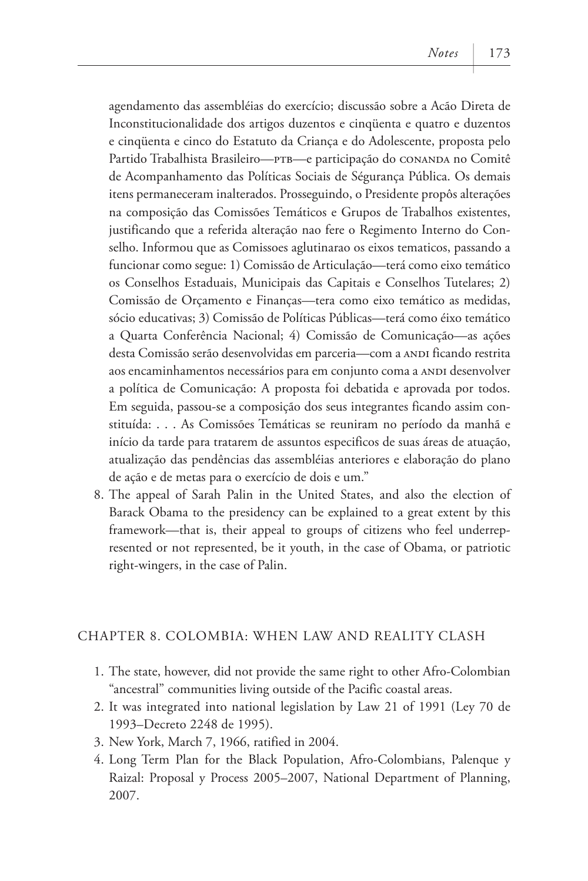agendamento das assembléias do exercício; discussão sobre a Acão Direta de Inconstitucionalidade dos artigos duzentos e cinqüenta e quatro e duzentos e cinqüenta e cinco do Estatuto da Criança e do Adolescente, proposta pelo Partido Trabalhista Brasileiro—PTB—e participação do CONANDA no Comitê de Acompanhamento das Políticas Sociais de Ségurança Pública. Os demais itens permaneceram inalterados. Prosseguindo, o Presidente propôs alterações na composição das Comissões Temáticos e Grupos de Trabalhos existentes, justificando que a referida alteração nao fere o Regimento Interno do Conselho. Informou que as Comissoes aglutinarao os eixos tematicos, passando a funcionar como segue: 1) Comissão de Articulação—terá como eixo temático os Conselhos Estaduais, Municipais das Capitais e Conselhos Tutelares; 2) Comissão de Orçamento e Finanças—tera como eixo temático as medidas, sócio educativas; 3) Comissão de Políticas Públicas—terá como éixo temático a Quarta Conferência Nacional; 4) Comissão de Comunicação—as ações desta Comissão serão desenvolvidas em parceria—com a andi ficando restrita aos encaminhamentos necessários para em conjunto coma a ANDI desenvolver a política de Comunicação: A proposta foi debatida e aprovada por todos. Em seguida, passou-se a composição dos seus integrantes ficando assim constituída: . . . As Comissões Temáticas se reuniram no período da manhã e início da tarde para tratarem de assuntos especificos de suas áreas de atuação, atualização das pendências das assembléias anteriores e elaboração do plano de ação e de metas para o exercício de dois e um."

8. The appeal of Sarah Palin in the United States, and also the election of Barack Obama to the presidency can be explained to a great extent by this framework—that is, their appeal to groups of citizens who feel underrepresented or not represented, be it youth, in the case of Obama, or patriotic right-wingers, in the case of Palin.

#### Chapter 8. Colombia: When Law and Reality Clash

- 1. The state, however, did not provide the same right to other Afro-Colombian "ancestral" communities living outside of the Pacific coastal areas.
- 2. It was integrated into national legislation by Law 21 of 1991 (Ley 70 de 1993–Decreto 2248 de 1995).
- 3. New York, March 7, 1966, ratified in 2004.
- 4. Long Term Plan for the Black Population, Afro-Colombians, Palenque y Raizal: Proposal y Process 2005–2007, National Department of Planning, 2007.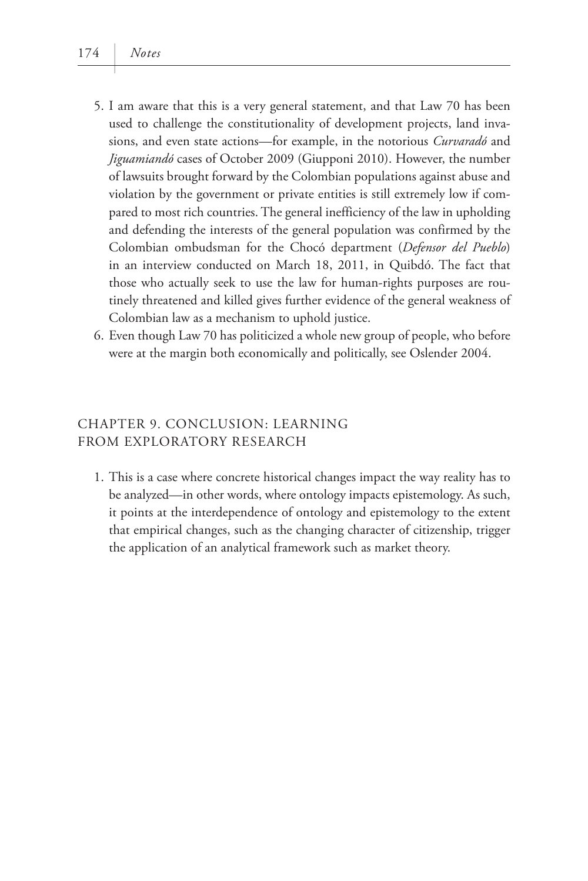- 5. I am aware that this is a very general statement, and that Law 70 has been used to challenge the constitutionality of development projects, land invasions, and even state actions—for example, in the notorious *Curvaradó* and *Jiguamiandó* cases of October 2009 (Giupponi 2010). However, the number of lawsuits brought forward by the Colombian populations against abuse and violation by the government or private entities is still extremely low if compared to most rich countries. The general inefficiency of the law in upholding and defending the interests of the general population was confirmed by the Colombian ombudsman for the Chocó department (*Defensor del Pueblo*) in an interview conducted on March 18, 2011, in Quibdó. The fact that those who actually seek to use the law for human-rights purposes are routinely threatened and killed gives further evidence of the general weakness of Colombian law as a mechanism to uphold justice.
- 6. Even though Law 70 has politicized a whole new group of people, who before were at the margin both economically and politically, see Oslender 2004.

#### Chapter 9. Conclusion: Learning from Exploratory Research

1. This is a case where concrete historical changes impact the way reality has to be analyzed—in other words, where ontology impacts epistemology. As such, it points at the interdependence of ontology and epistemology to the extent that empirical changes, such as the changing character of citizenship, trigger the application of an analytical framework such as market theory.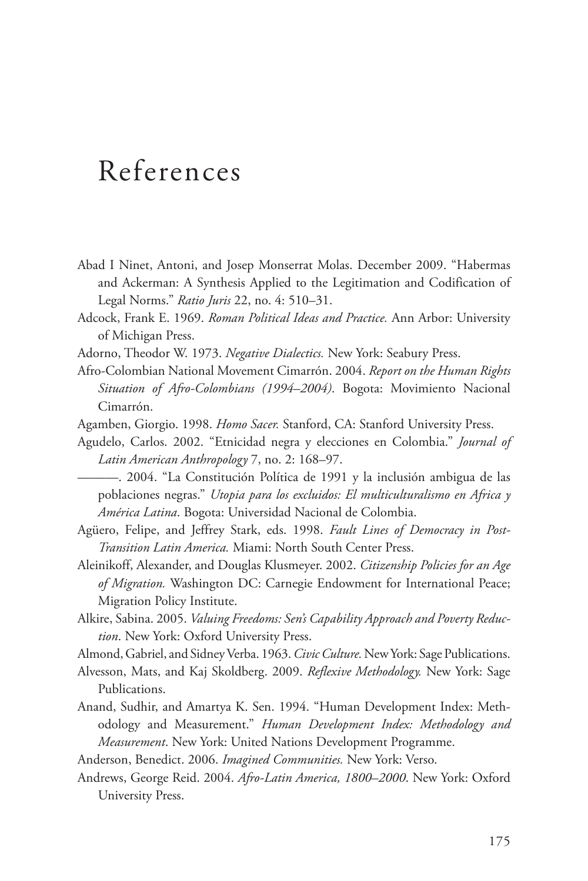# References

- Abad I Ninet, Antoni, and Josep Monserrat Molas. December 2009. "Habermas and Ackerman: A Synthesis Applied to the Legitimation and Codification of Legal Norms." *Ratio Juris* 22, no. 4: 510–31.
- Adcock, Frank E. 1969. *Roman Political Ideas and Practice.* Ann Arbor: University of Michigan Press.
- Adorno, Theodor W. 1973. *Negative Dialectics.* New York: Seabury Press.
- Afro-Colombian National Movement Cimarrón. 2004. *Report on the Human Rights Situation of Afro-Colombians (1994–2004)*. Bogota: Movimiento Nacional Cimarrón.
- Agamben, Giorgio. 1998. *Homo Sacer.* Stanford, CA: Stanford University Press.
- Agudelo, Carlos. 2002. "Etnicidad negra y elecciones en Colombia." *Journal of Latin American Anthropology* 7, no. 2: 168–97.
	- ———. 2004. "La Constitución Política de 1991 y la inclusión ambigua de las poblaciones negras." *Utopia para los excluidos: El multiculturalismo en Africa y América Latina*. Bogota: Universidad Nacional de Colombia.
- Agüero, Felipe, and Jeffrey Stark, eds. 1998. *Fault Lines of Democracy in Post-Transition Latin America.* Miami: North South Center Press.
- Aleinikoff, Alexander, and Douglas Klusmeyer. 2002. *Citizenship Policies for an Age of Migration.* Washington DC: Carnegie Endowment for International Peace; Migration Policy Institute.
- Alkire, Sabina. 2005. *Valuing Freedoms: Sen's Capability Approach and Poverty Reduction*. New York: Oxford University Press.
- Almond, Gabriel, and Sidney Verba. 1963. *Civic Culture.*New York: Sage Publications.
- Alvesson, Mats, and Kaj Skoldberg. 2009. *Reflexive Methodology.* New York: Sage Publications.
- Anand, Sudhir, and Amartya K. Sen. 1994. "Human Development Index: Methodology and Measurement." *Human Development Index: Methodology and Measurement*. New York: United Nations Development Programme.
- Anderson, Benedict. 2006. *Imagined Communities.* New York: Verso.
- Andrews, George Reid. 2004. *Afro-Latin America, 1800–2000*. New York: Oxford University Press.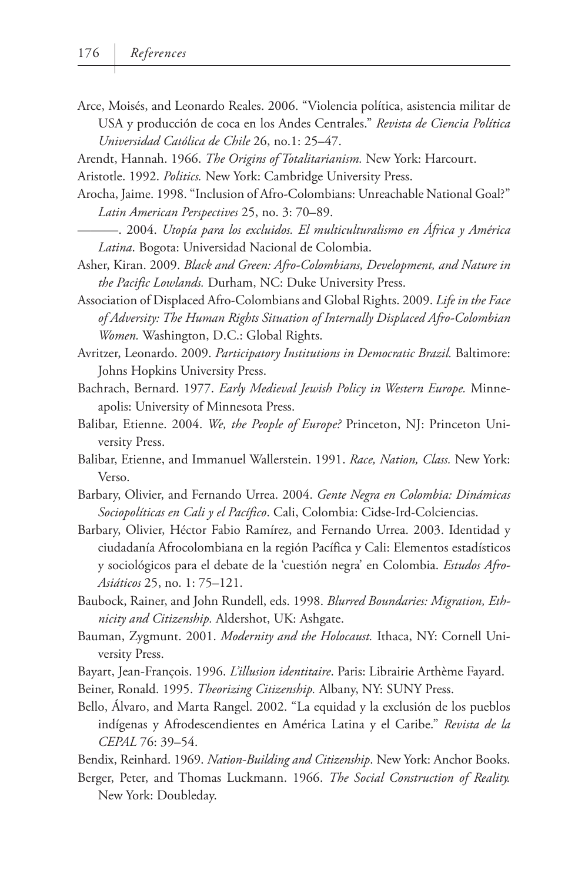Arce, Moisés, and Leonardo Reales. 2006. "Violencia política, asistencia militar de USA y producción de coca en los Andes Centrales." *Revista de Ciencia Política Universidad Católica de Chile* 26, no.1: 25–47.

Arendt, Hannah. 1966. *The Origins of Totalitarianism.* New York: Harcourt.

- Arocha, Jaime. 1998. "Inclusion of Afro-Colombians: Unreachable National Goal?" *Latin American Perspectives* 25, no. 3: 70–89.
- ———. 2004. *Utopía para los excluidos. El multiculturalismo en África y América Latina*. Bogota: Universidad Nacional de Colombia.
- Asher, Kiran. 2009. *Black and Green: Afro-Colombians, Development, and Nature in the Pacific Lowlands.* Durham, NC: Duke University Press.
- Association of Displaced Afro-Colombians and Global Rights. 2009. *Life in the Face of Adversity: The Human Rights Situation of Internally Displaced Afro-Colombian Women.* Washington, D.C.: Global Rights.
- Avritzer, Leonardo. 2009. *Participatory Institutions in Democratic Brazil.* Baltimore: Johns Hopkins University Press.
- Bachrach, Bernard. 1977. *Early Medieval Jewish Policy in Western Europe.* Minneapolis: University of Minnesota Press.
- Balibar, Etienne. 2004. *We, the People of Europe?* Princeton, NJ: Princeton University Press.
- Balibar, Etienne, and Immanuel Wallerstein. 1991. *Race, Nation, Class.* New York: Verso.
- Barbary, Olivier, and Fernando Urrea. 2004. *Gente Negra en Colombia: Dinámicas Sociopolíticas en Cali y el Pacífico*. Cali, Colombia: Cidse-Ird-Colciencias.
- Barbary, Olivier, Héctor Fabio Ramírez, and Fernando Urrea. 2003. Identidad y ciudadanía Afrocolombiana en la región Pacífica y Cali: Elementos estadísticos y sociológicos para el debate de la 'cuestión negra' en Colombia. *Estudos Afro-Asiáticos* 25, no. 1: 75–121.
- Baubock, Rainer, and John Rundell, eds. 1998. *Blurred Boundaries: Migration, Ethnicity and Citizenship.* Aldershot, UK: Ashgate.
- Bauman, Zygmunt. 2001. *Modernity and the Holocaust.* Ithaca, NY: Cornell University Press.
- Bayart, Jean-François. 1996. *L'illusion identitaire*. Paris: Librairie Arthème Fayard.
- Beiner, Ronald. 1995. *Theorizing Citizenship.* Albany, NY: SUNY Press.
- Bello, Álvaro, and Marta Rangel. 2002. "La equidad y la exclusión de los pueblos indígenas y Afrodescendientes en América Latina y el Caribe." *Revista de la CEPAL* 76: 39–54.
- Bendix, Reinhard. 1969. *Nation-Building and Citizenship*. New York: Anchor Books.
- Berger, Peter, and Thomas Luckmann. 1966. *The Social Construction of Reality.* New York: Doubleday.

Aristotle. 1992. *Politics.* New York: Cambridge University Press.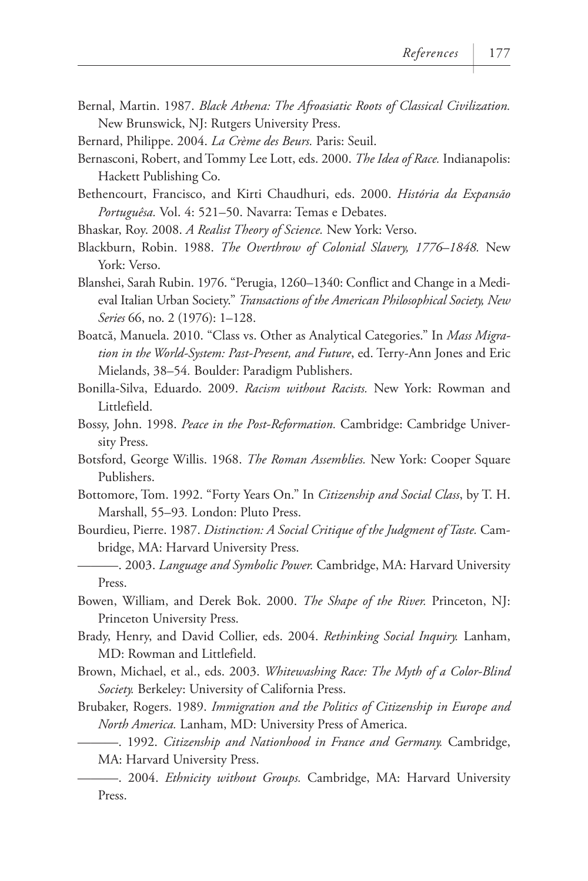- Bernal, Martin. 1987. *Black Athena: The Afroasiatic Roots of Classical Civilization.* New Brunswick, NJ: Rutgers University Press.
- Bernard, Philippe. 2004. *La Crème des Beurs.* Paris: Seuil.
- Bernasconi, Robert, and Tommy Lee Lott, eds. 2000. *The Idea of Race.* Indianapolis: Hackett Publishing Co.
- Bethencourt, Francisco, and Kirti Chaudhuri, eds. 2000. *História da Expansão Portuguêsa.* Vol. 4: 521–50. Navarra: Temas e Debates.
- Bhaskar, Roy. 2008. *A Realist Theory of Science.* New York: Verso.
- Blackburn, Robin. 1988. *The Overthrow of Colonial Slavery, 1776–1848.* New York: Verso.
- Blanshei, Sarah Rubin. 1976. "Perugia, 1260–1340: Conflict and Change in a Medieval Italian Urban Society." *Transactions of the American Philosophical Society, New Series* 66, no. 2 (1976): 1–128.
- Boatcă, Manuela. 2010. "Class vs. Other as Analytical Categories." In *Mass Migration in the World-System: Past-Present, and Future*, ed. Terry-Ann Jones and Eric Mielands, 38–54*.* Boulder: Paradigm Publishers.
- Bonilla-Silva, Eduardo. 2009. *Racism without Racists.* New York: Rowman and Littlefield.
- Bossy, John. 1998. *Peace in the Post-Reformation.* Cambridge: Cambridge University Press.
- Botsford, George Willis. 1968. *The Roman Assemblies.* New York: Cooper Square Publishers.
- Bottomore, Tom. 1992. "Forty Years On." In *Citizenship and Social Class*, by T. H. Marshall, 55–93*.* London: Pluto Press.
- Bourdieu, Pierre. 1987. *Distinction: A Social Critique of the Judgment of Taste.* Cambridge, MA: Harvard University Press.
- ———. 2003. *Language and Symbolic Power.* Cambridge, MA: Harvard University Press.
- Bowen, William, and Derek Bok. 2000. *The Shape of the River.* Princeton, NJ: Princeton University Press.
- Brady, Henry, and David Collier, eds. 2004. *Rethinking Social Inquiry.* Lanham, MD: Rowman and Littlefield.
- Brown, Michael, et al., eds. 2003. *Whitewashing Race: The Myth of a Color-Blind Society.* Berkeley: University of California Press.
- Brubaker, Rogers. 1989. *Immigration and the Politics of Citizenship in Europe and North America.* Lanham, MD: University Press of America.
	- ———. 1992. *Citizenship and Nationhood in France and Germany.* Cambridge, MA: Harvard University Press.

———. 2004. *Ethnicity without Groups.* Cambridge, MA: Harvard University Press.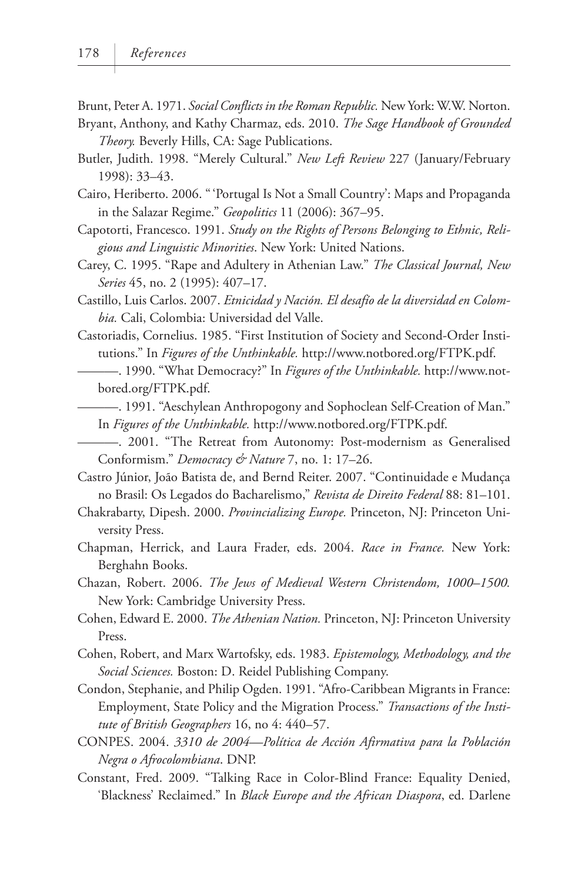- Brunt, Peter A. 1971. *Social Conflicts in the Roman Republic.* New York: W.W. Norton.
- Bryant, Anthony, and Kathy Charmaz, eds. 2010. *The Sage Handbook of Grounded Theory.* Beverly Hills, CA: Sage Publications.
- Butler, Judith. 1998. "Merely Cultural." *New Left Review* 227 (January/February 1998): 33–43.
- Cairo, Heriberto. 2006. " 'Portugal Is Not a Small Country': Maps and Propaganda in the Salazar Regime." *Geopolitics* 11 (2006): 367–95.
- Capotorti, Francesco. 1991. *Study on the Rights of Persons Belonging to Ethnic, Religious and Linguistic Minorities*. New York: United Nations.
- Carey, C. 1995. "Rape and Adultery in Athenian Law." *The Classical Journal, New Series* 45, no. 2 (1995): 407–17.
- Castillo, Luis Carlos. 2007. *Etnicidad y Nación. El desafío de la diversidad en Colombia.* Cali, Colombia: Universidad del Valle.
- Castoriadis, Cornelius. 1985. "First Institution of Society and Second-Order Institutions." In *Figures of the Unthinkable.* http://www.notbored.org/FTPK.pdf.
	- ———. 1990. "What Democracy?" In *Figures of the Unthinkable.* http://www.notbored.org/FTPK.pdf.
		- ———. 1991. "Aeschylean Anthropogony and Sophoclean Self-Creation of Man." In *Figures of the Unthinkable.* http://www.notbored.org/FTPK.pdf.

———. 2001. "The Retreat from Autonomy: Post-modernism as Generalised Conformism." *Democracy & Nature* 7, no. 1: 17–26.

- Castro Júnior, João Batista de, and Bernd Reiter. 2007. "Continuidade e Mudança no Brasil: Os Legados do Bacharelismo," *Revista de Direito Federal* 88: 81–101.
- Chakrabarty, Dipesh. 2000. *Provincializing Europe.* Princeton, NJ: Princeton University Press.
- Chapman, Herrick, and Laura Frader, eds. 2004. *Race in France.* New York: Berghahn Books.
- Chazan, Robert. 2006. *The Jews of Medieval Western Christendom, 1000–1500.* New York: Cambridge University Press.
- Cohen, Edward E. 2000. *The Athenian Nation.* Princeton, NJ: Princeton University Press.
- Cohen, Robert, and Marx Wartofsky, eds. 1983. *Epistemology, Methodology, and the Social Sciences.* Boston: D. Reidel Publishing Company.
- Condon, Stephanie, and Philip Ogden. 1991. "Afro-Caribbean Migrants in France: Employment, State Policy and the Migration Process." *Transactions of the Institute of British Geographers* 16, no 4: 440–57.
- CONPES. 2004. *3310 de 2004—Política de Acción Afirmativa para la Población Negra o Afrocolombiana*. DNP.
- Constant, Fred. 2009. "Talking Race in Color-Blind France: Equality Denied, 'Blackness' Reclaimed." In *Black Europe and the African Diaspora*, ed. Darlene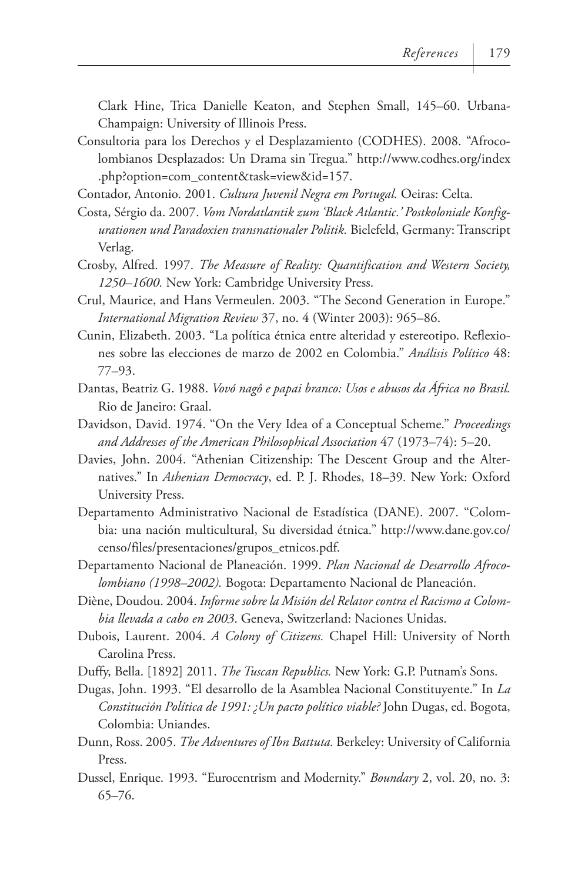Clark Hine, Trica Danielle Keaton, and Stephen Small, 145–60. Urbana-Champaign: University of Illinois Press.

Consultoria para los Derechos y el Desplazamiento (CODHES). 2008. "Afrocolombianos Desplazados: Un Drama sin Tregua." http://www.codhes.org/index .php?option=com\_content&task=view&id=157.

Contador, Antonio. 2001. *Cultura Juvenil Negra em Portugal.* Oeiras: Celta.

- Costa, Sérgio da. 2007. *Vom Nordatlantik zum 'Black Atlantic.' Postkoloniale Konfigurationen und Paradoxien transnationaler Politik.* Bielefeld, Germany: Transcript Verlag.
- Crosby, Alfred. 1997. *The Measure of Reality: Quantification and Western Society, 1250–1600.* New York: Cambridge University Press.
- Crul, Maurice, and Hans Vermeulen. 2003. "The Second Generation in Europe." *International Migration Review* 37, no. 4 (Winter 2003): 965–86.
- Cunin, Elizabeth. 2003. "La política étnica entre alteridad y estereotipo. Reflexiones sobre las elecciones de marzo de 2002 en Colombia." *Análisis Político* 48: 77–93.
- Dantas, Beatriz G. 1988. *Vovó nagô e papai branco: Usos e abusos da África no Brasil.* Rio de Janeiro: Graal.
- Davidson, David. 1974. "On the Very Idea of a Conceptual Scheme." *Proceedings and Addresses of the American Philosophical Association* 47 (1973–74): 5–20.
- Davies, John. 2004. "Athenian Citizenship: The Descent Group and the Alternatives." In *Athenian Democracy*, ed. P. J. Rhodes, 18–39*.* New York: Oxford University Press.
- Departamento Administrativo Nacional de Estadística (DANE). 2007. "Colombia: una nación multicultural, Su diversidad étnica." http://www.dane.gov.co/ censo/files/presentaciones/grupos\_etnicos.pdf.
- Departamento Nacional de Planeación. 1999. *Plan Nacional de Desarrollo Afrocolombiano (1998–2002).* Bogota: Departamento Nacional de Planeación.
- Diène, Doudou. 2004. *Informe sobre la Misión del Relator contra el Racismo a Colombia llevada a cabo en 2003*. Geneva, Switzerland: Naciones Unidas.
- Dubois, Laurent. 2004. *A Colony of Citizens.* Chapel Hill: University of North Carolina Press.
- Duffy, Bella. [1892] 2011. *The Tuscan Republics.* New York: G.P. Putnam's Sons.
- Dugas, John. 1993. "El desarrollo de la Asamblea Nacional Constituyente." In *La Constitución Política de 1991: ¿Un pacto político viable?* John Dugas, ed. Bogota, Colombia: Uniandes.
- Dunn, Ross. 2005. *The Adventures of Ibn Battuta.* Berkeley: University of California Press.
- Dussel, Enrique. 1993. "Eurocentrism and Modernity." *Boundary* 2, vol. 20, no. 3: 65–76.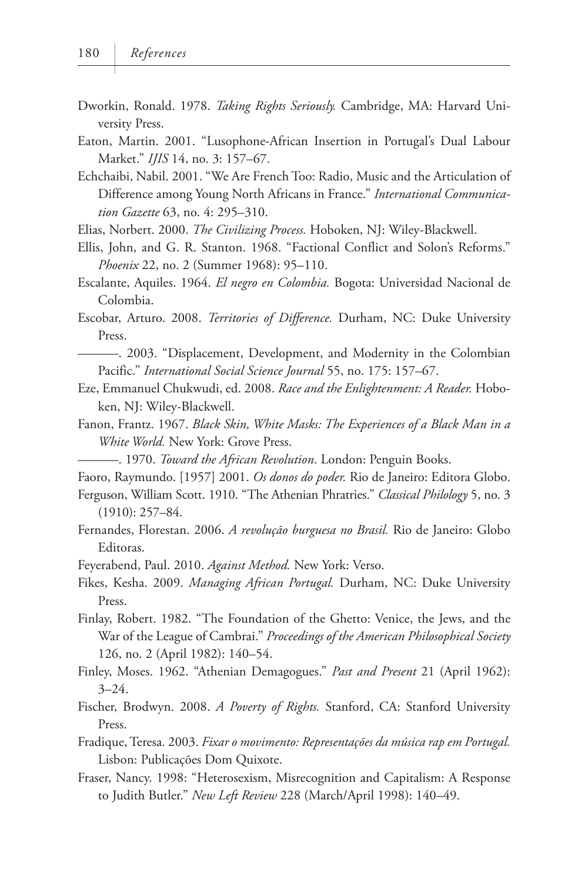- Dworkin, Ronald. 1978. *Taking Rights Seriously.* Cambridge, MA: Harvard University Press.
- Eaton, Martin. 2001. "Lusophone-African Insertion in Portugal's Dual Labour Market." *IJIS* 14, no. 3: 157–67.
- Echchaibi, Nabil. 2001. "We Are French Too: Radio, Music and the Articulation of Difference among Young North Africans in France." *International Communication Gazette* 63, no. 4: 295–310.
- Elias, Norbert. 2000. *The Civilizing Process.* Hoboken, NJ: Wiley-Blackwell.
- Ellis, John, and G. R. Stanton. 1968. "Factional Conflict and Solon's Reforms." *Phoenix* 22, no. 2 (Summer 1968): 95–110.
- Escalante, Aquiles. 1964. *El negro en Colombia.* Bogota: Universidad Nacional de Colombia.

Escobar, Arturo. 2008. *Territories of Difference.* Durham, NC: Duke University Press.

- ———. 2003. "Displacement, Development, and Modernity in the Colombian Pacific." *International Social Science Journal* 55, no. 175: 157–67.
- Eze, Emmanuel Chukwudi, ed. 2008. *Race and the Enlightenment: A Reader.* Hoboken, NJ: Wiley-Blackwell.
- Fanon, Frantz. 1967. *Black Skin, White Masks: The Experiences of a Black Man in a White World.* New York: Grove Press.
	- ———. 1970. *Toward the African Revolution*. London: Penguin Books.
- Faoro, Raymundo. [1957] 2001. *Os donos do poder.* Rio de Janeiro: Editora Globo.
- Ferguson, William Scott. 1910. "The Athenian Phratries." *Classical Philology* 5, no. 3 (1910): 257–84.
- Fernandes, Florestan. 2006. *A revolução burguesa no Brasil.* Rio de Janeiro: Globo Editoras.
- Feyerabend, Paul. 2010. *Against Method.* New York: Verso.
- Fikes, Kesha. 2009. *Managing African Portugal.* Durham, NC: Duke University Press.
- Finlay, Robert. 1982. "The Foundation of the Ghetto: Venice, the Jews, and the War of the League of Cambrai." *Proceedings of the American Philosophical Society* 126, no. 2 (April 1982): 140–54.
- Finley, Moses. 1962. "Athenian Demagogues." *Past and Present* 21 (April 1962):  $3 - 24.$
- Fischer, Brodwyn. 2008. *A Poverty of Rights.* Stanford, CA: Stanford University Press.
- Fradique, Teresa. 2003. *Fixar o movimento: Representações da música rap em Portugal.* Lisbon: Publicações Dom Quixote.
- Fraser, Nancy. 1998: "Heterosexism, Misrecognition and Capitalism: A Response to Judith Butler." *New Left Review* 228 (March/April 1998): 140–49.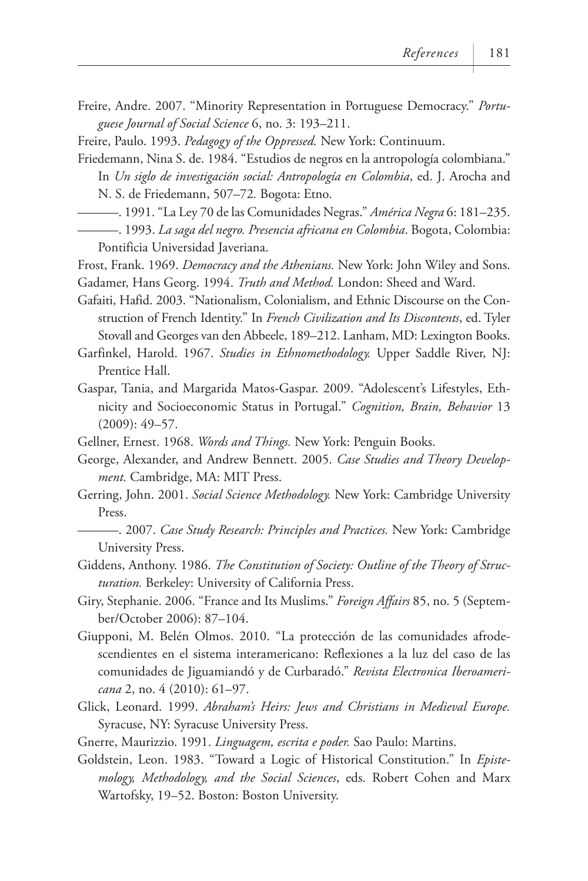Freire, Andre. 2007. "Minority Representation in Portuguese Democracy." *Portuguese Journal of Social Science* 6, no. 3: 193–211.

Freire, Paulo. 1993. *Pedagogy of the Oppressed.* New York: Continuum.

Friedemann, Nina S. de. 1984. "Estudios de negros en la antropología colombiana." In *Un siglo de investigación social: Antropología en Colombia*, ed. J. Arocha and

N. S. de Friedemann, 507–72*.* Bogota: Etno.

- ———. 1991. "La Ley 70 de las Comunidades Negras." *América Negra* 6: 181–235.
- ———. 1993. *La saga del negro. Presencia africana en Colombia*. Bogota, Colombia: Pontificia Universidad Javeriana.
- Frost, Frank. 1969. *Democracy and the Athenians.* New York: John Wiley and Sons. Gadamer, Hans Georg. 1994. *Truth and Method.* London: Sheed and Ward.
- Gafaiti, Hafid. 2003. "Nationalism, Colonialism, and Ethnic Discourse on the Construction of French Identity." In *French Civilization and Its Discontents*, ed. Tyler Stovall and Georges van den Abbeele, 189–212. Lanham, MD: Lexington Books.
- Garfinkel, Harold. 1967. *Studies in Ethnomethodology.* Upper Saddle River, NJ: Prentice Hall.
- Gaspar, Tania, and Margarida Matos-Gaspar. 2009. "Adolescent's Lifestyles, Ethnicity and Socioeconomic Status in Portugal." *Cognition, Brain, Behavior* 13 (2009): 49–57.
- Gellner, Ernest. 1968. *Words and Things.* New York: Penguin Books.
- George, Alexander, and Andrew Bennett. 2005. *Case Studies and Theory Development.* Cambridge, MA: MIT Press.
- Gerring, John. 2001. *Social Science Methodology.* New York: Cambridge University Press.
	- ———. 2007. *Case Study Research: Principles and Practices.* New York: Cambridge University Press.
- Giddens, Anthony. 1986. *The Constitution of Society: Outline of the Theory of Structuration.* Berkeley: University of California Press.
- Giry, Stephanie. 2006. "France and Its Muslims." *Foreign Affairs* 85, no. 5 (September/October 2006): 87–104.
- Giupponi, M. Belén Olmos. 2010. "La protección de las comunidades afrodescendientes en el sistema interamericano: Reflexiones a la luz del caso de las comunidades de Jiguamiandó y de Curbaradó." *Revista Electronica Iberoamericana* 2, no. 4 (2010): 61–97.
- Glick, Leonard. 1999. *Abraham's Heirs: Jews and Christians in Medieval Europe.* Syracuse, NY: Syracuse University Press.
- Gnerre, Maurizzio. 1991. *Linguagem, escrita e poder.* Sao Paulo: Martins.
- Goldstein, Leon. 1983. "Toward a Logic of Historical Constitution." In *Epistemology, Methodology, and the Social Sciences*, eds. Robert Cohen and Marx Wartofsky, 19–52. Boston: Boston University.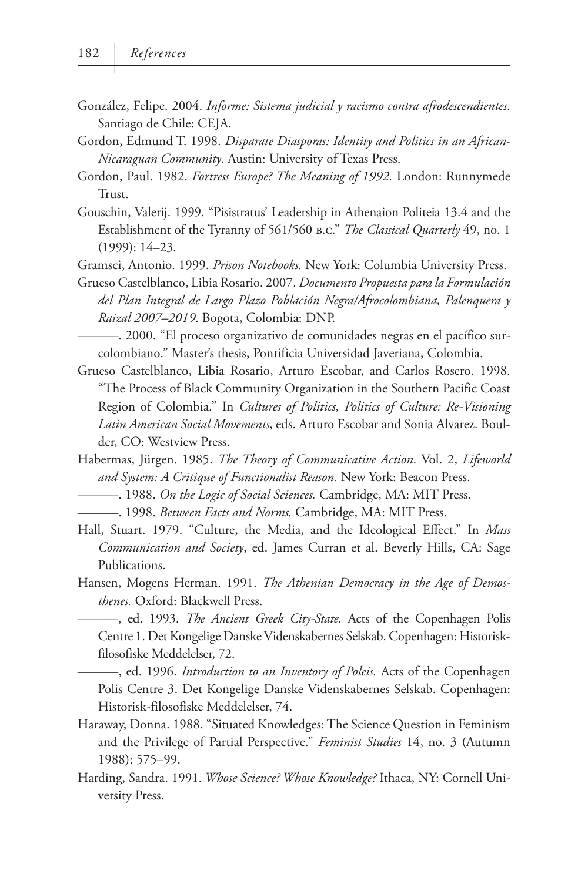- González, Felipe. 2004. *Informe: Sistema judicial y racismo contra afrodescendientes*. Santiago de Chile: CEJA.
- Gordon, Edmund T. 1998. *Disparate Diasporas: Identity and Politics in an African-Nicaraguan Community*. Austin: University of Texas Press.
- Gordon, Paul. 1982. *Fortress Europe? The Meaning of 1992.* London: Runnymede Trust.
- Gouschin, Valerij. 1999. "Pisistratus' Leadership in Athenaion Politeia 13.4 and the Establishment of the Tyranny of 561/560 b.c." *The Classical Quarterly* 49, no. 1 (1999): 14–23.
- Gramsci, Antonio. 1999. *Prison Notebooks.* New York: Columbia University Press.
- Grueso Castelblanco, Libia Rosario. 2007. *Documento Propuesta para la Formulación del Plan Integral de Largo Plazo Población Negra/Afrocolombiana, Palenquera y Raizal 2007–2019*. Bogota, Colombia: DNP.

———. 2000. "El proceso organizativo de comunidades negras en el pacífico surcolombiano." Master's thesis, Pontificia Universidad Javeriana, Colombia.

- Grueso Castelblanco, Libia Rosario, Arturo Escobar, and Carlos Rosero. 1998. "The Process of Black Community Organization in the Southern Pacific Coast Region of Colombia." In *Cultures of Politics, Politics of Culture: Re-Visioning Latin American Social Movements*, eds. Arturo Escobar and Sonia Alvarez. Boulder, CO: Westview Press.
- Habermas, Jürgen. 1985. *The Theory of Communicative Action*. Vol. 2, *Lifeworld and System: A Critique of Functionalist Reason.* New York: Beacon Press.
- ———. 1988. *On the Logic of Social Sciences.* Cambridge, MA: MIT Press.
- ———. 1998. *Between Facts and Norms.* Cambridge, MA: MIT Press.
- Hall, Stuart. 1979. "Culture, the Media, and the Ideological Effect." In *Mass Communication and Society*, ed. James Curran et al. Beverly Hills, CA: Sage Publications.
- Hansen, Mogens Herman. 1991. *The Athenian Democracy in the Age of Demosthenes.* Oxford: Blackwell Press.

———, ed. 1993. *The Ancient Greek City-State.* Acts of the Copenhagen Polis Centre 1. Det Kongelige Danske Videnskabernes Selskab. Copenhagen: Historiskfilosofiske Meddelelser, 72.

———, ed. 1996. *Introduction to an Inventory of Poleis.* Acts of the Copenhagen Polis Centre 3. Det Kongelige Danske Videnskabernes Selskab. Copenhagen: Historisk-filosofiske Meddelelser, 74.

- Haraway, Donna. 1988. "Situated Knowledges: The Science Question in Feminism and the Privilege of Partial Perspective." *Feminist Studies* 14, no. 3 (Autumn 1988): 575–99.
- Harding, Sandra. 1991*. Whose Science? Whose Knowledge?* Ithaca, NY: Cornell University Press.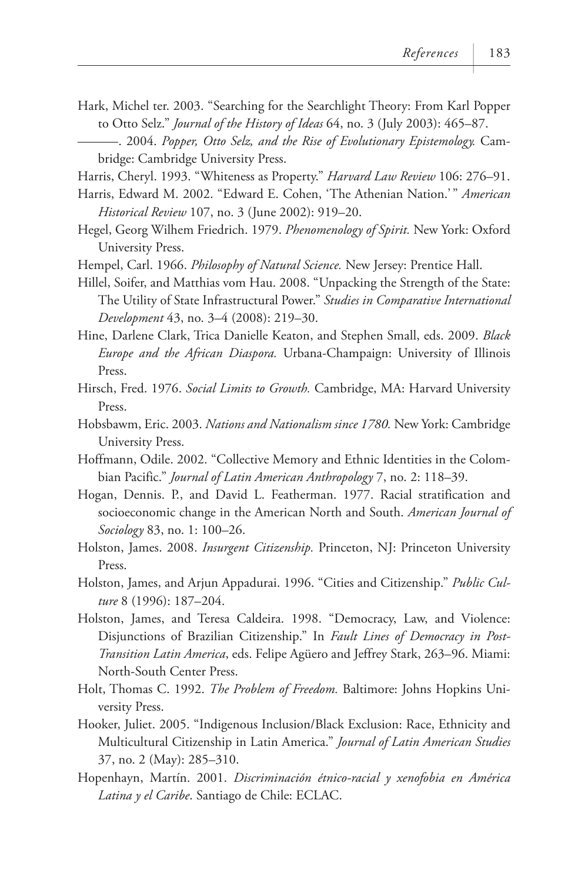- Hark, Michel ter. 2003. "Searching for the Searchlight Theory: From Karl Popper to Otto Selz." *Journal of the History of Ideas* 64, no. 3 (July 2003): 465–87.
	- ———. 2004. *Popper, Otto Selz, and the Rise of Evolutionary Epistemology.* Cambridge: Cambridge University Press.
- Harris, Cheryl. 1993. "Whiteness as Property." *Harvard Law Review* 106: 276–91.
- Harris, Edward M. 2002. "Edward E. Cohen, 'The Athenian Nation.' " *American Historical Review* 107, no. 3 (June 2002): 919–20.
- Hegel, Georg Wilhem Friedrich. 1979. *Phenomenology of Spirit.* New York: Oxford University Press.
- Hempel, Carl. 1966. *Philosophy of Natural Science.* New Jersey: Prentice Hall.
- Hillel, Soifer, and Matthias vom Hau. 2008. "Unpacking the Strength of the State: The Utility of State Infrastructural Power." *Studies in Comparative International Development* 43, no. 3–4 (2008): 219–30.
- Hine, Darlene Clark, Trica Danielle Keaton, and Stephen Small, eds. 2009. *Black Europe and the African Diaspora.* Urbana-Champaign: University of Illinois Press.
- Hirsch, Fred. 1976. *Social Limits to Growth.* Cambridge, MA: Harvard University Press.
- Hobsbawm, Eric. 2003. *Nations and Nationalism since 1780.* New York: Cambridge University Press.
- Hoffmann, Odile. 2002. "Collective Memory and Ethnic Identities in the Colombian Pacific." *Journal of Latin American Anthropology* 7, no. 2: 118–39.
- Hogan, Dennis. P., and David L. Featherman. 1977. Racial stratification and socioeconomic change in the American North and South. *American Journal of Sociology* 83, no. 1: 100–26.
- Holston, James. 2008. *Insurgent Citizenship.* Princeton, NJ: Princeton University Press.
- Holston, James, and Arjun Appadurai. 1996. "Cities and Citizenship." *Public Culture* 8 (1996): 187–204.
- Holston, James, and Teresa Caldeira. 1998. "Democracy, Law, and Violence: Disjunctions of Brazilian Citizenship." In *Fault Lines of Democracy in Post-Transition Latin America*, eds. Felipe Agüero and Jeffrey Stark, 263–96. Miami: North-South Center Press.
- Holt, Thomas C. 1992. *The Problem of Freedom.* Baltimore: Johns Hopkins University Press.
- Hooker, Juliet. 2005. "Indigenous Inclusion/Black Exclusion: Race, Ethnicity and Multicultural Citizenship in Latin America." *Journal of Latin American Studies* 37, no. 2 (May): 285–310.
- Hopenhayn, Martín. 2001. *Discriminación étnico-racial y xenofobia en América Latina y el Caribe*. Santiago de Chile: ECLAC.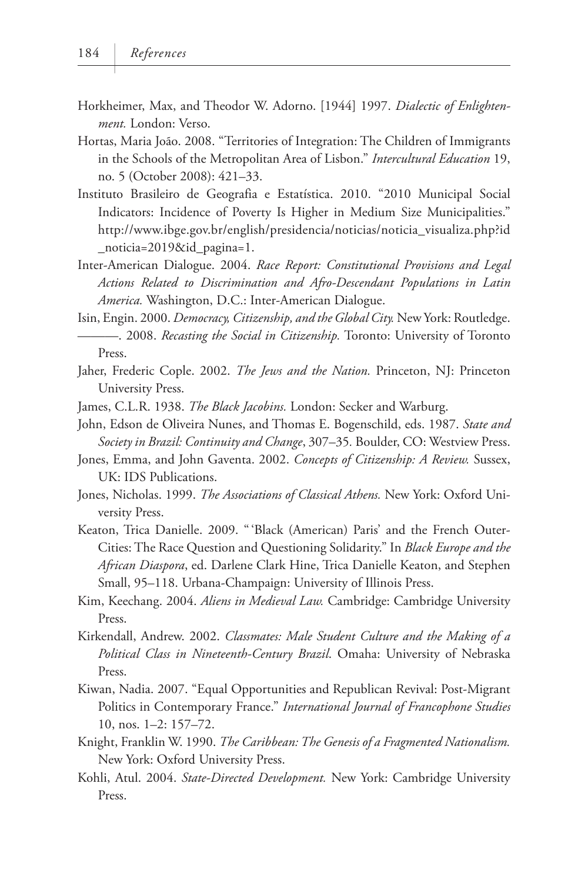- Horkheimer, Max, and Theodor W. Adorno. [1944] 1997. *Dialectic of Enlightenment.* London: Verso.
- Hortas, Maria João. 2008. "Territories of Integration: The Children of Immigrants in the Schools of the Metropolitan Area of Lisbon." *Intercultural Education* 19, no. 5 (October 2008): 421–33.
- Instituto Brasileiro de Geografia e Estatística. 2010. "2010 Municipal Social Indicators: Incidence of Poverty Is Higher in Medium Size Municipalities." http://www.ibge.gov.br/english/presidencia/noticias/noticia\_visualiza.php?id \_noticia=2019&id\_pagina=1.
- Inter-American Dialogue. 2004. *Race Report: Constitutional Provisions and Legal Actions Related to Discrimination and Afro-Descendant Populations in Latin America.* Washington, D.C.: Inter-American Dialogue.
- Isin, Engin. 2000. *Democracy, Citizenship, and the Global City.* New York: Routledge. ———. 2008. *Recasting the Social in Citizenship.* Toronto: University of Toronto Press.
- Jaher, Frederic Cople. 2002. *The Jews and the Nation*. Princeton, NJ: Princeton University Press.
- James, C.L.R. 1938. *The Black Jacobins.* London: Secker and Warburg.
- John, Edson de Oliveira Nunes, and Thomas E. Bogenschild, eds. 1987. *State and Society in Brazil: Continuity and Change*, 307–35*.* Boulder, CO: Westview Press.
- Jones, Emma, and John Gaventa. 2002. *Concepts of Citizenship: A Review.* Sussex, UK: IDS Publications.
- Jones, Nicholas. 1999. *The Associations of Classical Athens.* New York: Oxford University Press.
- Keaton, Trica Danielle. 2009. " 'Black (American) Paris' and the French Outer-Cities: The Race Question and Questioning Solidarity." In *Black Europe and the African Diaspora*, ed. Darlene Clark Hine, Trica Danielle Keaton, and Stephen Small, 95–118. Urbana-Champaign: University of Illinois Press.
- Kim, Keechang. 2004. *Aliens in Medieval Law.* Cambridge: Cambridge University Press.
- Kirkendall, Andrew. 2002. *Classmates: Male Student Culture and the Making of a Political Class in Nineteenth-Century Brazil*. Omaha: University of Nebraska Press.
- Kiwan, Nadia. 2007. "Equal Opportunities and Republican Revival: Post-Migrant Politics in Contemporary France." *International Journal of Francophone Studies* 10, nos. 1–2: 157–72.
- Knight, Franklin W. 1990. *The Caribbean: The Genesis of a Fragmented Nationalism.* New York: Oxford University Press.
- Kohli, Atul. 2004. *State-Directed Development.* New York: Cambridge University Press.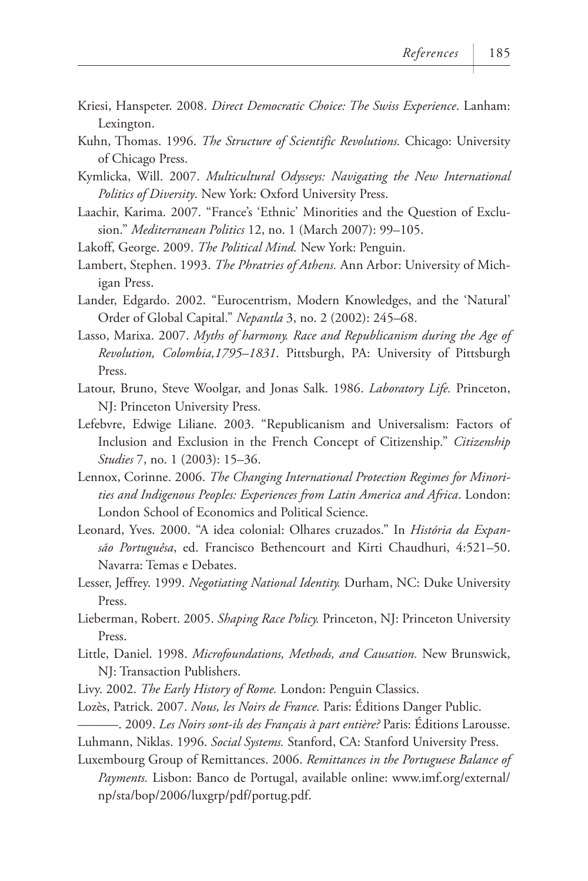- Kriesi, Hanspeter. 2008. *Direct Democratic Choice: The Swiss Experience*. Lanham: Lexington.
- Kuhn, Thomas. 1996. *The Structure of Scientific Revolutions.* Chicago: University of Chicago Press.
- Kymlicka, Will. 2007. *Multicultural Odysseys: Navigating the New International Politics of Diversity*. New York: Oxford University Press.
- Laachir, Karima. 2007. "France's 'Ethnic' Minorities and the Question of Exclusion." *Mediterranean Politics* 12, no. 1 (March 2007): 99–105.
- Lakoff, George. 2009. *The Political Mind.* New York: Penguin.
- Lambert, Stephen. 1993. *The Phratries of Athens.* Ann Arbor: University of Michigan Press.
- Lander, Edgardo. 2002. "Eurocentrism, Modern Knowledges, and the 'Natural' Order of Global Capital." *Nepantla* 3, no. 2 (2002): 245–68.
- Lasso, Marixa. 2007. *Myths of harmony. Race and Republicanism during the Age of Revolution, Colombia,1795–1831*. Pittsburgh, PA: University of Pittsburgh Press.
- Latour, Bruno, Steve Woolgar, and Jonas Salk. 1986. *Laboratory Life.* Princeton, NJ: Princeton University Press.
- Lefebvre, Edwige Liliane. 2003. "Republicanism and Universalism: Factors of Inclusion and Exclusion in the French Concept of Citizenship." *Citizenship Studies* 7, no. 1 (2003): 15–36.
- Lennox, Corinne. 2006. *The Changing International Protection Regimes for Minorities and Indigenous Peoples: Experiences from Latin America and Africa*. London: London School of Economics and Political Science.
- Leonard, Yves. 2000. "A idea colonial: Olhares cruzados." In *História da Expansão Portuguêsa*, ed. Francisco Bethencourt and Kirti Chaudhuri, 4:521–50. Navarra: Temas e Debates.
- Lesser, Jeffrey. 1999. *Negotiating National Identity.* Durham, NC: Duke University Press.
- Lieberman, Robert. 2005. *Shaping Race Policy.* Princeton, NJ: Princeton University Press.
- Little, Daniel. 1998. *Microfoundations, Methods, and Causation.* New Brunswick, NJ: Transaction Publishers.
- Livy. 2002. *The Early History of Rome.* London: Penguin Classics.
- Lozès, Patrick. 2007. *Nous, les Noirs de France.* Paris: Éditions Danger Public.
- ———. 2009. *Les Noirs sont-ils des Français à part entière?* Paris: Éditions Larousse.
- Luhmann, Niklas. 1996. *Social Systems.* Stanford, CA: Stanford University Press.

Luxembourg Group of Remittances. 2006. *Remittances in the Portuguese Balance of Payments.* Lisbon: Banco de Portugal, available online: www.imf.org/external/ np/sta/bop/2006/luxgrp/pdf/portug.pdf.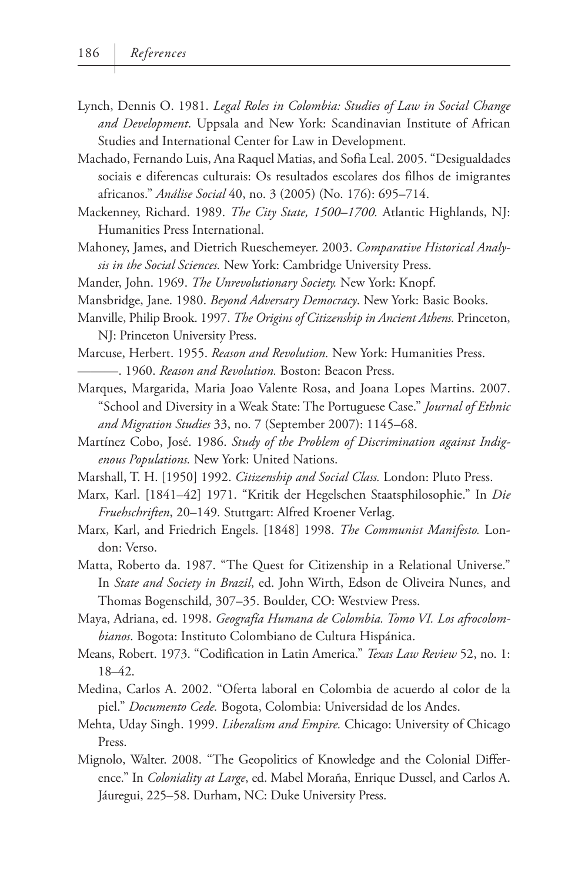- Lynch, Dennis O. 1981. *Legal Roles in Colombia: Studies of Law in Social Change and Development*. Uppsala and New York: Scandinavian Institute of African Studies and International Center for Law in Development.
- Machado, Fernando Luis, Ana Raquel Matias, and Sofia Leal. 2005. "Desigualdades sociais e diferencas culturais: Os resultados escolares dos filhos de imigrantes africanos." *Análise Social* 40, no. 3 (2005) (No. 176): 695–714.
- Mackenney, Richard. 1989. *The City State, 1500–1700.* Atlantic Highlands, NJ: Humanities Press International.
- Mahoney, James, and Dietrich Rueschemeyer. 2003. *Comparative Historical Analysis in the Social Sciences.* New York: Cambridge University Press.
- Mander, John. 1969. *The Unrevolutionary Society.* New York: Knopf.
- Mansbridge, Jane. 1980. *Beyond Adversary Democracy*. New York: Basic Books.
- Manville, Philip Brook. 1997. *The Origins of Citizenship in Ancient Athens.* Princeton, NJ: Princeton University Press.
- Marcuse, Herbert. 1955. *Reason and Revolution.* New York: Humanities Press. ———. 1960. *Reason and Revolution.* Boston: Beacon Press.
- Marques, Margarida, Maria Joao Valente Rosa, and Joana Lopes Martins. 2007. "School and Diversity in a Weak State: The Portuguese Case." *Journal of Ethnic and Migration Studies* 33, no. 7 (September 2007): 1145–68.
- Martínez Cobo, José. 1986. *Study of the Problem of Discrimination against Indigenous Populations.* New York: United Nations.
- Marshall, T. H. [1950] 1992. *Citizenship and Social Class.* London: Pluto Press.
- Marx, Karl. [1841–42] 1971. "Kritik der Hegelschen Staatsphilosophie." In *Die Fruehschriften*, 20–149*.* Stuttgart: Alfred Kroener Verlag.
- Marx, Karl, and Friedrich Engels. [1848] 1998. *The Communist Manifesto.* London: Verso.
- Matta, Roberto da. 1987. "The Quest for Citizenship in a Relational Universe." In *State and Society in Brazil*, ed. John Wirth, Edson de Oliveira Nunes, and Thomas Bogenschild, 307–35. Boulder, CO: Westview Press.
- Maya, Adriana, ed. 1998. *Geografía Humana de Colombia. Tomo VI. Los afrocolombianos*. Bogota: Instituto Colombiano de Cultura Hispánica.
- Means, Robert. 1973. "Codification in Latin America." *Texas Law Review* 52, no. 1: 18–42.
- Medina, Carlos A. 2002. "Oferta laboral en Colombia de acuerdo al color de la piel." *Documento Cede.* Bogota, Colombia: Universidad de los Andes.
- Mehta, Uday Singh. 1999. *Liberalism and Empire.* Chicago: University of Chicago Press.
- Mignolo, Walter. 2008. "The Geopolitics of Knowledge and the Colonial Difference." In *Coloniality at Large*, ed. Mabel Moraña, Enrique Dussel, and Carlos A. Jáuregui, 225–58. Durham, NC: Duke University Press.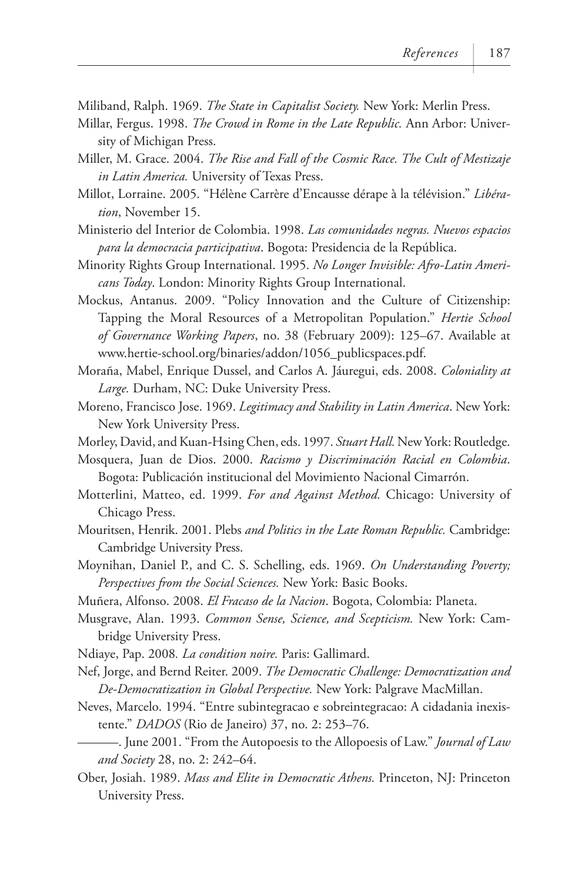Miliband, Ralph. 1969. *The State in Capitalist Society.* New York: Merlin Press.

- Millar, Fergus. 1998. *The Crowd in Rome in the Late Republic.* Ann Arbor: University of Michigan Press.
- Miller, M. Grace. 2004. *The Rise and Fall of the Cosmic Race. The Cult of Mestizaje in Latin America.* University of Texas Press.
- Millot, Lorraine. 2005. "Hélène Carrère d'Encausse dérape à la télévision." *Libération*, November 15.
- Ministerio del Interior de Colombia. 1998. *Las comunidades negras. Nuevos espacios para la democracia participativa*. Bogota: Presidencia de la República.
- Minority Rights Group International. 1995. *No Longer Invisible: Afro-Latin Americans Today*. London: Minority Rights Group International.
- Mockus, Antanus. 2009. "Policy Innovation and the Culture of Citizenship: Tapping the Moral Resources of a Metropolitan Population." *Hertie School of Governance Working Papers*, no. 38 (February 2009): 125–67. Available at www.hertie-school.org/binaries/addon/1056\_publicspaces.pdf.
- Moraña, Mabel, Enrique Dussel, and Carlos A. Jáuregui, eds. 2008. *Coloniality at Large.* Durham, NC: Duke University Press.
- Moreno, Francisco Jose. 1969. *Legitimacy and Stability in Latin America*. New York: New York University Press.
- Morley, David, and Kuan-Hsing Chen, eds. 1997. *Stuart Hall.*New York: Routledge.
- Mosquera, Juan de Dios. 2000. *Racismo y Discriminación Racial en Colombia*. Bogota: Publicación institucional del Movimiento Nacional Cimarrón.
- Motterlini, Matteo, ed. 1999. *For and Against Method.* Chicago: University of Chicago Press.
- Mouritsen, Henrik. 2001. Plebs *and Politics in the Late Roman Republic.* Cambridge: Cambridge University Press.
- Moynihan, Daniel P., and C. S. Schelling, eds. 1969. *On Understanding Poverty; Perspectives from the Social Sciences.* New York: Basic Books.
- Muñera, Alfonso. 2008. *El Fracaso de la Nacion*. Bogota, Colombia: Planeta.
- Musgrave, Alan. 1993. *Common Sense, Science, and Scepticism.* New York: Cambridge University Press.
- Ndiaye, Pap. 2008*. La condition noire.* Paris: Gallimard.
- Nef, Jorge, and Bernd Reiter. 2009. *The Democratic Challenge: Democratization and De-Democratization in Global Perspective.* New York: Palgrave MacMillan.
- Neves, Marcelo. 1994. "Entre subintegracao e sobreintegracao: A cidadania inexistente." *DADOS* (Rio de Janeiro) 37, no. 2: 253–76.
	- ———. June 2001. "From the Autopoesis to the Allopoesis of Law." *Journal of Law and Society* 28, no. 2: 242–64.
- Ober, Josiah. 1989. *Mass and Elite in Democratic Athens.* Princeton, NJ: Princeton University Press.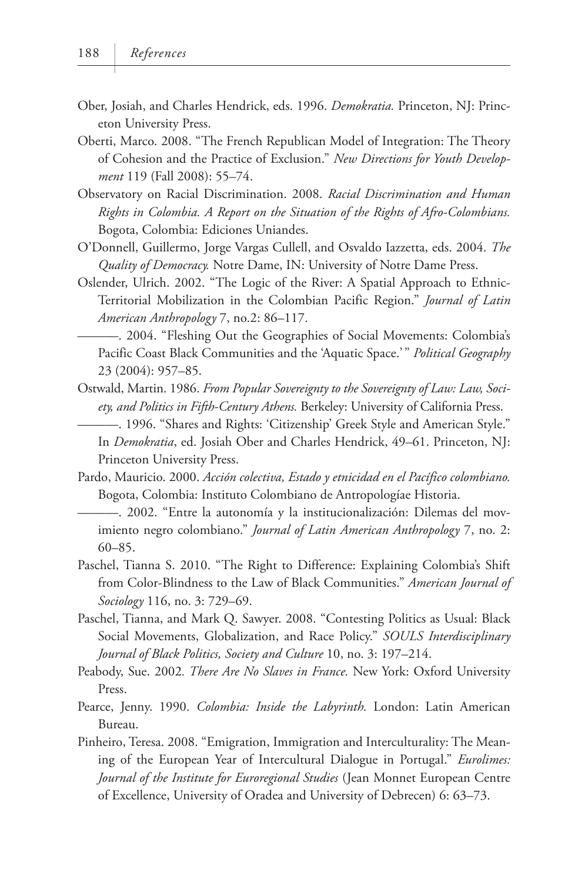- Ober, Josiah, and Charles Hendrick, eds. 1996. *Demokratia.* Princeton, NJ: Princeton University Press.
- Oberti, Marco. 2008. "The French Republican Model of Integration: The Theory of Cohesion and the Practice of Exclusion." *New Directions for Youth Development* 119 (Fall 2008): 55–74.
- Observatory on Racial Discrimination. 2008. *Racial Discrimination and Human Rights in Colombia. A Report on the Situation of the Rights of Afro-Colombians.* Bogota, Colombia: Ediciones Uniandes.
- O'Donnell, Guillermo, Jorge Vargas Cullell, and Osvaldo Iazzetta, eds. 2004. *The Quality of Democracy.* Notre Dame, IN: University of Notre Dame Press.
- Oslender, Ulrich. 2002. "The Logic of the River: A Spatial Approach to Ethnic-Territorial Mobilization in the Colombian Pacific Region." *Journal of Latin American Anthropology* 7, no.2: 86–117.
	- ———. 2004. "Fleshing Out the Geographies of Social Movements: Colombia's Pacific Coast Black Communities and the 'Aquatic Space.' " *Political Geography* 23 (2004): 957–85.
- Ostwald, Martin. 1986. *From Popular Sovereignty to the Sovereignty of Law: Law, Society, and Politics in Fifth-Century Athens.* Berkeley: University of California Press.
	- ———. 1996. "Shares and Rights: 'Citizenship' Greek Style and American Style." In *Demokratia*, ed. Josiah Ober and Charles Hendrick, 49–61. Princeton, NJ: Princeton University Press.
- Pardo, Mauricio. 2000. *Acción colectiva, Estado y etnicidad en el Pacífico colombiano.* Bogota, Colombia: Instituto Colombiano de Antropologíae Historia.
- ———. 2002. "Entre la autonomía y la institucionalización: Dilemas del movimiento negro colombiano." *Journal of Latin American Anthropology* 7, no. 2: 60–85.
- Paschel, Tianna S. 2010. "The Right to Difference: Explaining Colombia's Shift from Color-Blindness to the Law of Black Communities." *American Journal of Sociology* 116, no. 3: 729–69.
- Paschel, Tianna, and Mark Q. Sawyer. 2008. "Contesting Politics as Usual: Black Social Movements, Globalization, and Race Policy." *SOULS Interdisciplinary Journal of Black Politics, Society and Culture* 10, no. 3: 197–214.
- Peabody, Sue. 2002*. There Are No Slaves in France.* New York: Oxford University Press.
- Pearce, Jenny. 1990. *Colombia: Inside the Labyrinth.* London: Latin American Bureau.
- Pinheiro, Teresa. 2008. "Emigration, Immigration and Interculturality: The Meaning of the European Year of Intercultural Dialogue in Portugal." *Eurolimes: Journal of the Institute for Euroregional Studies* (Jean Monnet European Centre of Excellence, University of Oradea and University of Debrecen) 6: 63–73.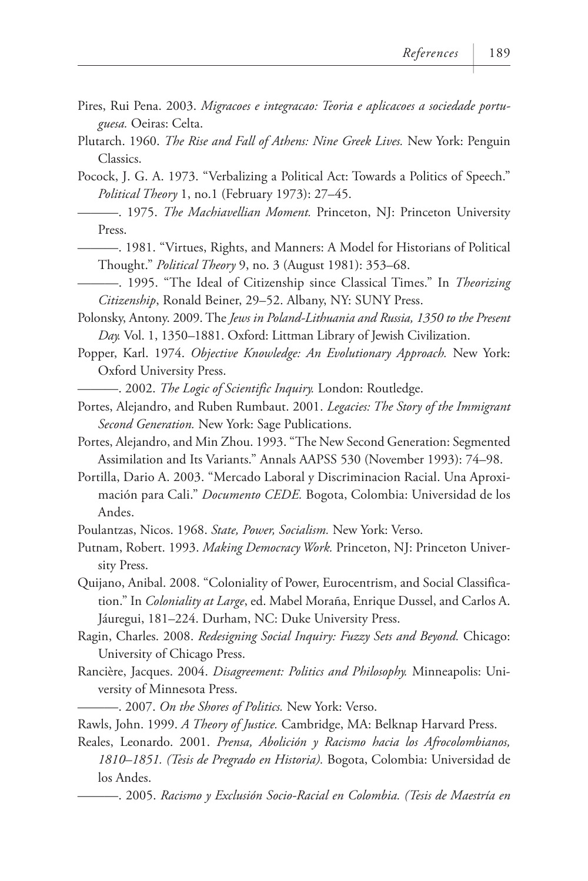- Pires, Rui Pena. 2003. *Migracoes e integracao: Teoria e aplicacoes a sociedade portuguesa.* Oeiras: Celta.
- Plutarch. 1960. *The Rise and Fall of Athens: Nine Greek Lives.* New York: Penguin Classics.
- Pocock, J. G. A. 1973. "Verbalizing a Political Act: Towards a Politics of Speech." *Political Theory* 1, no.1 (February 1973): 27–45.
	- ———. 1975. *The Machiavellian Moment.* Princeton, NJ: Princeton University Press.
	- ———. 1981. "Virtues, Rights, and Manners: A Model for Historians of Political Thought." *Political Theory* 9, no. 3 (August 1981): 353–68.
	- ———. 1995. "The Ideal of Citizenship since Classical Times." In *Theorizing Citizenship*, Ronald Beiner, 29–52. Albany, NY: SUNY Press.
- Polonsky, Antony. 2009. The *Jews in Poland-Lithuania and Russia, 1350 to the Present Day.* Vol. 1, 1350*–*1881. Oxford: Littman Library of Jewish Civilization.
- Popper, Karl. 1974. *Objective Knowledge: An Evolutionary Approach.* New York: Oxford University Press.

———. 2002. *The Logic of Scientific Inquiry.* London: Routledge.

- Portes, Alejandro, and Ruben Rumbaut. 2001. *Legacies: The Story of the Immigrant Second Generation.* New York: Sage Publications.
- Portes, Alejandro, and Min Zhou. 1993. "The New Second Generation: Segmented Assimilation and Its Variants." Annals AAPSS 530 (November 1993): 74–98.
- Portilla, Dario A. 2003. "Mercado Laboral y Discriminacion Racial. Una Aproximación para Cali." *Documento CEDE.* Bogota, Colombia: Universidad de los Andes.

Poulantzas, Nicos. 1968. *State, Power, Socialism.* New York: Verso.

- Putnam, Robert. 1993. *Making Democracy Work.* Princeton, NJ: Princeton University Press.
- Quijano, Anibal. 2008. "Coloniality of Power, Eurocentrism, and Social Classification." In *Coloniality at Large*, ed. Mabel Moraña, Enrique Dussel, and Carlos A. Jáuregui, 181–224. Durham, NC: Duke University Press.
- Ragin, Charles. 2008. *Redesigning Social Inquiry: Fuzzy Sets and Beyond.* Chicago: University of Chicago Press.
- Rancière, Jacques. 2004. *Disagreement: Politics and Philosophy.* Minneapolis: University of Minnesota Press.
	- ———. 2007. *On the Shores of Politics.* New York: Verso.
- Rawls, John. 1999. *A Theory of Justice.* Cambridge, MA: Belknap Harvard Press.
- Reales, Leonardo. 2001. *Prensa, Abolición y Racismo hacia los Afrocolombianos, 1810–1851. (Tesis de Pregrado en Historia).* Bogota, Colombia: Universidad de los Andes.
	- ———. 2005. *Racismo y Exclusión Socio-Racial en Colombia. (Tesis de Maestría en*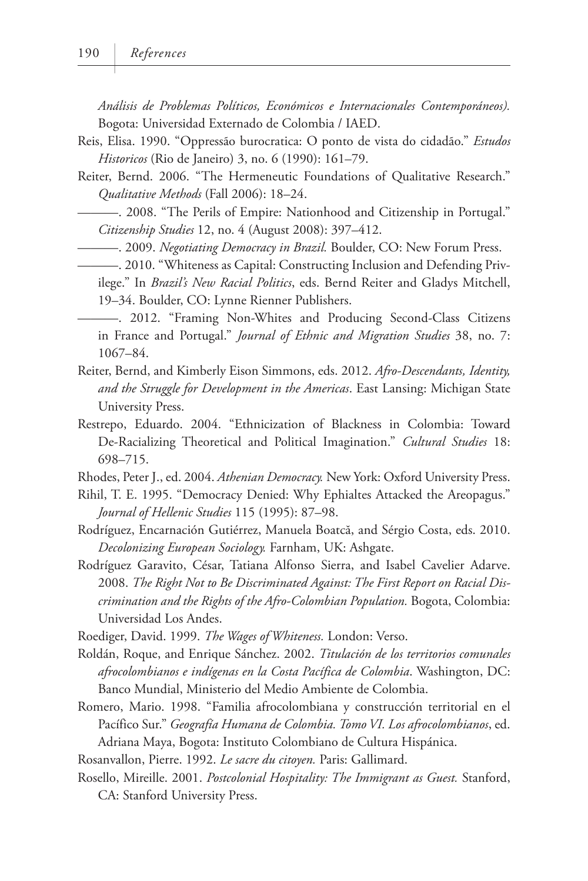*Análisis de Problemas Políticos, Económicos e Internacionales Contemporáneos).* Bogota: Universidad Externado de Colombia / IAED.

- Reis, Elisa. 1990. "Oppressão burocratica: O ponto de vista do cidadão." *Estudos Historicos* (Rio de Janeiro) 3, no. 6 (1990): 161–79.
- Reiter, Bernd. 2006. "The Hermeneutic Foundations of Qualitative Research." *Qualitative Methods* (Fall 2006): 18–24.
	- ———. 2008. "The Perils of Empire: Nationhood and Citizenship in Portugal." *Citizenship Studies* 12, no. 4 (August 2008): 397–412.
		- ———. 2009. *Negotiating Democracy in Brazil.* Boulder, CO: New Forum Press.
	- ———. 2010. "Whiteness as Capital: Constructing Inclusion and Defending Privilege." In *Brazil's New Racial Politics*, eds. Bernd Reiter and Gladys Mitchell, 19–34. Boulder, CO: Lynne Rienner Publishers.
	- ———. 2012. "Framing Non-Whites and Producing Second-Class Citizens in France and Portugal." *Journal of Ethnic and Migration Studies* 38, no. 7: 1067–84.
- Reiter, Bernd, and Kimberly Eison Simmons, eds. 2012. *Afro-Descendants, Identity, and the Struggle for Development in the Americas*. East Lansing: Michigan State University Press.
- Restrepo, Eduardo. 2004. "Ethnicization of Blackness in Colombia: Toward De-Racializing Theoretical and Political Imagination." *Cultural Studies* 18: 698–715.
- Rhodes, Peter J., ed. 2004. *Athenian Democracy.* New York: Oxford University Press.
- Rihil, T. E. 1995. "Democracy Denied: Why Ephialtes Attacked the Areopagus." *Journal of Hellenic Studies* 115 (1995): 87–98.
- Rodríguez, Encarnación Gutiérrez, Manuela Boatcă, and Sérgio Costa, eds. 2010. *Decolonizing European Sociology.* Farnham, UK: Ashgate.
- Rodríguez Garavito, César, Tatiana Alfonso Sierra, and Isabel Cavelier Adarve. 2008. *The Right Not to Be Discriminated Against: The First Report on Racial Discrimination and the Rights of the Afro-Colombian Population.* Bogota, Colombia: Universidad Los Andes.
- Roediger, David. 1999. *The Wages of Whiteness.* London: Verso.
- Roldán, Roque, and Enrique Sánchez. 2002. *Titulación de los territorios comunales afrocolombianos e indígenas en la Costa Pacífica de Colombia*. Washington, DC: Banco Mundial, Ministerio del Medio Ambiente de Colombia.
- Romero, Mario. 1998. "Familia afrocolombiana y construcción territorial en el Pacífico Sur." *Geografía Humana de Colombia. Tomo VI. Los afrocolombianos*, ed. Adriana Maya, Bogota: Instituto Colombiano de Cultura Hispánica.
- Rosanvallon, Pierre. 1992. *Le sacre du citoyen.* Paris: Gallimard.
- Rosello, Mireille. 2001. *Postcolonial Hospitality: The Immigrant as Guest.* Stanford, CA: Stanford University Press.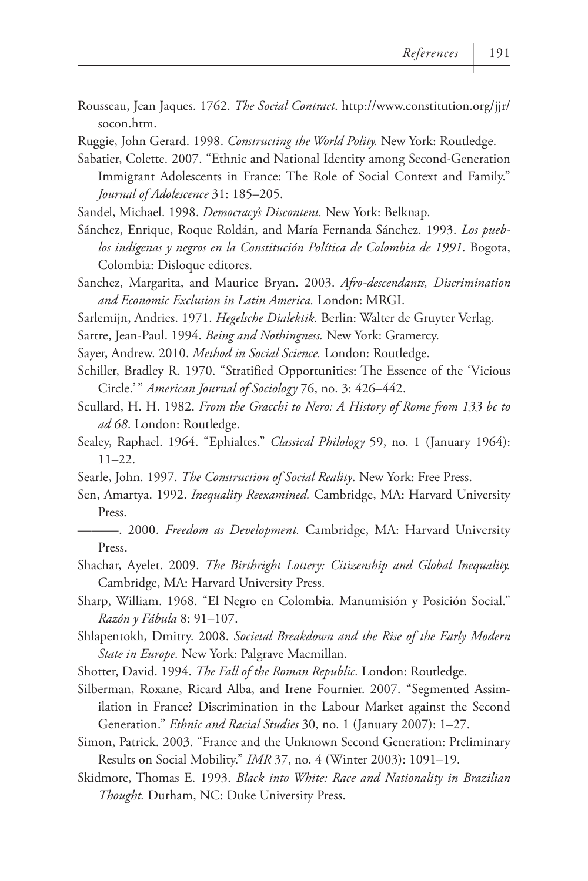Rousseau, Jean Jaques. 1762. *The Social Contract*. http://www.constitution.org/jjr/ socon.htm.

Ruggie, John Gerard. 1998. *Constructing the World Polity.* New York: Routledge.

Sabatier, Colette. 2007. "Ethnic and National Identity among Second-Generation Immigrant Adolescents in France: The Role of Social Context and Family." *Journal of Adolescence* 31: 185–205.

Sandel, Michael. 1998. *Democracy's Discontent.* New York: Belknap.

Sánchez, Enrique, Roque Roldán, and María Fernanda Sánchez. 1993. *Los pueblos indígenas y negros en la Constitución Política de Colombia de 1991*. Bogota, Colombia: Disloque editores.

Sanchez, Margarita, and Maurice Bryan. 2003. *Afro-descendants, Discrimination and Economic Exclusion in Latin America.* London: MRGI.

Sarlemijn, Andries. 1971. *Hegelsche Dialektik.* Berlin: Walter de Gruyter Verlag.

Sartre, Jean-Paul. 1994. *Being and Nothingness.* New York: Gramercy.

Sayer, Andrew. 2010. *Method in Social Science.* London: Routledge.

Schiller, Bradley R. 1970. "Stratified Opportunities: The Essence of the 'Vicious Circle.' " *American Journal of Sociology* 76, no. 3: 426–442.

Scullard, H. H. 1982. *From the Gracchi to Nero: A History of Rome from 133 bc to ad 68*. London: Routledge.

- Sealey, Raphael. 1964. "Ephialtes." *Classical Philology* 59, no. 1 (January 1964): 11–22.
- Searle, John. 1997. *The Construction of Social Reality*. New York: Free Press.
- Sen, Amartya. 1992. *Inequality Reexamined.* Cambridge, MA: Harvard University Press.
	- ———. 2000. *Freedom as Development.* Cambridge, MA: Harvard University Press.

Shachar, Ayelet. 2009. *The Birthright Lottery: Citizenship and Global Inequality.* Cambridge, MA: Harvard University Press.

- Sharp, William. 1968. "El Negro en Colombia. Manumisión y Posición Social." *Razón y Fábula* 8: 91–107.
- Shlapentokh, Dmitry. 2008. *Societal Breakdown and the Rise of the Early Modern State in Europe.* New York: Palgrave Macmillan.
- Shotter, David. 1994. *The Fall of the Roman Republic.* London: Routledge.

Silberman, Roxane, Ricard Alba, and Irene Fournier. 2007. "Segmented Assimilation in France? Discrimination in the Labour Market against the Second Generation." *Ethnic and Racial Studies* 30, no. 1 (January 2007): 1–27.

- Simon, Patrick. 2003. "France and the Unknown Second Generation: Preliminary Results on Social Mobility." *IMR* 37, no. 4 (Winter 2003): 1091–19.
- Skidmore, Thomas E. 1993. *Black into White: Race and Nationality in Brazilian Thought.* Durham, NC: Duke University Press.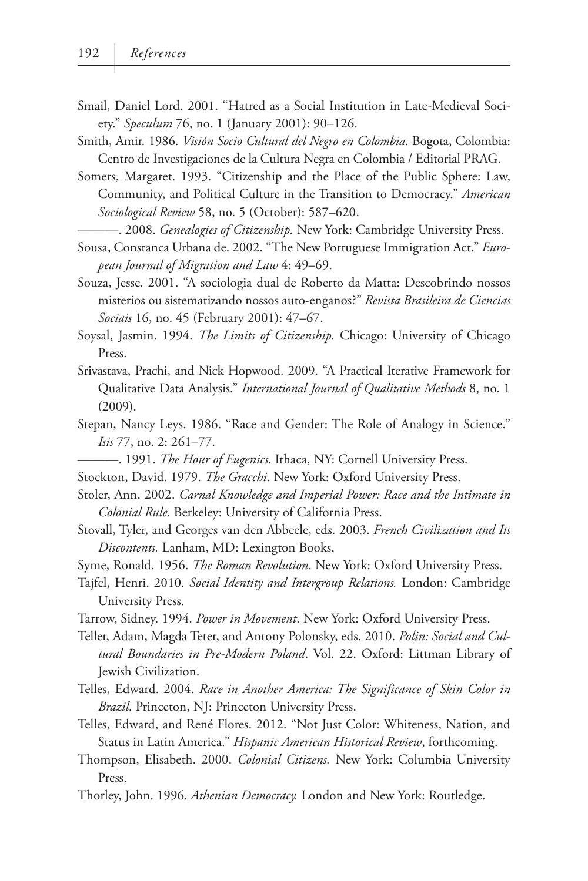- Smail, Daniel Lord. 2001. "Hatred as a Social Institution in Late-Medieval Society." *Speculum* 76, no. 1 (January 2001): 90–126.
- Smith, Amir. 1986. *Visión Socio Cultural del Negro en Colombia*. Bogota, Colombia: Centro de Investigaciones de la Cultura Negra en Colombia / Editorial PRAG.
- Somers, Margaret. 1993. "Citizenship and the Place of the Public Sphere: Law, Community, and Political Culture in the Transition to Democracy." *American Sociological Review* 58, no. 5 (October): 587–620.

———. 2008. *Genealogies of Citizenship.* New York: Cambridge University Press.

- Sousa, Constanca Urbana de. 2002. "The New Portuguese Immigration Act." *European Journal of Migration and Law* 4: 49–69.
- Souza, Jesse. 2001. "A sociologia dual de Roberto da Matta: Descobrindo nossos misterios ou sistematizando nossos auto-enganos?" *Revista Brasileira de Ciencias Sociais* 16, no. 45 (February 2001): 47–67.
- Soysal, Jasmin. 1994. *The Limits of Citizenship.* Chicago: University of Chicago Press.
- Srivastava, Prachi, and Nick Hopwood. 2009. "A Practical Iterative Framework for Qualitative Data Analysis." *International Journal of Qualitative Methods* 8, no. 1 (2009).
- Stepan, Nancy Leys. 1986. "Race and Gender: The Role of Analogy in Science." *Isis* 77, no. 2: 261–77.
- ———. 1991. *The Hour of Eugenics*. Ithaca, NY: Cornell University Press.
- Stockton, David. 1979. *The Gracchi*. New York: Oxford University Press.
- Stoler, Ann. 2002. *Carnal Knowledge and Imperial Power: Race and the Intimate in Colonial Rule*. Berkeley: University of California Press.
- Stovall, Tyler, and Georges van den Abbeele, eds. 2003. *French Civilization and Its Discontents.* Lanham, MD: Lexington Books.
- Syme, Ronald. 1956. *The Roman Revolution*. New York: Oxford University Press.
- Tajfel, Henri. 2010. *Social Identity and Intergroup Relations.* London: Cambridge University Press.
- Tarrow, Sidney. 1994. *Power in Movement*. New York: Oxford University Press.
- Teller, Adam, Magda Teter, and Antony Polonsky, eds. 2010. *Polin: Social and Cultural Boundaries in Pre-Modern Poland*. Vol. 22. Oxford: Littman Library of Jewish Civilization.
- Telles, Edward. 2004. *Race in Another America: The Significance of Skin Color in Brazil*. Princeton, NJ: Princeton University Press.
- Telles, Edward, and René Flores. 2012. "Not Just Color: Whiteness, Nation, and Status in Latin America." *Hispanic American Historical Review*, forthcoming.
- Thompson, Elisabeth. 2000. *Colonial Citizens.* New York: Columbia University Press.
- Thorley, John. 1996. *Athenian Democracy.* London and New York: Routledge.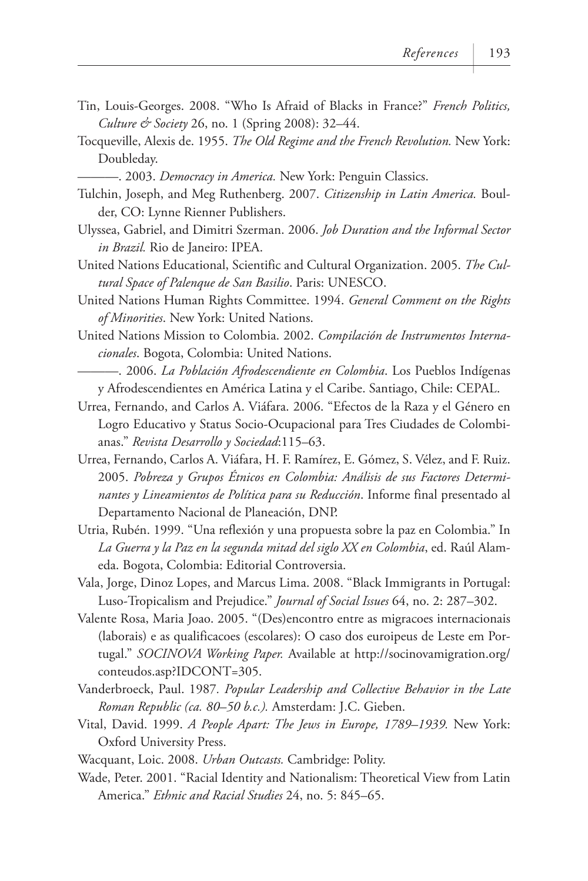<sup>|</sup> <sup>193</sup>

- Tin, Louis-Georges. 2008. "Who Is Afraid of Blacks in France?" *French Politics, Culture & Society* 26, no. 1 (Spring 2008): 32–44.
- Tocqueville, Alexis de. 1955. *The Old Regime and the French Revolution.* New York: Doubleday.
	- ———. 2003. *Democracy in America.* New York: Penguin Classics.
- Tulchin, Joseph, and Meg Ruthenberg. 2007. *Citizenship in Latin America.* Boulder, CO: Lynne Rienner Publishers.
- Ulyssea, Gabriel, and Dimitri Szerman. 2006. *Job Duration and the Informal Sector in Brazil.* Rio de Janeiro: IPEA.
- United Nations Educational, Scientific and Cultural Organization. 2005. *The Cultural Space of Palenque de San Basilio*. Paris: UNESCO.
- United Nations Human Rights Committee. 1994. *General Comment on the Rights of Minorities*. New York: United Nations.
- United Nations Mission to Colombia. 2002. *Compilación de Instrumentos Internacionales*. Bogota, Colombia: United Nations.
	- ———. 2006. *La Población Afrodescendiente en Colombia*. Los Pueblos Indígenas y Afrodescendientes en América Latina y el Caribe. Santiago, Chile: CEPAL.
- Urrea, Fernando, and Carlos A. Viáfara. 2006. "Efectos de la Raza y el Género en Logro Educativo y Status Socio-Ocupacional para Tres Ciudades de Colombianas." *Revista Desarrollo y Sociedad*:115–63.
- Urrea, Fernando, Carlos A. Viáfara, H. F. Ramírez, E. Gómez, S. Vélez, and F. Ruiz. 2005. *Pobreza y Grupos Étnicos en Colombia: Análisis de sus Factores Determinantes y Lineamientos de Política para su Reducción*. Informe final presentado al Departamento Nacional de Planeación, DNP.
- Utria, Rubén. 1999. "Una reflexión y una propuesta sobre la paz en Colombia." In *La Guerra y la Paz en la segunda mitad del siglo XX en Colombia*, ed. Raúl Alameda. Bogota, Colombia: Editorial Controversia.
- Vala, Jorge, Dinoz Lopes, and Marcus Lima. 2008. "Black Immigrants in Portugal: Luso-Tropicalism and Prejudice." *Journal of Social Issues* 64, no. 2: 287–302.
- Valente Rosa, Maria Joao. 2005. "(Des)encontro entre as migracoes internacionais (laborais) e as qualificacoes (escolares): O caso dos euroipeus de Leste em Portugal." *SOCINOVA Working Paper.* Available at http://socinovamigration.org/ conteudos.asp?IDCONT=305.
- Vanderbroeck, Paul. 1987*. Popular Leadership and Collective Behavior in the Late Roman Republic (ca. 80–50 b.c.).* Amsterdam: J.C. Gieben.
- Vital, David. 1999. *A People Apart: The Jews in Europe, 1789–1939.* New York: Oxford University Press.
- Wacquant, Loic. 2008. *Urban Outcasts.* Cambridge: Polity.
- Wade, Peter. 2001. "Racial Identity and Nationalism: Theoretical View from Latin America." *Ethnic and Racial Studies* 24, no. 5: 845–65.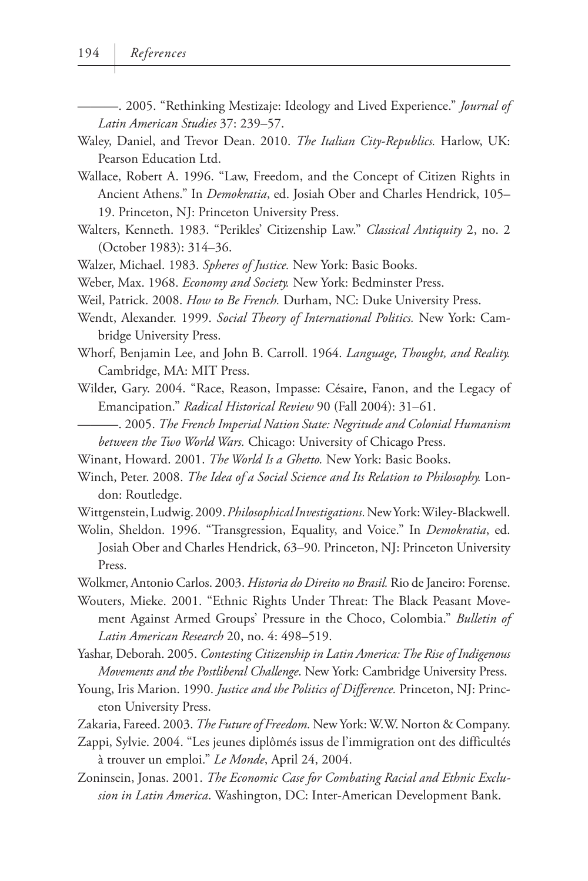———. 2005. "Rethinking Mestizaje: Ideology and Lived Experience." *Journal of Latin American Studies* 37: 239–57.

- Waley, Daniel, and Trevor Dean. 2010. *The Italian City-Republics.* Harlow, UK: Pearson Education Ltd.
- Wallace, Robert A. 1996. "Law, Freedom, and the Concept of Citizen Rights in Ancient Athens." In *Demokratia*, ed. Josiah Ober and Charles Hendrick, 105– 19. Princeton, NJ: Princeton University Press.
- Walters, Kenneth. 1983. "Perikles' Citizenship Law." *Classical Antiquity* 2, no. 2 (October 1983): 314–36.
- Walzer, Michael. 1983. *Spheres of Justice.* New York: Basic Books.
- Weber, Max. 1968. *Economy and Society.* New York: Bedminster Press.
- Weil, Patrick. 2008. *How to Be French.* Durham, NC: Duke University Press.
- Wendt, Alexander. 1999. *Social Theory of International Politics.* New York: Cambridge University Press.
- Whorf, Benjamin Lee, and John B. Carroll. 1964. *Language, Thought, and Reality.* Cambridge, MA: MIT Press.
- Wilder, Gary. 2004. "Race, Reason, Impasse: Césaire, Fanon, and the Legacy of Emancipation." *Radical Historical Review* 90 (Fall 2004): 31–61.
- ———. 2005. *The French Imperial Nation State: Negritude and Colonial Humanism between the Two World Wars.* Chicago: University of Chicago Press.
- Winant, Howard. 2001. *The World Is a Ghetto.* New York: Basic Books.
- Winch, Peter. 2008. *The Idea of a Social Science and Its Relation to Philosophy.* London: Routledge.
- Wittgenstein, Ludwig. 2009. *Philosophical Investigations.*New York: Wiley-Blackwell.
- Wolin, Sheldon. 1996. "Transgression, Equality, and Voice." In *Demokratia*, ed. Josiah Ober and Charles Hendrick, 63–90*.* Princeton, NJ: Princeton University Press.
- Wolkmer, Antonio Carlos. 2003. *Historia do Direito no Brasil.* Rio de Janeiro: Forense.

Wouters, Mieke. 2001. "Ethnic Rights Under Threat: The Black Peasant Movement Against Armed Groups' Pressure in the Choco, Colombia." *Bulletin of Latin American Research* 20, no. 4: 498–519.

- Yashar, Deborah. 2005. *Contesting Citizenship in Latin America: The Rise of Indigenous Movements and the Postliberal Challenge*. New York: Cambridge University Press.
- Young, Iris Marion. 1990. *Justice and the Politics of Difference.* Princeton, NJ: Princeton University Press.
- Zakaria, Fareed. 2003. *The Future of Freedom.* New York: W.W. Norton & Company.
- Zappi, Sylvie. 2004. "Les jeunes diplômés issus de l'immigration ont des difficultés à trouver un emploi." *Le Monde*, April 24, 2004.
- Zoninsein, Jonas. 2001. *The Economic Case for Combating Racial and Ethnic Exclusion in Latin America*. Washington, DC: Inter-American Development Bank.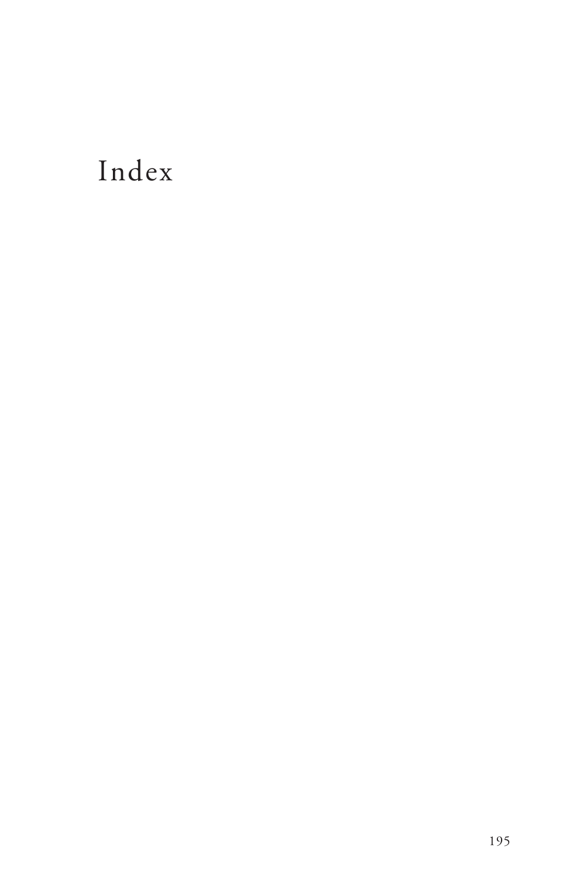## Index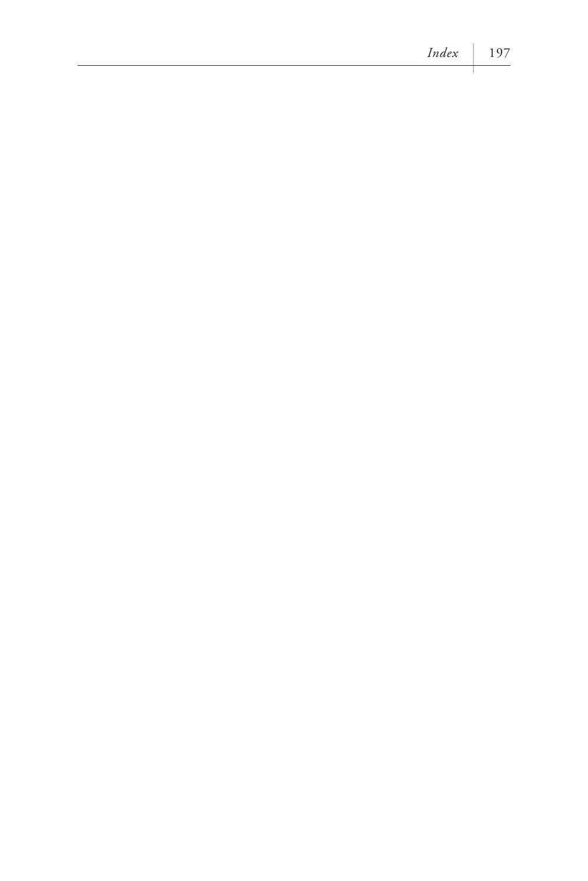| $Index$ |  |
|---------|--|
|         |  |